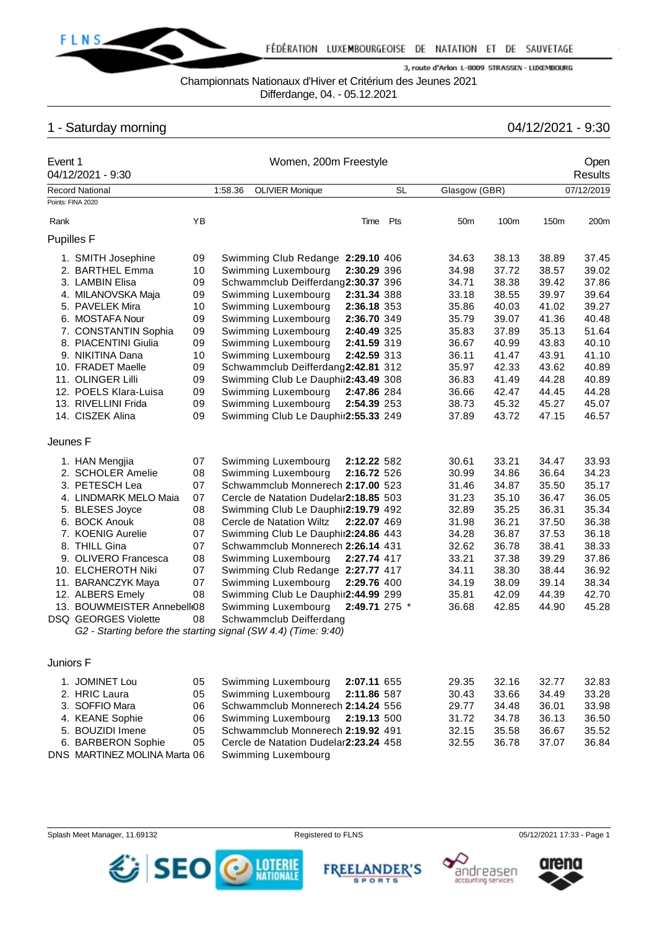

Championnats Nationaux d'Hiver et Critérium des Jeunes 2021

Differdange, 04. - 05.12.2021

# 1 - Saturday morning 04/12/2021 - 9:30

|                   | Event 1<br>04/12/2021 - 9:30                                   |    |         | Women, 200m Freestyle                 |               | Open<br><b>Results</b> |                 |       |       |            |
|-------------------|----------------------------------------------------------------|----|---------|---------------------------------------|---------------|------------------------|-----------------|-------|-------|------------|
|                   | <b>Record National</b>                                         |    | 1:58.36 | <b>OLIVIER Monique</b>                |               | <b>SL</b>              | Glasgow (GBR)   |       |       | 07/12/2019 |
|                   | Points: FINA 2020                                              |    |         |                                       |               |                        |                 |       |       |            |
| Rank              |                                                                | YB |         |                                       | Time          | Pts                    | 50 <sub>m</sub> | 100m  | 150m  | 200m       |
| <b>Pupilles F</b> |                                                                |    |         |                                       |               |                        |                 |       |       |            |
|                   | 1. SMITH Josephine                                             | 09 |         | Swimming Club Redange 2:29.10 406     |               |                        | 34.63           | 38.13 | 38.89 | 37.45      |
|                   | 2. BARTHEL Emma                                                | 10 |         | Swimming Luxembourg                   | 2:30.29 396   |                        | 34.98           | 37.72 | 38.57 | 39.02      |
|                   | 3. LAMBIN Elisa                                                | 09 |         | Schwammclub Deifferdang2:30.37 396    |               |                        | 34.71           | 38.38 | 39.42 | 37.86      |
|                   | 4. MILANOVSKA Maja                                             | 09 |         | Swimming Luxembourg                   | 2:31.34 388   |                        | 33.18           | 38.55 | 39.97 | 39.64      |
|                   | 5. PAVELEK Mira                                                | 10 |         | Swimming Luxembourg                   | 2:36.18 353   |                        | 35.86           | 40.03 | 41.02 | 39.27      |
|                   | 6. MOSTAFA Nour                                                | 09 |         | Swimming Luxembourg                   | 2:36.70 349   |                        | 35.79           | 39.07 | 41.36 | 40.48      |
|                   | 7. CONSTANTIN Sophia                                           | 09 |         | Swimming Luxembourg                   | 2:40.49 325   |                        | 35.83           | 37.89 | 35.13 | 51.64      |
|                   | 8. PIACENTINI Giulia                                           | 09 |         | Swimming Luxembourg                   | 2:41.59 319   |                        | 36.67           | 40.99 | 43.83 | 40.10      |
|                   | 9. NIKITINA Dana                                               | 10 |         | Swimming Luxembourg                   | 2:42.59 313   |                        | 36.11           | 41.47 | 43.91 | 41.10      |
|                   | 10. FRADET Maelle                                              | 09 |         | Schwammclub Deifferdang2:42.81 312    |               |                        | 35.97           | 42.33 | 43.62 | 40.89      |
|                   | 11. OLINGER Lilli                                              | 09 |         | Swimming Club Le Dauphir2:43.49 308   |               |                        | 36.83           | 41.49 | 44.28 | 40.89      |
|                   | 12. POELS Klara-Luisa                                          | 09 |         | Swimming Luxembourg                   | 2:47.86 284   |                        | 36.66           | 42.47 | 44.45 | 44.28      |
|                   | 13. RIVELLINI Frida                                            | 09 |         | Swimming Luxembourg                   | 2:54.39 253   |                        | 38.73           | 45.32 | 45.27 | 45.07      |
|                   | 14. CISZEK Alina                                               | 09 |         | Swimming Club Le Dauphir2:55.33 249   |               |                        | 37.89           | 43.72 | 47.15 | 46.57      |
| Jeunes F          |                                                                |    |         |                                       |               |                        |                 |       |       |            |
|                   | 1. HAN Mengjia                                                 | 07 |         | Swimming Luxembourg                   | 2:12.22 582   |                        | 30.61           | 33.21 | 34.47 | 33.93      |
|                   | 2. SCHOLER Amelie                                              | 08 |         | Swimming Luxembourg                   | 2:16.72 526   |                        | 30.99           | 34.86 | 36.64 | 34.23      |
|                   | 3. PETESCH Lea                                                 | 07 |         | Schwammclub Monnerech 2:17.00 523     |               |                        | 31.46           | 34.87 | 35.50 | 35.17      |
|                   | 4. LINDMARK MELO Maia                                          | 07 |         | Cercle de Natation Dudelar2:18.85 503 |               |                        | 31.23           | 35.10 | 36.47 | 36.05      |
|                   | 5. BLESES Joyce                                                | 08 |         | Swimming Club Le Dauphir2:19.79 492   |               |                        | 32.89           | 35.25 | 36.31 | 35.34      |
|                   | 6. BOCK Anouk                                                  | 08 |         | Cercle de Natation Wiltz              | 2:22.07 469   |                        | 31.98           | 36.21 | 37.50 | 36.38      |
|                   | 7. KOENIG Aurelie                                              | 07 |         | Swimming Club Le Dauphir2:24.86 443   |               |                        | 34.28           | 36.87 | 37.53 | 36.18      |
|                   | 8. THILL Gina                                                  | 07 |         | Schwammclub Monnerech 2:26.14 431     |               |                        | 32.62           | 36.78 | 38.41 | 38.33      |
|                   | 9. OLIVERO Francesca                                           | 08 |         | Swimming Luxembourg                   | 2:27.74 417   |                        | 33.21           | 37.38 | 39.29 | 37.86      |
|                   | 10. ELCHEROTH Niki                                             | 07 |         | Swimming Club Redange 2:27.77 417     |               |                        | 34.11           | 38.30 | 38.44 | 36.92      |
|                   | 11. BARANCZYK Maya                                             | 07 |         | Swimming Luxembourg                   | 2:29.76 400   |                        | 34.19           | 38.09 | 39.14 | 38.34      |
|                   | 12. ALBERS Emely                                               | 08 |         | Swimming Club Le Dauphir2:44.99 299   |               |                        | 35.81           | 42.09 | 44.39 | 42.70      |
|                   | 13. BOUWMEISTER Annebell 08                                    |    |         | Swimming Luxembourg                   | 2:49.71 275 * |                        | 36.68           | 42.85 | 44.90 | 45.28      |
|                   | <b>DSQ GEORGES Violette</b>                                    | 08 |         | Schwammclub Deifferdang               |               |                        |                 |       |       |            |
|                   | G2 - Starting before the starting signal (SW 4.4) (Time: 9:40) |    |         |                                       |               |                        |                 |       |       |            |
| Juniors F         |                                                                |    |         |                                       |               |                        |                 |       |       |            |
|                   | 1. JOMINET Lou                                                 | 05 |         | Swimming Luxembourg                   | 2:07.11 655   |                        | 29.35           | 32.16 | 32.77 | 32.83      |
|                   | 2. HRIC Laura                                                  | 05 |         | Swimming Luxembourg                   | 2:11.86 587   |                        | 30.43           | 33.66 | 34.49 | 33.28      |
|                   | 3. SOFFIO Mara                                                 | 06 |         | Schwammclub Monnerech 2:14.24 556     |               |                        | 29.77           | 34.48 | 36.01 | 33.98      |
|                   | 4. KEANE Sophie                                                | 06 |         | Swimming Luxembourg                   | 2:19.13 500   |                        | 31.72           | 34.78 | 36.13 | 36.50      |
|                   | 5. BOUZIDI Imene                                               | 05 |         | Schwammclub Monnerech 2:19.92 491     |               |                        | 32.15           | 35.58 | 36.67 | 35.52      |
|                   | 6. BARBERON Sophie                                             | 05 |         | Cercle de Natation Dudelar2:23.24 458 |               |                        | 32.55           | 36.78 | 37.07 | 36.84      |
|                   | DNS MARTINEZ MOLINA Marta 06                                   |    |         | Swimming Luxembourg                   |               |                        |                 |       |       |            |
|                   |                                                                |    |         |                                       |               |                        |                 |       |       |            |

Splash Meet Manager, 11.69132 **Registered to FLNS** Registered to FLNS 05/12/2021 17:33 - Page 1







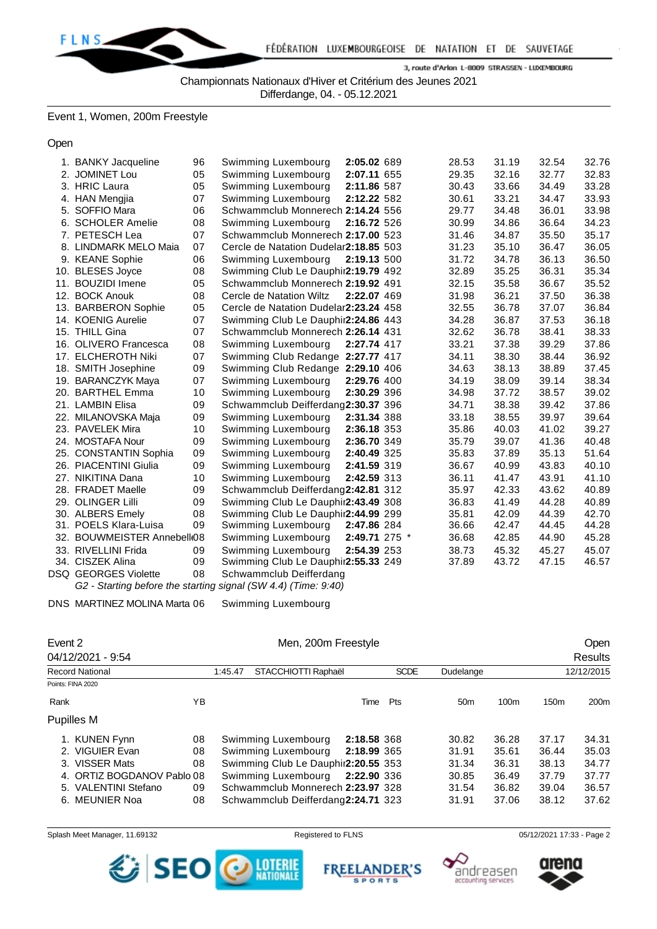

Championnats Nationaux d'Hiver et Critérium des Jeunes 2021

Differdange, 04. - 05.12.2021

# Event 1, Women, 200m Freestyle

Open

| 1. BANKY Jacqueline         | 96 | Swimming Luxembourg                                            | 2:05.02 689   | 28.53 | 31.19 | 32.54 | 32.76 |
|-----------------------------|----|----------------------------------------------------------------|---------------|-------|-------|-------|-------|
| 2. JOMINET Lou              | 05 | Swimming Luxembourg                                            | 2:07.11 655   | 29.35 | 32.16 | 32.77 | 32.83 |
| 3. HRIC Laura               | 05 | Swimming Luxembourg                                            | 2:11.86 587   | 30.43 | 33.66 | 34.49 | 33.28 |
| 4. HAN Mengjia              | 07 | Swimming Luxembourg                                            | 2:12.22 582   | 30.61 | 33.21 | 34.47 | 33.93 |
| 5. SOFFIO Mara              | 06 | Schwammclub Monnerech 2:14.24 556                              |               | 29.77 | 34.48 | 36.01 | 33.98 |
| 6. SCHOLER Amelie           | 08 | Swimming Luxembourg                                            | 2:16.72 526   | 30.99 | 34.86 | 36.64 | 34.23 |
| 7. PETESCH Lea              | 07 | Schwammclub Monnerech 2:17.00 523                              |               | 31.46 | 34.87 | 35.50 | 35.17 |
| 8. LINDMARK MELO Maia       | 07 | Cercle de Natation Dudelar2:18.85 503                          |               | 31.23 | 35.10 | 36.47 | 36.05 |
| 9. KEANE Sophie             | 06 | Swimming Luxembourg                                            | 2:19.13 500   | 31.72 | 34.78 | 36.13 | 36.50 |
| 10. BLESES Joyce            | 08 | Swimming Club Le Dauphir2:19.79 492                            |               | 32.89 | 35.25 | 36.31 | 35.34 |
| 11. BOUZIDI Imene           | 05 | Schwammclub Monnerech 2:19.92 491                              |               | 32.15 | 35.58 | 36.67 | 35.52 |
| 12. BOCK Anouk              | 08 | Cercle de Natation Wiltz                                       | 2:22.07 469   | 31.98 | 36.21 | 37.50 | 36.38 |
| 13. BARBERON Sophie         | 05 | Cercle de Natation Dudelar2:23.24 458                          |               | 32.55 | 36.78 | 37.07 | 36.84 |
| 14. KOENIG Aurelie          | 07 | Swimming Club Le Dauphir2:24.86 443                            |               | 34.28 | 36.87 | 37.53 | 36.18 |
| 15. THILL Gina              | 07 | Schwammclub Monnerech 2:26.14 431                              |               | 32.62 | 36.78 | 38.41 | 38.33 |
| 16. OLIVERO Francesca       | 08 | Swimming Luxembourg                                            | 2:27.74 417   | 33.21 | 37.38 | 39.29 | 37.86 |
| 17. ELCHEROTH Niki          | 07 | Swimming Club Redange 2:27.77 417                              |               | 34.11 | 38.30 | 38.44 | 36.92 |
| 18. SMITH Josephine         | 09 | Swimming Club Redange 2:29.10 406                              |               | 34.63 | 38.13 | 38.89 | 37.45 |
| 19. BARANCZYK Maya          | 07 | Swimming Luxembourg                                            | 2:29.76 400   | 34.19 | 38.09 | 39.14 | 38.34 |
| 20. BARTHEL Emma            | 10 | Swimming Luxembourg                                            | 2:30.29 396   | 34.98 | 37.72 | 38.57 | 39.02 |
| 21. LAMBIN Elisa            | 09 | Schwammclub Deifferdang2:30.37 396                             |               | 34.71 | 38.38 | 39.42 | 37.86 |
| 22. MILANOVSKA Maja         | 09 | Swimming Luxembourg                                            | 2:31.34 388   | 33.18 | 38.55 | 39.97 | 39.64 |
| 23. PAVELEK Mira            | 10 | Swimming Luxembourg                                            | 2:36.18 353   | 35.86 | 40.03 | 41.02 | 39.27 |
| 24. MOSTAFA Nour            | 09 | Swimming Luxembourg                                            | 2:36.70 349   | 35.79 | 39.07 | 41.36 | 40.48 |
| 25. CONSTANTIN Sophia       | 09 | Swimming Luxembourg                                            | 2:40.49 325   | 35.83 | 37.89 | 35.13 | 51.64 |
| 26. PIACENTINI Giulia       | 09 | Swimming Luxembourg                                            | 2:41.59 319   | 36.67 | 40.99 | 43.83 | 40.10 |
| 27. NIKITINA Dana           | 10 | Swimming Luxembourg                                            | 2:42.59 313   | 36.11 | 41.47 | 43.91 | 41.10 |
| 28. FRADET Maelle           | 09 | Schwammclub Deifferdang2:42.81 312                             |               | 35.97 | 42.33 | 43.62 | 40.89 |
| 29. OLINGER Lilli           | 09 | Swimming Club Le Dauphir2:43.49 308                            |               | 36.83 | 41.49 | 44.28 | 40.89 |
| 30. ALBERS Emely            | 08 | Swimming Club Le Dauphir2:44.99 299                            |               | 35.81 | 42.09 | 44.39 | 42.70 |
| 31. POELS Klara-Luisa       | 09 | Swimming Luxembourg                                            | 2:47.86 284   | 36.66 | 42.47 | 44.45 | 44.28 |
| 32. BOUWMEISTER Annebell 08 |    | Swimming Luxembourg                                            | 2:49.71 275 * | 36.68 | 42.85 | 44.90 | 45.28 |
| 33. RIVELLINI Frida         | 09 | Swimming Luxembourg                                            | 2:54.39 253   | 38.73 | 45.32 | 45.27 | 45.07 |
| 34. CISZEK Alina            | 09 | Swimming Club Le Dauphir2:55.33 249                            |               | 37.89 | 43.72 | 47.15 | 46.57 |
| DSQ GEORGES Violette        | 08 | Schwammclub Deifferdang                                        |               |       |       |       |       |
|                             |    | G2 - Starting before the starting signal (SW 4.4) (Time: 9:40) |               |       |       |       |       |

DNS MARTINEZ MOLINA Marta 06 Swimming Luxembourg

|      | Event 2                 |    |         | Men, 200m Freestyle                 |             |             | Open            |       |                  |                  |
|------|-------------------------|----|---------|-------------------------------------|-------------|-------------|-----------------|-------|------------------|------------------|
|      | 04/12/2021 - 9:54       |    |         |                                     |             |             |                 |       |                  | Results          |
|      | <b>Record National</b>  |    | 1:45.47 | STACCHIOTTI Raphaël                 |             | <b>SCDE</b> | Dudelange       |       |                  | 12/12/2015       |
|      | Points: FINA 2020       |    |         |                                     |             |             |                 |       |                  |                  |
| Rank |                         | YB |         |                                     | Time        | Pts         | 50 <sub>m</sub> | 100m  | 150 <sub>m</sub> | 200 <sub>m</sub> |
|      | Pupilles M              |    |         |                                     |             |             |                 |       |                  |                  |
|      | <b>KUNEN Fynn</b>       | 08 |         | Swimming Luxembourg                 | 2:18.58 368 |             | 30.82           | 36.28 | 37.17            | 34.31            |
|      | <b>VIGUIER Evan</b>     | 08 |         | Swimming Luxembourg                 | 2:18.99 365 |             | 31.91           | 35.61 | 36.44            | 35.03            |
| 3.   | <b>VISSER Mats</b>      | 08 |         | Swimming Club Le Dauphir2:20.55 353 |             |             | 31.34           | 36.31 | 38.13            | 34.77            |
|      | ORTIZ BOGDANOV Pablo 08 |    |         | Swimming Luxembourg                 | 2:22.90 336 |             | 30.85           | 36.49 | 37.79            | 37.77            |
|      | 5. VALENTINI Stefano    | 09 |         | Schwammclub Monnerech 2:23.97 328   |             |             | 31.54           | 36.82 | 39.04            | 36.57            |
| 6.   | MEUNIER Noa             | 08 |         | Schwammclub Deifferdang2:24.71 323  |             |             | 31.91           | 37.06 | 38.12            | 37.62            |

Splash Meet Manager, 11.69132 **Registered to FLNS** Registered to FLNS 05/12/2021 17:33 - Page 2





**ANDER'S** 

**SPORTS** 

**FREEL** 





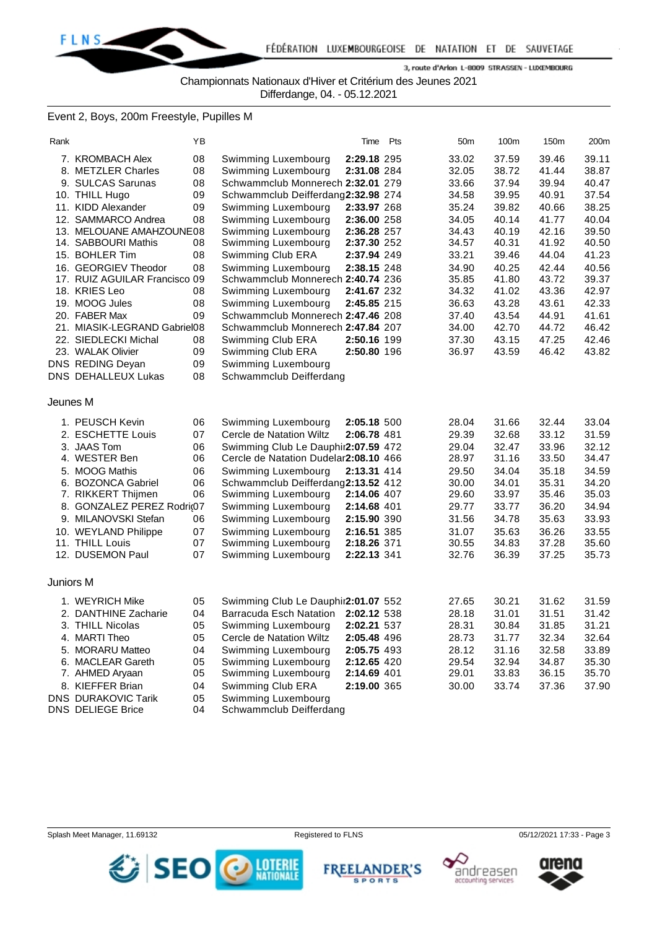

Championnats Nationaux d'Hiver et Critérium des Jeunes 2021

Differdange, 04. - 05.12.2021

# Event 2, Boys, 200m Freestyle, Pupilles M

| Rank      |                                         | YB |                                       | Time        | Pts | 50 <sub>m</sub> | 100m  | 150m  | 200m  |
|-----------|-----------------------------------------|----|---------------------------------------|-------------|-----|-----------------|-------|-------|-------|
|           | 7. KROMBACH Alex                        | 08 | Swimming Luxembourg                   | 2:29.18 295 |     | 33.02           | 37.59 | 39.46 | 39.11 |
|           | 8. METZLER Charles                      | 08 | Swimming Luxembourg                   | 2:31.08 284 |     | 32.05           | 38.72 | 41.44 | 38.87 |
|           | 9. SULCAS Sarunas                       | 08 | Schwammclub Monnerech 2:32.01 279     |             |     | 33.66           | 37.94 | 39.94 | 40.47 |
|           | 10. THILL Hugo                          | 09 | Schwammclub Deifferdang2:32.98 274    |             |     | 34.58           | 39.95 | 40.91 | 37.54 |
|           | 11. KIDD Alexander                      | 09 | Swimming Luxembourg                   | 2:33.97 268 |     | 35.24           | 39.82 | 40.66 | 38.25 |
|           | 12. SAMMARCO Andrea                     | 08 | Swimming Luxembourg                   | 2:36.00 258 |     | 34.05           | 40.14 | 41.77 | 40.04 |
|           | 13. MELOUANE AMAHZOUNE08                |    | Swimming Luxembourg                   | 2:36.28 257 |     | 34.43           | 40.19 | 42.16 | 39.50 |
|           | 14. SABBOURI Mathis                     | 08 | Swimming Luxembourg                   | 2:37.30 252 |     | 34.57           | 40.31 | 41.92 | 40.50 |
|           | 15. BOHLER Tim                          | 08 | Swimming Club ERA                     | 2:37.94 249 |     | 33.21           | 39.46 | 44.04 | 41.23 |
|           | 16. GEORGIEV Theodor                    | 08 | Swimming Luxembourg                   | 2:38.15 248 |     | 34.90           | 40.25 | 42.44 | 40.56 |
|           | 17. RUIZ AGUILAR Francisco 09           |    | Schwammclub Monnerech 2:40.74 236     |             |     | 35.85           | 41.80 | 43.72 | 39.37 |
|           | 18. KRIES Leo                           | 08 | Swimming Luxembourg                   | 2:41.67 232 |     | 34.32           | 41.02 | 43.36 | 42.97 |
|           | 19. MOOG Jules                          | 08 | Swimming Luxembourg                   | 2:45.85 215 |     | 36.63           | 43.28 | 43.61 | 42.33 |
|           | 20. FABER Max                           | 09 | Schwammclub Monnerech 2:47.46 208     |             |     | 37.40           | 43.54 | 44.91 | 41.61 |
|           | 21. MIASIK-LEGRAND Gabriel08            |    | Schwammclub Monnerech 2:47.84 207     |             |     | 34.00           | 42.70 | 44.72 | 46.42 |
|           | 22. SIEDLECKI Michal                    | 08 | Swimming Club ERA                     | 2:50.16 199 |     | 37.30           | 43.15 | 47.25 | 42.46 |
|           | 23. WALAK Olivier                       | 09 | Swimming Club ERA                     | 2:50.80 196 |     | 36.97           | 43.59 | 46.42 | 43.82 |
|           | DNS REDING Deyan                        | 09 | Swimming Luxembourg                   |             |     |                 |       |       |       |
|           | <b>DNS DEHALLEUX Lukas</b>              | 08 | Schwammclub Deifferdang               |             |     |                 |       |       |       |
| Jeunes M  |                                         |    |                                       |             |     |                 |       |       |       |
|           | 1. PEUSCH Kevin                         | 06 | Swimming Luxembourg                   | 2:05.18 500 |     | 28.04           | 31.66 | 32.44 | 33.04 |
|           | 2. ESCHETTE Louis                       | 07 | Cercle de Natation Wiltz              | 2:06.78 481 |     | 29.39           | 32.68 | 33.12 | 31.59 |
|           | 3. JAAS Tom                             | 06 | Swimming Club Le Dauphir2:07.59 472   |             |     | 29.04           | 32.47 | 33.96 | 32.12 |
|           | 4. WESTER Ben                           | 06 | Cercle de Natation Dudelar2:08.10 466 |             |     | 28.97           | 31.16 | 33.50 | 34.47 |
|           | 5. MOOG Mathis                          | 06 | Swimming Luxembourg                   | 2:13.31 414 |     | 29.50           | 34.04 | 35.18 | 34.59 |
|           | 6. BOZONCA Gabriel                      | 06 | Schwammclub Deifferdang2:13.52 412    |             |     | 30.00           | 34.01 | 35.31 | 34.20 |
|           | 7. RIKKERT Thijmen                      | 06 | Swimming Luxembourg                   | 2:14.06 407 |     | 29.60           | 33.97 | 35.46 | 35.03 |
|           | 8. GONZALEZ PEREZ Rodri@07              |    | Swimming Luxembourg                   | 2:14.68 401 |     | 29.77           | 33.77 | 36.20 | 34.94 |
|           | 9. MILANOVSKI Stefan                    | 06 | Swimming Luxembourg                   | 2:15.90 390 |     | 31.56           | 34.78 | 35.63 | 33.93 |
|           |                                         | 07 | Swimming Luxembourg                   | 2:16.51 385 |     | 31.07           | 35.63 | 36.26 | 33.55 |
|           | 10. WEYLAND Philippe<br>11. THILL Louis | 07 | Swimming Luxembourg                   | 2:18.26 371 |     | 30.55           | 34.83 | 37.28 | 35.60 |
|           | 12. DUSEMON Paul                        | 07 | Swimming Luxembourg                   | 2:22.13 341 |     | 32.76           | 36.39 | 37.25 | 35.73 |
|           |                                         |    |                                       |             |     |                 |       |       |       |
| Juniors M |                                         |    |                                       |             |     |                 |       |       |       |
|           | 1. WEYRICH Mike                         | 05 | Swimming Club Le Dauphir2:01.07 552   |             |     | 27.65           | 30.21 | 31.62 | 31.59 |
|           | 2. DANTHINE Zacharie                    | 04 | Barracuda Esch Natation 2:02.12 538   |             |     | 28.18           | 31.01 | 31.51 | 31.42 |
|           | 3. THILL Nicolas                        | 05 | Swimming Luxembourg                   | 2:02.21 537 |     | 28.31           | 30.84 | 31.85 | 31.21 |
|           | 4. MARTI Theo                           | 05 | Cercle de Natation Wiltz              | 2:05.48 496 |     | 28.73           | 31.77 | 32.34 | 32.64 |
|           | 5. MORARU Matteo                        | 04 | Swimming Luxembourg                   | 2:05.75 493 |     | 28.12           | 31.16 | 32.58 | 33.89 |
|           | 6. MACLEAR Gareth                       | 05 | Swimming Luxembourg                   | 2:12.65 420 |     | 29.54           | 32.94 | 34.87 | 35.30 |
|           | 7. AHMED Aryaan                         | 05 | Swimming Luxembourg                   | 2:14.69 401 |     | 29.01           | 33.83 | 36.15 | 35.70 |
|           | 8. KIEFFER Brian                        | 04 | Swimming Club ERA                     | 2:19.00 365 |     | 30.00           | 33.74 | 37.36 | 37.90 |
|           | <b>DNS DURAKOVIC Tarik</b>              | 05 | Swimming Luxembourg                   |             |     |                 |       |       |       |
|           | DNO DELIFOE D.                          |    |                                       |             |     |                 |       |       |       |

DNS DELIEGE Brice 04 Schwammclub Deifferdang







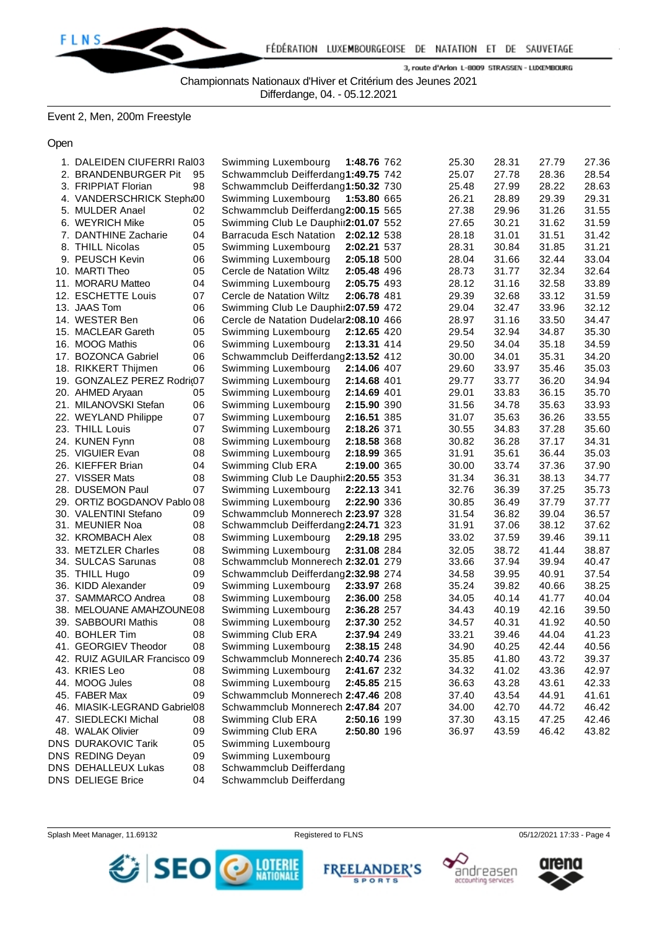

Championnats Nationaux d'Hiver et Critérium des Jeunes 2021

Differdange, 04. - 05.12.2021

Event 2, Men, 200m Freestyle

Open

| 1. DALEIDEN CIUFERRI Ral03    |    | Swimming Luxembourg                   | 1:48.76 762 | 25.30 | 28.31 | 27.79 | 27.36 |
|-------------------------------|----|---------------------------------------|-------------|-------|-------|-------|-------|
| 2. BRANDENBURGER Pit          | 95 | Schwammclub Deifferdang1:49.75 742    |             | 25.07 | 27.78 | 28.36 | 28.54 |
| 3. FRIPPIAT Florian           | 98 | Schwammclub Deifferdang1:50.32 730    |             | 25.48 | 27.99 | 28.22 | 28.63 |
| 4. VANDERSCHRICK Stepht00     |    | Swimming Luxembourg                   | 1:53.80 665 | 26.21 | 28.89 | 29.39 | 29.31 |
| 5. MULDER Anael               | 02 | Schwammclub Deifferdang2:00.15 565    |             | 27.38 | 29.96 | 31.26 | 31.55 |
| 6. WEYRICH Mike               | 05 | Swimming Club Le Dauphir2:01.07 552   |             | 27.65 | 30.21 | 31.62 | 31.59 |
| 7. DANTHINE Zacharie          | 04 | Barracuda Esch Natation 2:02.12 538   |             | 28.18 | 31.01 | 31.51 | 31.42 |
| 8. THILL Nicolas              | 05 | Swimming Luxembourg                   | 2:02.21 537 | 28.31 | 30.84 | 31.85 | 31.21 |
| 9. PEUSCH Kevin               | 06 | Swimming Luxembourg                   | 2:05.18 500 | 28.04 | 31.66 | 32.44 | 33.04 |
| 10. MARTI Theo                | 05 | Cercle de Natation Wiltz              | 2:05.48 496 | 28.73 | 31.77 | 32.34 | 32.64 |
| 11. MORARU Matteo             | 04 | Swimming Luxembourg                   | 2:05.75 493 | 28.12 | 31.16 | 32.58 | 33.89 |
| 12. ESCHETTE Louis            | 07 | Cercle de Natation Wiltz              | 2:06.78 481 | 29.39 | 32.68 | 33.12 | 31.59 |
| 13. JAAS Tom                  | 06 | Swimming Club Le Dauphir2:07.59 472   |             | 29.04 | 32.47 | 33.96 | 32.12 |
| 14. WESTER Ben                | 06 | Cercle de Natation Dudelar2:08.10 466 |             | 28.97 | 31.16 | 33.50 | 34.47 |
| 15. MACLEAR Gareth            | 05 | Swimming Luxembourg                   | 2:12.65 420 | 29.54 | 32.94 | 34.87 | 35.30 |
| 16. MOOG Mathis               | 06 | Swimming Luxembourg                   | 2:13.31 414 | 29.50 | 34.04 | 35.18 | 34.59 |
| 17. BOZONCA Gabriel           | 06 | Schwammclub Deifferdang2:13.52 412    |             | 30.00 | 34.01 | 35.31 | 34.20 |
| 18. RIKKERT Thijmen           | 06 | Swimming Luxembourg                   | 2:14.06 407 | 29.60 | 33.97 | 35.46 | 35.03 |
| 19. GONZALEZ PEREZ Rodri@7    |    | Swimming Luxembourg                   | 2:14.68 401 | 29.77 | 33.77 | 36.20 | 34.94 |
| 20. AHMED Aryaan              | 05 | Swimming Luxembourg                   | 2:14.69 401 | 29.01 | 33.83 | 36.15 | 35.70 |
| 21. MILANOVSKI Stefan         | 06 | Swimming Luxembourg                   | 2:15.90 390 | 31.56 | 34.78 | 35.63 | 33.93 |
| 22. WEYLAND Philippe          | 07 | Swimming Luxembourg                   | 2:16.51 385 | 31.07 | 35.63 | 36.26 | 33.55 |
| 23. THILL Louis               | 07 | Swimming Luxembourg                   | 2:18.26 371 | 30.55 | 34.83 | 37.28 | 35.60 |
| 24. KUNEN Fynn                | 08 | Swimming Luxembourg                   | 2:18.58 368 | 30.82 | 36.28 | 37.17 | 34.31 |
| 25. VIGUIER Evan              | 08 | Swimming Luxembourg                   | 2:18.99 365 | 31.91 | 35.61 | 36.44 | 35.03 |
| 26. KIEFFER Brian             | 04 | Swimming Club ERA                     | 2:19.00 365 | 30.00 | 33.74 | 37.36 | 37.90 |
| 27. VISSER Mats               | 08 | Swimming Club Le Dauphir2:20.55 353   |             | 31.34 | 36.31 | 38.13 | 34.77 |
| 28. DUSEMON Paul              | 07 | Swimming Luxembourg                   | 2:22.13 341 | 32.76 | 36.39 | 37.25 | 35.73 |
| 29. ORTIZ BOGDANOV Pablo 08   |    | Swimming Luxembourg                   | 2:22.90 336 | 30.85 | 36.49 | 37.79 | 37.77 |
| 30. VALENTINI Stefano         | 09 | Schwammclub Monnerech 2:23.97 328     |             | 31.54 | 36.82 | 39.04 | 36.57 |
| 31. MEUNIER Noa               | 08 | Schwammclub Deifferdang2:24.71 323    |             | 31.91 | 37.06 | 38.12 | 37.62 |
| 32. KROMBACH Alex             | 08 | Swimming Luxembourg                   | 2:29.18 295 | 33.02 | 37.59 | 39.46 | 39.11 |
| 33. METZLER Charles           | 08 | Swimming Luxembourg                   | 2:31.08 284 | 32.05 | 38.72 | 41.44 | 38.87 |
| 34. SULCAS Sarunas            | 08 | Schwammclub Monnerech 2:32.01 279     |             | 33.66 | 37.94 | 39.94 | 40.47 |
| 35. THILL Hugo                | 09 | Schwammclub Deifferdang2:32.98 274    |             | 34.58 | 39.95 | 40.91 | 37.54 |
| 36. KIDD Alexander            | 09 | Swimming Luxembourg                   | 2:33.97 268 | 35.24 | 39.82 | 40.66 | 38.25 |
| 37. SAMMARCO Andrea           | 08 | Swimming Luxembourg                   | 2:36.00 258 | 34.05 | 40.14 | 41.77 | 40.04 |
| 38. MELOUANE AMAHZOUNE08      |    | Swimming Luxembourg                   | 2:36.28 257 | 34.43 | 40.19 | 42.16 | 39.50 |
| 39. SABBOURI Mathis           | 08 | Swimming Luxembourg                   | 2:37.30 252 | 34.57 | 40.31 | 41.92 | 40.50 |
| 40. BOHLER Tim                | 08 | Swimming Club ERA                     | 2:37.94 249 | 33.21 | 39.46 | 44.04 | 41.23 |
| 41. GEORGIEV Theodor          | 08 | Swimming Luxembourg                   | 2:38.15 248 | 34.90 | 40.25 | 42.44 | 40.56 |
| 42. RUIZ AGUILAR Francisco 09 |    | Schwammclub Monnerech 2:40.74 236     |             | 35.85 | 41.80 | 43.72 | 39.37 |
| 43. KRIES Leo                 | 08 | Swimming Luxembourg                   | 2:41.67 232 | 34.32 | 41.02 | 43.36 | 42.97 |
| 44. MOOG Jules                | 08 | Swimming Luxembourg                   | 2:45.85 215 | 36.63 | 43.28 | 43.61 | 42.33 |
| 45. FABER Max                 | 09 | Schwammclub Monnerech 2:47.46 208     |             | 37.40 | 43.54 | 44.91 | 41.61 |
| 46. MIASIK-LEGRAND Gabriel08  |    | Schwammclub Monnerech 2:47.84 207     |             | 34.00 | 42.70 | 44.72 | 46.42 |
| 47. SIEDLECKI Michal          | 08 | Swimming Club ERA                     | 2:50.16 199 | 37.30 | 43.15 | 47.25 | 42.46 |
| 48. WALAK Olivier             | 09 | Swimming Club ERA                     | 2:50.80 196 | 36.97 | 43.59 | 46.42 | 43.82 |
| <b>DNS DURAKOVIC Tarik</b>    | 05 | Swimming Luxembourg                   |             |       |       |       |       |
| DNS REDING Deyan              | 09 | Swimming Luxembourg                   |             |       |       |       |       |
| DNS DEHALLEUX Lukas           | 08 | Schwammclub Deifferdang               |             |       |       |       |       |
| <b>DNS DELIEGE Brice</b>      | 04 | Schwammclub Deifferdang               |             |       |       |       |       |







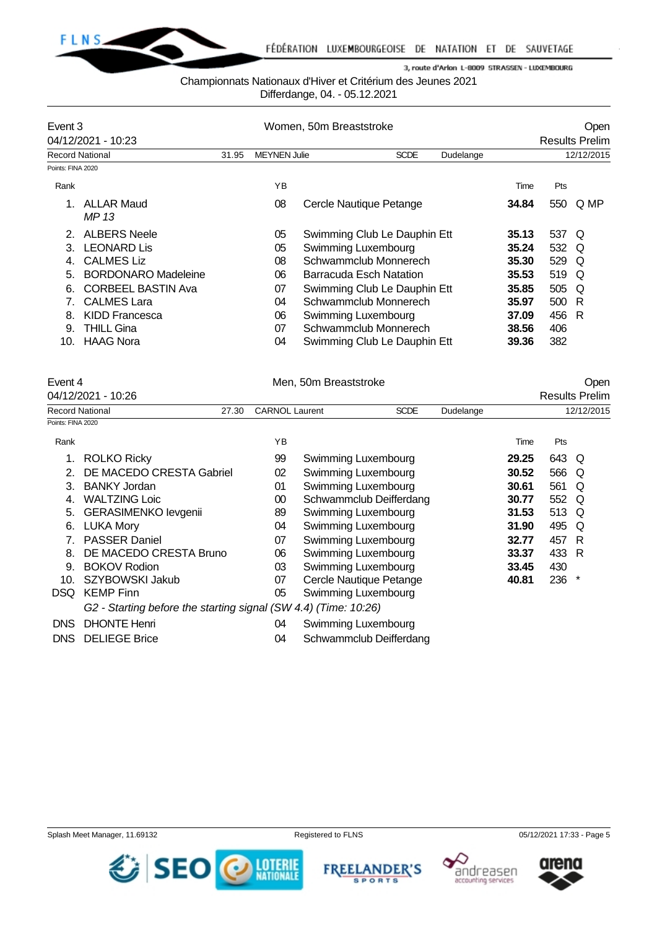

#### Championnats Nationaux d'Hiver et Critérium des Jeunes 2021

Differdange, 04. - 05.12.2021

| Event 3           |                            |       | Women, 50m Breaststroke |                              | Open      |      |       |                       |
|-------------------|----------------------------|-------|-------------------------|------------------------------|-----------|------|-------|-----------------------|
|                   | 04/12/2021 - 10:23         |       |                         |                              |           |      |       | <b>Results Prelim</b> |
|                   | <b>Record National</b>     | 31.95 | <b>MEYNEN Julie</b>     | <b>SCDE</b>                  | Dudelange |      |       | 12/12/2015            |
| Points: FINA 2020 |                            |       |                         |                              |           |      |       |                       |
| Rank              |                            |       | YB                      |                              |           | Time | Pts   |                       |
|                   | ALLAR Maud<br>MP 13        |       | 08                      | Cercle Nautique Petange      | 34.84     |      | 550   | Q MP                  |
|                   | <b>ALBERS Neele</b>        |       | 05                      | Swimming Club Le Dauphin Ett | 35.13     |      | 537 Q |                       |
| 3                 | <b>LEONARD Lis</b>         |       | 05                      | Swimming Luxembourg          | 35.24     |      | 532   | O                     |
|                   | <b>CALMES Liz</b>          |       | 08                      | Schwammclub Monnerech        | 35.30     |      | 529   | O                     |
| 5.                | <b>BORDONARO Madeleine</b> |       | 06                      | Barracuda Esch Natation      | 35.53     |      | 519   | O                     |
| 6.                | <b>CORBEEL BASTIN Ava</b>  |       | 07                      | Swimming Club Le Dauphin Ett | 35.85     |      | 505   | O                     |
|                   | <b>CALMES Lara</b>         |       | 04                      | Schwammclub Monnerech        | 35.97     |      | 500   | R                     |
| 8                 | KIDD Francesca             |       | 06                      | Swimming Luxembourg          | 37.09     |      | 456   | R                     |
| 9.                | <b>THILL Gina</b>          |       | 07                      | Schwammclub Monnerech        | 38.56     |      | 406   |                       |
| 10.               | <b>HAAG Nora</b>           |       | 04                      | Swimming Club Le Dauphin Ett | 39.36     |      | 382   |                       |

# Event 4 Communication of the Men, 50m Breaststroke Communication of the Open 04/12/2021 - 10:26 Results Prelim Record National 27.30 CARNOL Laurent SCDE Dudelange 12/12/2015 Points: FINA 2020 Rank **Rank Time Pts Proposed and Proposed Area** Time Pts and Proposed and Proposed and Proposed and Proposed and Proposed and Proposed and Proposed and Proposed and Proposed and Proposed and Proposed and Proposed and Pro 1. ROLKO Ricky 99 Swimming Luxembourg **29.25** 643 Q 2. DE MACEDO CRESTA Gabriel 02 Swimming Luxembourg **30.52** 566 Q 3. BANKY Jordan 01 Swimming Luxembourg **30.61** 561 Q 4. WALTZING Loic 00 Schwammclub Deifferdang **30.77** 552 Q 5. GERASIMENKO Ievgenii 89 Swimming Luxembourg **31.53** 513 Q 6. LUKA Mory 04 Swimming Luxembourg **31.90** 495 Q 7. PASSER Daniel 07 Swimming Luxembourg **32.77** 457 R 8. DE MACEDO CRESTA Bruno 06 Swimming Luxembourg **33.37** 433 R 9. BOKOV Rodion 03 Swimming Luxembourg **33.45** 430 10. SZYBOWSKI Jakub 07 Cercle Nautique Petange **40.81** 236 \* DSQ KEMP Finn 1980 105 Swimming Luxembourg

*G2 - Starting before the starting signal (SW 4.4) (Time: 10:26)*

- 
- DNS DHONTE Henri 04 Swimming Luxembourg

DNS DELIEGE Brice 04 Schwammclub Deifferdang

Splash Meet Manager, 11.69132 **Registered to FLNS Registered to FLNS** 05/12/2021 17:33 - Page 5

**FREELANDER'S** 

**SPORTS** 

**DESCRIPTION ALL** 





*む* **SEO**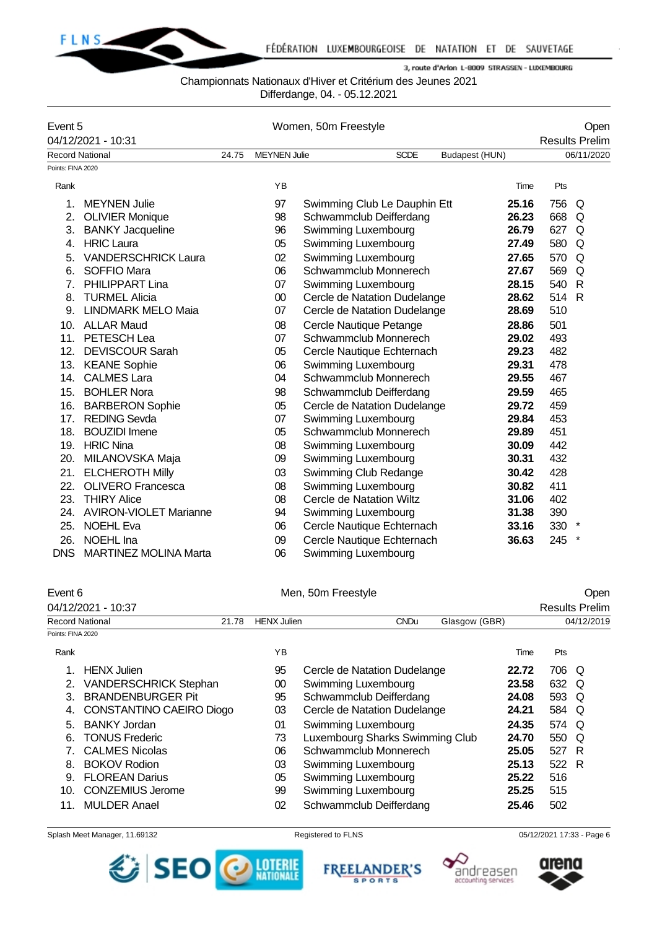

## Championnats Nationaux d'Hiver et Critérium des Jeunes 2021

Differdange, 04. - 05.12.2021

| Event 5<br>04/12/2021 - 10:31 |                              |       |                     | Women, 50m Freestyle         |                |       | Open<br><b>Results Prelim</b> |
|-------------------------------|------------------------------|-------|---------------------|------------------------------|----------------|-------|-------------------------------|
|                               | <b>Record National</b>       | 24.75 | <b>MEYNEN Julie</b> | <b>SCDE</b>                  | Budapest (HUN) |       | 06/11/2020                    |
| Points: FINA 2020             |                              |       |                     |                              |                |       |                               |
| Rank                          |                              |       | YB                  |                              | Time           | Pts   |                               |
| $\mathbf 1$                   | <b>MEYNEN Julie</b>          |       | 97                  | Swimming Club Le Dauphin Ett | 25.16          | 756   | Q                             |
| 2.                            | <b>OLIVIER Monique</b>       |       | 98                  | Schwammclub Deifferdang      | 26.23          | 668   | Q                             |
| 3.                            | <b>BANKY Jacqueline</b>      |       | 96                  | Swimming Luxembourg          | 26.79          | 627   | Q                             |
| 4.                            | <b>HRIC Laura</b>            |       | 05                  | Swimming Luxembourg          | 27.49          | 580   | Q                             |
| 5.                            | <b>VANDERSCHRICK Laura</b>   |       | 02                  | Swimming Luxembourg          | 27.65          | 570   | Q                             |
| 6.                            | SOFFIO Mara                  |       | 06                  | Schwammclub Monnerech        | 27.67          | 569   | Q                             |
| 7.                            | PHILIPPART Lina              |       | 07                  | Swimming Luxembourg          | 28.15          | 540   | $\mathsf{R}$                  |
| 8.                            | <b>TURMEL Alicia</b>         |       | $00\,$              | Cercle de Natation Dudelange | 28.62          | 514 R |                               |
| 9.                            | <b>LINDMARK MELO Maia</b>    |       | 07                  | Cercle de Natation Dudelange | 28.69          | 510   |                               |
| 10.                           | <b>ALLAR Maud</b>            |       | 08                  | Cercle Nautique Petange      | 28.86          | 501   |                               |
| 11.                           | PETESCH Lea                  |       | 07                  | Schwammclub Monnerech        | 29.02          | 493   |                               |
| 12.                           | <b>DEVISCOUR Sarah</b>       |       | 05                  | Cercle Nautique Echternach   | 29.23          | 482   |                               |
| 13.                           | <b>KEANE Sophie</b>          |       | 06                  | Swimming Luxembourg          | 29.31          | 478   |                               |
| 14.                           | <b>CALMES Lara</b>           |       | 04                  | Schwammclub Monnerech        | 29.55          | 467   |                               |
| 15.                           | <b>BOHLER Nora</b>           |       | 98                  | Schwammclub Deifferdang      | 29.59          | 465   |                               |
| 16.                           | <b>BARBERON Sophie</b>       |       | 05                  | Cercle de Natation Dudelange | 29.72          | 459   |                               |
| 17.                           | <b>REDING Sevda</b>          |       | 07                  | Swimming Luxembourg          | 29.84          | 453   |                               |
| 18.                           | <b>BOUZIDI</b> Imene         |       | 05                  | Schwammclub Monnerech        | 29.89          | 451   |                               |
| 19.                           | <b>HRIC Nina</b>             |       | 08                  | Swimming Luxembourg          | 30.09          | 442   |                               |
| 20.                           | MILANOVSKA Maja              |       | 09                  | Swimming Luxembourg          | 30.31          | 432   |                               |
| 21.                           | <b>ELCHEROTH Milly</b>       |       | 03                  | Swimming Club Redange        | 30.42          | 428   |                               |
| 22.                           | <b>OLIVERO Francesca</b>     |       | 08                  | Swimming Luxembourg          | 30.82          | 411   |                               |
| 23.                           | <b>THIRY Alice</b>           |       | 08                  | Cercle de Natation Wiltz     | 31.06          | 402   |                               |
|                               | 24. AVIRON-VIOLET Marianne   |       | 94                  | Swimming Luxembourg          | 31.38          | 390   |                               |
| 25.                           | <b>NOEHL Eva</b>             |       | 06                  | Cercle Nautique Echternach   | 33.16          | 330   | $\star$                       |
| 26.                           | NOEHL Ina                    |       | 09                  | Cercle Nautique Echternach   | 36.63          | 245   |                               |
| <b>DNS</b>                    | <b>MARTINEZ MOLINA Marta</b> |       | 06                  | Swimming Luxembourg          |                |       |                               |

## Event 6 Communication of Men, 50m Freestyle Communication of the Open

|       |             |               | <b>Results Prelim</b> |
|-------|-------------|---------------|-----------------------|
| 21.78 | CNDu        | Glasgow (GBR) | 04/12/2019            |
|       |             |               |                       |
|       | HENX Julien |               |                       |

| Rank |                              | ΥB |                                 | Time  | Pts   |    |  |
|------|------------------------------|----|---------------------------------|-------|-------|----|--|
|      | <b>HENX Julien</b>           | 95 | Cercle de Natation Dudelange    | 22.72 | 706   | O  |  |
| 2.   | <b>VANDERSCHRICK Stephan</b> | 00 | Swimming Luxembourg             | 23.58 | 632   | O  |  |
|      | 3. BRANDENBURGER Pit         | 95 | Schwammclub Deifferdang         | 24.08 | 593 Q |    |  |
|      | 4. CONSTANTINO CAEIRO Diogo  | 03 | Cercle de Natation Dudelange    | 24.21 | 584   | Q  |  |
| 5.   | <b>BANKY Jordan</b>          | 01 | Swimming Luxembourg             | 24.35 | 574 Q |    |  |
| 6.   | <b>TONUS Frederic</b>        | 73 | Luxembourg Sharks Swimming Club | 24.70 | 550   | Q  |  |
|      | 7. CALMES Nicolas            | 06 | Schwammclub Monnerech           | 25.05 | 527   | -R |  |
| 8.   | <b>BOKOV Rodion</b>          | 03 | Swimming Luxembourg             | 25.13 | 522   | -R |  |
| 9.   | <b>FLOREAN Darius</b>        | 05 | Swimming Luxembourg             | 25.22 | 516   |    |  |
| 10.  | <b>CONZEMIUS Jerome</b>      | 99 | Swimming Luxembourg             | 25.25 | 515   |    |  |
|      | <b>MULDER Anael</b>          | 02 | Schwammclub Deifferdang         | 25.46 | 502   |    |  |
|      |                              |    |                                 |       |       |    |  |

#### Splash Meet Manager, 11.69132 **Registered to FLNS** Registered to FLNS 05/12/2021 17:33 - Page 6



**FREELANDER'S SPORTS** 



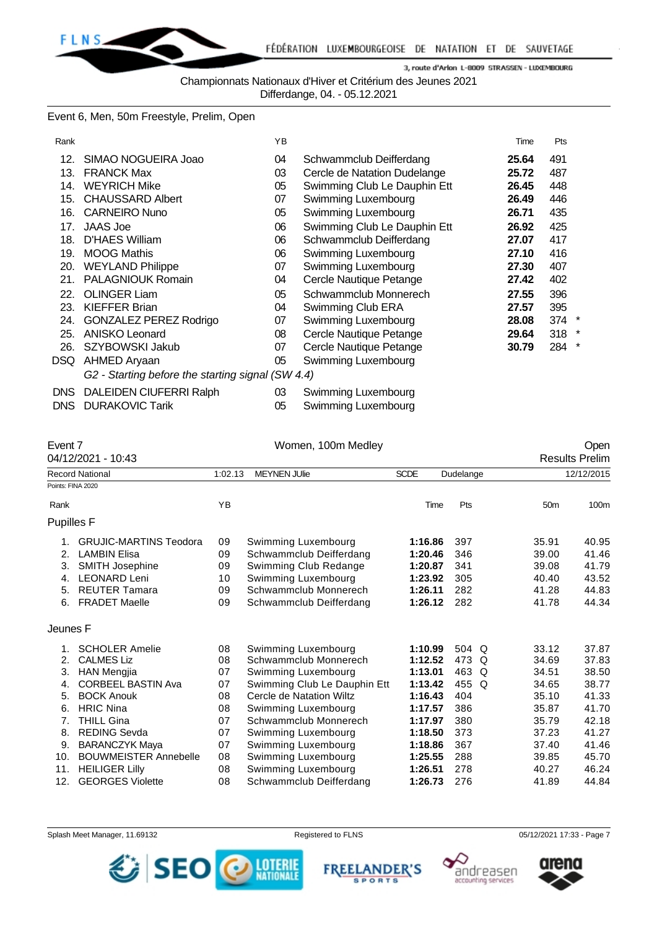

Championnats Nationaux d'Hiver et Critérium des Jeunes 2021

Differdange, 04. - 05.12.2021

Event 6, Men, 50m Freestyle, Prelim, Open

| Rank       |                                                   | YB |                              | Time  | Pts       |  |
|------------|---------------------------------------------------|----|------------------------------|-------|-----------|--|
| 12.        | SIMAO NOGUEIRA Joao                               | 04 | Schwammclub Deifferdang      | 25.64 | 491       |  |
| 13.        | <b>FRANCK Max</b>                                 | 03 | Cercle de Natation Dudelange | 25.72 | 487       |  |
| 14.        | <b>WEYRICH Mike</b>                               | 05 | Swimming Club Le Dauphin Ett | 26.45 | 448       |  |
| 15.        | <b>CHAUSSARD Albert</b>                           | 07 | Swimming Luxembourg          | 26.49 | 446       |  |
| 16.        | <b>CARNEIRO Nuno</b>                              | 05 | Swimming Luxembourg          | 26.71 | 435       |  |
| 17.        | <b>JAAS Joe</b>                                   | 06 | Swimming Club Le Dauphin Ett | 26.92 | 425       |  |
| 18.        | D'HAES William                                    | 06 | Schwammclub Deifferdang      | 27.07 | 417       |  |
| 19.        | <b>MOOG Mathis</b>                                | 06 | Swimming Luxembourg          | 27.10 | 416       |  |
| 20.        | <b>WEYLAND Philippe</b>                           | 07 | Swimming Luxembourg          | 27.30 | 407       |  |
| 21.        | <b>PALAGNIOUK Romain</b>                          | 04 | Cercle Nautique Petange      | 27.42 | 402       |  |
| 22.        | <b>OLINGER Liam</b>                               | 05 | Schwammclub Monnerech        | 27.55 | 396       |  |
| 23.        | <b>KIEFFER Brian</b>                              | 04 | Swimming Club ERA            | 27.57 | 395       |  |
| 24.        | <b>GONZALEZ PEREZ Rodrigo</b>                     | 07 | Swimming Luxembourg          | 28.08 | $374$ $*$ |  |
| 25.        | <b>ANISKO Leonard</b>                             | 08 | Cercle Nautique Petange      | 29.64 | $318$ $*$ |  |
| 26.        | SZYBOWSKI Jakub                                   | 07 | Cercle Nautique Petange      | 30.79 | 284 *     |  |
| DSQ.       | AHMED Aryaan                                      | 05 | Swimming Luxembourg          |       |           |  |
|            | G2 - Starting before the starting signal (SW 4.4) |    |                              |       |           |  |
| <b>DID</b> | <b>DALEIDEN QUIEFDDLD.I.L.</b>                    |    |                              |       |           |  |

DNS DALEIDEN CIUFERRI Ralph 03 Swimming Luxembourg DNS DURAKOVIC Tarik 05 Swimming Luxembourg

| Event 7           |                               |         | Women, 100m Medley           |             |                 |                 | Open                  |
|-------------------|-------------------------------|---------|------------------------------|-------------|-----------------|-----------------|-----------------------|
|                   | 04/12/2021 - 10:43            |         |                              |             |                 |                 | <b>Results Prelim</b> |
|                   | <b>Record National</b>        | 1:02.13 | <b>MEYNEN JUlie</b>          | <b>SCDE</b> | Dudelange       |                 | 12/12/2015            |
| Points: FINA 2020 |                               |         |                              |             |                 |                 |                       |
| Rank              |                               | YB      |                              | Time        | Pts             | 50 <sub>m</sub> | 100m                  |
| <b>Pupilles F</b> |                               |         |                              |             |                 |                 |                       |
|                   | <b>GRUJIC-MARTINS Teodora</b> | 09      | Swimming Luxembourg          | 1:16.86     | 397             | 35.91           | 40.95                 |
| 2.                | <b>LAMBIN Elisa</b>           | 09      | Schwammclub Deifferdang      | 1:20.46     | 346             | 39.00           | 41.46                 |
| 3.                | SMITH Josephine               | 09      | Swimming Club Redange        | 1:20.87     | 341             | 39.08           | 41.79                 |
| 4.                | <b>LEONARD Leni</b>           | 10      | Swimming Luxembourg          | 1:23.92     | 305             | 40.40           | 43.52                 |
| 5.                | <b>REUTER Tamara</b>          | 09      | Schwammclub Monnerech        | 1:26.11     | 282             | 41.28           | 44.83                 |
| 6.                | <b>FRADET Maelle</b>          | 09      | Schwammclub Deifferdang      | 1:26.12     | 282             | 41.78           | 44.34                 |
| Jeunes F          |                               |         |                              |             |                 |                 |                       |
|                   | <b>SCHOLER Amelie</b>         | 08      | Swimming Luxembourg          | 1:10.99     | 504 Q           | 33.12           | 37.87                 |
| 2.                | <b>CALMES Liz</b>             | 08      | Schwammclub Monnerech        | 1:12.52     | 473<br>Q        | 34.69           | 37.83                 |
| 3.                | <b>HAN Mengjia</b>            | 07      | Swimming Luxembourg          | 1:13.01     | 463<br>Q        | 34.51           | 38.50                 |
| 4.                | <b>CORBEEL BASTIN Ava</b>     | 07      | Swimming Club Le Dauphin Ett | 1:13.42     | 455<br>$\Omega$ | 34.65           | 38.77                 |
| 5.                | <b>BOCK Anouk</b>             | 08      | Cercle de Natation Wiltz     | 1:16.43     | 404             | 35.10           | 41.33                 |
| 6.                | <b>HRIC Nina</b>              | 08      | Swimming Luxembourg          | 1:17.57     | 386             | 35.87           | 41.70                 |
| 7.                | <b>THILL Gina</b>             | 07      | Schwammclub Monnerech        | 1:17.97     | 380             | 35.79           | 42.18                 |
| 8.                | <b>REDING Sevda</b>           | 07      | Swimming Luxembourg          | 1:18.50     | 373             | 37.23           | 41.27                 |
| 9.                | <b>BARANCZYK Maya</b>         | 07      | Swimming Luxembourg          | 1:18.86     | 367             | 37.40           | 41.46                 |
| 10.               | <b>BOUWMEISTER Annebelle</b>  | 08      | Swimming Luxembourg          | 1:25.55     | 288             | 39.85           | 45.70                 |
| 11.               | <b>HEILIGER Lilly</b>         | 08      | Swimming Luxembourg          | 1:26.51     | 278             | 40.27           | 46.24                 |
| 12.               | <b>GEORGES Violette</b>       | 08      | Schwammclub Deifferdang      | 1:26.73     | 276             | 41.89           | 44.84                 |







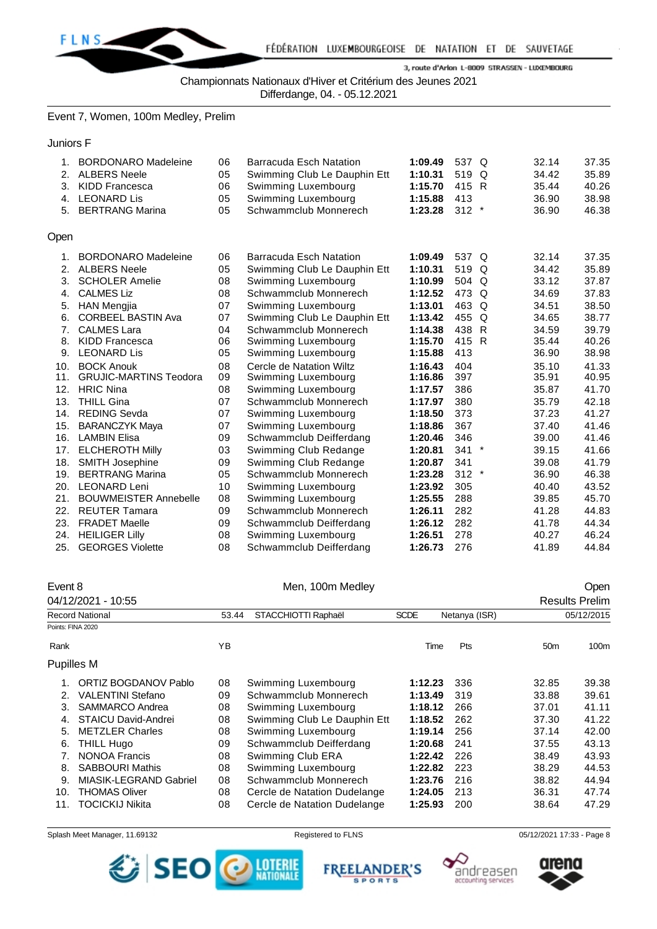

Championnats Nationaux d'Hiver et Critérium des Jeunes 2021

Differdange, 04. - 05.12.2021

Event 7, Women, 100m Medley, Prelim

Juniors F

| 2.<br>3.<br>4.<br>5. | <b>BORDONARO Madeleine</b><br><b>ALBERS Neele</b><br><b>KIDD Francesca</b><br><b>LEONARD Lis</b><br><b>BERTRANG Marina</b> | 06<br>05<br>06<br>05<br>05 | <b>Barracuda Esch Natation</b><br>Swimming Club Le Dauphin Ett<br>Swimming Luxembourg<br>Swimming Luxembourg<br>Schwammclub Monnerech | 1:09.49<br>1:10.31<br>1:15.70<br>1:15.88<br>1:23.28 | 537<br>$\Omega$<br>519 Q<br>415 R<br>413<br>$312 *$ | 32.14<br>34.42<br>35.44<br>36.90<br>36.90 | 37.35<br>35.89<br>40.26<br>38.98<br>46.38 |
|----------------------|----------------------------------------------------------------------------------------------------------------------------|----------------------------|---------------------------------------------------------------------------------------------------------------------------------------|-----------------------------------------------------|-----------------------------------------------------|-------------------------------------------|-------------------------------------------|
| Open                 |                                                                                                                            |                            |                                                                                                                                       |                                                     |                                                     |                                           |                                           |
| 1.                   | <b>BORDONARO Madeleine</b>                                                                                                 | 06                         | <b>Barracuda Esch Natation</b>                                                                                                        | 1:09.49                                             | 537 Q                                               | 32.14                                     | 37.35                                     |
| 2.                   | <b>ALBERS Neele</b>                                                                                                        | 05                         | Swimming Club Le Dauphin Ett                                                                                                          | 1:10.31                                             | 519 Q                                               | 34.42                                     | 35.89                                     |
| 3.                   | <b>SCHOLER Amelie</b>                                                                                                      | 08                         | Swimming Luxembourg                                                                                                                   | 1:10.99                                             | 504 Q                                               | 33.12                                     | 37.87                                     |
| 4.                   | <b>CALMES Liz</b>                                                                                                          | 08                         | Schwammclub Monnerech                                                                                                                 | 1:12.52                                             | 473<br>$\Omega$                                     | 34.69                                     | 37.83                                     |
| 5.                   | <b>HAN Mengjia</b>                                                                                                         | 07                         | Swimming Luxembourg                                                                                                                   | 1:13.01                                             | 463<br>$\Omega$                                     | 34.51                                     | 38.50                                     |
| 6.                   | <b>CORBEEL BASTIN Ava</b>                                                                                                  | 07                         | Swimming Club Le Dauphin Ett                                                                                                          | 1:13.42                                             | Q<br>455                                            | 34.65                                     | 38.77                                     |
| 7 <sub>1</sub>       | <b>CALMES Lara</b>                                                                                                         | 04                         | Schwammclub Monnerech                                                                                                                 | 1:14.38                                             | 438 R                                               | 34.59                                     | 39.79                                     |
| 8.                   | <b>KIDD Francesca</b>                                                                                                      | 06                         | Swimming Luxembourg                                                                                                                   | 1:15.70                                             | 415 R                                               | 35.44                                     | 40.26                                     |
| 9.                   | <b>LEONARD Lis</b>                                                                                                         | 05                         | Swimming Luxembourg                                                                                                                   | 1:15.88                                             | 413                                                 | 36.90                                     | 38.98                                     |
| 10.                  | <b>BOCK Anouk</b>                                                                                                          | 08                         | Cercle de Natation Wiltz                                                                                                              | 1:16.43                                             | 404                                                 | 35.10                                     | 41.33                                     |
| 11.                  | <b>GRUJIC-MARTINS Teodora</b>                                                                                              | 09                         | Swimming Luxembourg                                                                                                                   | 1:16.86                                             | 397                                                 | 35.91                                     | 40.95                                     |
| 12.                  | <b>HRIC Nina</b>                                                                                                           | 08                         | Swimming Luxembourg                                                                                                                   | 1:17.57                                             | 386                                                 | 35.87                                     | 41.70                                     |
| 13.                  | <b>THILL Gina</b>                                                                                                          | 07                         | Schwammclub Monnerech                                                                                                                 | 1:17.97                                             | 380                                                 | 35.79                                     | 42.18                                     |
| 14.                  | <b>REDING Sevda</b>                                                                                                        | 07                         | Swimming Luxembourg                                                                                                                   | 1:18.50                                             | 373                                                 | 37.23                                     | 41.27                                     |
| 15.                  | <b>BARANCZYK Maya</b>                                                                                                      | 07                         | Swimming Luxembourg                                                                                                                   | 1:18.86                                             | 367                                                 | 37.40                                     | 41.46                                     |
| 16.                  | <b>LAMBIN Elisa</b>                                                                                                        | 09                         | Schwammclub Deifferdang                                                                                                               | 1:20.46                                             | 346                                                 | 39.00                                     | 41.46                                     |
| 17.                  | <b>ELCHEROTH Milly</b>                                                                                                     | 03                         | Swimming Club Redange                                                                                                                 | 1:20.81                                             | 341<br>$^\star$                                     | 39.15                                     | 41.66                                     |
| 18.                  | <b>SMITH Josephine</b>                                                                                                     | 09                         | Swimming Club Redange                                                                                                                 | 1:20.87                                             | 341                                                 | 39.08                                     | 41.79                                     |
| 19.                  | <b>BERTRANG Marina</b>                                                                                                     | 05                         | Schwammclub Monnerech                                                                                                                 | 1:23.28                                             | $312 *$                                             | 36.90                                     | 46.38                                     |
| 20.                  | <b>LEONARD Leni</b>                                                                                                        | 10                         | Swimming Luxembourg                                                                                                                   | 1:23.92                                             | 305                                                 | 40.40                                     | 43.52                                     |
| 21.                  | <b>BOUWMEISTER Annebelle</b>                                                                                               | 08                         | Swimming Luxembourg                                                                                                                   | 1:25.55                                             | 288                                                 | 39.85                                     | 45.70                                     |
| 22.                  | <b>REUTER Tamara</b>                                                                                                       | 09                         | Schwammclub Monnerech                                                                                                                 | 1:26.11                                             | 282                                                 | 41.28                                     | 44.83                                     |
| 23.                  | <b>FRADET Maelle</b>                                                                                                       | 09                         | Schwammclub Deifferdang                                                                                                               | 1:26.12                                             | 282                                                 | 41.78                                     | 44.34                                     |
| 24.                  | <b>HEILIGER Lilly</b>                                                                                                      | 08                         | Swimming Luxembourg                                                                                                                   | 1:26.51                                             | 278                                                 | 40.27                                     | 46.24                                     |
| 25.                  | <b>GEORGES Violette</b>                                                                                                    | 08                         | Schwammclub Deifferdang                                                                                                               | 1:26.73                                             | 276                                                 | 41.89                                     | 44.84                                     |

| Event 8           |                          |                              | <b>Open</b>                  |                              |     |                 |                       |
|-------------------|--------------------------|------------------------------|------------------------------|------------------------------|-----|-----------------|-----------------------|
|                   | 04/12/2021 - 10:55       |                              |                              |                              |     |                 | <b>Results Prelim</b> |
|                   | <b>Record National</b>   | STACCHIOTTI Raphaël<br>53.44 |                              | <b>SCDE</b><br>Netanya (ISR) |     | 05/12/2015      |                       |
| Points: FINA 2020 |                          |                              |                              |                              |     |                 |                       |
| Rank              |                          | YB                           |                              | Time                         | Pts | 50 <sub>m</sub> | 100m                  |
| <b>Pupilles M</b> |                          |                              |                              |                              |     |                 |                       |
|                   | ORTIZ BOGDANOV Pablo     | 08                           | Swimming Luxembourg          | 1:12.23                      | 336 | 32.85           | 39.38                 |
| 2.                | <b>VALENTINI Stefano</b> | 09                           | Schwammclub Monnerech        | 1:13.49                      | 319 | 33.88           | 39.61                 |
| 3.                | SAMMARCO Andrea          | 08                           | Swimming Luxembourg          | 1:18.12                      | 266 | 37.01           | 41.11                 |
| 4.                | STAICU David-Andrei      | 08                           | Swimming Club Le Dauphin Ett | 1:18.52                      | 262 | 37.30           | 41.22                 |
| 5.                | <b>METZLER Charles</b>   | 08                           | Swimming Luxembourg          | 1:19.14                      | 256 | 37.14           | 42.00                 |
| 6.                | THILL Hugo               | 09                           | Schwammclub Deifferdang      | 1:20.68                      | 241 | 37.55           | 43.13                 |
| 7.                | <b>NONOA Francis</b>     | 08                           | Swimming Club ERA            | 1:22.42                      | 226 | 38.49           | 43.93                 |
| 8.                | <b>SABBOURI Mathis</b>   | 08                           | Swimming Luxembourg          | 1:22.82                      | 223 | 38.29           | 44.53                 |
| 9.                | MIASIK-LEGRAND Gabriel   | 08                           | Schwammclub Monnerech        | 1:23.76                      | 216 | 38.82           | 44.94                 |
| 10.               | <b>THOMAS Oliver</b>     | 08                           | Cercle de Natation Dudelange | 1:24.05                      | 213 | 36.31           | 47.74                 |
| 11.               | <b>TOCICKIJ Nikita</b>   |                              | Cercle de Natation Dudelange | 1:25.93                      | 200 | 38.64           | 47.29                 |







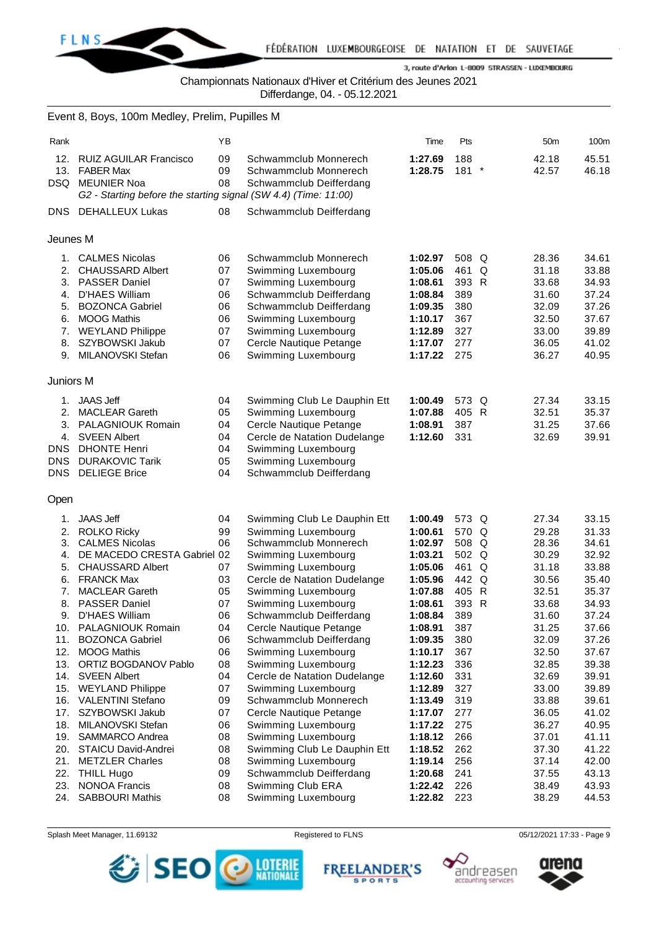

Championnats Nationaux d'Hiver et Critérium des Jeunes 2021

Differdange, 04. - 05.12.2021

|                                                                                         | Event 8, Boys, 100m Medley, Prelim, Pupilles M                                                                                                                                                                                                                                                                                                                                                                                                                                                                                                                                            |                                                                                                                                        |                                                                                                                                                                                                                                                                                                                                                                                                                                                                                                                                                                                                                                |                                                                                                                                                                                                                                                                      |                                                                                                                                                                                         |                                                                                                                                                                                                                      |                                                                                                                                                                                                                      |
|-----------------------------------------------------------------------------------------|-------------------------------------------------------------------------------------------------------------------------------------------------------------------------------------------------------------------------------------------------------------------------------------------------------------------------------------------------------------------------------------------------------------------------------------------------------------------------------------------------------------------------------------------------------------------------------------------|----------------------------------------------------------------------------------------------------------------------------------------|--------------------------------------------------------------------------------------------------------------------------------------------------------------------------------------------------------------------------------------------------------------------------------------------------------------------------------------------------------------------------------------------------------------------------------------------------------------------------------------------------------------------------------------------------------------------------------------------------------------------------------|----------------------------------------------------------------------------------------------------------------------------------------------------------------------------------------------------------------------------------------------------------------------|-----------------------------------------------------------------------------------------------------------------------------------------------------------------------------------------|----------------------------------------------------------------------------------------------------------------------------------------------------------------------------------------------------------------------|----------------------------------------------------------------------------------------------------------------------------------------------------------------------------------------------------------------------|
| Rank                                                                                    |                                                                                                                                                                                                                                                                                                                                                                                                                                                                                                                                                                                           | YB                                                                                                                                     |                                                                                                                                                                                                                                                                                                                                                                                                                                                                                                                                                                                                                                | Time                                                                                                                                                                                                                                                                 | Pts                                                                                                                                                                                     | 50 <sub>m</sub>                                                                                                                                                                                                      | 100m                                                                                                                                                                                                                 |
| 13.                                                                                     | 12. RUIZ AGUILAR Francisco<br><b>FABER Max</b><br>DSQ MEUNIER Noa<br>G2 - Starting before the starting signal (SW 4.4) (Time: 11:00)                                                                                                                                                                                                                                                                                                                                                                                                                                                      | 09<br>09<br>08                                                                                                                         | Schwammclub Monnerech<br>Schwammclub Monnerech<br>Schwammclub Deifferdang                                                                                                                                                                                                                                                                                                                                                                                                                                                                                                                                                      | 1:27.69<br>1:28.75                                                                                                                                                                                                                                                   | 188<br>$181$ *                                                                                                                                                                          | 42.18<br>42.57                                                                                                                                                                                                       | 45.51<br>46.18                                                                                                                                                                                                       |
|                                                                                         | DNS DEHALLEUX Lukas                                                                                                                                                                                                                                                                                                                                                                                                                                                                                                                                                                       | 08                                                                                                                                     | Schwammclub Deifferdang                                                                                                                                                                                                                                                                                                                                                                                                                                                                                                                                                                                                        |                                                                                                                                                                                                                                                                      |                                                                                                                                                                                         |                                                                                                                                                                                                                      |                                                                                                                                                                                                                      |
| Jeunes M                                                                                |                                                                                                                                                                                                                                                                                                                                                                                                                                                                                                                                                                                           |                                                                                                                                        |                                                                                                                                                                                                                                                                                                                                                                                                                                                                                                                                                                                                                                |                                                                                                                                                                                                                                                                      |                                                                                                                                                                                         |                                                                                                                                                                                                                      |                                                                                                                                                                                                                      |
| 1.<br>5.<br>6.<br>7.<br>8.<br>9.                                                        | <b>CALMES Nicolas</b><br>2. CHAUSSARD Albert<br>3. PASSER Daniel<br>4. D'HAES William<br><b>BOZONCA Gabriel</b><br><b>MOOG Mathis</b><br><b>WEYLAND Philippe</b><br>SZYBOWSKI Jakub<br>MILANOVSKI Stefan                                                                                                                                                                                                                                                                                                                                                                                  | 06<br>07<br>07<br>06<br>06<br>06<br>07<br>07<br>06                                                                                     | Schwammclub Monnerech<br>Swimming Luxembourg<br>Swimming Luxembourg<br>Schwammclub Deifferdang<br>Schwammclub Deifferdang<br>Swimming Luxembourg<br>Swimming Luxembourg<br>Cercle Nautique Petange<br>Swimming Luxembourg                                                                                                                                                                                                                                                                                                                                                                                                      | 1:02.97<br>1:05.06<br>1:08.61<br>1:08.84<br>1:09.35<br>1:10.17<br>1:12.89<br>1:17.07<br>1:17.22                                                                                                                                                                      | 508 Q<br>461<br>393 R<br>389<br>380<br>367<br>327<br>277<br>275                                                                                                                         | 28.36<br>31.18<br>Q<br>33.68<br>31.60<br>32.09<br>32.50<br>33.00<br>36.05<br>36.27                                                                                                                                   | 34.61<br>33.88<br>34.93<br>37.24<br>37.26<br>37.67<br>39.89<br>41.02<br>40.95                                                                                                                                        |
| Juniors M                                                                               |                                                                                                                                                                                                                                                                                                                                                                                                                                                                                                                                                                                           |                                                                                                                                        |                                                                                                                                                                                                                                                                                                                                                                                                                                                                                                                                                                                                                                |                                                                                                                                                                                                                                                                      |                                                                                                                                                                                         |                                                                                                                                                                                                                      |                                                                                                                                                                                                                      |
| <b>DNS</b><br><b>DNS</b>                                                                | 1. JAAS Jeff<br>2. MACLEAR Gareth<br>3. PALAGNIOUK Romain<br>4. SVEEN Albert<br><b>DHONTE Henri</b><br><b>DURAKOVIC Tarik</b><br>DNS DELIEGE Brice                                                                                                                                                                                                                                                                                                                                                                                                                                        | 04<br>05<br>04<br>04<br>04<br>05<br>04                                                                                                 | Swimming Club Le Dauphin Ett<br>Swimming Luxembourg<br>Cercle Nautique Petange<br>Cercle de Natation Dudelange<br>Swimming Luxembourg<br>Swimming Luxembourg<br>Schwammclub Deifferdang                                                                                                                                                                                                                                                                                                                                                                                                                                        | 1:00.49<br>1:07.88<br>1:08.91<br>1:12.60                                                                                                                                                                                                                             | 573 Q<br>405 R<br>387<br>331                                                                                                                                                            | 27.34<br>32.51<br>31.25<br>32.69                                                                                                                                                                                     | 33.15<br>35.37<br>37.66<br>39.91                                                                                                                                                                                     |
| Open                                                                                    |                                                                                                                                                                                                                                                                                                                                                                                                                                                                                                                                                                                           |                                                                                                                                        |                                                                                                                                                                                                                                                                                                                                                                                                                                                                                                                                                                                                                                |                                                                                                                                                                                                                                                                      |                                                                                                                                                                                         |                                                                                                                                                                                                                      |                                                                                                                                                                                                                      |
| 1.<br>2.<br>3.<br>4.<br>5.<br>7.<br>8.<br>11.<br>12.<br>18.<br>21.<br>22.<br>23.<br>24. | <b>JAAS Jeff</b><br><b>ROLKO Ricky</b><br><b>CALMES Nicolas</b><br>DE MACEDO CRESTA Gabriel 02<br><b>CHAUSSARD Albert</b><br>6. FRANCK Max<br><b>MACLEAR Gareth</b><br><b>PASSER Daniel</b><br>9. D'HAES William<br>10. PALAGNIOUK Romain<br><b>BOZONCA Gabriel</b><br><b>MOOG Mathis</b><br>13. ORTIZ BOGDANOV Pablo<br>14. SVEEN Albert<br>15. WEYLAND Philippe<br>16. VALENTINI Stefano<br>17. SZYBOWSKI Jakub<br>MILANOVSKI Stefan<br>19. SAMMARCO Andrea<br>20. STAICU David-Andrei<br><b>METZLER Charles</b><br><b>THILL Hugo</b><br><b>NONOA Francis</b><br><b>SABBOURI Mathis</b> | 04<br>99<br>06<br>07<br>03<br>05<br>07<br>06<br>04<br>06<br>06<br>08<br>04<br>07<br>09<br>07<br>06<br>08<br>08<br>08<br>09<br>08<br>08 | Swimming Club Le Dauphin Ett<br>Swimming Luxembourg<br>Schwammclub Monnerech<br>Swimming Luxembourg<br>Swimming Luxembourg<br>Cercle de Natation Dudelange<br>Swimming Luxembourg<br>Swimming Luxembourg<br>Schwammclub Deifferdang<br>Cercle Nautique Petange<br>Schwammclub Deifferdang<br>Swimming Luxembourg<br>Swimming Luxembourg<br>Cercle de Natation Dudelange<br>Swimming Luxembourg<br>Schwammclub Monnerech<br>Cercle Nautique Petange<br>Swimming Luxembourg<br>Swimming Luxembourg<br>Swimming Club Le Dauphin Ett<br>Swimming Luxembourg<br>Schwammclub Deifferdang<br>Swimming Club ERA<br>Swimming Luxembourg | 1:00.49<br>1:00.61<br>1:02.97<br>1:03.21<br>1:05.06<br>1:05.96<br>1:07.88<br>1:08.61<br>1:08.84<br>1:08.91<br>1:09.35<br>1:10.17<br>1:12.23<br>1:12.60<br>1:12.89<br>1:13.49<br>1:17.07<br>1:17.22<br>1:18.12<br>1:18.52<br>1:19.14<br>1:20.68<br>1:22.42<br>1:22.82 | 573 Q<br>570 Q<br>508 Q<br>502 Q<br>461 Q<br>442 Q<br>405 R<br>393<br>R<br>389<br>387<br>380<br>367<br>336<br>331<br>327<br>319<br>277<br>275<br>266<br>262<br>256<br>241<br>226<br>223 | 27.34<br>29.28<br>28.36<br>30.29<br>31.18<br>30.56<br>32.51<br>33.68<br>31.60<br>31.25<br>32.09<br>32.50<br>32.85<br>32.69<br>33.00<br>33.88<br>36.05<br>36.27<br>37.01<br>37.30<br>37.14<br>37.55<br>38.49<br>38.29 | 33.15<br>31.33<br>34.61<br>32.92<br>33.88<br>35.40<br>35.37<br>34.93<br>37.24<br>37.66<br>37.26<br>37.67<br>39.38<br>39.91<br>39.89<br>39.61<br>41.02<br>40.95<br>41.11<br>41.22<br>42.00<br>43.13<br>43.93<br>44.53 |







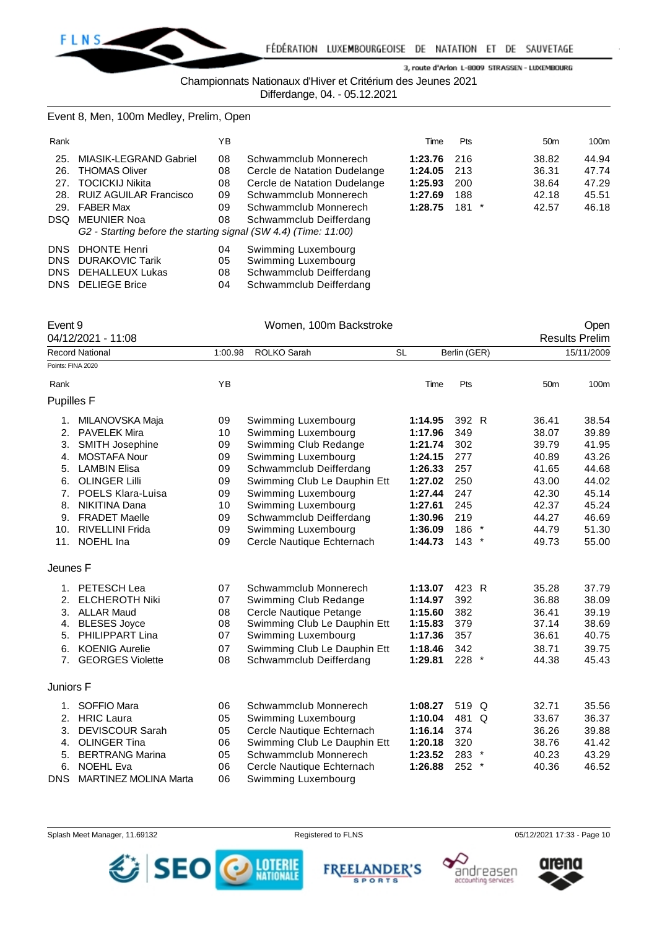

Championnats Nationaux d'Hiver et Critérium des Jeunes 2021

Differdange, 04. - 05.12.2021

Event 8, Men, 100m Medley, Prelim, Open

| Rank       |                                                                 | YΒ |                              | Time    | <b>Pts</b> | 50 <sub>m</sub> | 100m  |
|------------|-----------------------------------------------------------------|----|------------------------------|---------|------------|-----------------|-------|
| 25.        | MIASIK-LEGRAND Gabriel                                          | 08 | Schwammclub Monnerech        | 1:23.76 | 216        | 38.82           | 44.94 |
| 26.        | <b>THOMAS Oliver</b>                                            | 08 | Cercle de Natation Dudelange | 1:24.05 | 213        | 36.31           | 47.74 |
| 27.        | <b>TOCICKIJ Nikita</b>                                          | 08 | Cercle de Natation Dudelange | 1:25.93 | 200        | 38.64           | 47.29 |
| 28.        | <b>RUIZ AGUILAR Francisco</b>                                   | 09 | Schwammclub Monnerech        | 1:27.69 | 188        | 42.18           | 45.51 |
| 29.        | <b>FABER Max</b>                                                | 09 | Schwammclub Monnerech        | 1:28.75 | $181$ *    | 42.57           | 46.18 |
| DSQ.       | <b>MEUNIER Noa</b>                                              | 08 | Schwammclub Deifferdang      |         |            |                 |       |
|            | G2 - Starting before the starting signal (SW 4.4) (Time: 11:00) |    |                              |         |            |                 |       |
| <b>DNS</b> | <b>DHONTE Henri</b>                                             | 04 | Swimming Luxembourg          |         |            |                 |       |
| <b>DNS</b> | <b>DURAKOVIC Tarik</b>                                          | 05 | Swimming Luxembourg          |         |            |                 |       |
| <b>DNS</b> | <b>DEHALLEUX Lukas</b>                                          | 08 | Schwammclub Deifferdang      |         |            |                 |       |
| DNS.       | <b>DELIEGE Brice</b>                                            | 04 | Schwammclub Deifferdang      |         |            |                 |       |

| Event 9           |                                                           | Women, 100m Backstroke             |                              |           |              |         | Open            |                       |  |
|-------------------|-----------------------------------------------------------|------------------------------------|------------------------------|-----------|--------------|---------|-----------------|-----------------------|--|
|                   | 04/12/2021 - 11:08                                        |                                    |                              |           |              |         |                 | <b>Results Prelim</b> |  |
|                   | <b>Record National</b>                                    | 1:00.98                            | ROLKO Sarah                  | <b>SL</b> | Berlin (GER) |         |                 | 15/11/2009            |  |
|                   | Points: FINA 2020                                         |                                    |                              |           |              |         |                 |                       |  |
| Rank              |                                                           | <b>YB</b>                          |                              | Time      | Pts          |         | 50 <sub>m</sub> | 100m                  |  |
| <b>Pupilles F</b> |                                                           |                                    |                              |           |              |         |                 |                       |  |
| 1.                | MILANOVSKA Maja                                           | 09                                 | Swimming Luxembourg          | 1:14.95   | 392 R        |         | 36.41           | 38.54                 |  |
| 2.                | <b>PAVELEK Mira</b>                                       | 10                                 | Swimming Luxembourg          | 1:17.96   | 349          |         | 38.07           | 39.89                 |  |
| 3.                | SMITH Josephine                                           | 09                                 | Swimming Club Redange        | 1:21.74   | 302          |         | 39.79           | 41.95                 |  |
| 4.                | <b>MOSTAFA Nour</b>                                       | 09                                 | Swimming Luxembourg          | 1:24.15   | 277          |         | 40.89           | 43.26                 |  |
| 5.                | <b>LAMBIN Elisa</b><br>09<br>Schwammclub Deifferdang      |                                    | 1:26.33                      | 257       |              | 41.65   | 44.68           |                       |  |
| 6.                | <b>OLINGER Lilli</b>                                      | Swimming Club Le Dauphin Ett<br>09 |                              | 1:27.02   | 250          |         | 43.00           | 44.02                 |  |
| 7 <sub>1</sub>    | <b>POELS Klara-Luisa</b>                                  | 09                                 | Swimming Luxembourg          | 1:27.44   | 247          |         | 42.30           | 45.14                 |  |
| 8.                | NIKITINA Dana<br>10<br>Swimming Luxembourg                |                                    | 1:27.61                      | 245       |              | 42.37   | 45.24           |                       |  |
| 9.                | <b>FRADET Maelle</b><br>09<br>Schwammclub Deifferdang     |                                    | 1:30.96                      | 219       |              | 44.27   | 46.69           |                       |  |
| 10.               | <b>RIVELLINI Frida</b>                                    | 09                                 | Swimming Luxembourg          | 1:36.09   | 186          | $\star$ | 44.79           | 51.30                 |  |
| 11.               | NOEHL Ina                                                 | 09                                 | Cercle Nautique Echternach   | 1:44.73   | $143$ *      |         | 49.73           | 55.00                 |  |
| Jeunes F          |                                                           |                                    |                              |           |              |         |                 |                       |  |
|                   | 1. PETESCH Lea                                            | 07                                 | Schwammclub Monnerech        | 1:13.07   | 423 R        |         | 35.28           | 37.79                 |  |
| 2.                | <b>ELCHEROTH Niki</b>                                     | 07                                 | Swimming Club Redange        | 1:14.97   | 392          |         | 36.88           | 38.09                 |  |
| 3.                | <b>ALLAR Maud</b>                                         | 08                                 | Cercle Nautique Petange      | 1:15.60   | 382          |         | 36.41           | 39.19                 |  |
| 4.                | <b>BLESES Joyce</b>                                       | 08                                 | Swimming Club Le Dauphin Ett | 1:15.83   | 379          |         | 37.14           | 38.69                 |  |
| 5.                | PHILIPPART Lina                                           | 07                                 | Swimming Luxembourg          | 1:17.36   | 357          |         | 36.61           | 40.75                 |  |
| 6.                | <b>KOENIG Aurelie</b>                                     | 07                                 | Swimming Club Le Dauphin Ett | 1:18.46   | 342          |         | 38.71           | 39.75                 |  |
| 7 <sup>1</sup>    | <b>GEORGES Violette</b>                                   | 08                                 | Schwammclub Deifferdang      | 1:29.81   | 228 *        |         | 44.38           | 45.43                 |  |
| Juniors F         |                                                           |                                    |                              |           |              |         |                 |                       |  |
| 1.                | SOFFIO Mara                                               | 06                                 | Schwammclub Monnerech        | 1:08.27   | 519 Q        |         | 32.71           | 35.56                 |  |
| 2.                | <b>HRIC Laura</b>                                         | 05                                 | Swimming Luxembourg          | 1:10.04   | 481 Q        |         | 33.67           | 36.37                 |  |
| 3.                | <b>DEVISCOUR Sarah</b>                                    | 05                                 | Cercle Nautique Echternach   | 1:16.14   | 374          |         | 36.26           | 39.88                 |  |
| 4.                | <b>OLINGER Tina</b><br>06<br>Swimming Club Le Dauphin Ett |                                    | 1:20.18                      | 320       |              | 38.76   | 41.42           |                       |  |
| 5.                | 05<br><b>BERTRANG Marina</b><br>Schwammclub Monnerech     |                                    | 1:23.52                      | 283 *     |              | 40.23   | 43.29           |                       |  |
| 6.                | <b>NOEHL Eva</b>                                          | 06                                 | Cercle Nautique Echternach   | 1:26.88   | 252          | $\ast$  | 40.36           | 46.52                 |  |
| DNS               | MARTINEZ MOLINA Marta                                     | 06                                 | Swimming Luxembourg          |           |              |         |                 |                       |  |

Splash Meet Manager, 11.69132 **Registered to FLNS Registered to FLNS** 05/12/2021 17:33 - Page 10



**FREEL ANDER'S SPORTS** 



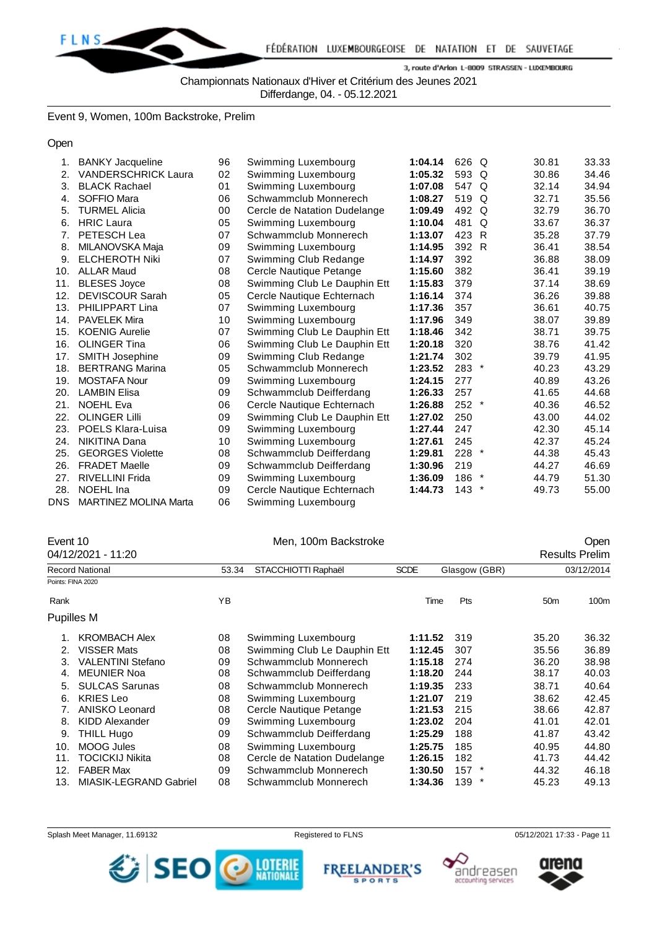

Championnats Nationaux d'Hiver et Critérium des Jeunes 2021

Differdange, 04. - 05.12.2021

Event 9, Women, 100m Backstroke, Prelim

Open

| 1.  | <b>BANKY Jacqueline</b>      | 96 | Swimming Luxembourg          | 1:04.14 | 626 Q   |        | 30.81 | 33.33 |
|-----|------------------------------|----|------------------------------|---------|---------|--------|-------|-------|
| 2.  | <b>VANDERSCHRICK Laura</b>   | 02 | Swimming Luxembourg          | 1:05.32 | 593 Q   |        | 30.86 | 34.46 |
| 3.  | <b>BLACK Rachael</b>         | 01 | Swimming Luxembourg          | 1:07.08 | 547 Q   |        | 32.14 | 34.94 |
| 4.  | SOFFIO Mara                  | 06 | Schwammclub Monnerech        | 1:08.27 | 519 Q   |        | 32.71 | 35.56 |
| 5.  | <b>TURMEL Alicia</b>         | 00 | Cercle de Natation Dudelange | 1:09.49 | 492 Q   |        | 32.79 | 36.70 |
| 6.  | <b>HRIC Laura</b>            | 05 | Swimming Luxembourg          | 1:10.04 | 481     | Q      | 33.67 | 36.37 |
| 7.  | PETESCH Lea                  | 07 | Schwammclub Monnerech        | 1:13.07 | 423 R   |        | 35.28 | 37.79 |
| 8.  | MILANOVSKA Maja              | 09 | Swimming Luxembourg          | 1:14.95 | 392 R   |        | 36.41 | 38.54 |
| 9.  | <b>ELCHEROTH Niki</b>        | 07 | Swimming Club Redange        | 1:14.97 | 392     |        | 36.88 | 38.09 |
| 10. | <b>ALLAR Maud</b>            | 08 | Cercle Nautique Petange      | 1:15.60 | 382     |        | 36.41 | 39.19 |
| 11. | <b>BLESES Joyce</b>          | 08 | Swimming Club Le Dauphin Ett | 1:15.83 | 379     |        | 37.14 | 38.69 |
| 12. | <b>DEVISCOUR Sarah</b>       | 05 | Cercle Nautique Echternach   | 1:16.14 | 374     |        | 36.26 | 39.88 |
| 13. | <b>PHILIPPART Lina</b>       | 07 | Swimming Luxembourg          | 1:17.36 | 357     |        | 36.61 | 40.75 |
| 14. | <b>PAVELEK Mira</b>          | 10 | Swimming Luxembourg          | 1:17.96 | 349     |        | 38.07 | 39.89 |
| 15. | <b>KOENIG Aurelie</b>        | 07 | Swimming Club Le Dauphin Ett | 1:18.46 | 342     |        | 38.71 | 39.75 |
| 16. | <b>OLINGER Tina</b>          | 06 | Swimming Club Le Dauphin Ett | 1:20.18 | 320     |        | 38.76 | 41.42 |
| 17. | SMITH Josephine              | 09 | Swimming Club Redange        | 1:21.74 | 302     |        | 39.79 | 41.95 |
| 18. | <b>BERTRANG Marina</b>       | 05 | Schwammclub Monnerech        | 1:23.52 | $283$ * |        | 40.23 | 43.29 |
| 19. | <b>MOSTAFA Nour</b>          | 09 | Swimming Luxembourg          | 1:24.15 | 277     |        | 40.89 | 43.26 |
| 20. | <b>LAMBIN Elisa</b>          | 09 | Schwammclub Deifferdang      | 1:26.33 | 257     |        | 41.65 | 44.68 |
| 21. | <b>NOEHL Eva</b>             | 06 | Cercle Nautique Echternach   | 1:26.88 | $252$ * |        | 40.36 | 46.52 |
| 22. | <b>OLINGER Lilli</b>         | 09 | Swimming Club Le Dauphin Ett | 1:27.02 | 250     |        | 43.00 | 44.02 |
| 23. | <b>POELS Klara-Luisa</b>     | 09 | Swimming Luxembourg          | 1:27.44 | 247     |        | 42.30 | 45.14 |
| 24. | NIKITINA Dana                | 10 | Swimming Luxembourg          | 1:27.61 | 245     |        | 42.37 | 45.24 |
| 25. | <b>GEORGES Violette</b>      | 08 | Schwammclub Deifferdang      | 1:29.81 | $228$ * |        | 44.38 | 45.43 |
| 26. | <b>FRADET Maelle</b>         | 09 | Schwammclub Deifferdang      | 1:30.96 | 219     |        | 44.27 | 46.69 |
| 27. | <b>RIVELLINI Frida</b>       | 09 | Swimming Luxembourg          | 1:36.09 | 186     | $\ast$ | 44.79 | 51.30 |
| 28. | NOEHL Ina                    | 09 | Cercle Nautique Echternach   | 1:44.73 | $143$ * |        | 49.73 | 55.00 |
| DNS | <b>MARTINEZ MOLINA Marta</b> | 06 | Swimming Luxembourg          |         |         |        |       |       |

|      | Event 10<br>04/12/2021 - 11:20 |                              | Men, 100m Backstroke         |             |               |                 |                                     |  |
|------|--------------------------------|------------------------------|------------------------------|-------------|---------------|-----------------|-------------------------------------|--|
|      | <b>Record National</b>         | STACCHIOTTI Raphaël<br>53.34 |                              | <b>SCDE</b> | Glasgow (GBR) |                 | <b>Results Prelim</b><br>03/12/2014 |  |
|      | Points: FINA 2020              |                              |                              |             |               |                 |                                     |  |
|      |                                |                              |                              |             |               |                 |                                     |  |
| Rank |                                | YB                           |                              | Time        | Pts           | 50 <sub>m</sub> | 100m                                |  |
|      | Pupilles M                     |                              |                              |             |               |                 |                                     |  |
| 1.   | <b>KROMBACH Alex</b>           | 08                           | Swimming Luxembourg          | 1:11.52     | 319           | 35.20           | 36.32                               |  |
| 2.   | <b>VISSER Mats</b>             | 08                           | Swimming Club Le Dauphin Ett | 1:12.45     | 307           | 35.56           | 36.89                               |  |
| 3.   | <b>VALENTINI Stefano</b>       | 09                           | Schwammclub Monnerech        | 1:15.18     | 274           | 36.20           | 38.98                               |  |
| 4.   | <b>MEUNIER Noa</b>             | 08                           | Schwammclub Deifferdang      | 1:18.20     | 244           | 38.17           | 40.03                               |  |
| 5.   | <b>SULCAS Sarunas</b>          | 08                           | Schwammclub Monnerech        | 1:19.35     | 233           | 38.71           | 40.64                               |  |
| 6.   | <b>KRIES Leo</b>               | 08                           | Swimming Luxembourg          | 1:21.07     | 219           | 38.62           | 42.45                               |  |
| 7.   | <b>ANISKO Leonard</b>          | 08                           | Cercle Nautique Petange      | 1:21.53     | 215           | 38.66           | 42.87                               |  |
| 8.   | <b>KIDD Alexander</b>          | 09                           | Swimming Luxembourg          | 1:23.02     | 204           | 41.01           | 42.01                               |  |
| 9.   | <b>THILL Hugo</b>              | 09                           | Schwammclub Deifferdang      | 1:25.29     | 188           | 41.87           | 43.42                               |  |
| 10.  | MOOG Jules                     | 08                           | Swimming Luxembourg          | 1:25.75     | 185           | 40.95           | 44.80                               |  |
| 11.  | TOCICKIJ Nikita                | 08                           | Cercle de Natation Dudelange | 1:26.15     | 182           | 41.73           | 44.42                               |  |
| 12.  | <b>FABER Max</b>               | 09                           | Schwammclub Monnerech        | 1:30.50     | $157$ *       | 44.32           | 46.18                               |  |
| 13.  | MIASIK-LEGRAND Gabriel         | 08                           | Schwammclub Monnerech        | 1:34.36     | 139 *         | 45.23           | 49.13                               |  |







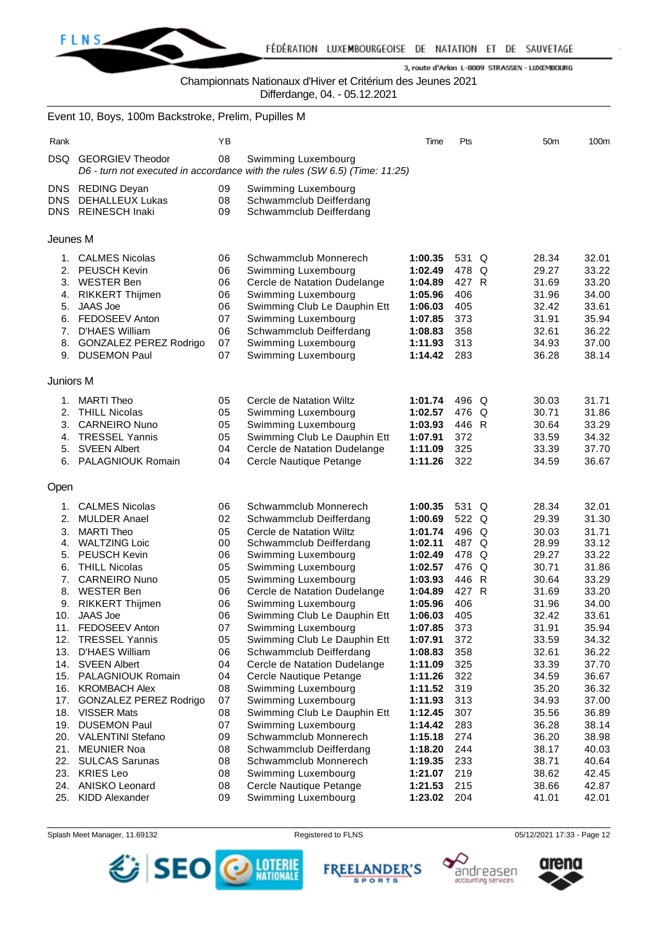

Championnats Nationaux d'Hiver et Critérium des Jeunes 2021

Differdange, 04. - 05.12.2021

|                                  | Event 10, Boys, 100m Backstroke, Prelim, Pupilles M                                                                                                                                           |                                                    |                                                                                                                                                                                                                                     |                                                                                                 |                                                                   |                                                                               |                                                                               |
|----------------------------------|-----------------------------------------------------------------------------------------------------------------------------------------------------------------------------------------------|----------------------------------------------------|-------------------------------------------------------------------------------------------------------------------------------------------------------------------------------------------------------------------------------------|-------------------------------------------------------------------------------------------------|-------------------------------------------------------------------|-------------------------------------------------------------------------------|-------------------------------------------------------------------------------|
| Rank                             |                                                                                                                                                                                               | YB                                                 |                                                                                                                                                                                                                                     | Time                                                                                            | Pts                                                               | 50 <sub>m</sub>                                                               | 100m                                                                          |
| DSQ.                             | <b>GEORGIEV Theodor</b>                                                                                                                                                                       | 08                                                 | Swimming Luxembourg<br>D6 - turn not executed in accordance with the rules (SW 6.5) (Time: 11:25)                                                                                                                                   |                                                                                                 |                                                                   |                                                                               |                                                                               |
| DNS.<br><b>DNS</b>               | <b>REDING Deyan</b><br>DEHALLEUX Lukas<br>DNS REINESCH Inaki                                                                                                                                  | 09<br>08<br>09                                     | Swimming Luxembourg<br>Schwammclub Deifferdang<br>Schwammclub Deifferdang                                                                                                                                                           |                                                                                                 |                                                                   |                                                                               |                                                                               |
| Jeunes M                         |                                                                                                                                                                                               |                                                    |                                                                                                                                                                                                                                     |                                                                                                 |                                                                   |                                                                               |                                                                               |
| 4.<br>5.<br>7.<br>8.             | 1. CALMES Nicolas<br>2. PEUSCH Kevin<br>3. WESTER Ben<br><b>RIKKERT Thijmen</b><br><b>JAAS Joe</b><br>6. FEDOSEEV Anton<br>D'HAES William<br><b>GONZALEZ PEREZ Rodrigo</b><br>9. DUSEMON Paul | 06<br>06<br>06<br>06<br>06<br>07<br>06<br>07<br>07 | Schwammclub Monnerech<br>Swimming Luxembourg<br>Cercle de Natation Dudelange<br>Swimming Luxembourg<br>Swimming Club Le Dauphin Ett<br>Swimming Luxembourg<br>Schwammclub Deifferdang<br>Swimming Luxembourg<br>Swimming Luxembourg | 1:00.35<br>1:02.49<br>1:04.89<br>1:05.96<br>1:06.03<br>1:07.85<br>1:08.83<br>1:11.93<br>1:14.42 | 531 Q<br>478 Q<br>427 R<br>406<br>405<br>373<br>358<br>313<br>283 | 28.34<br>29.27<br>31.69<br>31.96<br>32.42<br>31.91<br>32.61<br>34.93<br>36.28 | 32.01<br>33.22<br>33.20<br>34.00<br>33.61<br>35.94<br>36.22<br>37.00<br>38.14 |
| Juniors M                        |                                                                                                                                                                                               |                                                    |                                                                                                                                                                                                                                     |                                                                                                 |                                                                   |                                                                               |                                                                               |
| 2.<br>3.<br>4.<br>5.             | 1. MARTI Theo<br><b>THILL Nicolas</b><br><b>CARNEIRO Nuno</b><br><b>TRESSEL Yannis</b><br><b>SVEEN Albert</b><br>6. PALAGNIOUK Romain                                                         | 05<br>05<br>05<br>05<br>04<br>04                   | Cercle de Natation Wiltz<br>Swimming Luxembourg<br>Swimming Luxembourg<br>Swimming Club Le Dauphin Ett<br>Cercle de Natation Dudelange<br>Cercle Nautique Petange                                                                   | 1:01.74<br>1:02.57<br>1:03.93<br>1:07.91<br>1:11.09<br>1:11.26                                  | 496 Q<br>476 Q<br>446 R<br>372<br>325<br>322                      | 30.03<br>30.71<br>30.64<br>33.59<br>33.39<br>34.59                            | 31.71<br>31.86<br>33.29<br>34.32<br>37.70<br>36.67                            |
| Open                             |                                                                                                                                                                                               |                                                    |                                                                                                                                                                                                                                     |                                                                                                 |                                                                   |                                                                               |                                                                               |
| 1.<br>2.<br>3.<br>4.<br>5.<br>6. | <b>CALMES Nicolas</b><br><b>MULDER Anael</b><br><b>MARTI Theo</b><br><b>WALTZING Loic</b><br><b>PEUSCH Kevin</b><br><b>THILL Nicolas</b>                                                      | 06<br>02<br>05<br>00<br>06<br>05                   | Schwammclub Monnerech<br>Schwammclub Deifferdang<br>Cercle de Natation Wiltz<br>Schwammclub Deifferdang<br>Swimming Luxembourg<br>Swimming Luxembourg                                                                               | 1:00.35<br>1:00.69<br>1:01.74<br>1:02.11<br>1:02.49<br>1:02.57                                  | 531 Q<br>522 Q<br>496 Q<br>487 Q<br>478 Q<br>476 Q                | 28.34<br>29.39<br>30.03<br>28.99<br>29.27<br>30.71                            | 32.01<br>31.30<br>31.71<br>33.12<br>33.22<br>31.86                            |
| 7.<br>8.<br>9.                   | <b>CARNEIRO Nuno</b><br><b>WESTER Ben</b><br><b>RIKKERT Thijmen</b><br>10. JAAS Joe<br>11. FEDOSEEV Anton                                                                                     | 05<br>06<br>06<br>06<br>07                         | Swimming Luxembourg<br>Cercle de Natation Dudelange<br>Swimming Luxembourg<br>Swimming Club Le Dauphin Ett<br>Swimming Luxembourg                                                                                                   | 1:03.93<br>1:04.89<br>1:05.96<br>1:06.03<br>1:07.85                                             | 446 R<br>427 R<br>406<br>405<br>373                               | 30.64<br>31.69<br>31.96<br>32.42<br>31.91                                     | 33.29<br>33.20<br>34.00<br>33.61<br>35.94                                     |
| 12.<br>13.                       | <b>TRESSEL Yannis</b><br>D'HAES William<br>14. SVEEN Albert<br>15. PALAGNIOUK Romain<br>16. KROMBACH Alex                                                                                     | 05<br>06<br>04<br>04<br>08                         | Swimming Club Le Dauphin Ett<br>Schwammclub Deifferdang<br>Cercle de Natation Dudelange<br>Cercle Nautique Petange<br>Swimming Luxembourg                                                                                           | 1:07.91<br>1:08.83<br>1:11.09<br>1:11.26<br>1:11.52                                             | 372<br>358<br>325<br>322<br>319                                   | 33.59<br>32.61<br>33.39<br>34.59<br>35.20                                     | 34.32<br>36.22<br>37.70<br>36.67<br>36.32                                     |
| 19.<br>21.                       | 17. GONZALEZ PEREZ Rodrigo<br>18. VISSER Mats<br><b>DUSEMON Paul</b><br>20. VALENTINI Stefano<br><b>MEUNIER Noa</b>                                                                           | 07<br>08<br>07<br>09<br>08                         | Swimming Luxembourg<br>Swimming Club Le Dauphin Ett<br>Swimming Luxembourg<br>Schwammclub Monnerech<br>Schwammclub Deifferdang                                                                                                      | 1:11.93<br>1:12.45<br>1:14.42<br>1:15.18<br>1:18.20                                             | 313<br>307<br>283<br>274<br>244                                   | 34.93<br>35.56<br>36.28<br>36.20<br>38.17                                     | 37.00<br>36.89<br>38.14<br>38.98<br>40.03                                     |
| 22.<br>23.<br>25.                | <b>SULCAS Sarunas</b><br><b>KRIES Leo</b><br>24. ANISKO Leonard<br><b>KIDD Alexander</b>                                                                                                      | 08<br>08<br>08<br>09                               | Schwammclub Monnerech<br>Swimming Luxembourg<br>Cercle Nautique Petange<br>Swimming Luxembourg                                                                                                                                      | 1:19.35<br>1:21.07<br>1:21.53<br>1:23.02                                                        | 233<br>219<br>215<br>204                                          | 38.71<br>38.62<br>38.66<br>41.01                                              | 40.64<br>42.45<br>42.87<br>42.01                                              |







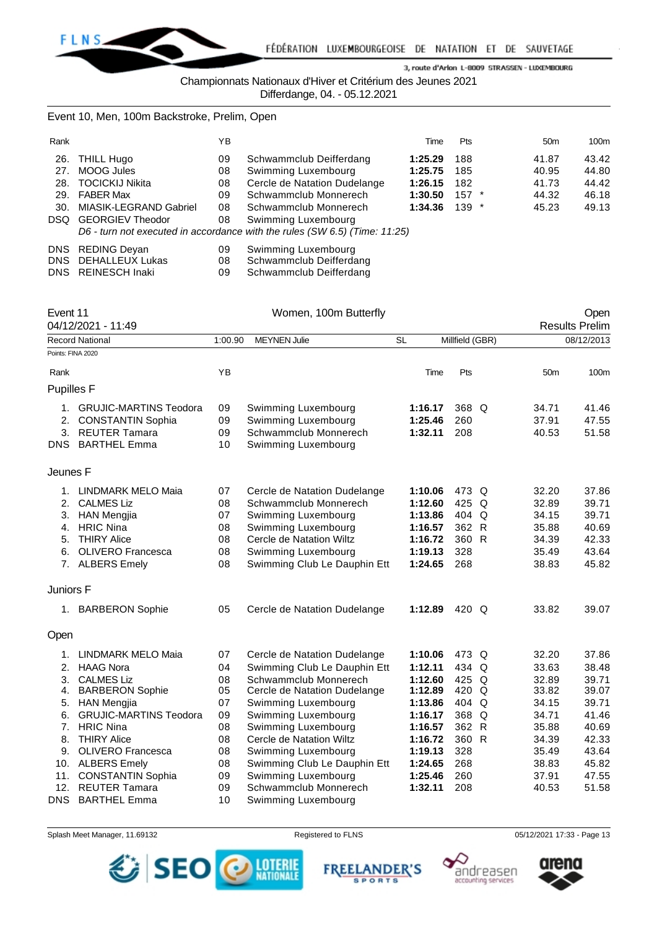

Championnats Nationaux d'Hiver et Critérium des Jeunes 2021

Differdange, 04. - 05.12.2021

# Event 10, Men, 100m Backstroke, Prelim, Open

| Rank |                            | ΥB |                                                                              | Time    | <b>Pts</b> | 50 <sub>m</sub> | 100m  |
|------|----------------------------|----|------------------------------------------------------------------------------|---------|------------|-----------------|-------|
|      | 26. THILL Hugo             | 09 | Schwammclub Deifferdang                                                      | 1:25.29 | 188        | 41.87           | 43.42 |
|      | 27. MOOG Jules             | 08 | Swimming Luxembourg                                                          | 1:25.75 | 185        | 40.95           | 44.80 |
|      | 28. TOCICKIJ Nikita        | 08 | Cercle de Natation Dudelange                                                 | 1:26.15 | 182        | 41.73           | 44.42 |
|      | 29. FABER Max              | 09 | Schwammclub Monnerech                                                        | 1:30.50 | $157$ *    | 44.32           | 46.18 |
|      | 30. MIASIK-LEGRAND Gabriel | 08 | Schwammclub Monnerech                                                        | 1:34.36 | $139$ *    | 45.23           | 49.13 |
|      | DSQ GEORGIEV Theodor       | 08 | Swimming Luxembourg                                                          |         |            |                 |       |
|      |                            |    | D6 - turn not executed in accordance with the rules $(SW 6.5)$ (Time: 11:25) |         |            |                 |       |
|      | DNS REDING Deyan           | 09 | Swimming Luxembourg                                                          |         |            |                 |       |

| DNS DEHALLEUX Lukas | Schwammclub Deifferdang |
|---------------------|-------------------------|
| DNS REINESCH Inaki  | Schwammclub Deifferdang |

| Event 11          | 04/12/2021 - 11:49            |         | Women, 100m Butterfly        |           |                 |   |                 | Open<br><b>Results Prelim</b> |
|-------------------|-------------------------------|---------|------------------------------|-----------|-----------------|---|-----------------|-------------------------------|
|                   | Record National               | 1:00.90 | <b>MEYNEN Julie</b>          | <b>SL</b> | Millfield (GBR) |   |                 | 08/12/2013                    |
| Points: FINA 2020 |                               |         |                              |           |                 |   |                 |                               |
| Rank              |                               | ΥB      |                              | Time      | Pts             |   | 50 <sub>m</sub> | 100m                          |
| <b>Pupilles F</b> |                               |         |                              |           |                 |   |                 |                               |
|                   | 1. GRUJIC-MARTINS Teodora     | 09      | Swimming Luxembourg          | 1:16.17   | 368 Q           |   | 34.71           | 41.46                         |
| 2.                | <b>CONSTANTIN Sophia</b>      | 09      | Swimming Luxembourg          | 1:25.46   | 260             |   | 37.91           | 47.55                         |
| 3.                | <b>REUTER Tamara</b>          | 09      | Schwammclub Monnerech        | 1:32.11   | 208             |   | 40.53           | 51.58                         |
|                   | DNS BARTHEL Emma              | 10      | Swimming Luxembourg          |           |                 |   |                 |                               |
| Jeunes F          |                               |         |                              |           |                 |   |                 |                               |
|                   | 1. LINDMARK MELO Maia         | 07      | Cercle de Natation Dudelange | 1:10.06   | 473 Q           |   | 32.20           | 37.86                         |
|                   | 2. CALMES Liz                 |         | Schwammclub Monnerech        | 1:12.60   | 425             | Q | 32.89           | 39.71                         |
| 3.                | <b>HAN Mengjia</b>            | 07      | Swimming Luxembourg          | 1:13.86   | 404 Q           |   | 34.15           | 39.71                         |
| 4.                | <b>HRIC Nina</b>              | 08      | Swimming Luxembourg          |           | 362 R           |   | 35.88           | 40.69                         |
| 5.                | <b>THIRY Alice</b>            | 08      | Cercle de Natation Wiltz     | 1:16.72   | 360 R           |   | 34.39           | 42.33                         |
| 6.                | <b>OLIVERO Francesca</b>      | 08      | Swimming Luxembourg          | 1:19.13   | 328             |   | 35.49           | 43.64                         |
|                   | 7. ALBERS Emely               | 08      | Swimming Club Le Dauphin Ett | 1:24.65   | 268             |   | 38.83           | 45.82                         |
| Juniors F         |                               |         |                              |           |                 |   |                 |                               |
|                   | 1. BARBERON Sophie            | 05      | Cercle de Natation Dudelange | 1:12.89   | 420 Q           |   | 33.82           | 39.07                         |
| Open              |                               |         |                              |           |                 |   |                 |                               |
| 1.                | <b>LINDMARK MELO Maia</b>     | 07      | Cercle de Natation Dudelange | 1:10.06   | 473 Q           |   | 32.20           | 37.86                         |
| 2.                | <b>HAAG Nora</b>              | 04      | Swimming Club Le Dauphin Ett | 1:12.11   | 434 Q           |   | 33.63           | 38.48                         |
| 3.                | <b>CALMES Liz</b>             | 08      | Schwammclub Monnerech        | 1:12.60   | 425 Q           |   | 32.89           | 39.71                         |
| 4.                | <b>BARBERON Sophie</b>        | 05      | Cercle de Natation Dudelange | 1:12.89   | 420 Q           |   | 33.82           | 39.07                         |
| 5.                | <b>HAN Mengjia</b>            | 07      | Swimming Luxembourg          | 1:13.86   | 404 Q           |   | 34.15           | 39.71                         |
| 6.                | <b>GRUJIC-MARTINS Teodora</b> | 09      | Swimming Luxembourg          | 1:16.17   | 368 Q           |   | 34.71           | 41.46                         |
| 7.                | <b>HRIC Nina</b>              | 08      | Swimming Luxembourg          | 1:16.57   | 362 R           |   | 35.88           | 40.69                         |
| 8.                | <b>THIRY Alice</b>            | 08      | Cercle de Natation Wiltz     | 1:16.72   | 360 R           |   | 34.39           | 42.33                         |
| 9.                | <b>OLIVERO</b> Francesca      | 08      | Swimming Luxembourg          | 1:19.13   | 328             |   | 35.49           | 43.64                         |
| 10.               | <b>ALBERS Emely</b>           | 08      | Swimming Club Le Dauphin Ett | 1:24.65   | 268             |   | 38.83           | 45.82                         |
| 11.               | <b>CONSTANTIN Sophia</b>      | 09      | Swimming Luxembourg          | 1:25.46   | 260             |   | 37.91           | 47.55                         |
| 12.               | <b>REUTER Tamara</b>          | 09      | Schwammclub Monnerech        | 1:32.11   | 208             |   | 40.53           | 51.58                         |
| <b>DNS</b>        | <b>BARTHEL Emma</b>           | 10      | Swimming Luxembourg          |           |                 |   |                 |                               |







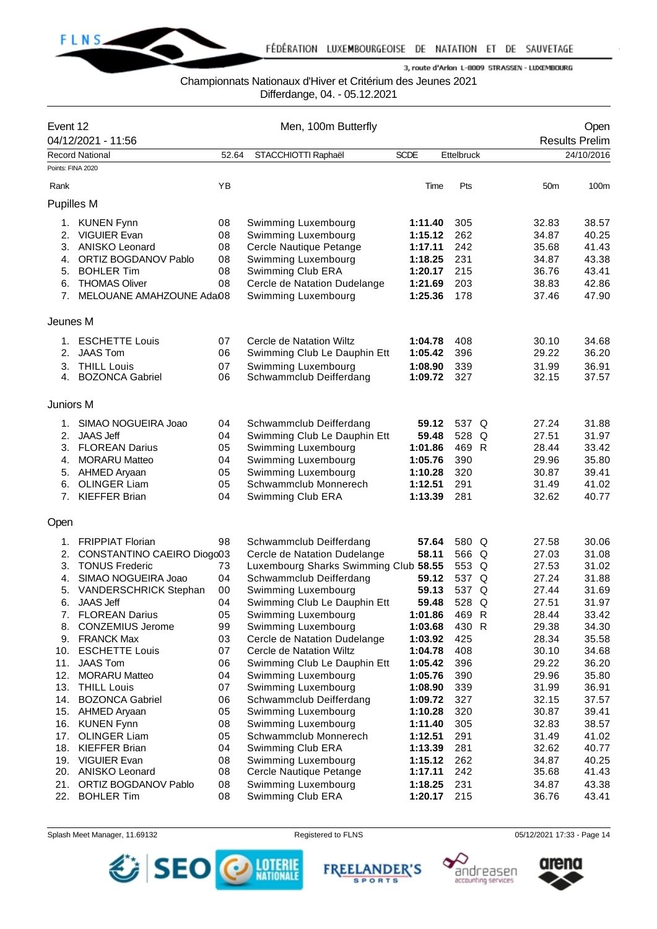

## Championnats Nationaux d'Hiver et Critérium des Jeunes 2021

Differdange, 04. - 05.12.2021

| Event 12          |                                            |          | Men, 100m Butterfly                            |                    |                   |                 | Open                  |
|-------------------|--------------------------------------------|----------|------------------------------------------------|--------------------|-------------------|-----------------|-----------------------|
|                   | 04/12/2021 - 11:56                         |          |                                                |                    |                   |                 | <b>Results Prelim</b> |
| Points: FINA 2020 | <b>Record National</b>                     | 52.64    | STACCHIOTTI Raphaël                            | <b>SCDE</b>        | <b>Ettelbruck</b> |                 | 24/10/2016            |
|                   |                                            |          |                                                |                    |                   |                 |                       |
| Rank              |                                            | YB       |                                                | Time               | Pts               | 50 <sub>m</sub> | 100m                  |
| <b>Pupilles M</b> |                                            |          |                                                |                    |                   |                 |                       |
| 1.                | <b>KUNEN Fynn</b>                          | 08       | Swimming Luxembourg                            | 1:11.40            | 305               | 32.83           | 38.57                 |
| 2.                | <b>VIGUIER Evan</b>                        | 08       | Swimming Luxembourg                            | 1:15.12            | 262               | 34.87           | 40.25                 |
| 3.                | ANISKO Leonard                             | 08       | Cercle Nautique Petange                        | 1:17.11            | 242               | 35.68           | 41.43                 |
| 4.                | ORTIZ BOGDANOV Pablo                       | 08       | Swimming Luxembourg                            | 1:18.25            | 231               | 34.87           | 43.38                 |
| 5.                | <b>BOHLER Tim</b>                          | 08       | Swimming Club ERA                              | 1:20.17            | 215               | 36.76           | 43.41                 |
| 6.                | <b>THOMAS Oliver</b>                       | 08       | Cercle de Natation Dudelange                   | 1:21.69            | 203               | 38.83           | 42.86                 |
| 7.                | MELOUANE AMAHZOUNE Adai08                  |          | Swimming Luxembourg                            | 1:25.36            | 178               | 37.46           | 47.90                 |
| Jeunes M          |                                            |          |                                                |                    |                   |                 |                       |
| 1.                | <b>ESCHETTE Louis</b>                      | 07       | Cercle de Natation Wiltz                       | 1:04.78            | 408               | 30.10           | 34.68                 |
| 2.                | <b>JAAS Tom</b>                            | 06       | Swimming Club Le Dauphin Ett                   | 1:05.42            | 396               | 29.22           | 36.20                 |
| 3.                | <b>THILL Louis</b>                         | 07       | Swimming Luxembourg                            | 1:08.90            | 339               | 31.99           | 36.91                 |
| 4.                | <b>BOZONCA Gabriel</b>                     | 06       | Schwammclub Deifferdang                        | 1:09.72            | 327               | 32.15           | 37.57                 |
| Juniors M         |                                            |          |                                                |                    |                   |                 |                       |
| 1.                | SIMAO NOGUEIRA Joao                        | 04       | Schwammclub Deifferdang                        | 59.12              | 537 Q             | 27.24           | 31.88                 |
| 2.                | <b>JAAS Jeff</b>                           | 04       | Swimming Club Le Dauphin Ett                   | 59.48              | 528<br>Q          | 27.51           | 31.97                 |
| 3.                | <b>FLOREAN Darius</b>                      | 05       | Swimming Luxembourg                            | 1:01.86            | 469 R             | 28.44           | 33.42                 |
| 4.                | <b>MORARU Matteo</b>                       | 04       | Swimming Luxembourg                            | 1:05.76            | 390               | 29.96           | 35.80                 |
| 5.                | AHMED Aryaan                               | 05       | Swimming Luxembourg                            | 1:10.28            | 320               | 30.87           | 39.41                 |
| 6.                | <b>OLINGER Liam</b>                        | 05       | Schwammclub Monnerech                          | 1:12.51            | 291               | 31.49           | 41.02                 |
| 7.                | <b>KIEFFER Brian</b>                       | 04       | Swimming Club ERA                              | 1:13.39            | 281               | 32.62           | 40.77                 |
| Open              |                                            |          |                                                |                    |                   |                 |                       |
| 1.                | <b>FRIPPIAT Florian</b>                    | 98       | Schwammclub Deifferdang                        | 57.64              | 580 Q             | 27.58           | 30.06                 |
| 2.                | CONSTANTINO CAEIRO Diogo03                 |          | Cercle de Natation Dudelange                   | 58.11              | 566 Q             | 27.03           | 31.08                 |
| 3.                | <b>TONUS Frederic</b>                      | 73       | Luxembourg Sharks Swimming Club 58.55          |                    | 553 Q             | 27.53           | 31.02                 |
| 4.                | SIMAO NOGUEIRA Joao                        | 04       | Schwammclub Deifferdang                        | 59.12              | 537 Q             | 27.24           | 31.88                 |
| 5.                | VANDERSCHRICK Stephan                      | 00       | Swimming Luxembourg                            | 59.13              | 537 Q             | 27.44           | 31.69                 |
| 6.                | JAAS Jeff                                  | 04       | Swimming Club Le Dauphin Ett                   | 59.48              | 528 Q             | 27.51           | 31.97                 |
| 7.                | <b>FLOREAN Darius</b>                      | 05       | Swimming Luxembourg                            | 1:01.86            | 469 R             | 28.44           | 33.42                 |
| 8.                | <b>CONZEMIUS Jerome</b>                    | 99       | Swimming Luxembourg                            | 1:03.68            | 430 R             | 29.38           | 34.30                 |
|                   | 9. FRANCK Max                              | 03       | Cercle de Natation Dudelange                   | 1:03.92            | 425               | 28.34           | 35.58                 |
| 10.               | <b>ESCHETTE Louis</b>                      | 07       | Cercle de Natation Wiltz                       | 1:04.78            | 408               | 30.10           | 34.68                 |
| 11.               | <b>JAAS Tom</b>                            | 06       | Swimming Club Le Dauphin Ett                   | 1:05.42            | 396               | 29.22           | 36.20                 |
| 12.               | <b>MORARU Matteo</b>                       | 04       | Swimming Luxembourg                            | 1:05.76            | 390               | 29.96           | 35.80                 |
| 13.               | <b>THILL Louis</b>                         | 07       | Swimming Luxembourg                            | 1:08.90            | 339               | 31.99           | 36.91                 |
| 14.               | <b>BOZONCA Gabriel</b><br>15. AHMED Aryaan | 06<br>05 | Schwammclub Deifferdang<br>Swimming Luxembourg | 1:09.72<br>1:10.28 | 327<br>320        | 32.15<br>30.87  | 37.57<br>39.41        |
| 16.               | <b>KUNEN Fynn</b>                          | 08       | Swimming Luxembourg                            | 1:11.40            | 305               | 32.83           | 38.57                 |
| 17.               | <b>OLINGER Liam</b>                        | 05       | Schwammclub Monnerech                          | 1:12.51            | 291               | 31.49           | 41.02                 |
| 18.               | <b>KIEFFER Brian</b>                       | 04       | Swimming Club ERA                              | 1:13.39            | 281               | 32.62           | 40.77                 |
| 19.               | <b>VIGUIER Evan</b>                        | 08       | Swimming Luxembourg                            | 1:15.12            | 262               | 34.87           | 40.25                 |
|                   | 20. ANISKO Leonard                         | 08       | Cercle Nautique Petange                        | 1:17.11            | 242               | 35.68           | 41.43                 |
| 21.               | ORTIZ BOGDANOV Pablo                       | 08       | Swimming Luxembourg                            | 1:18.25            | 231               | 34.87           | 43.38                 |
| 22.               | <b>BOHLER Tim</b>                          | 08       | Swimming Club ERA                              | 1:20.17            | 215               | 36.76           | 43.41                 |







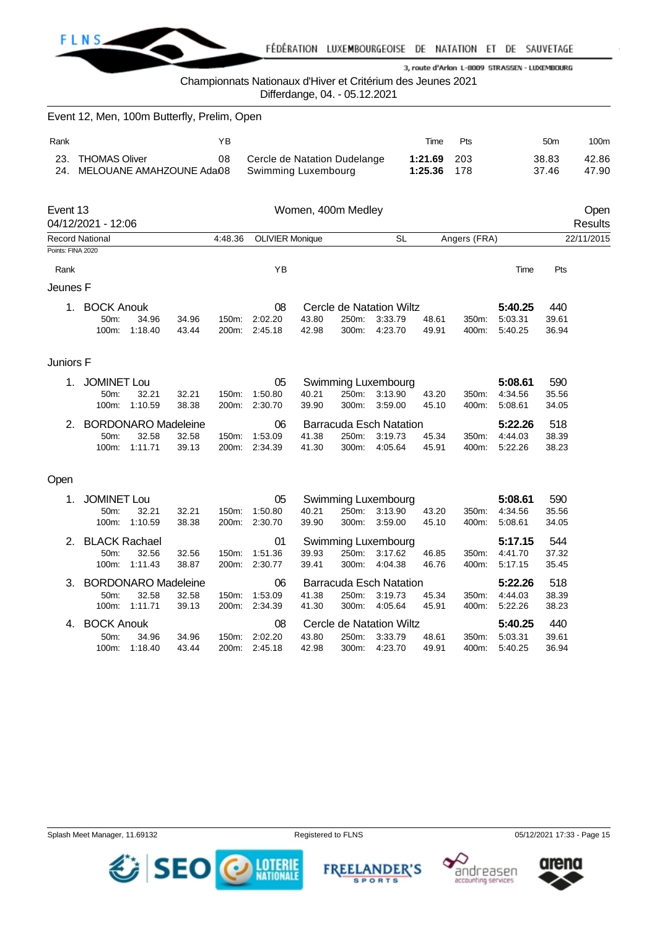

Championnats Nationaux d'Hiver et Critérium des Jeunes 2021

Differdange, 04. - 05.12.2021

|                   | Event 12, Men, 100m Butterfly, Prelim, Open       |                        |                |                |                                                     |                |                    |                                                      |                    |                |                               |                       |                 |
|-------------------|---------------------------------------------------|------------------------|----------------|----------------|-----------------------------------------------------|----------------|--------------------|------------------------------------------------------|--------------------|----------------|-------------------------------|-----------------------|-----------------|
| Rank              |                                                   |                        |                | YB             |                                                     |                |                    |                                                      | Time               | Pts            |                               | 50 <sub>m</sub>       | 100m            |
| 23.<br>24.        | <b>THOMAS Oliver</b><br>MELOUANE AMAHZOUNE Adai08 |                        |                | 08             | Cercle de Natation Dudelange<br>Swimming Luxembourg |                |                    |                                                      | 1:21.69<br>1:25.36 | 203<br>178     |                               | 38.83<br>37.46        | 42.86<br>47.90  |
| Event 13          | 04/12/2021 - 12:06                                |                        |                |                |                                                     |                | Women, 400m Medley |                                                      |                    |                |                               |                       | Open<br>Results |
| Points: FINA 2020 | Record National                                   |                        |                | 4:48.36        | <b>OLIVIER Monique</b>                              |                |                    | <b>SL</b>                                            |                    | Angers (FRA)   |                               |                       | 22/11/2015      |
|                   |                                                   |                        |                |                | ΥB                                                  |                |                    |                                                      |                    |                | Time                          | Pts                   |                 |
| Rank<br>Jeunes F  |                                                   |                        |                |                |                                                     |                |                    |                                                      |                    |                |                               |                       |                 |
| 1.                | <b>BOCK Anouk</b><br>50m:<br>100m:                | 34.96<br>1:18.40       | 34.96<br>43.44 | 150m:<br>200m: | 08<br>2:02.20<br>2:45.18                            | 43.80<br>42.98 | 250m:<br>300m:     | Cercle de Natation Wiltz<br>3:33.79<br>4:23.70       | 48.61<br>49.91     | 350m:<br>400m: | 5:40.25<br>5:03.31<br>5:40.25 | 440<br>39.61<br>36.94 |                 |
| Juniors F         |                                                   |                        |                |                |                                                     |                |                    |                                                      |                    |                |                               |                       |                 |
| 1.                | <b>JOMINET Lou</b><br>50m:<br>100m:               | 32.21<br>1:10.59       | 32.21<br>38.38 | 150m:<br>200m: | 05<br>1:50.80<br>2:30.70                            | 40.21<br>39.90 | 250m:<br>300m:     | Swimming Luxembourg<br>3:13.90<br>3:59.00            | 43.20<br>45.10     | 350m:<br>400m: | 5:08.61<br>4:34.56<br>5:08.61 | 590<br>35.56<br>34.05 |                 |
| 2.                | <b>BORDONARO Madeleine</b><br>50m:                | 32.58<br>100m: 1:11.71 | 32.58<br>39.13 | 150m:<br>200m: | 06<br>1:53.09<br>2:34.39                            | 41.38<br>41.30 | 250m:<br>300m:     | <b>Barracuda Esch Natation</b><br>3:19.73<br>4:05.64 | 45.34<br>45.91     | 350m:<br>400m: | 5:22.26<br>4:44.03<br>5:22.26 | 518<br>38.39<br>38.23 |                 |
| Open              |                                                   |                        |                |                |                                                     |                |                    |                                                      |                    |                |                               |                       |                 |
| 1.                | <b>JOMINET Lou</b><br>50m:<br>100m:               | 32.21<br>1:10.59       | 32.21<br>38.38 | 150m:<br>200m: | 05<br>1:50.80<br>2:30.70                            | 40.21<br>39.90 | 250m:<br>300m:     | Swimming Luxembourg<br>3:13.90<br>3:59.00            | 43.20<br>45.10     | 350m:<br>400m: | 5:08.61<br>4:34.56<br>5:08.61 | 590<br>35.56<br>34.05 |                 |
| 2.                | <b>BLACK Rachael</b><br>50m:<br>100m:             | 32.56<br>1:11.43       | 32.56<br>38.87 | 150m:<br>200m: | 01<br>1:51.36<br>2:30.77                            | 39.93<br>39.41 | 250m:<br>300m:     | Swimming Luxembourg<br>3:17.62<br>4:04.38            | 46.85<br>46.76     | 350m:<br>400m: | 5:17.15<br>4:41.70<br>5:17.15 | 544<br>37.32<br>35.45 |                 |
| 3.                | <b>BORDONARO Madeleine</b><br>50m:<br>100m:       | 32.58<br>1:11.71       | 32.58<br>39.13 | 150m:<br>200m: | 06<br>1:53.09<br>2:34.39                            | 41.38<br>41.30 | 250m:<br>300m:     | <b>Barracuda Esch Natation</b><br>3:19.73<br>4:05.64 | 45.34<br>45.91     | 350m:<br>400m: | 5:22.26<br>4:44.03<br>5:22.26 | 518<br>38.39<br>38.23 |                 |
| 4.                | <b>BOCK Anouk</b><br>50m:<br>100m:                | 34.96<br>1:18.40       | 34.96<br>43.44 | 150m:<br>200m: | 08<br>2:02.20<br>2:45.18                            | 43.80<br>42.98 | 250m:<br>300m:     | Cercle de Natation Wiltz<br>3:33.79<br>4:23.70       | 48.61<br>49.91     | 350m:<br>400m: | 5:40.25<br>5:03.31<br>5:40.25 | 440<br>39.61<br>36.94 |                 |
|                   |                                                   |                        |                |                |                                                     |                |                    |                                                      |                    |                |                               |                       |                 |







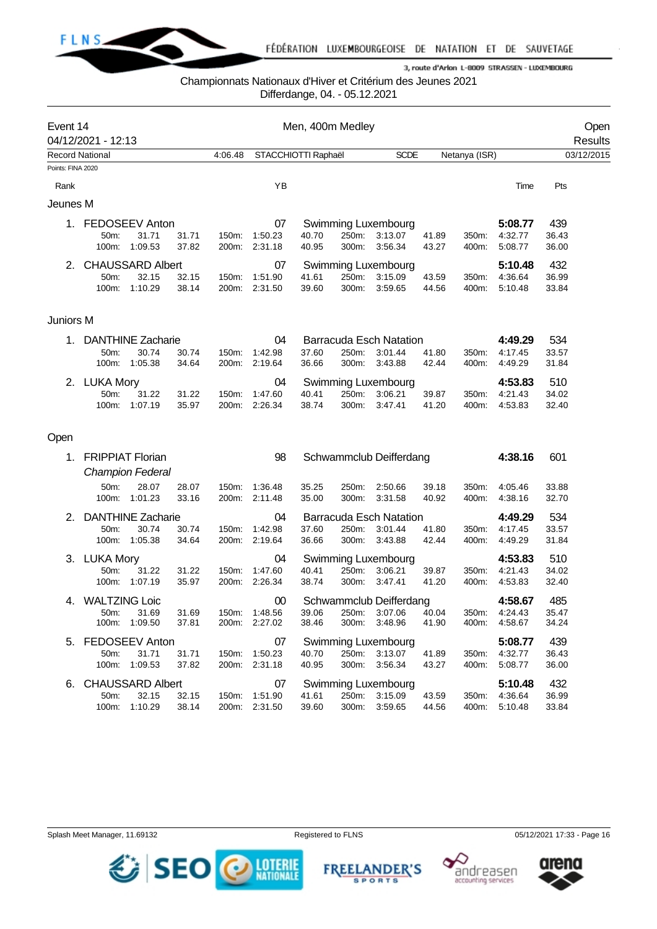

## Championnats Nationaux d'Hiver et Critérium des Jeunes 2021

Differdange, 04. - 05.12.2021

| Event 14          |                        |                          |                |                      |               | Men, 400m Medley    |       |                                |                |               |                                |                | Open       |
|-------------------|------------------------|--------------------------|----------------|----------------------|---------------|---------------------|-------|--------------------------------|----------------|---------------|--------------------------------|----------------|------------|
|                   | 04/12/2021 - 12:13     |                          |                |                      |               |                     |       |                                |                |               |                                |                | Results    |
| Points: FINA 2020 | <b>Record National</b> |                          |                | 4:06.48              |               | STACCHIOTTI Raphaël |       | <b>SCDE</b>                    |                | Netanya (ISR) |                                |                | 03/12/2015 |
| Rank              |                        |                          |                |                      | YB            |                     |       |                                |                |               | Time                           | Pts            |            |
| Jeunes M          |                        |                          |                |                      |               |                     |       |                                |                |               |                                |                |            |
|                   | 1. FEDOSEEV Anton      |                          |                |                      | 07            |                     |       | Swimming Luxembourg            |                |               | 5:08.77                        | 439            |            |
|                   | 50m:                   | 31.71                    | 31.71          | 150m:                | 1:50.23       | 40.70               | 250m: | 3:13.07                        | 41.89          | 350m:         | 4:32.77                        | 36.43          |            |
|                   | 100m:                  | 1:09.53                  | 37.82          | 200m:                | 2:31.18       | 40.95               | 300m: | 3:56.34                        | 43.27          | 400m:         | 5:08.77                        | 36.00          |            |
| 2.                |                        | <b>CHAUSSARD Albert</b>  |                |                      | 07            |                     |       | Swimming Luxembourg            |                |               | 5:10.48                        | 432            |            |
|                   | 50m:                   | 32.15                    | 32.15          | 150m:                | 1:51.90       | 41.61               | 250m: | 3:15.09                        | 43.59          | 350m:         | 4:36.64                        | 36.99          |            |
|                   |                        | 100m: 1:10.29            | 38.14          | 200m:                | 2:31.50       | 39.60               | 300m: | 3:59.65                        | 44.56          | 400m:         | 5:10.48                        | 33.84          |            |
| Juniors M         |                        |                          |                |                      |               |                     |       |                                |                |               |                                |                |            |
|                   | 1. DANTHINE Zacharie   |                          |                |                      | 04            |                     |       | <b>Barracuda Esch Natation</b> |                |               | 4:49.29                        | 534            |            |
|                   | 50m:                   | 30.74                    | 30.74          | 150m:                | 1:42.98       | 37.60               | 250m: | 3:01.44                        | 41.80          | 350m:         | 4:17.45                        | 33.57          |            |
|                   | 100m:                  | 1:05.38                  | 34.64          | 200m:                | 2:19.64       | 36.66               | 300m: | 3:43.88                        | 42.44          | 400m:         | 4:49.29                        | 31.84          |            |
|                   | 2. LUKA Mory           |                          |                |                      | 04            |                     |       | Swimming Luxembourg            |                |               | 4:53.83                        | 510            |            |
|                   | 50m:                   | 31.22                    | 31.22          | 150m:                | 1:47.60       | 40.41               | 250m: | 3:06.21                        | 39.87          | 350m:         | 4:21.43                        | 34.02          |            |
|                   | 100m:                  | 1:07.19                  | 35.97          | 200m:                | 2:26.34       | 38.74               | 300m: | 3:47.41                        | 41.20          | 400m:         | 4:53.83                        | 32.40          |            |
| Open              |                        |                          |                |                      |               |                     |       |                                |                |               |                                |                |            |
| 1.                |                        | <b>FRIPPIAT Florian</b>  |                |                      | 98            |                     |       | Schwammclub Deifferdang        |                |               | 4:38.16                        | 601            |            |
|                   |                        | <b>Champion Federal</b>  |                |                      |               |                     |       |                                |                |               |                                |                |            |
|                   | 50m:                   | 28.07                    | 28.07          | 150m:                | 1:36.48       | 35.25               | 250m: | 2:50.66                        | 39.18          | 350m:         | 4:05.46                        | 33.88          |            |
|                   | 100m:                  | 1:01.23                  | 33.16          | 200m:                | 2:11.48       | 35.00               | 300m: | 3:31.58                        | 40.92          | 400m:         | 4:38.16                        | 32.70          |            |
| 2.                |                        | <b>DANTHINE Zacharie</b> |                |                      | 04            |                     |       | <b>Barracuda Esch Natation</b> |                |               | 4:49.29                        | 534            |            |
|                   | 50m:                   | 30.74                    | 30.74          | 150m:                | 1:42.98       | 37.60               | 250m: | 3:01.44                        | 41.80          | 350m:         | 4:17.45                        | 33.57          |            |
|                   |                        | 100m: 1:05.38            | 34.64          | 200m:                | 2:19.64       | 36.66               | 300m: | 3:43.88                        | 42.44          | 400m:         | 4:49.29                        | 31.84          |            |
|                   | 3. LUKA Mory           |                          |                |                      | 04            |                     |       | Swimming Luxembourg            |                |               | 4:53.83                        | 510            |            |
|                   | 50m:                   | 31.22                    | 31.22          | 150m:                | 1:47.60       | 40.41               | 250m: | 3:06.21                        | 39.87          | 350m:         | 4:21.43                        | 34.02          |            |
|                   | 100m:                  | 1:07.19                  | 35.97          | 200m:                | 2:26.34       | 38.74               | 300m: | 3:47.41                        | 41.20          | 400m:         | 4:53.83                        | 32.40          |            |
| 4.                | <b>WALTZING Loic</b>   |                          |                |                      | 00            |                     |       | Schwammclub Deifferdang        |                |               | 4:58.67                        | 485            |            |
|                   | 50m:                   | 31.69                    | 31.69          |                      | 150m: 1:48.56 |                     |       | 39.06 250m: 3:07.06 40.04      |                |               | 350m: 4:24.43                  | 35.47          |            |
|                   |                        | 100m: 1:09.50            | 37.81          |                      | 200m: 2:27.02 | 38.46               |       | 300m: 3:48.96                  | 41.90          |               | 400m: 4:58.67                  | 34.24          |            |
|                   | 5. FEDOSEEV Anton      |                          |                |                      | 07            |                     |       | Swimming Luxembourg            |                |               | 5:08.77                        | 439            |            |
|                   | 50m:                   | 31.71                    |                | 31.71  150m: 1:50.23 |               | 40.70               |       | 250m: 3:13.07                  | 41.89          |               | 350m: 4:32.77                  | 36.43          |            |
|                   |                        | 100m: 1:09.53            | 37.82          |                      | 200m: 2:31.18 | 40.95               |       | 300m: 3:56.34                  | 43.27          | 400m:         | 5:08.77                        | 36.00          |            |
|                   | 6. CHAUSSARD Albert    |                          |                |                      | 07            |                     |       | <b>Swimming Luxembourg</b>     |                |               | 5:10.48                        | 432            |            |
|                   | 50m:                   | 32.15<br>100m: 1:10.29   | 32.15<br>38.14 | 150m: 1:51.90        | 200m: 2:31.50 | 41.61<br>39.60      |       | 250m: 3:15.09<br>300m: 3:59.65 | 43.59<br>44.56 |               | 350m: 4:36.64<br>400m: 5:10.48 | 36.99<br>33.84 |            |
|                   |                        |                          |                |                      |               |                     |       |                                |                |               |                                |                |            |





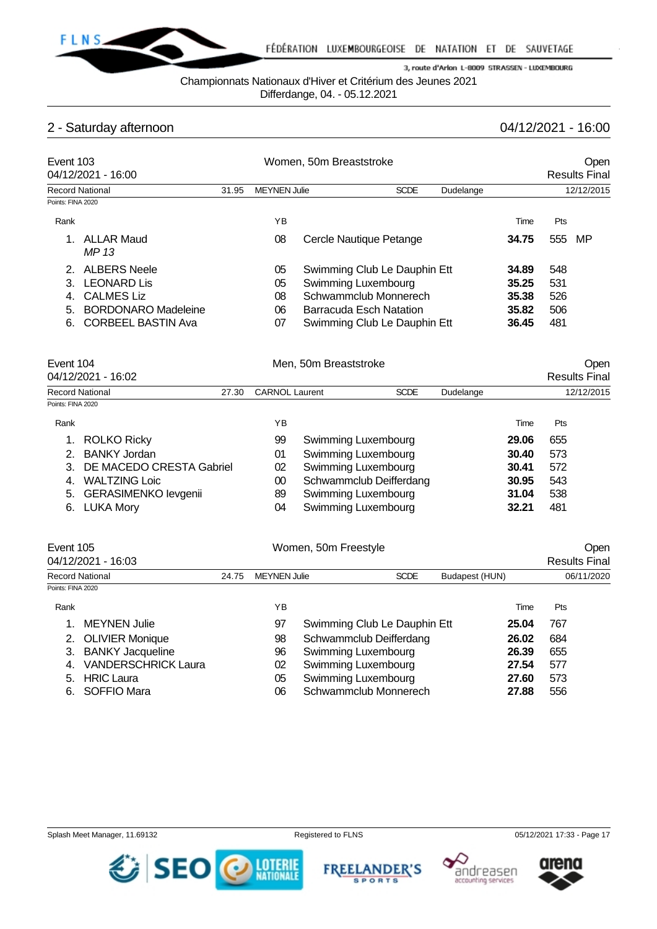

Championnats Nationaux d'Hiver et Critérium des Jeunes 2021

Differdange, 04. - 05.12.2021

# 2 - Saturday afternoon 04/12/2021 - 16:00

| Event 103                         | 04/12/2021 - 16:00         |                                                          | Women, 50m Breaststroke |                                |                              |             |           |       |            | <b>Open</b><br><b>Results Final</b> |  |
|-----------------------------------|----------------------------|----------------------------------------------------------|-------------------------|--------------------------------|------------------------------|-------------|-----------|-------|------------|-------------------------------------|--|
| <b>Record National</b>            |                            | <b>MEYNEN Julie</b><br><b>SCDE</b><br>31.95<br>Dudelange |                         |                                |                              |             |           |       | 12/12/2015 |                                     |  |
| Points: FINA 2020                 |                            |                                                          |                         |                                |                              |             |           |       |            |                                     |  |
| Rank                              |                            |                                                          | YB                      |                                |                              |             |           | Time  | Pts        |                                     |  |
| 1.                                | <b>ALLAR Maud</b><br>MP 13 |                                                          | 08                      |                                | Cercle Nautique Petange      |             |           | 34.75 | 555        | MP                                  |  |
| 2.                                | <b>ALBERS Neele</b>        |                                                          | 05                      |                                | Swimming Club Le Dauphin Ett |             |           | 34.89 | 548        |                                     |  |
| 3.                                | <b>LEONARD Lis</b>         |                                                          | 05                      |                                | Swimming Luxembourg          |             |           | 35.25 | 531        |                                     |  |
| <b>CALMES Liz</b><br>4.           |                            |                                                          | 08                      | Schwammclub Monnerech          |                              |             | 35.38     | 526   |            |                                     |  |
| <b>BORDONARO Madeleine</b><br>5.  |                            |                                                          | 06                      | <b>Barracuda Esch Natation</b> |                              |             |           | 35.82 | 506        |                                     |  |
| 6.                                | <b>CORBEEL BASTIN Ava</b>  |                                                          | 07                      |                                | Swimming Club Le Dauphin Ett |             |           | 36.45 | 481        |                                     |  |
| Event 104                         |                            |                                                          |                         | Men, 50m Breaststroke          |                              |             |           |       |            | Open                                |  |
|                                   | 04/12/2021 - 16:02         |                                                          |                         |                                |                              |             |           |       |            | <b>Results Final</b>                |  |
| <b>Record National</b>            |                            | 27.30                                                    | <b>CARNOL Laurent</b>   |                                |                              | <b>SCDE</b> | Dudelange |       |            | 12/12/2015                          |  |
| Points: FINA 2020                 |                            |                                                          |                         |                                |                              |             |           |       |            |                                     |  |
| Rank                              |                            |                                                          | YB                      |                                |                              |             |           | Time  | Pts        |                                     |  |
|                                   | <b>ROLKO Ricky</b>         |                                                          | 99                      |                                | Swimming Luxembourg          |             |           | 29.06 | 655        |                                     |  |
| 2.                                | <b>BANKY Jordan</b>        |                                                          | 01                      | Swimming Luxembourg            |                              | 30.40       | 573       |       |            |                                     |  |
| DE MACEDO CRESTA Gabriel<br>3.    |                            | 02                                                       | Swimming Luxembourg     |                                |                              | 30.41       | 572       |       |            |                                     |  |
| <b>WALTZING Loic</b><br>4.        |                            |                                                          | 00                      | Schwammclub Deifferdang        |                              |             | 30.95     | 543   |            |                                     |  |
| <b>GERASIMENKO levgenii</b><br>5. |                            |                                                          | 89                      |                                | Swimming Luxembourg          |             |           | 31.04 | 538        |                                     |  |

6. LUKA Mory

| v i | <b>OWINDING LUACHINOULY</b> | uu. Tu | ິ   |
|-----|-----------------------------|--------|-----|
| 02  | Swimming Luxembourg         | 30.41  | 572 |
| 00  | Schwammclub Deifferdang     | 30.95  | 543 |
| 89  | Swimming Luxembourg         | 31.04  | 538 |
| 04  | Swimming Luxembourg         | 32.21  | 481 |
|     |                             |        |     |

| Event 105         |                            |  |                                                      | Women, 50m Freestyle         |  |       | Open                 |  |
|-------------------|----------------------------|--|------------------------------------------------------|------------------------------|--|-------|----------------------|--|
|                   | 04/12/2021 - 16:03         |  |                                                      |                              |  |       | <b>Results Final</b> |  |
|                   | <b>Record National</b>     |  | <b>SCDE</b><br><b>MEYNEN Julie</b><br>Budapest (HUN) |                              |  |       | 06/11/2020           |  |
| Points: FINA 2020 |                            |  |                                                      |                              |  |       |                      |  |
| Rank              |                            |  | ΥB                                                   |                              |  | Time  | <b>Pts</b>           |  |
|                   | <b>MEYNEN Julie</b>        |  | 97                                                   | Swimming Club Le Dauphin Ett |  | 25.04 | 767                  |  |
|                   | <b>OLIVIER Monique</b>     |  | 98                                                   | Schwammclub Deifferdang      |  | 26.02 | 684                  |  |
| 3.                | <b>BANKY Jacqueline</b>    |  | 96                                                   | Swimming Luxembourg          |  | 26.39 | 655                  |  |
| 4.                | <b>VANDERSCHRICK Laura</b> |  | 02                                                   | Swimming Luxembourg          |  | 27.54 | 577                  |  |
| 5.                | <b>HRIC Laura</b>          |  | 05                                                   | Swimming Luxembourg          |  | 27.60 | 573                  |  |
| 6.                | SOFFIO Mara                |  | 06                                                   | Schwammclub Monnerech        |  | 27.88 | 556                  |  |

Splash Meet Manager, 11.69132 **Registered to FLNS** Registered to FLNS 05/12/2021 17:33 - Page 17







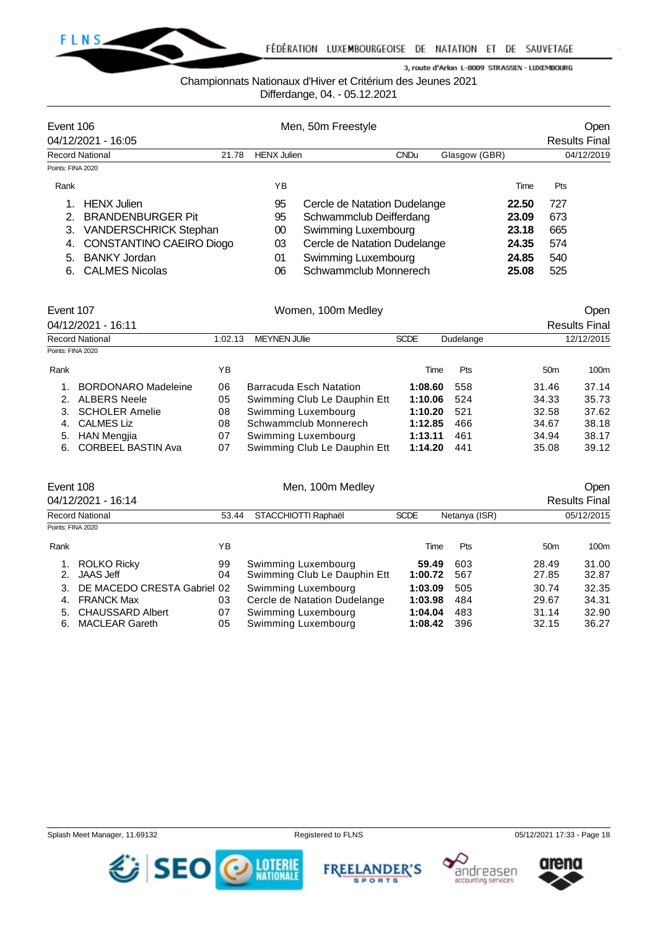

## Championnats Nationaux d'Hiver et Critérium des Jeunes 2021

Differdange, 04. - 05.12.2021

|                   | Event 106                    |       |                    | Men, 50m Freestyle           |               | <b>Open</b>          |
|-------------------|------------------------------|-------|--------------------|------------------------------|---------------|----------------------|
|                   | 04/12/2021 - 16:05           |       |                    |                              |               | <b>Results Final</b> |
|                   | <b>Record National</b>       | 21.78 | <b>HENX Julien</b> | <b>CNDu</b>                  | Glasgow (GBR) | 04/12/2019           |
| Points: FINA 2020 |                              |       |                    |                              |               |                      |
| Rank              |                              |       | ΥB                 |                              | Time          | Pts                  |
|                   | <b>HENX</b> Julien           |       | 95                 | Cercle de Natation Dudelange | 22.50         | 727                  |
|                   | <b>BRANDENBURGER Pit</b>     |       | 95                 | Schwammclub Deifferdang      | 23.09         | 673                  |
| 3.                | <b>VANDERSCHRICK Stephan</b> |       | 00                 | Swimming Luxembourg          | 23.18         | 665                  |
| 4.                | CONSTANTINO CAEIRO Diogo     |       | 03                 | Cercle de Natation Dudelange | 24.35         | 574                  |
| 5.                | <b>BANKY Jordan</b>          |       | 01                 | Swimming Luxembourg          | 24.85         | 540                  |
| 6.                | <b>CALMES Nicolas</b>        |       | 06                 | Schwammclub Monnerech        | 25.08         | 525                  |

| Event 107         |                            |                                                            | Women, 100m Medley           |         | <b>Open</b>          |                 |       |  |
|-------------------|----------------------------|------------------------------------------------------------|------------------------------|---------|----------------------|-----------------|-------|--|
|                   | 04/12/2021 - 16:11         |                                                            |                              |         | <b>Results Final</b> |                 |       |  |
|                   | Record National            | <b>SCDE</b><br><b>MEYNEN JUlie</b><br>Dudelange<br>1:02.13 |                              |         |                      | 12/12/2015      |       |  |
| Points: FINA 2020 |                            |                                                            |                              |         |                      |                 |       |  |
| Rank              |                            | YB                                                         |                              | Time    | <b>Pts</b>           | 50 <sub>m</sub> | 100m  |  |
|                   | <b>BORDONARO Madeleine</b> | 06                                                         | Barracuda Esch Natation      | 1:08.60 | 558                  | 31.46           | 37.14 |  |
|                   | <b>ALBERS Neele</b>        | 05                                                         | Swimming Club Le Dauphin Ett | 1:10.06 | 524                  | 34.33           | 35.73 |  |
|                   | <b>SCHOLER Amelie</b>      | 08                                                         | Swimming Luxembourg          | 1:10.20 | 521                  | 32.58           | 37.62 |  |
| 4.                | <b>CALMES Liz</b>          | 08                                                         | Schwammclub Monnerech        | 1:12.85 | 466                  | 34.67           | 38.18 |  |
| 5.                | <b>HAN Mengjia</b>         | 07                                                         | Swimming Luxembourg          | 1:13.11 | 461                  | 34.94           | 38.17 |  |
| 6.                | <b>CORBEEL BASTIN Ava</b>  | 07                                                         | Swimming Club Le Dauphin Ett | 1:14.20 | 441                  | 35.08           | 39.12 |  |

| Event 108         | 04/12/2021 - 16:14                                                          |                                             | Men, 100m Medley                                                           |                                          | Open<br><b>Results Final</b> |                                  |                                  |
|-------------------|-----------------------------------------------------------------------------|---------------------------------------------|----------------------------------------------------------------------------|------------------------------------------|------------------------------|----------------------------------|----------------------------------|
|                   | <b>Record National</b>                                                      | STACCHIOTTI Raphaël<br><b>SCDE</b><br>53.44 |                                                                            | Netanya (ISR)                            |                              | 05/12/2015                       |                                  |
| Points: FINA 2020 |                                                                             |                                             |                                                                            |                                          |                              |                                  |                                  |
| Rank              |                                                                             | ΥB                                          |                                                                            | Time                                     | Pts                          | 50 <sub>m</sub>                  | 100m                             |
|                   | <b>ROLKO Ricky</b><br>JAAS Jeff                                             | 99<br>04                                    | Swimming Luxembourg<br>Swimming Club Le Dauphin Ett                        | 59.49<br>1:00.72                         | 603<br>567                   | 28.49<br>27.85                   | 31.00<br>32.87                   |
| 4.<br>5.<br>6.    | DE MACEDO CRESTA Gabriel 02<br><b>FRANCK Max</b><br><b>CHAUSSARD Albert</b> | 03<br>07<br>05                              | Swimming Luxembourg<br>Cercle de Natation Dudelange<br>Swimming Luxembourg | 1:03.09<br>1:03.98<br>1:04.04<br>1:08.42 | 505<br>484<br>483<br>396     | 30.74<br>29.67<br>31.14<br>32.15 | 32.35<br>34.31<br>32.90<br>36.27 |
|                   | <b>MACLEAR Gareth</b>                                                       |                                             | Swimming Luxembourg                                                        |                                          |                              |                                  |                                  |





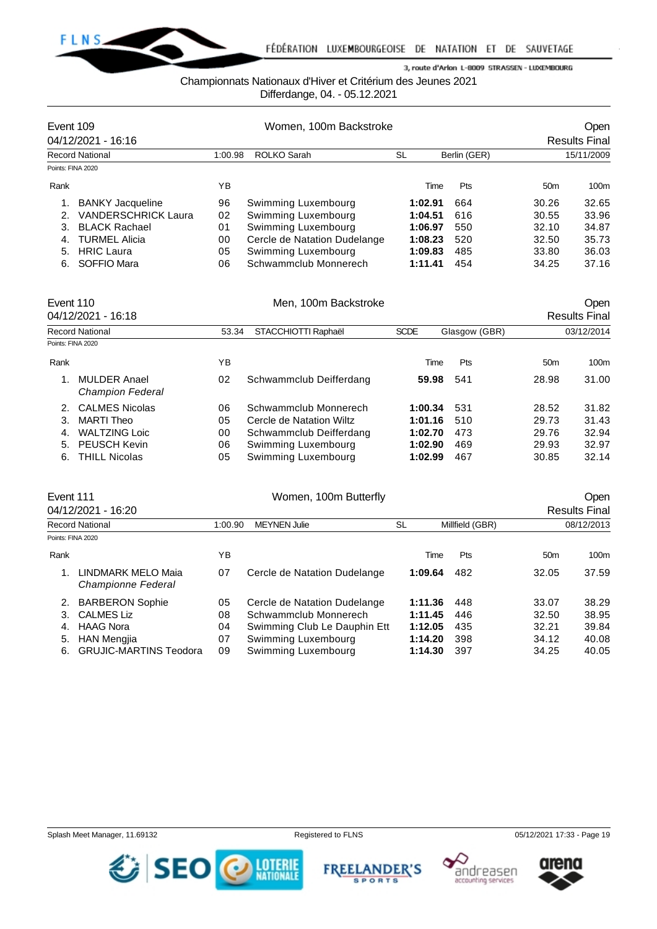

## Championnats Nationaux d'Hiver et Critérium des Jeunes 2021

Differdange, 04. - 05.12.2021

| Event 109              | 04/12/2021 - 16:16         | Women, 100m Backstroke |                              |         |              |                 |                                    |  |
|------------------------|----------------------------|------------------------|------------------------------|---------|--------------|-----------------|------------------------------------|--|
| <b>Record National</b> |                            | 1:00.98                | ROLKO Sarah                  | SL      | Berlin (GER) |                 | <b>Results Final</b><br>15/11/2009 |  |
| Points: FINA 2020      |                            |                        |                              |         |              |                 |                                    |  |
| Rank                   |                            | ΥB                     |                              | Time    | Pts          | 50 <sub>m</sub> | 100m                               |  |
|                        | <b>BANKY Jacqueline</b>    | 96                     | Swimming Luxembourg          | 1:02.91 | 664          | 30.26           | 32.65                              |  |
| $\mathcal{P} \equiv$   | <b>VANDERSCHRICK Laura</b> | 02                     | Swimming Luxembourg          | 1:04.51 | 616          | 30.55           | 33.96                              |  |
| 3.                     | <b>BLACK Rachael</b>       | 01                     | Swimming Luxembourg          | 1:06.97 | 550          | 32.10           | 34.87                              |  |
| 4.                     | <b>TURMEL Alicia</b>       | 00                     | Cercle de Natation Dudelange | 1:08.23 | 520          | 32.50           | 35.73                              |  |
| 5.                     | <b>HRIC Laura</b>          | 05                     | Swimming Luxembourg          | 1:09.83 | 485          | 33.80           | 36.03                              |  |
| 6.                     | SOFFIO Mara                | 06                     | Schwammclub Monnerech        | 1:11.41 | 454          | 34.25           | 37.16                              |  |

| Event 110         | 04/12/2021 - 16:18                             |    | Men, 100m Backstroke                                         |         | Open<br><b>Results Final</b> |                 |                  |
|-------------------|------------------------------------------------|----|--------------------------------------------------------------|---------|------------------------------|-----------------|------------------|
|                   | <b>Record National</b>                         |    | STACCHIOTTI Raphaël<br><b>SCDE</b><br>Glasgow (GBR)<br>53.34 |         |                              |                 |                  |
| Points: FINA 2020 |                                                |    |                                                              |         |                              |                 |                  |
| Rank              |                                                | ΥB |                                                              | Time    | Pts                          | 50 <sub>m</sub> | 100 <sub>m</sub> |
|                   | <b>MULDER Anael</b><br><b>Champion Federal</b> | 02 | Schwammclub Deifferdang                                      | 59.98   | 541                          | 28.98           | 31.00            |
|                   | 2. CALMES Nicolas                              | 06 | Schwammclub Monnerech                                        | 1:00.34 | 531                          | 28.52           | 31.82            |
| 3.                | MARTI Theo                                     | 05 | Cercle de Natation Wiltz                                     | 1:01.16 | 510                          | 29.73           | 31.43            |
| 4.                | <b>WALTZING Loic</b>                           | 00 | Schwammclub Deifferdang                                      | 1:02.70 | 473                          | 29.76           | 32.94            |
| 5.                | <b>PEUSCH Kevin</b>                            | 06 | Swimming Luxembourg                                          | 1:02.90 | 469                          | 29.93           | 32.97            |
| 6.                | <b>THILL Nicolas</b>                           | 05 | Swimming Luxembourg                                          | 1:02.99 | 467                          | 30.85           | 32.14            |

|                                                 |                                                                                | Open<br><b>Results Final</b> |                       |                              |                                                                        |       |
|-------------------------------------------------|--------------------------------------------------------------------------------|------------------------------|-----------------------|------------------------------|------------------------------------------------------------------------|-------|
|                                                 | <b>MEYNEN Julie</b><br>1:00.90                                                 |                              | SL                    | Millfield (GBR)              | 08/12/2013                                                             |       |
|                                                 |                                                                                |                              |                       |                              |                                                                        |       |
|                                                 | YΒ                                                                             |                              |                       | Pts                          | 50 <sub>m</sub>                                                        | 100m  |
| LINDMARK MELO Maia<br><b>Championne Federal</b> | 07                                                                             | Cercle de Natation Dudelange |                       | 482                          | 32.05                                                                  | 37.59 |
| <b>BARBERON Sophie</b>                          | 05                                                                             | Cercle de Natation Dudelange |                       | 448                          | 33.07                                                                  | 38.29 |
| <b>CALMES Liz</b>                               | 08                                                                             | Schwammclub Monnerech        |                       | 446                          | 32.50                                                                  | 38.95 |
| <b>HAAG Nora</b>                                | 04                                                                             |                              |                       | 435                          | 32.21                                                                  | 39.84 |
| HAN Mengjia                                     | 07                                                                             | Swimming Luxembourg          |                       | 398                          | 34.12                                                                  | 40.08 |
| <b>GRUJIC-MARTINS Teodora</b>                   | 09                                                                             | Swimming Luxembourg          |                       | 397                          | 34.25                                                                  | 40.05 |
|                                                 | Event 111<br>04/12/2021 - 16:20<br><b>Record National</b><br>Points: FINA 2020 |                              | Women, 100m Butterfly | Swimming Club Le Dauphin Ett | Time<br>1:09.64<br>1:11.36<br>1:11.45<br>1:12.05<br>1:14.20<br>1:14.30 |       |







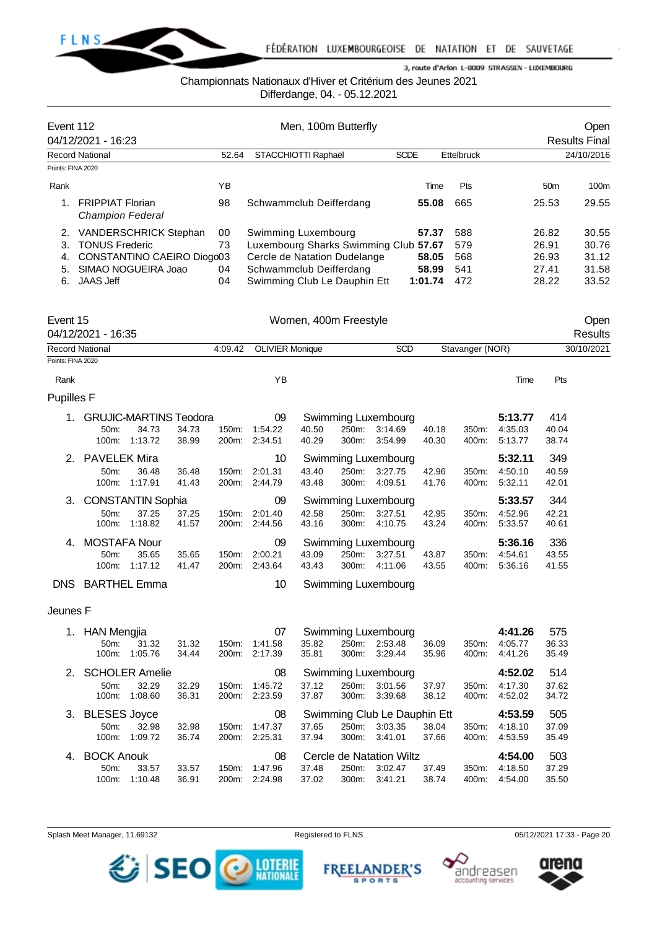

## Championnats Nationaux d'Hiver et Critérium des Jeunes 2021

Differdange, 04. - 05.12.2021

|                   |                                                    |                                                         |                |                |                                       |                | Dilleiudliye, 04. - 03. IZ.ZUZ I      |                    |                |                 |                               |                       |                      |
|-------------------|----------------------------------------------------|---------------------------------------------------------|----------------|----------------|---------------------------------------|----------------|---------------------------------------|--------------------|----------------|-----------------|-------------------------------|-----------------------|----------------------|
| Event 112         |                                                    |                                                         |                |                |                                       |                | Men, 100m Butterfly                   |                    |                |                 |                               |                       | Open                 |
|                   | 04/12/2021 - 16:23                                 |                                                         |                |                |                                       |                |                                       |                    |                |                 |                               |                       | <b>Results Final</b> |
|                   | <b>Record National</b>                             |                                                         |                | 52.64          | STACCHIOTTI Raphaël                   |                |                                       |                    | <b>SCDE</b>    | Ettelbruck      |                               |                       | 24/10/2016           |
| Points: FINA 2020 |                                                    |                                                         |                |                |                                       |                |                                       |                    |                |                 |                               |                       |                      |
| Rank              |                                                    |                                                         |                | YB             |                                       |                |                                       |                    | Time           | Pts             |                               | 50 <sub>m</sub>       | 100m                 |
| 1.                | <b>FRIPPIAT Florian</b><br><b>Champion Federal</b> |                                                         |                | 98             | Schwammclub Deifferdang               |                |                                       |                    | 55.08          | 665             |                               | 25.53                 | 29.55                |
| 2.                | VANDERSCHRICK Stephan                              |                                                         |                | 00             | Swimming Luxembourg                   |                |                                       |                    | 57.37          | 588             |                               | 26.82                 | 30.55                |
| 3.                | <b>TONUS Frederic</b>                              |                                                         |                | 73             | Luxembourg Sharks Swimming Club 57.67 |                |                                       |                    |                | 579             |                               | 26.91                 | 30.76                |
| 4.                | CONSTANTINO CAEIRO Diogo03                         |                                                         |                |                | Cercle de Natation Dudelange          |                |                                       |                    | 58.05          | 568             |                               | 26.93                 | 31.12                |
| 5.                | SIMAO NOGUEIRA Joao                                |                                                         |                | 04             | Schwammclub Deifferdang               |                |                                       |                    | 58.99          | 541             |                               | 27.41                 | 31.58                |
| 6.                | <b>JAAS Jeff</b>                                   |                                                         |                | 04             | Swimming Club Le Dauphin Ett          |                |                                       |                    | 1:01.74        | 472             |                               | 28.22                 | 33.52                |
| Event 15          |                                                    |                                                         |                |                |                                       |                | Women, 400m Freestyle                 |                    |                |                 |                               |                       | Open                 |
|                   | 04/12/2021 - 16:35                                 |                                                         |                |                |                                       |                |                                       |                    |                |                 |                               |                       | <b>Results</b>       |
|                   | <b>Record National</b>                             |                                                         |                | 4:09.42        | <b>OLIVIER Monique</b>                |                |                                       | <b>SCD</b>         |                | Stavanger (NOR) |                               |                       | 30/10/2021           |
| Points: FINA 2020 |                                                    |                                                         |                |                |                                       |                |                                       |                    |                |                 |                               |                       |                      |
| Rank              |                                                    |                                                         |                |                | YB                                    |                |                                       |                    |                |                 | Time                          | Pts                   |                      |
| <b>Pupilles F</b> |                                                    |                                                         |                |                |                                       |                |                                       |                    |                |                 |                               |                       |                      |
| 1.                | 50m:                                               | <b>GRUJIC-MARTINS Teodora</b><br>34.73<br>100m: 1:13.72 | 34.73<br>38.99 | 150m:<br>200m: | 09<br>1:54.22<br>2:34.51              | 40.50<br>40.29 | Swimming Luxembourg<br>250m:<br>300m: | 3:14.69<br>3:54.99 | 40.18<br>40.30 | 350m:<br>400m:  | 5:13.77<br>4:35.03<br>5:13.77 | 414<br>40.04<br>38.74 |                      |
| 2.                | <b>PAVELEK Mira</b>                                |                                                         |                |                | 10                                    |                | Swimming Luxembourg                   |                    |                |                 | 5:32.11                       | 349                   |                      |
|                   | 50m:                                               | 36.48                                                   | 36.48          | 150m:          | 2:01.31                               | 43.40<br>43.48 | 250m:                                 | 3:27.75            | 42.96          | 350m:           | 4:50.10                       | 40.59                 |                      |
|                   |                                                    | 100m: 1:17.91                                           | 41.43          | 200m:          | 2:44.79                               |                | 300m:                                 | 4:09.51            | 41.76          | 400m:           | 5:32.11                       | 42.01                 |                      |
| 3.                |                                                    | <b>CONSTANTIN Sophia</b>                                |                |                | 09                                    |                | Swimming Luxembourg                   |                    |                |                 | 5:33.57                       | 344                   |                      |
|                   | 50m:<br>100m:                                      | 37.25<br>1:18.82                                        | 37.25<br>41.57 | 150m:<br>200m: | 2:01.40<br>2:44.56                    | 42.58<br>43.16 | 250m:<br>300m:                        | 3:27.51<br>4:10.75 | 42.95<br>43.24 | 350m:<br>400m:  | 4:52.96<br>5:33.57            | 42.21<br>40.61        |                      |
| 4.                | <b>MOSTAFA Nour</b><br>50m:                        | 35.65<br>100m: 1:17.12                                  | 35.65<br>41.47 | 150m:<br>200m: | 09<br>2:00.21<br>2:43.64              | 43.09<br>43.43 | Swimming Luxembourg<br>250m:<br>300m: | 3:27.51<br>4:11.06 | 43.87<br>43.55 | 350m:<br>400m:  | 5:36.16<br>4:54.61<br>5:36.16 | 336<br>43.55<br>41.55 |                      |
| DNS.              | <b>BARTHEL Emma</b>                                |                                                         |                |                | 10                                    |                | Swimming Luxembourg                   |                    |                |                 |                               |                       |                      |
| Jeunes F          |                                                    |                                                         |                |                |                                       |                |                                       |                    |                |                 |                               |                       |                      |

| 1.          | <b>HAN Mengjia</b>                                 |         |       |                    | 07      | Swimming Luxembourg |                              | 4:41.26                  | 575   |       |         |       |
|-------------|----------------------------------------------------|---------|-------|--------------------|---------|---------------------|------------------------------|--------------------------|-------|-------|---------|-------|
|             | 50 <sub>m</sub>                                    | 31.32   | 31.32 | $150m$ :           | 1:41.58 | 35.82               | 250m:                        | 2:53.48                  | 36.09 | 350m: | 4:05.77 | 36.33 |
|             | $100m$ :                                           | 1:05.76 | 34.44 | 200m:              | 2:17.39 | 35.81               | 300m:                        | 3:29.44                  | 35.96 | 400m: | 4:41.26 | 35.49 |
| $2^{\circ}$ | <b>SCHOLER Amelie</b><br>08<br>Swimming Luxembourg |         |       |                    |         |                     |                              | 4:52.02                  | 514   |       |         |       |
|             | $50m$ :                                            | 32.29   | 32.29 | $150m$ :           | 1:45.72 | 37.12               | 250m:                        | 3:01.56                  | 37.97 | 350m: | 4:17.30 | 37.62 |
|             | $100m$ :                                           | 1:08.60 | 36.31 | 200 <sub>m</sub> : | 2:23.59 | 37.87               | 300m:                        | 3:39.68                  | 38.12 | 400m: | 4:52.02 | 34.72 |
|             | 3. BLESES Joyce<br>08                              |         |       |                    |         |                     | Swimming Club Le Dauphin Ett |                          |       |       |         | 505   |
|             | $50m$ :                                            | 32.98   | 32.98 | 150m:              | 1:47.37 | 37.65               | 250m:                        | 3:03.35                  | 38.04 | 350m: | 4:18.10 | 37.09 |
|             | 100m:                                              | 1:09.72 | 36.74 | 200 <sub>m</sub> : | 2:25.31 | 37.94               | 300m:                        | 3:41.01                  | 37.66 | 400m: | 4:53.59 | 35.49 |
| 4.          | <b>BOCK Anouk</b><br>08                            |         |       |                    |         |                     |                              | Cercle de Natation Wiltz |       |       | 4:54.00 | 503   |
|             | 50 <sub>m</sub>                                    | 33.57   | 33.57 | $150m$ :           | 1:47.96 | 37.48               | 250m:                        | 3:02.47                  | 37.49 | 350m: | 4:18.50 | 37.29 |
|             | $100m$ :                                           | 1:10.48 | 36.91 | 200m:              | 2:24.98 | 37.02               | $300m$ :                     | 3:41.21                  | 38.74 | 400m: | 4:54.00 | 35.50 |





**FREELANDER'S SPORTS** 



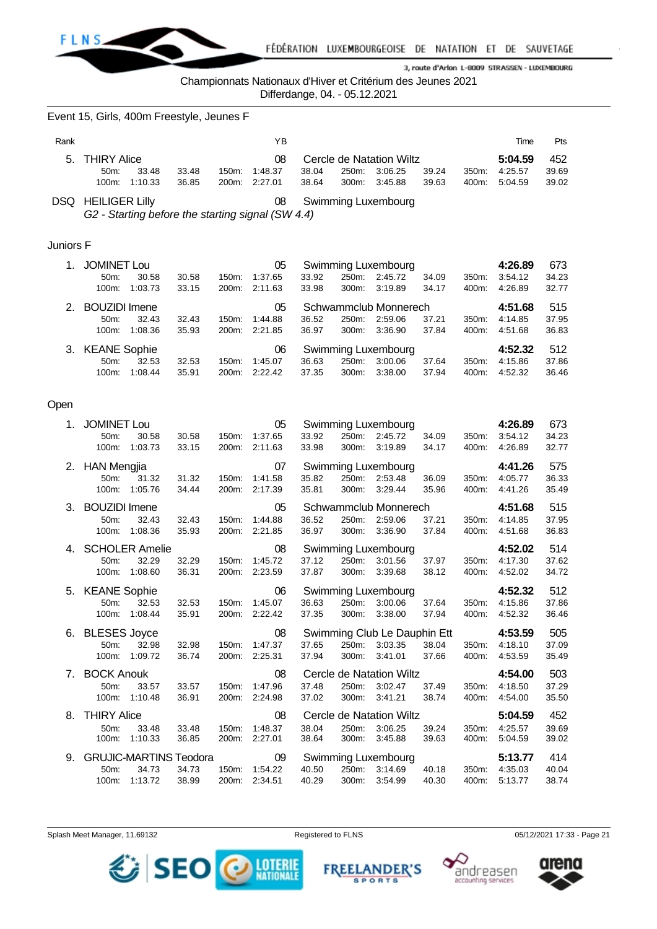

## Championnats Nationaux d'Hiver et Critérium des Jeunes 2021

Differdange, 04. - 05.12.2021

|           | Event 15, Girls, 400m Freestyle, Jeunes F                                      |                |                |                                      |                |                |                                                                |                |                |                                     |                       |
|-----------|--------------------------------------------------------------------------------|----------------|----------------|--------------------------------------|----------------|----------------|----------------------------------------------------------------|----------------|----------------|-------------------------------------|-----------------------|
| Rank      |                                                                                |                |                | YB                                   |                |                |                                                                |                |                | Time                                | Pts                   |
| 5.        | <b>THIRY Alice</b><br>50m:<br>33.48<br>1:10.33<br>100m:                        | 33.48<br>36.85 | 150m:<br>200m: | 08<br>1:48.37<br>2:27.01             | 38.04<br>38.64 | 250m:<br>300m: | Cercle de Natation Wiltz<br>3:06.25<br>3:45.88                 | 39.24<br>39.63 | 350m:<br>400m: | 5:04.59<br>4:25.57<br>5:04.59       | 452<br>39.69<br>39.02 |
|           | <b>DSQ HEILIGER Lilly</b><br>G2 - Starting before the starting signal (SW 4.4) |                |                | 08                                   |                |                | <b>Swimming Luxembourg</b>                                     |                |                |                                     |                       |
| Juniors F |                                                                                |                |                |                                      |                |                |                                                                |                |                |                                     |                       |
| 1.        | <b>JOMINET Lou</b><br>50m:<br>30.58<br>1:03.73<br>100m:                        | 30.58<br>33.15 | 150m:<br>200m: | 05<br>1:37.65<br>2:11.63             | 33.92<br>33.98 | 250m:<br>300m: | Swimming Luxembourg<br>2:45.72<br>3:19.89                      | 34.09<br>34.17 | 350m:<br>400m: | 4:26.89<br>3:54.12<br>4:26.89       | 673<br>34.23<br>32.77 |
| 2.        | <b>BOUZIDI</b> Imene<br>50m:<br>32.43<br>100m:<br>1:08.36                      | 32.43<br>35.93 | 150m:<br>200m: | 05<br>1:44.88<br>2:21.85             | 36.52<br>36.97 | 250m:<br>300m: | Schwammclub Monnerech<br>2:59.06<br>3:36.90                    | 37.21<br>37.84 | 350m:<br>400m: | 4:51.68<br>4:14.85<br>4:51.68       | 515<br>37.95<br>36.83 |
| 3.        | <b>KEANE Sophie</b><br>32.53<br>50m:<br>1:08.44<br>100m:                       | 32.53<br>35.91 | 150m:<br>200m: | 06<br>1:45.07<br>2:22.42             | 36.63<br>37.35 | 250m:<br>300m: | Swimming Luxembourg<br>3:00.06<br>3:38.00                      | 37.64<br>37.94 | 350m:<br>400m: | 4:52.32<br>4:15.86<br>4:52.32       | 512<br>37.86<br>36.46 |
| Open      |                                                                                |                |                |                                      |                |                |                                                                |                |                |                                     |                       |
| 1.        | <b>JOMINET Lou</b><br>50m:<br>30.58<br>100m:<br>1:03.73                        | 30.58<br>33.15 | 150m:<br>200m: | 05<br>1:37.65<br>2:11.63             | 33.92<br>33.98 | 250m:<br>300m: | Swimming Luxembourg<br>2:45.72<br>3:19.89                      | 34.09<br>34.17 | 350m:<br>400m: | 4:26.89<br>3:54.12<br>4:26.89       | 673<br>34.23<br>32.77 |
| 2.        | <b>HAN Mengjia</b><br>31.32<br>50m:<br>1:05.76<br>100m:                        | 31.32<br>34.44 | 150m:<br>200m: | 07<br>1:41.58<br>2:17.39             | 35.82<br>35.81 | 250m:<br>300m: | Swimming Luxembourg<br>2:53.48<br>3:29.44                      | 36.09<br>35.96 | 350m:<br>400m: | 4:41.26<br>4:05.77<br>4:41.26       | 575<br>36.33<br>35.49 |
| З.        | <b>BOUZIDI</b> Imene<br>32.43<br>50m:<br>1:08.36<br>100m:                      | 32.43<br>35.93 | 150m:<br>200m: | 05<br>1:44.88<br>2:21.85             | 36.52<br>36.97 | 250m:<br>300m: | Schwammclub Monnerech<br>2:59.06<br>3:36.90                    | 37.21<br>37.84 | 350m:<br>400m: | 4:51.68<br>4:14.85<br>4:51.68       | 515<br>37.95<br>36.83 |
| 4.        | <b>SCHOLER Amelie</b><br>32.29<br>50m:<br>1:08.60<br>100m:                     | 32.29<br>36.31 | 150m:<br>200m: | 08<br>1:45.72<br>2:23.59             | 37.12<br>37.87 | 250m:<br>300m: | Swimming Luxembourg<br>3:01.56<br>3:39.68                      | 37.97<br>38.12 | 350m:<br>400m: | 4:52.02<br>4:17.30<br>4:52.02       | 514<br>37.62<br>34.72 |
| 5.        | <b>KEANE Sophie</b><br>50m: 32.53<br>100m: 1:08.44                             | 32.53<br>35.91 |                | 06<br>150m: 1:45.07<br>200m: 2:22.42 | 37.35          |                | Swimming Luxembourg<br>36.63 250m: 3:00.06<br>300m: 3:38.00    | 37.64<br>37.94 | 400m:          | 4:52.32<br>350m: 4:15.86<br>4:52.32 | 512<br>37.86<br>36.46 |
| 6.        | <b>BLESES Joyce</b><br>50m:<br>32.98<br>100m: 1:09.72                          | 32.98<br>36.74 |                | 08<br>150m: 1:47.37<br>200m: 2:25.31 | 37.65<br>37.94 |                | Swimming Club Le Dauphin Ett<br>250m: 3:03.35<br>300m: 3:41.01 | 38.04<br>37.66 | 400m:          | 4:53.59<br>350m: 4:18.10<br>4:53.59 | 505<br>37.09<br>35.49 |
| 7.        | <b>BOCK Anouk</b><br>50m:<br>33.57<br>100m: 1:10.48                            | 33.57<br>36.91 | 150m:          | 08<br>1:47.96<br>200m: 2:24.98       | 37.48<br>37.02 | 250m:          | Cercle de Natation Wiltz<br>3:02.47<br>300m: 3:41.21           | 37.49<br>38.74 | 350m:<br>400m: | 4:54.00<br>4:18.50<br>4:54.00       | 503<br>37.29<br>35.50 |
| 8.        | <b>THIRY Alice</b><br>50m:<br>33.48<br>100m:<br>1:10.33                        | 33.48<br>36.85 | 150m:          | 08<br>1:48.37<br>200m: 2:27.01       | 38.04<br>38.64 | 300m:          | Cercle de Natation Wiltz<br>250m: 3:06.25<br>3:45.88           | 39.24<br>39.63 | 350m:<br>400m: | 5:04.59<br>4:25.57<br>5:04.59       | 452<br>39.69<br>39.02 |
| 9.        | <b>GRUJIC-MARTINS Teodora</b><br>50m:<br>34.73<br>100m: 1:13.72                | 34.73<br>38.99 |                | 09<br>150m: 1:54.22<br>200m: 2:34.51 | 40.50<br>40.29 | $300m$ :       | Swimming Luxembourg<br>250m: 3:14.69<br>3:54.99                | 40.18<br>40.30 | 350m:          | 5:13.77<br>4:35.03<br>400m: 5:13.77 | 414<br>40.04<br>38.74 |





**FREELANDER'S** 

**SPORTS** 



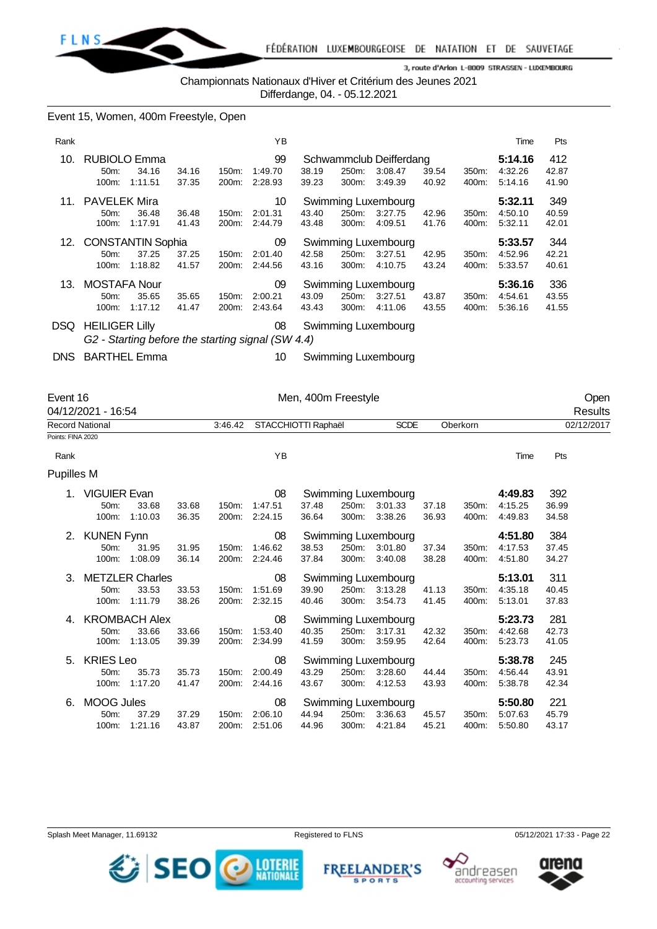

Championnats Nationaux d'Hiver et Critérium des Jeunes 2021

Differdange, 04. - 05.12.2021

## Event 15, Women, 400m Freestyle, Open

| Rank |                                           |                  |                |                             | ΥB                       |                |                |                                               |                |                   | Time                          | Pts                   |
|------|-------------------------------------------|------------------|----------------|-----------------------------|--------------------------|----------------|----------------|-----------------------------------------------|----------------|-------------------|-------------------------------|-----------------------|
| 10.  | <b>RUBIOLO Emma</b><br>$50m$ :<br>100m:   | 34.16<br>1:11.51 | 34.16<br>37.35 | 150m:<br>200m:              | 99<br>1:49.70<br>2:28.93 | 38.19<br>39.23 | 250m:<br>300m: | Schwammclub Deifferdang<br>3:08.47<br>3:49.39 | 39.54<br>40.92 | 350m:<br>400m:    | 5:14.16<br>4:32.26<br>5:14.16 | 412<br>42.87<br>41.90 |
| 11.  | <b>PAVELEK Mira</b><br>$50m$ :<br>100m:   | 36.48<br>1:17.91 | 36.48<br>41.43 | $150m$ :<br>200m:           | 10<br>2:01.31<br>2:44.79 | 43.40<br>43.48 | 250m:<br>300m: | Swimming Luxembourg<br>3:27.75<br>4:09.51     | 42.96<br>41.76 | $350m$ :<br>400m: | 5:32.11<br>4:50.10<br>5:32.11 | 349<br>40.59<br>42.01 |
|      |                                           |                  |                |                             |                          |                |                |                                               |                |                   |                               |                       |
|      | 12. CONSTANTIN Sophia<br>$50m$ :<br>100m: | 37.25<br>1:18.82 | 37.25<br>41.57 | 150m:<br>200 <sub>m</sub> : | 09<br>2:01.40<br>2:44.56 | 42.58<br>43.16 | 250m:<br>300m: | Swimming Luxembourg<br>3:27.51<br>4:10.75     | 42.95<br>43.24 | 350m:<br>400m:    | 5:33.57<br>4:52.96<br>5:33.57 | 344<br>42.21<br>40.61 |
| 13.  | <b>MOSTAFA Nour</b><br>50m:<br>100m:      | 35.65<br>1:17.12 | 35.65<br>41.47 | 150m:<br>200 <sub>m</sub> : | 09<br>2:00.21<br>2:43.64 | 43.09<br>43.43 | 250m:<br>300m: | Swimming Luxembourg<br>3:27.51<br>4:11.06     | 43.87<br>43.55 | 350m:<br>400m:    | 5:36.16<br>4:54.61<br>5.36.16 | 336<br>43.55<br>41.55 |

*G2 - Starting before the starting signal (SW 4.4)*

DNS BARTHEL Emma 10 Swimming Luxembourg

| Event 16               | 04/12/2021 - 16:54  |                        |       |         |                     | Men, 400m Freestyle |       |                     |       |          |         |       | Open                  |
|------------------------|---------------------|------------------------|-------|---------|---------------------|---------------------|-------|---------------------|-------|----------|---------|-------|-----------------------|
| <b>Record National</b> |                     |                        |       | 3:46.42 | STACCHIOTTI Raphaël |                     |       | <b>SCDE</b>         |       | Oberkorn |         |       | Results<br>02/12/2017 |
|                        |                     |                        |       |         |                     |                     |       |                     |       |          |         |       |                       |
| Points: FINA 2020      |                     |                        |       |         |                     |                     |       |                     |       |          |         |       |                       |
| Rank                   |                     |                        |       |         | YB                  |                     |       |                     |       |          | Time    | Pts   |                       |
| <b>Pupilles M</b>      |                     |                        |       |         |                     |                     |       |                     |       |          |         |       |                       |
|                        | <b>VIGUIER Evan</b> |                        |       |         | 08                  |                     |       | Swimming Luxembourg |       |          | 4:49.83 | 392   |                       |
|                        | 50m:                | 33.68                  | 33.68 | 150m:   | 1:47.51             | 37.48               | 250m: | 3:01.33             | 37.18 | 350m:    | 4:15.25 | 36.99 |                       |
|                        | 100m:               | 1:10.03                | 36.35 | 200m:   | 2:24.15             | 36.64               | 300m: | 3:38.26             | 36.93 | 400m:    | 4:49.83 | 34.58 |                       |
| 2.                     | <b>KUNEN Fynn</b>   |                        |       |         | 08                  |                     |       | Swimming Luxembourg |       |          | 4:51.80 | 384   |                       |
|                        | 50m:                | 31.95                  | 31.95 | 150m:   | 1:46.62             | 38.53               | 250m: | 3:01.80             | 37.34 | 350m:    | 4:17.53 | 37.45 |                       |
|                        | 100m:               | 1:08.09                | 36.14 | 200m:   | 2:24.46             | 37.84               | 300m: | 3:40.08             | 38.28 | 400m:    | 4:51.80 | 34.27 |                       |
|                        |                     |                        |       |         |                     |                     |       |                     |       |          |         |       |                       |
| 3.                     |                     | <b>METZLER Charles</b> |       |         | 08                  |                     |       | Swimming Luxembourg |       |          | 5:13.01 | 311   |                       |
|                        | 50m:                | 33.53                  | 33.53 | 150m:   | 1:51.69             | 39.90               | 250m: | 3:13.28             | 41.13 | 350m:    | 4:35.18 | 40.45 |                       |
|                        | 100m:               | 1:11.79                | 38.26 | 200m:   | 2:32.15             | 40.46               | 300m: | 3:54.73             | 41.45 | 400m:    | 5:13.01 | 37.83 |                       |
| 4.                     |                     | <b>KROMBACH Alex</b>   |       |         | 08                  |                     |       | Swimming Luxembourg |       |          | 5:23.73 | 281   |                       |
|                        | 50m:                | 33.66                  | 33.66 | 150m:   | 1:53.40             | 40.35               | 250m: | 3:17.31             | 42.32 | 350m:    | 4:42.68 | 42.73 |                       |
|                        | 100m:               | 1:13.05                | 39.39 | 200m:   | 2:34.99             | 41.59               | 300m: | 3:59.95             | 42.64 | 400m:    | 5.23.73 | 41.05 |                       |
| 5.                     | <b>KRIES Leo</b>    |                        |       |         | 08                  |                     |       | Swimming Luxembourg |       |          | 5:38.78 | 245   |                       |
|                        | 50m:                | 35.73                  | 35.73 | 150m:   | 2:00.49             | 43.29               | 250m: | 3:28.60             | 44.44 | 350m:    | 4:56.44 | 43.91 |                       |
|                        | 100m:               | 1:17.20                | 41.47 | 200m:   | 2:44.16             | 43.67               | 300m: | 4:12.53             | 43.93 | 400m:    | 5:38.78 | 42.34 |                       |
| 6.                     | <b>MOOG Jules</b>   |                        |       |         | 08                  |                     |       | Swimming Luxembourg |       |          | 5:50.80 | 221   |                       |
|                        | 50m:                | 37.29                  | 37.29 | 150m:   | 2:06.10             | 44.94               | 250m: | 3:36.63             | 45.57 | 350m:    | 5:07.63 | 45.79 |                       |
|                        | 100m:               | 1:21.16                | 43.87 | 200m:   | 2:51.06             | 44.96               | 300m: | 4:21.84             | 45.21 | 400m:    | 5.50.80 | 43.17 |                       |
|                        |                     |                        |       |         |                     |                     |       |                     |       |          |         |       |                       |







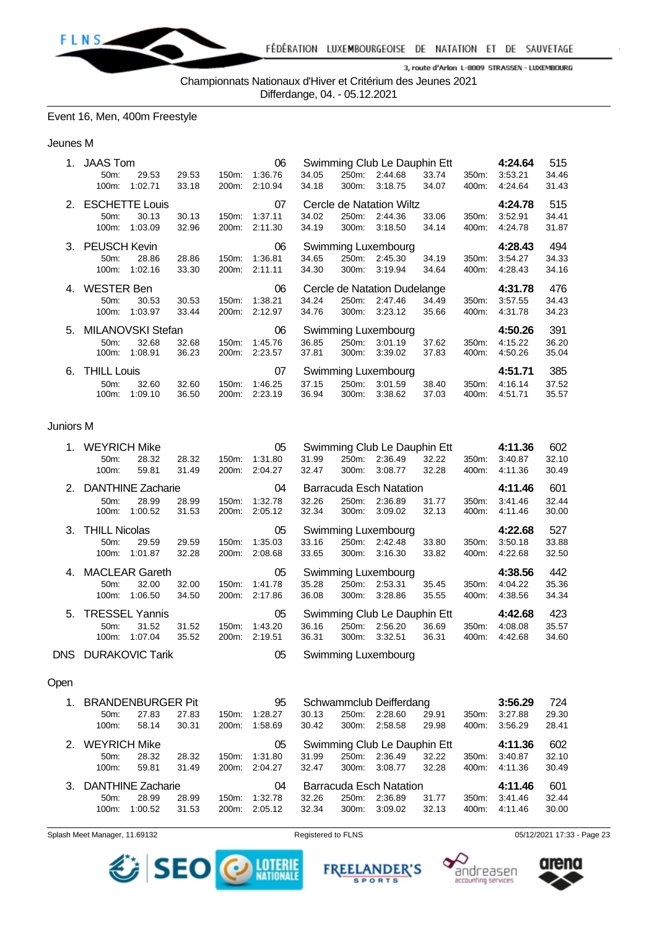

Championnats Nationaux d'Hiver et Critérium des Jeunes 2021

Differdange, 04. - 05.12.2021

## Event 16, Men, 400m Freestyle

#### Jeunes M

| 1. | <b>JAAS Tom</b>     |                       |       |       | 06      |       |       | Swimming Club Le Dauphin Ett |       |       | 4:24.64 | 515   |
|----|---------------------|-----------------------|-------|-------|---------|-------|-------|------------------------------|-------|-------|---------|-------|
|    | 50 <sub>m</sub> :   | 29.53                 | 29.53 | 150m: | 1:36.76 | 34.05 | 250m: | 2:44.68                      | 33.74 | 350m: | 3:53.21 | 34.46 |
|    | 100m:               | 1:02.71               | 33.18 | 200m: | 2:10.94 | 34.18 | 300m: | 3:18.75                      | 34.07 | 400m: | 4:24.64 | 31.43 |
| 2. |                     | <b>ESCHETTE Louis</b> |       |       | 07      |       |       | Cercle de Natation Wiltz     |       |       | 4:24.78 | 515   |
|    | $50m$ :             | 30.13                 | 30.13 | 150m: | 1:37.11 | 34.02 | 250m: | 2:44.36                      | 33.06 | 350m: | 3:52.91 | 34.41 |
|    | 100m:               | 1:03.09               | 32.96 | 200m: | 2:11.30 | 34.19 | 300m: | 3:18.50                      | 34.14 | 400m: | 4:24.78 | 31.87 |
| 3. | <b>PEUSCH Kevin</b> |                       |       |       | 06      |       |       | Swimming Luxembourg          |       |       | 4:28.43 | 494   |
|    | 50 <sub>m</sub>     | 28.86                 | 28.86 | 150m: | 1:36.81 | 34.65 | 250m: | 2:45.30                      | 34.19 | 350m: | 3:54.27 | 34.33 |
|    | 100m:               | 1:02.16               | 33.30 | 200m: | 2:11.11 | 34.30 | 300m: | 3:19.94                      | 34.64 | 400m: | 4:28.43 | 34.16 |
| 4. | <b>WESTER Ben</b>   |                       |       |       | 06      |       |       | Cercle de Natation Dudelange |       |       | 4:31.78 | 476   |
|    | 50 <sub>m</sub> :   | 30.53                 | 30.53 | 150m: | 1:38.21 | 34.24 | 250m: | 2:47.46                      | 34.49 | 350m: | 3:57.55 | 34.43 |
|    | 100m:               | 1:03.97               | 33.44 | 200m: | 2:12.97 | 34.76 | 300m: | 3:23.12                      | 35.66 | 400m: | 4:31.78 | 34.23 |
| 5. | MILANOVSKI Stefan   |                       |       |       | 06      |       |       | Swimming Luxembourg          |       |       | 4:50.26 | 391   |
|    | $50m$ :             | 32.68                 | 32.68 | 150m. | 1:45.76 | 36.85 | 250m: | 3:01.19                      | 37.62 | 350m: | 4:15.22 | 36.20 |
|    | 100m:               | 1:08.91               | 36.23 | 200m: | 2:23.57 | 37.81 | 300m: | 3:39.02                      | 37.83 | 400m: | 4:50.26 | 35.04 |
| 6. | <b>THILL Louis</b>  |                       |       |       | 07      |       |       | Swimming Luxembourg          |       |       | 4:51.71 | 385   |
|    | 50m:                | 32.60                 | 32.60 | 150m. | 1:46.25 | 37.15 | 250m: | 3:01.59                      | 38.40 | 350m: | 4:16.14 | 37.52 |
|    | 100m:               | 1:09.10               | 36.50 | 200m: |         | 36.94 | 300m: |                              | 37.03 |       |         | 35.57 |

#### Juniors M

|                | <b>WEYRICH Mike</b>  |                          |       |       | 05      |       |       | Swimming Club Le Dauphin Ett |       |       | 4:11.36 | 602   |
|----------------|----------------------|--------------------------|-------|-------|---------|-------|-------|------------------------------|-------|-------|---------|-------|
|                | 50m:                 | 28.32                    | 28.32 | 150m: | 1:31.80 | 31.99 | 250m: | 2:36.49                      | 32.22 | 350m: | 3:40.87 | 32.10 |
|                | 100m:                | 59.81                    | 31.49 | 200m: | 2:04.27 | 32.47 | 300m: | 3:08.77                      | 32.28 | 400m: | 4:11.36 | 30.49 |
| 2 <sup>1</sup> |                      | <b>DANTHINE Zacharie</b> |       |       | 04      |       |       | Barracuda Esch Natation      |       |       | 4:11.46 | 601   |
|                | 50m:                 | 28.99                    | 28.99 | 150m: | 1:32.78 | 32.26 | 250m: | 2:36.89                      | 31.77 | 350m: | 3:41.46 | 32.44 |
|                | 100m:                | 1:00.52                  | 31.53 | 200m: | 2:05.12 | 32.34 | 300m: | 3:09.02                      | 32.13 | 400m: | 4:11.46 | 30.00 |
| 3.             | <b>THILL Nicolas</b> |                          |       |       | 05      |       |       | Swimming Luxembourg          |       |       | 4:22.68 | 527   |
|                | $50m$ :              | 29.59                    | 29.59 | 150m: | 1:35.03 | 33.16 | 250m: | 2:42.48                      | 33.80 | 350m: | 3:50.18 | 33.88 |
|                | 100m:                | 1:01.87                  | 32.28 | 200m: | 2:08.68 | 33.65 | 300m: | 3:16.30                      | 33.82 | 400m: | 4:22.68 | 32.50 |
| 4.             |                      | <b>MACLEAR Gareth</b>    |       |       | 05      |       |       | Swimming Luxembourg          |       |       | 4:38.56 | 442   |
|                | 50 <sub>m</sub> :    | 32.00                    | 32.00 | 150m: | 1:41.78 | 35.28 | 250m: | 2:53.31                      | 35.45 | 350m: | 4:04.22 | 35.36 |
|                | 100m:                | 1:06.50                  | 34.50 | 200m: | 2:17.86 | 36.08 | 300m: | 3:28.86                      | 35.55 | 400m: | 4:38.56 | 34.34 |
| 5.             |                      | <b>TRESSEL Yannis</b>    |       |       | 05      |       |       | Swimming Club Le Dauphin Ett |       |       | 4:42.68 | 423   |
|                | 50 <sub>m</sub> :    | 31.52                    | 31.52 | 150m: | 1:43.20 | 36.16 | 250m: | 2:56.20                      | 36.69 | 350m: | 4:08.08 | 35.57 |
|                | 100m:                | 1:07.04                  | 35.52 | 200m: | 2:19.51 | 36.31 | 300m: | 3:32.51                      | 36.31 | 400m: | 4:42.68 | 34.60 |
| DNS.           |                      | <b>DURAKOVIC Tarik</b>   |       |       | 05      |       |       | Swimming Luxembourg          |       |       |         |       |

#### Open

| $1_{-}$ | <b>BRANDENBURGER Pit</b> |         |       |                    | 95      |       |          | Schwammclub Deifferdang      |       |                  | 3:56.29 | 724   |
|---------|--------------------------|---------|-------|--------------------|---------|-------|----------|------------------------------|-------|------------------|---------|-------|
|         | $50m$ :                  | 27.83   | 27.83 | $150m$ :           | 1:28.27 | 30.13 | 250m:    | 2:28.60                      | 29.91 | 350 <sub>m</sub> | 3:27.88 | 29.30 |
|         | 100m:                    | 58.14   | 30.31 | 200m:              | 1:58.69 | 30.42 | 300m:    | 2:58.58                      | 29.98 | 400m:            | 3:56.29 | 28.41 |
| 2.      | <b>WEYRICH Mike</b>      |         |       |                    | 05      |       |          | Swimming Club Le Dauphin Ett |       |                  | 4:11.36 | 602   |
|         | $50m$ :                  | 28.32   | 28.32 | 150m:              | 1:31.80 | 31.99 | 250m:    | 2:36.49                      | 32.22 | 350 <sub>m</sub> | 3:40.87 | 32.10 |
|         | $100m$ :                 | 59.81   | 31.49 | 200m:              | 2:04.27 | 32.47 | $300m$ : | 3:08.77                      | 32.28 | 400m:            | 4:11.36 | 30.49 |
| 3.      | <b>DANTHINE Zacharie</b> |         |       |                    | 04      |       |          | Barracuda Esch Natation      |       |                  | 4:11.46 | 601   |
|         | $50m$ :                  | 28.99   | 28.99 | $150m$ :           | 1:32.78 | 32.26 | 250m:    | 2:36.89                      | 31.77 | $350m$ :         | 3:41.46 | 32.44 |
|         | $100m$ :                 | 1:00.52 | 31.53 | 200 <sub>m</sub> : | 2:05.12 | 32.34 | $300m$ : | 3:09.02                      | 32.13 | 400m:            | 4:11.46 | 30.00 |







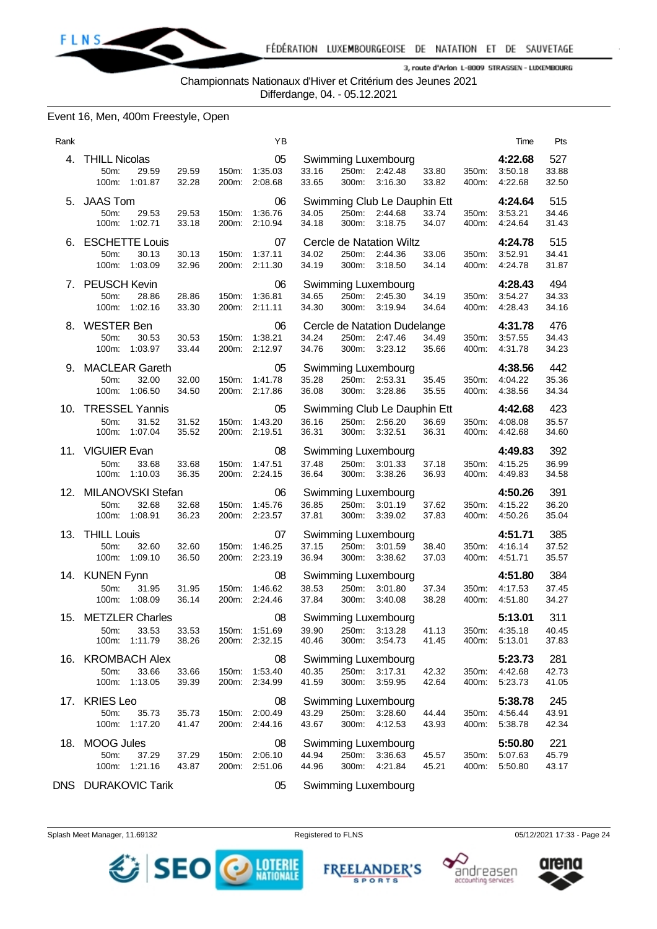

Championnats Nationaux d'Hiver et Critérium des Jeunes 2021

Differdange, 04. - 05.12.2021

## Event 16, Men, 400m Freestyle, Open

| Rank |                                                            |                |                | ΥB                                   |                |                |                                                                   |                |                | Time                                      | Pts                   |
|------|------------------------------------------------------------|----------------|----------------|--------------------------------------|----------------|----------------|-------------------------------------------------------------------|----------------|----------------|-------------------------------------------|-----------------------|
| 4.   | <b>THILL Nicolas</b><br>50m:<br>29.59<br>100m:<br>1:01.87  | 29.59<br>32.28 | 150m:<br>200m: | 05<br>1:35.03<br>2:08.68             | 33.16<br>33.65 | 250m:<br>300m: | Swimming Luxembourg<br>2:42.48<br>3:16.30                         | 33.80<br>33.82 | 350m:<br>400m: | 4:22.68<br>3:50.18<br>4:22.68             | 527<br>33.88<br>32.50 |
| 5.   | <b>JAAS Tom</b><br>50m:<br>29.53<br>100m:<br>1:02.71       | 29.53<br>33.18 | 150m:<br>200m: | 06<br>1:36.76<br>2:10.94             | 34.05<br>34.18 | 250m:<br>300m: | Swimming Club Le Dauphin Ett<br>2:44.68<br>3:18.75                | 33.74<br>34.07 | 350m:<br>400m: | 4:24.64<br>3:53.21<br>4:24.64             | 515<br>34.46<br>31.43 |
| 6.   | <b>ESCHETTE Louis</b><br>50m:<br>30.13<br>100m:<br>1:03.09 | 30.13<br>32.96 | 200m:          | 07<br>150m: 1:37.11<br>2:11.30       | 34.02<br>34.19 | 250m:<br>300m: | Cercle de Natation Wiltz<br>2:44.36<br>3:18.50                    | 33.06<br>34.14 | 350m:<br>400m: | 4:24.78<br>3:52.91<br>4:24.78             | 515<br>34.41<br>31.87 |
|      | 7. PEUSCH Kevin<br>50m:<br>28.86<br>100m:<br>1:02.16       | 28.86<br>33.30 | 150m:<br>200m: | 06<br>1:36.81<br>2:11.11             | 34.65<br>34.30 | 250m:<br>300m: | Swimming Luxembourg<br>2:45.30<br>3:19.94                         | 34.19<br>34.64 | 350m:<br>400m: | 4:28.43<br>3:54.27<br>4:28.43             | 494<br>34.33<br>34.16 |
| 8.   | <b>WESTER Ben</b><br>50m:<br>30.53<br>100m:<br>1:03.97     | 30.53<br>33.44 | 150m:<br>200m: | 06<br>1:38.21<br>2:12.97             | 34.24<br>34.76 | 250m:<br>300m: | Cercle de Natation Dudelange<br>2:47.46<br>3:23.12                | 34.49<br>35.66 | 350m:<br>400m: | 4:31.78<br>3:57.55<br>4:31.78             | 476<br>34.43<br>34.23 |
|      | 9. MACLEAR Gareth<br>50m:<br>32.00<br>100m:<br>1:06.50     | 32.00<br>34.50 | 150m:<br>200m: | 05<br>1:41.78<br>2:17.86             | 35.28<br>36.08 | 300m:          | Swimming Luxembourg<br>250m: 2:53.31<br>3:28.86                   | 35.45<br>35.55 | 350m:<br>400m: | 4:38.56<br>4:04.22<br>4:38.56             | 442<br>35.36<br>34.34 |
| 10.  | <b>TRESSEL Yannis</b><br>50m:<br>31.52<br>100m:<br>1:07.04 | 31.52<br>35.52 | 150m:<br>200m: | 05<br>1:43.20<br>2:19.51             | 36.16<br>36.31 | 250m:<br>300m: | Swimming Club Le Dauphin Ett<br>2:56.20<br>3:32.51                | 36.69<br>36.31 | 350m:<br>400m: | 4:42.68<br>4:08.08<br>4:42.68             | 423<br>35.57<br>34.60 |
|      | 11. VIGUIER Evan<br>50m:<br>33.68<br>100m:<br>1:10.03      | 33.68<br>36.35 | 150m:<br>200m: | 08<br>1:47.51<br>2:24.15             | 37.48<br>36.64 | 250m:<br>300m: | Swimming Luxembourg<br>3:01.33<br>3:38.26                         | 37.18<br>36.93 | 350m:<br>400m: | 4:49.83<br>4:15.25<br>4:49.83             | 392<br>36.99<br>34.58 |
| 12.  | MILANOVSKI Stefan<br>50m:<br>32.68<br>100m:<br>1:08.91     | 32.68<br>36.23 | 150m:<br>200m: | 06<br>1:45.76<br>2:23.57             | 36.85<br>37.81 | 250m:<br>300m: | Swimming Luxembourg<br>3.01.19<br>3:39.02                         | 37.62<br>37.83 | 350m:<br>400m: | 4:50.26<br>4:15.22<br>4:50.26             | 391<br>36.20<br>35.04 |
| 13.  | <b>THILL Louis</b><br>50m:<br>32.60<br>100m:<br>1:09.10    | 32.60<br>36.50 | 150m:          | 07<br>1:46.25<br>200m: 2:23.19       | 37.15<br>36.94 | 250m:<br>300m: | Swimming Luxembourg<br>3:01.59<br>3:38.62                         | 38.40<br>37.03 | 350m:<br>400m: | 4:51.71<br>4:16.14<br>4:51.71             | 385<br>37.52<br>35.57 |
|      | 14. KUNEN Fynn<br>50m:<br>31.95<br>100m:<br>1:08.09        | 31.95<br>36.14 | 150m:          | 08<br>1:46.62<br>200m: 2:24.46       | 38.53<br>37.84 | 250m:<br>300m: | Swimming Luxembourg<br>3:01.80<br>3:40.08                         | 37.34<br>38.28 | 350m:<br>400m: | 4:51.80<br>4:17.53<br>4:51.80             | 384<br>37.45<br>34.27 |
| 15.  | <b>METZLER Charles</b><br>50m: 33.53<br>100m: 1:11.79      | 33.53<br>38.26 |                | 08<br>150m: 1:51.69<br>200m: 2:32.15 | 40.46          |                | Swimming Luxembourg<br>39.90 250m: 3:13.28 41.13<br>300m: 3:54.73 | 41.45          |                | 5:13.01<br>350m: 4:35.18<br>400m: 5:13.01 | 311<br>40.45<br>37.83 |
|      | 16. KROMBACH Alex<br>33.66<br>50m:<br>100m: 1:13.05        | 33.66<br>39.39 |                | 08<br>150m: 1:53.40<br>200m: 2:34.99 | 40.35<br>41.59 |                | Swimming Luxembourg<br>250m: 3:17.31<br>300m: 3:59.95             | 42.32<br>42.64 | 400m:          | 5:23.73<br>350m: 4:42.68<br>5:23.73       | 281<br>42.73<br>41.05 |
|      | 17. KRIES Leo<br>50m:<br>35.73<br>100m: 1:17.20            | 35.73<br>41.47 |                | 08<br>150m: 2:00.49<br>200m: 2:44.16 | 43.29<br>43.67 |                | Swimming Luxembourg<br>250m: 3:28.60<br>300m: 4:12.53             | 44.44<br>43.93 | 350m:<br>400m: | 5:38.78<br>4:56.44<br>5:38.78             | 245<br>43.91<br>42.34 |
|      | 18. MOOG Jules<br>50m:<br>37.29<br>100m:<br>1:21.16        | 37.29<br>43.87 |                | 08<br>150m: 2:06.10<br>200m: 2:51.06 | 44.94<br>44.96 |                | Swimming Luxembourg<br>250m: 3:36.63<br>300m: 4:21.84             | 45.57<br>45.21 | 400m:          | 5:50.80<br>350m: 5:07.63<br>5:50.80       | 221<br>45.79<br>43.17 |
|      | DNS DURAKOVIC Tarik                                        |                |                | 05                                   |                |                | Swimming Luxembourg                                               |                |                |                                           |                       |

Splash Meet Manager, 11.69132 **Registered to FLNS** Registered to FLNS 05/12/2021 17:33 - Page 24



**FREEL ANDER'S SPORTS** 



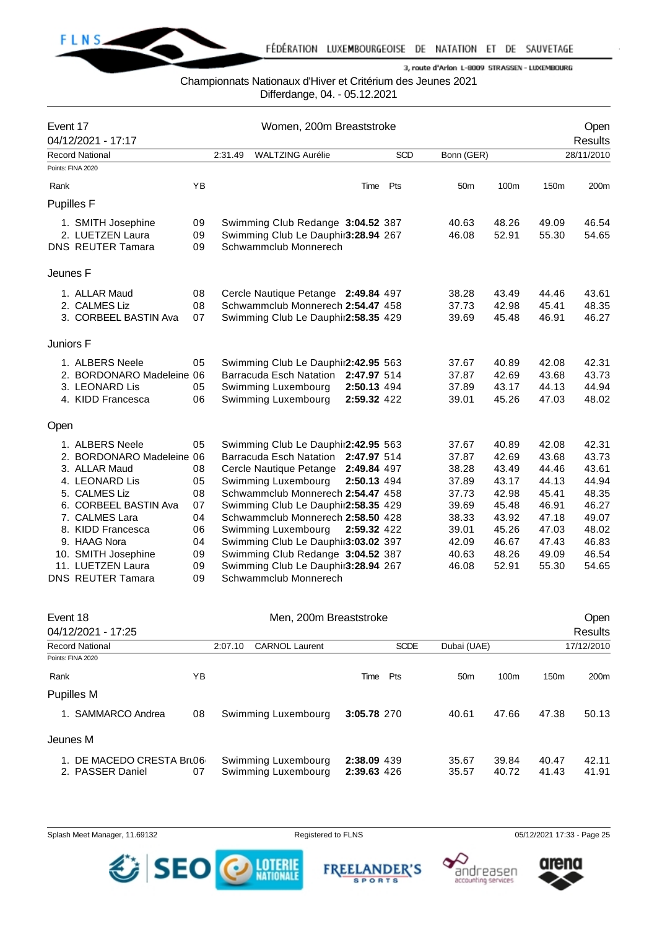

## Championnats Nationaux d'Hiver et Critérium des Jeunes 2021

Differdange, 04. - 05.12.2021

| Event 17          | 04/12/2021 - 17:17        |    |         | Women, 200m Breaststroke            |             |            |                 |       |       | Open<br><b>Results</b> |
|-------------------|---------------------------|----|---------|-------------------------------------|-------------|------------|-----------------|-------|-------|------------------------|
|                   | <b>Record National</b>    |    | 2:31.49 | <b>WALTZING Aurélie</b>             |             | <b>SCD</b> | Bonn (GER)      |       |       | 28/11/2010             |
|                   | Points: FINA 2020         |    |         |                                     |             |            |                 |       |       |                        |
| Rank              |                           | YB |         |                                     | Time        | Pts        | 50 <sub>m</sub> | 100m  | 150m  | 200m                   |
| <b>Pupilles F</b> |                           |    |         |                                     |             |            |                 |       |       |                        |
|                   | 1. SMITH Josephine        | 09 |         | Swimming Club Redange 3:04.52 387   |             |            | 40.63           | 48.26 | 49.09 | 46.54                  |
|                   | 2. LUETZEN Laura          | 09 |         | Swimming Club Le Dauphir3:28.94 267 |             |            | 46.08           | 52.91 | 55.30 | 54.65                  |
|                   | <b>DNS REUTER Tamara</b>  | 09 |         | Schwammclub Monnerech               |             |            |                 |       |       |                        |
| Jeunes F          |                           |    |         |                                     |             |            |                 |       |       |                        |
|                   | 1. ALLAR Maud             | 08 |         | Cercle Nautique Petange 2:49.84 497 |             |            | 38.28           | 43.49 | 44.46 | 43.61                  |
|                   | 2. CALMES Liz             | 08 |         | Schwammclub Monnerech 2:54.47 458   |             |            | 37.73           | 42.98 | 45.41 | 48.35                  |
|                   | 3. CORBEEL BASTIN Ava     | 07 |         | Swimming Club Le Dauphir2:58.35 429 |             |            | 39.69           | 45.48 | 46.91 | 46.27                  |
| Juniors F         |                           |    |         |                                     |             |            |                 |       |       |                        |
|                   | 1. ALBERS Neele           | 05 |         | Swimming Club Le Dauphir2:42.95 563 |             |            | 37.67           | 40.89 | 42.08 | 42.31                  |
|                   | 2. BORDONARO Madeleine 06 |    |         | Barracuda Esch Natation 2:47.97 514 |             |            | 37.87           | 42.69 | 43.68 | 43.73                  |
|                   | 3. LEONARD Lis            | 05 |         | Swimming Luxembourg                 | 2:50.13 494 |            | 37.89           | 43.17 | 44.13 | 44.94                  |
|                   | 4. KIDD Francesca         | 06 |         | Swimming Luxembourg                 | 2:59.32 422 |            | 39.01           | 45.26 | 47.03 | 48.02                  |
| Open              |                           |    |         |                                     |             |            |                 |       |       |                        |
|                   | 1. ALBERS Neele           | 05 |         | Swimming Club Le Dauphir2:42.95 563 |             |            | 37.67           | 40.89 | 42.08 | 42.31                  |
|                   | 2. BORDONARO Madeleine 06 |    |         | Barracuda Esch Natation 2:47.97 514 |             |            | 37.87           | 42.69 | 43.68 | 43.73                  |
|                   | 3. ALLAR Maud             | 08 |         | Cercle Nautique Petange 2:49.84 497 |             |            | 38.28           | 43.49 | 44.46 | 43.61                  |
|                   | 4. LEONARD Lis            | 05 |         | Swimming Luxembourg                 | 2:50.13 494 |            | 37.89           | 43.17 | 44.13 | 44.94                  |
|                   | 5. CALMES Liz             | 08 |         | Schwammclub Monnerech 2:54.47 458   |             |            | 37.73           | 42.98 | 45.41 | 48.35                  |
|                   | 6. CORBEEL BASTIN Ava     | 07 |         | Swimming Club Le Dauphir2:58.35 429 |             |            | 39.69           | 45.48 | 46.91 | 46.27                  |
|                   | 7. CALMES Lara            | 04 |         | Schwammclub Monnerech 2:58.50 428   |             |            | 38.33           | 43.92 | 47.18 | 49.07                  |
|                   | 8. KIDD Francesca         | 06 |         | Swimming Luxembourg                 | 2:59.32 422 |            | 39.01           | 45.26 | 47.03 | 48.02                  |
|                   | 9. HAAG Nora              | 04 |         | Swimming Club Le Dauphir3:03.02 397 |             |            | 42.09           | 46.67 | 47.43 | 46.83                  |
|                   | 10. SMITH Josephine       | 09 |         | Swimming Club Redange 3:04.52 387   |             |            | 40.63           | 48.26 | 49.09 | 46.54                  |
|                   | 11. LUETZEN Laura         | 09 |         | Swimming Club Le Dauphir3:28.94 267 |             |            | 46.08           | 52.91 | 55.30 | 54.65                  |
|                   | <b>DNS REUTER Tamara</b>  | 09 |         | Schwammclub Monnerech               |             |            |                 |       |       |                        |

| Event 18                                   |    | Men, 200m Breaststroke |                                            | <b>Open</b>                |             |                 |                |                  |                  |
|--------------------------------------------|----|------------------------|--------------------------------------------|----------------------------|-------------|-----------------|----------------|------------------|------------------|
| 04/12/2021 - 17:25                         |    |                        |                                            |                            |             |                 |                |                  | <b>Results</b>   |
| <b>Record National</b>                     |    | 2:07.10                | <b>CARNOL Laurent</b>                      |                            | <b>SCDE</b> | Dubai (UAE)     |                |                  | 17/12/2010       |
| Points: FINA 2020                          |    |                        |                                            |                            |             |                 |                |                  |                  |
| Rank                                       | ΥB |                        |                                            | Time                       | Pts         | 50 <sub>m</sub> | 100m           | 150 <sub>m</sub> | 200 <sub>m</sub> |
| Pupilles M                                 |    |                        |                                            |                            |             |                 |                |                  |                  |
| SAMMARCO Andrea                            | 08 |                        | Swimming Luxembourg                        | 3:05.78 270                |             | 40.61           | 47.66          | 47.38            | 50.13            |
| Jeunes M                                   |    |                        |                                            |                            |             |                 |                |                  |                  |
| DE MACEDO CRESTA Bru06<br>2. PASSER Daniel | 07 |                        | Swimming Luxembourg<br>Swimming Luxembourg | 2:38.09 439<br>2:39.63 426 |             | 35.67<br>35.57  | 39.84<br>40.72 | 40.47<br>41.43   | 42.11<br>41.91   |

Splash Meet Manager, 11.69132 **Registered to FLNS Registered to FLNS** 05/12/2021 17:33 - Page 25



**FREELANDER'S SPORTS** 



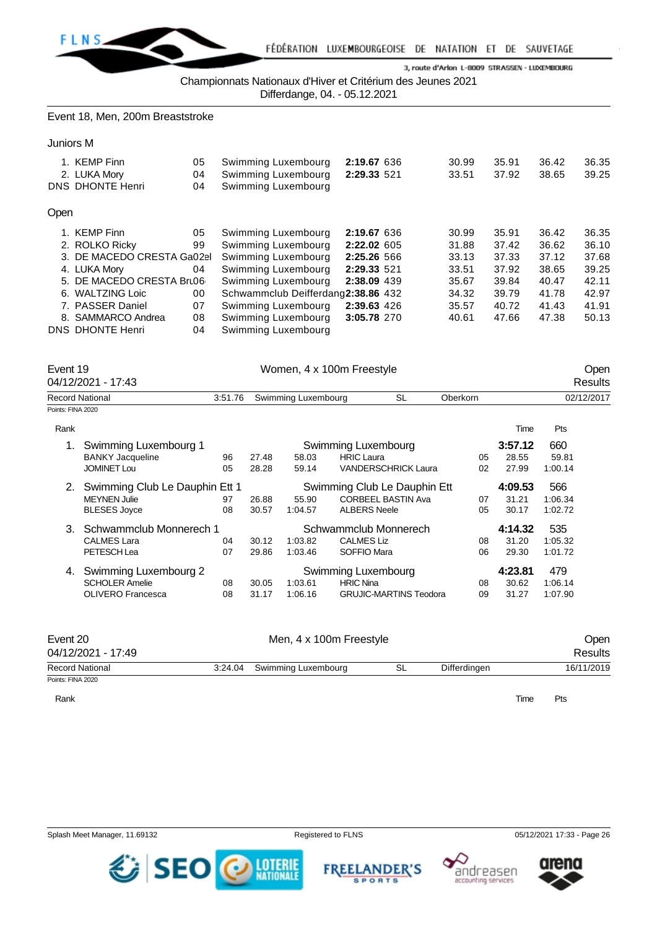

Championnats Nationaux d'Hiver et Critérium des Jeunes 2021

Differdange, 04. - 05.12.2021

Event 18, Men, 200m Breaststroke

Juniors M

|      | 1. KEMP Finn<br>2. LUKA Mory<br>DNS DHONTE Henri | 05<br>04<br>04 | Swimming Luxembourg<br>Swimming Luxembourg<br>Swimming Luxembourg | 2:19.67 636<br>2:29.33 521 | 30.99<br>33.51 | 35.91<br>37.92 | 36.42<br>38.65 | 36.35<br>39.25 |
|------|--------------------------------------------------|----------------|-------------------------------------------------------------------|----------------------------|----------------|----------------|----------------|----------------|
| Open |                                                  |                |                                                                   |                            |                |                |                |                |
|      | 1. KEMP Finn                                     | 05             | Swimming Luxembourg                                               | 2:19.67 636                | 30.99          | 35.91          | 36.42          | 36.35          |
|      | 2. ROLKO Ricky                                   | 99             | Swimming Luxembourg                                               | 2:22.02 605                | 31.88          | 37.42          | 36.62          | 36.10          |
|      | 3. DE MACEDO CRESTA Ga02el                       |                | Swimming Luxembourg                                               | 2:25.26 566                | 33.13          | 37.33          | 37.12          | 37.68          |
|      | 4. LUKA Mory                                     | 04             | Swimming Luxembourg                                               | 2:29.33 521                | 33.51          | 37.92          | 38.65          | 39.25          |
|      | 5. DE MACEDO CRESTA Bru06                        |                | Swimming Luxembourg                                               | 2:38.09 439                | 35.67          | 39.84          | 40.47          | 42.11          |
|      | 6. WALTZING Loic                                 | 00             | Schwammclub Deifferdang2:38.86 432                                |                            | 34.32          | 39.79          | 41.78          | 42.97          |
|      | 7. PASSER Daniel                                 | 07             | Swimming Luxembourg                                               | 2:39.63 426                | 35.57          | 40.72          | 41.43          | 41.91          |
|      | 8. SAMMARCO Andrea                               | 08             | Swimming Luxembourg                                               | 3:05.78 270                | 40.61          | 47.66          | 47.38          | 50.13          |
|      | DNS DHONTE Henri                                 | 04             | Swimming Luxembourg                                               |                            |                |                |                |                |

| Event 19          | 04/12/2021 - 17:43             |         | Women, 4 x 100m Freestyle |                     | Open<br>Results              |          |         |            |  |
|-------------------|--------------------------------|---------|---------------------------|---------------------|------------------------------|----------|---------|------------|--|
|                   | <b>Record National</b>         | 3:51.76 |                           | Swimming Luxembourg | <b>SL</b>                    | Oberkorn |         | 02/12/2017 |  |
| Points: FINA 2020 |                                |         |                           |                     |                              |          |         |            |  |
| Rank              |                                |         |                           |                     |                              |          | Time    | Pts        |  |
|                   | Swimming Luxembourg 1          |         |                           |                     | Swimming Luxembourg          |          | 3:57.12 | 660        |  |
|                   | <b>BANKY Jacqueline</b>        | 96      | 27.48                     | 58.03               | <b>HRIC Laura</b>            | 05       | 28.55   | 59.81      |  |
|                   | <b>JOMINET Lou</b>             | 05      | 28.28                     | 59.14               | <b>VANDERSCHRICK Laura</b>   | 02       | 27.99   | 1:00.14    |  |
| 2.                | Swimming Club Le Dauphin Ett 1 |         |                           |                     | Swimming Club Le Dauphin Ett |          | 4:09.53 | 566        |  |
|                   | <b>MEYNEN Julie</b>            | 97      | 26.88                     | 55.90               | <b>CORBEEL BASTIN Ava</b>    | 07       | 31.21   | 1:06.34    |  |
|                   | <b>BLESES Joyce</b>            | 08      | 30.57                     | 1:04.57             | <b>ALBERS Neele</b>          | 05       | 30.17   | 1:02.72    |  |
| 3.                | Schwammclub Monnerech 1        |         |                           |                     | Schwammclub Monnerech        |          | 4:14.32 | 535        |  |
|                   | <b>CALMES Lara</b>             | 04      | 30.12                     | 1:03.82             | <b>CALMES Liz</b>            | 08       | 31.20   | 1:05.32    |  |
|                   | PETESCH Lea                    | 07      | 29.86                     | 1:03.46             | SOFFIO Mara                  | 06       | 29.30   | 1:01.72    |  |
| 4.                | Swimming Luxembourg 2          |         |                           |                     | Swimming Luxembourg          |          | 4:23.81 | 479        |  |

| Event 20<br>04/12/2021 - 17:49 | Men, 4 x 100m Freestyle     |    |              | Open<br>Results |
|--------------------------------|-----------------------------|----|--------------|-----------------|
| <b>Record National</b>         | 3:24.04 Swimming Luxembourg | SL | Differdingen | 16/11/2019      |
| Points: FINA 2020              |                             |    |              |                 |

SCHOLER Amelie 08 30.05 1:03.61 HRIC Nina 08 30.62 1:06.14 OLIVERO Francesca 08 31.17 1:06.16 GRUJIC-MARTINS Teodora 09 31.27 1:07.90

Rank **Time Pts** 







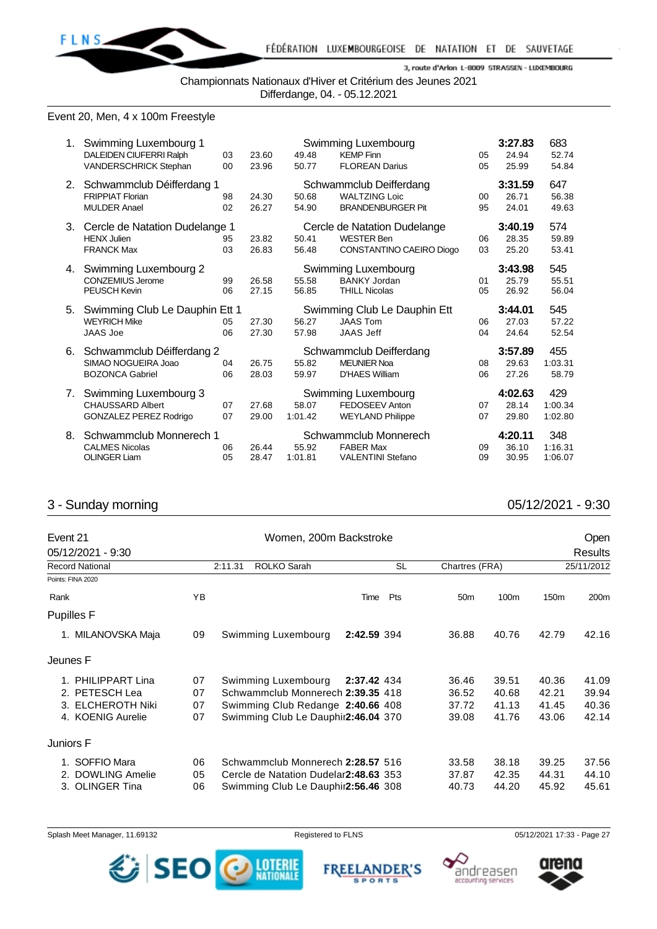

Championnats Nationaux d'Hiver et Critérium des Jeunes 2021 Differdange, 04. - 05.12.2021

Event 20, Men, 4 x 100m Freestyle

| 1. | Swimming Luxembourg 1<br>DALEIDEN CIUFERRI Ralph<br>VANDERSCHRICK Stephan         | 03<br>00 | 23.60<br>23.96 | 49.48<br>50.77   | Swimming Luxembourg<br><b>KEMP Finn</b><br><b>FLOREAN Darius</b>              | 05<br>05     | 3:27.83<br>24.94<br>25.99 | 683<br>52.74<br>54.84     |
|----|-----------------------------------------------------------------------------------|----------|----------------|------------------|-------------------------------------------------------------------------------|--------------|---------------------------|---------------------------|
| 2. | Schwammclub Déifferdang 1<br><b>FRIPPIAT Florian</b><br><b>MULDER Anael</b>       | 98<br>02 | 24.30<br>26.27 | 50.68<br>54.90   | Schwammclub Deifferdang<br><b>WALTZING Loic</b><br><b>BRANDENBURGER Pit</b>   | $00\,$<br>95 | 3:31.59<br>26.71<br>24.01 | 647<br>56.38<br>49.63     |
| 3. | Cercle de Natation Dudelange 1<br><b>HENX Julien</b><br><b>FRANCK Max</b>         | 95<br>03 | 23.82<br>26.83 | 50.41<br>56.48   | Cercle de Natation Dudelange<br><b>WESTER Ben</b><br>CONSTANTINO CAEIRO Diogo | 06<br>03     | 3:40.19<br>28.35<br>25.20 | 574<br>59.89<br>53.41     |
| 4. | Swimming Luxembourg 2<br><b>CONZEMIUS Jerome</b><br><b>PEUSCH Kevin</b>           | 99<br>06 | 26.58<br>27.15 | 55.58<br>56.85   | Swimming Luxembourg<br><b>BANKY Jordan</b><br><b>THILL Nicolas</b>            | 01<br>05     | 3:43.98<br>25.79<br>26.92 | 545<br>55.51<br>56.04     |
| 5. | Swimming Club Le Dauphin Ett 1<br><b>WEYRICH Mike</b><br><b>JAAS Joe</b>          | 05<br>06 | 27.30<br>27.30 | 56.27<br>57.98   | Swimming Club Le Dauphin Ett<br><b>JAAS Tom</b><br><b>JAAS Jeff</b>           | 06<br>04     | 3:44.01<br>27.03<br>24.64 | 545<br>57.22<br>52.54     |
| 6. | Schwammclub Déifferdang 2<br>SIMAO NOGUEIRA Joao<br><b>BOZONCA Gabriel</b>        | 04<br>06 | 26.75<br>28.03 | 55.82<br>59.97   | Schwammclub Deifferdang<br><b>MEUNIER Noa</b><br><b>D'HAES William</b>        | 08<br>06     | 3:57.89<br>29.63<br>27.26 | 455<br>1:03.31<br>58.79   |
| 7. | Swimming Luxembourg 3<br><b>CHAUSSARD Albert</b><br><b>GONZALEZ PEREZ Rodrigo</b> | 07<br>07 | 27.68<br>29.00 | 58.07<br>1:01.42 | Swimming Luxembourg<br>FEDOSEEV Anton<br><b>WEYLAND Philippe</b>              | 07<br>07     | 4:02.63<br>28.14<br>29.80 | 429<br>1:00.34<br>1:02.80 |
| 8. | Schwammclub Monnerech 1<br><b>CALMES Nicolas</b><br><b>OLINGER Liam</b>           | 06<br>05 | 26.44<br>28.47 | 55.92<br>1:01.81 | Schwammclub Monnerech<br><b>FABER Max</b><br><b>VALENTINI Stefano</b>         | 09<br>09     | 4:20.11<br>36.10<br>30.95 | 348<br>1:16.31<br>1:06.07 |

# 3 - Sunday morning 05/12/2021 - 9:30

| Event 21               |    | Women, 200m Backstroke                |             |           |                 |       |                  | <b>Open</b>      |
|------------------------|----|---------------------------------------|-------------|-----------|-----------------|-------|------------------|------------------|
| 05/12/2021 - 9:30      |    |                                       |             |           |                 |       |                  | <b>Results</b>   |
| <b>Record National</b> |    | ROLKO Sarah<br>2:11.31                |             | <b>SL</b> | Chartres (FRA)  |       |                  | 25/11/2012       |
| Points: FINA 2020      |    |                                       |             |           |                 |       |                  |                  |
| Rank                   | ΥB |                                       | Time        | Pts       | 50 <sub>m</sub> | 100m  | 150 <sub>m</sub> | 200 <sub>m</sub> |
| <b>Pupilles F</b>      |    |                                       |             |           |                 |       |                  |                  |
| 1. MILANOVSKA Maja     | 09 | Swimming Luxembourg                   | 2:42.59 394 |           | 36.88           | 40.76 | 42.79            | 42.16            |
| Jeunes F               |    |                                       |             |           |                 |       |                  |                  |
| 1. PHILIPPART Lina     | 07 | Swimming Luxembourg                   | 2:37.42 434 |           | 36.46           | 39.51 | 40.36            | 41.09            |
| 2. PETESCH Lea         | 07 | Schwammclub Monnerech 2:39.35 418     |             |           | 36.52           | 40.68 | 42.21            | 39.94            |
| 3. ELCHEROTH Niki      | 07 | Swimming Club Redange 2:40.66 408     |             |           | 37.72           | 41.13 | 41.45            | 40.36            |
| 4. KOENIG Aurelie      | 07 | Swimming Club Le Dauphir2:46.04 370   |             |           | 39.08           | 41.76 | 43.06            | 42.14            |
| Juniors F              |    |                                       |             |           |                 |       |                  |                  |
| 1. SOFFIO Mara         | 06 | Schwammclub Monnerech 2:28.57 516     |             |           | 33.58           | 38.18 | 39.25            | 37.56            |
| 2. DOWLING Amelie      | 05 | Cercle de Natation Dudelar2:48.63 353 |             |           | 37.87           | 42.35 | 44.31            | 44.10            |
| 3. OLINGER Tina        | 06 | Swimming Club Le Dauphir 2:56.46 308  |             |           | 40.73           | 44.20 | 45.92            | 45.61            |





**FREELANDER'S** 

**SPORTS** 



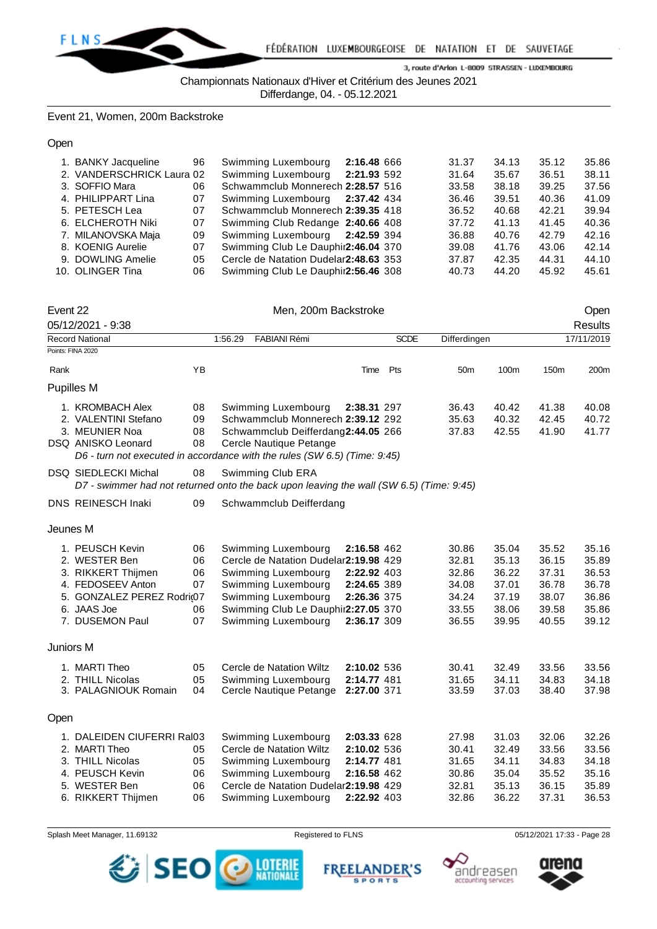

Championnats Nationaux d'Hiver et Critérium des Jeunes 2021

Differdange, 04. - 05.12.2021

Event 21, Women, 200m Backstroke

Open

| 34.13<br>31.37 | 35.12                                                       |                                                             |
|----------------|-------------------------------------------------------------|-------------------------------------------------------------|
|                |                                                             | 35.86                                                       |
| 31.64<br>35.67 | 36.51                                                       | 38.11                                                       |
| 33.58<br>38.18 | 39.25                                                       | 37.56                                                       |
|                | 40.36                                                       | 41.09                                                       |
|                | 42.21                                                       | 39.94                                                       |
|                | 41.45                                                       | 40.36                                                       |
|                | 42.79                                                       | 42.16                                                       |
|                | 43.06                                                       | 42.14                                                       |
|                | 44.31                                                       | 44.10                                                       |
|                | 45.92                                                       | 45.61                                                       |
|                | 36.46<br>36.52<br>37.72<br>36.88<br>39.08<br>37.87<br>40.73 | 39.51<br>40.68<br>41.13<br>40.76<br>41.76<br>42.35<br>44.20 |

| Event 22  |                                                                                                                                                               |                                  |         |                                                                                                                                                                                                 | Open                                                                    |             |                                                             |                                                             |                                                             |                                                             |
|-----------|---------------------------------------------------------------------------------------------------------------------------------------------------------------|----------------------------------|---------|-------------------------------------------------------------------------------------------------------------------------------------------------------------------------------------------------|-------------------------------------------------------------------------|-------------|-------------------------------------------------------------|-------------------------------------------------------------|-------------------------------------------------------------|-------------------------------------------------------------|
|           | 05/12/2021 - 9:38                                                                                                                                             |                                  |         |                                                                                                                                                                                                 |                                                                         |             |                                                             |                                                             |                                                             | <b>Results</b>                                              |
|           | Record National                                                                                                                                               |                                  | 1:56.29 | FABIANI Rémi                                                                                                                                                                                    |                                                                         | <b>SCDE</b> | Differdingen                                                |                                                             |                                                             | 17/11/2019                                                  |
|           | Points: FINA 2020                                                                                                                                             |                                  |         |                                                                                                                                                                                                 |                                                                         |             |                                                             |                                                             |                                                             |                                                             |
| Rank      |                                                                                                                                                               | YB                               |         |                                                                                                                                                                                                 | Time                                                                    | Pts         | 50 <sub>m</sub>                                             | 100m                                                        | 150 <sub>m</sub>                                            | 200m                                                        |
|           | Pupilles M                                                                                                                                                    |                                  |         |                                                                                                                                                                                                 |                                                                         |             |                                                             |                                                             |                                                             |                                                             |
|           | 1. KROMBACH Alex<br>2. VALENTINI Stefano<br>3. MEUNIER Noa<br>DSQ ANISKO Leonard<br>D6 - turn not executed in accordance with the rules (SW 6.5) (Time: 9:45) | 08<br>09<br>08<br>08             |         | Swimming Luxembourg<br>Schwammclub Monnerech 2:39.12 292<br>Schwammclub Deifferdang2:44.05 266<br>Cercle Nautique Petange                                                                       | 2:38.31 297                                                             |             | 36.43<br>35.63<br>37.83                                     | 40.42<br>40.32<br>42.55                                     | 41.38<br>42.45<br>41.90                                     | 40.08<br>40.72<br>41.77                                     |
|           | DSQ SIEDLECKI Michal<br>D7 - swimmer had not returned onto the back upon leaving the wall (SW 6.5) (Time: 9:45)                                               | 08                               |         | Swimming Club ERA                                                                                                                                                                               |                                                                         |             |                                                             |                                                             |                                                             |                                                             |
|           | DNS REINESCH Inaki                                                                                                                                            | 09                               |         | Schwammclub Deifferdang                                                                                                                                                                         |                                                                         |             |                                                             |                                                             |                                                             |                                                             |
| Jeunes M  |                                                                                                                                                               |                                  |         |                                                                                                                                                                                                 |                                                                         |             |                                                             |                                                             |                                                             |                                                             |
|           | 1. PEUSCH Kevin<br>2. WESTER Ben<br>3. RIKKERT Thijmen<br>4. FEDOSEEV Anton<br>5. GONZALEZ PEREZ Rodri@7<br>6. JAAS Joe<br>7. DUSEMON Paul                    | 06<br>06<br>06<br>07<br>06<br>07 |         | Swimming Luxembourg<br>Cercle de Natation Dudelar2:19.98 429<br>Swimming Luxembourg<br>Swimming Luxembourg<br>Swimming Luxembourg<br>Swimming Club Le Dauphir2:27.05 370<br>Swimming Luxembourg | 2:16.58 462<br>2:22.92 403<br>2:24.65 389<br>2:26.36 375<br>2:36.17 309 |             | 30.86<br>32.81<br>32.86<br>34.08<br>34.24<br>33.55<br>36.55 | 35.04<br>35.13<br>36.22<br>37.01<br>37.19<br>38.06<br>39.95 | 35.52<br>36.15<br>37.31<br>36.78<br>38.07<br>39.58<br>40.55 | 35.16<br>35.89<br>36.53<br>36.78<br>36.86<br>35.86<br>39.12 |
| Juniors M |                                                                                                                                                               |                                  |         |                                                                                                                                                                                                 |                                                                         |             |                                                             |                                                             |                                                             |                                                             |
|           | 1. MARTI Theo<br>2. THILL Nicolas<br>3. PALAGNIOUK Romain                                                                                                     | 05<br>05<br>04                   |         | Cercle de Natation Wiltz<br>Swimming Luxembourg<br>Cercle Nautique Petange                                                                                                                      | 2:10.02 536<br>2:14.77 481<br>2:27.00 371                               |             | 30.41<br>31.65<br>33.59                                     | 32.49<br>34.11<br>37.03                                     | 33.56<br>34.83<br>38.40                                     | 33.56<br>34.18<br>37.98                                     |
| Open      |                                                                                                                                                               |                                  |         |                                                                                                                                                                                                 |                                                                         |             |                                                             |                                                             |                                                             |                                                             |
|           | 1. DALEIDEN CIUFERRI Ral03<br>2. MARTI Theo<br>3. THILL Nicolas<br>4. PEUSCH Kevin<br>5. WESTER Ben<br>6. RIKKERT Thijmen                                     | 05<br>05<br>06<br>06<br>06       |         | Swimming Luxembourg<br>Cercle de Natation Wiltz<br>Swimming Luxembourg<br>Swimming Luxembourg<br>Cercle de Natation Dudelar2:19.98 429<br>Swimming Luxembourg                                   | 2:03.33 628<br>2:10.02 536<br>2:14.77 481<br>2:16.58 462<br>2:22.92 403 |             | 27.98<br>30.41<br>31.65<br>30.86<br>32.81<br>32.86          | 31.03<br>32.49<br>34.11<br>35.04<br>35.13<br>36.22          | 32.06<br>33.56<br>34.83<br>35.52<br>36.15<br>37.31          | 32.26<br>33.56<br>34.18<br>35.16<br>35.89<br>36.53          |









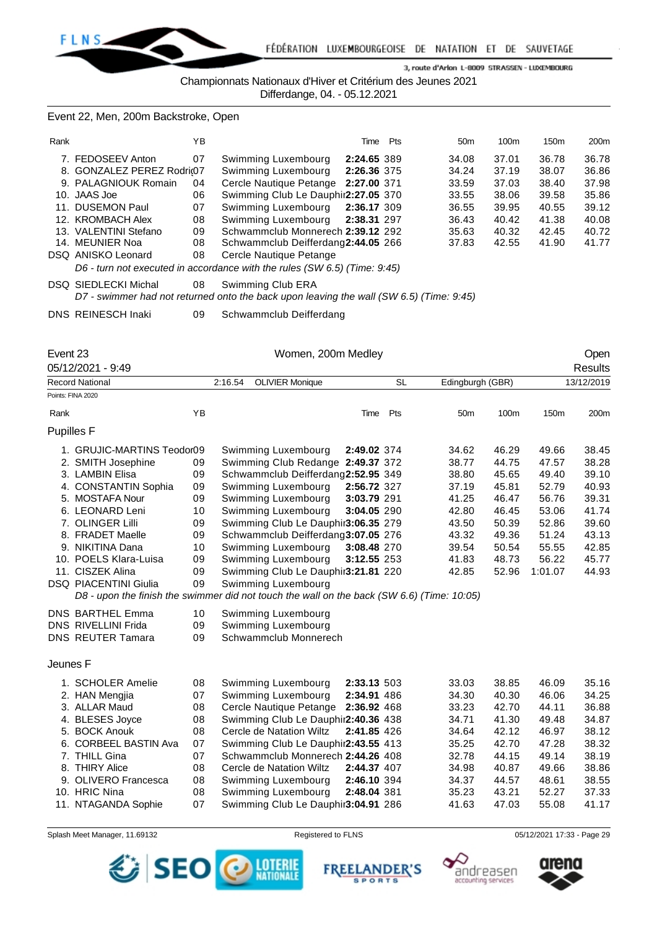

Championnats Nationaux d'Hiver et Critérium des Jeunes 2021

Differdange, 04. - 05.12.2021

Event 22, Men, 200m Backstroke, Open

| Rank |                           | YΒ |                                     | Time        | Pts | 50 <sub>m</sub> | 100 <sub>m</sub> | 150 <sub>m</sub> | 200m  |
|------|---------------------------|----|-------------------------------------|-------------|-----|-----------------|------------------|------------------|-------|
|      | 7. FEDOSEEV Anton         | 07 | Swimming Luxembourg                 | 2:24.65 389 |     | 34.08           | 37.01            | 36.78            | 36.78 |
|      | 8. GONZALEZ PEREZ Rodri@7 |    | Swimming Luxembourg                 | 2:26.36 375 |     | 34.24           | 37.19            | 38.07            | 36.86 |
|      | 9. PALAGNIOUK Romain      | 04 | Cercle Nautique Petange 2:27.00 371 |             |     | 33.59           | 37.03            | 38.40            | 37.98 |
|      | 10. JAAS Joe              | 06 | Swimming Club Le Dauphir2:27.05 370 |             |     | 33.55           | 38.06            | 39.58            | 35.86 |
|      | 11. DUSEMON Paul          | 07 | Swimming Luxembourg 2:36.17 309     |             |     | 36.55           | 39.95            | 40.55            | 39.12 |
|      | 12. KROMBACH Alex         | 08 | Swimming Luxembourg 2:38.31 297     |             |     | 36.43           | 40.42            | 41.38            | 40.08 |
|      | 13. VALENTINI Stefano     | 09 | Schwammclub Monnerech 2:39.12 292   |             |     | 35.63           | 40.32            | 42.45            | 40.72 |
|      | 14. MEUNIER Noa           | 08 | Schwammclub Deifferdang2:44.05 266  |             |     | 37.83           | 42.55            | 41.90            | 41.77 |
|      | DSQ ANISKO Leonard        | 08 | Cercle Nautique Petange             |             |     |                 |                  |                  |       |
|      |                           |    |                                     |             |     |                 |                  |                  |       |

*D6 - turn not executed in accordance with the rules (SW 6.5) (Time: 9:45)*

DSQ SIEDLECKI Michal 08 Swimming Club ERA

*D7 - swimmer had not returned onto the back upon leaving the wall (SW 6.5) (Time: 9:45)*

DNS REINESCH Inaki 09 Schwammclub Deifferdang

Event 23 Channel Communication Communication Communication Communication Communication Communication Communication Communication Communication Communication Communication Communication Communication Communication Communica

|                   | 05/12/2021 - 9:49                                                                          |    |         |                                     |             |           |                 |                  |         | Results    |
|-------------------|--------------------------------------------------------------------------------------------|----|---------|-------------------------------------|-------------|-----------|-----------------|------------------|---------|------------|
|                   | <b>Record National</b>                                                                     |    | 2:16.54 | <b>OLIVIER Monique</b>              |             | <b>SL</b> |                 | Edingburgh (GBR) |         | 13/12/2019 |
|                   | Points: FINA 2020                                                                          |    |         |                                     |             |           |                 |                  |         |            |
| Rank              |                                                                                            | YB |         |                                     | Time        | Pts       | 50 <sub>m</sub> | 100m             | 150m    | 200m       |
| <b>Pupilles F</b> |                                                                                            |    |         |                                     |             |           |                 |                  |         |            |
|                   | 1. GRUJIC-MARTINS Teodor09                                                                 |    |         | Swimming Luxembourg                 | 2:49.02 374 |           | 34.62           | 46.29            | 49.66   | 38.45      |
|                   | 2. SMITH Josephine                                                                         | 09 |         | Swimming Club Redange 2:49.37 372   |             |           | 38.77           | 44.75            | 47.57   | 38.28      |
|                   | 3. LAMBIN Elisa                                                                            | 09 |         | Schwammclub Deifferdang2:52.95 349  |             |           | 38.80           | 45.65            | 49.40   | 39.10      |
|                   | 4. CONSTANTIN Sophia                                                                       | 09 |         | Swimming Luxembourg                 | 2:56.72 327 |           | 37.19           | 45.81            | 52.79   | 40.93      |
|                   | 5. MOSTAFA Nour                                                                            | 09 |         | Swimming Luxembourg                 | 3:03.79 291 |           | 41.25           | 46.47            | 56.76   | 39.31      |
|                   | 6. LEONARD Leni                                                                            | 10 |         | Swimming Luxembourg                 | 3:04.05 290 |           | 42.80           | 46.45            | 53.06   | 41.74      |
|                   | 7. OLINGER Lilli                                                                           | 09 |         | Swimming Club Le Dauphir3:06.35 279 |             |           | 43.50           | 50.39            | 52.86   | 39.60      |
|                   | 8. FRADET Maelle                                                                           | 09 |         | Schwammclub Deifferdang3:07.05 276  |             |           | 43.32           | 49.36            | 51.24   | 43.13      |
|                   | 9. NIKITINA Dana                                                                           | 10 |         | Swimming Luxembourg                 | 3:08.48 270 |           | 39.54           | 50.54            | 55.55   | 42.85      |
|                   | 10. POELS Klara-Luisa                                                                      | 09 |         | Swimming Luxembourg                 | 3:12.55 253 |           | 41.83           | 48.73            | 56.22   | 45.77      |
|                   | 11. CISZEK Alina                                                                           | 09 |         | Swimming Club Le Dauphir3:21.81 220 |             |           | 42.85           | 52.96            | 1:01.07 | 44.93      |
|                   | <b>DSQ PIACENTINI Giulia</b>                                                               | 09 |         | Swimming Luxembourg                 |             |           |                 |                  |         |            |
|                   | D8 - upon the finish the swimmer did not touch the wall on the back (SW 6.6) (Time: 10:05) |    |         |                                     |             |           |                 |                  |         |            |
|                   | DNS BARTHEL Emma                                                                           | 10 |         | Swimming Luxembourg                 |             |           |                 |                  |         |            |
|                   | <b>DNS RIVELLINI Frida</b>                                                                 | 09 |         | Swimming Luxembourg                 |             |           |                 |                  |         |            |
|                   | <b>DNS REUTER Tamara</b>                                                                   | 09 |         | Schwammclub Monnerech               |             |           |                 |                  |         |            |
| Jeunes F          |                                                                                            |    |         |                                     |             |           |                 |                  |         |            |
|                   | 1. SCHOLER Amelie                                                                          | 08 |         | Swimming Luxembourg                 | 2:33.13 503 |           | 33.03           | 38.85            | 46.09   | 35.16      |
|                   | 2. HAN Mengjia                                                                             | 07 |         | Swimming Luxembourg                 | 2:34.91 486 |           | 34.30           | 40.30            | 46.06   | 34.25      |
|                   | 3. ALLAR Maud                                                                              | 08 |         | Cercle Nautique Petange             | 2:36.92 468 |           | 33.23           | 42.70            | 44.11   | 36.88      |
|                   | 4. BLESES Joyce                                                                            | 08 |         | Swimming Club Le Dauphir2:40.36 438 |             |           | 34.71           | 41.30            | 49.48   | 34.87      |
|                   | 5. BOCK Anouk                                                                              | 08 |         | Cercle de Natation Wiltz            | 2:41.85 426 |           | 34.64           | 42.12            | 46.97   | 38.12      |
|                   | 6. CORBEEL BASTIN Ava                                                                      | 07 |         | Swimming Club Le Dauphir2:43.55 413 |             |           | 35.25           | 42.70            | 47.28   | 38.32      |
|                   | 7. THILL Gina                                                                              | 07 |         | Schwammclub Monnerech 2:44.26 408   |             |           | 32.78           | 44.15            | 49.14   | 38.19      |
|                   | 8. THIRY Alice                                                                             | 08 |         | Cercle de Natation Wiltz            | 2:44.37 407 |           | 34.98           | 40.87            | 49.66   | 38.86      |
|                   | 9. OLIVERO Francesca                                                                       | 08 |         | Swimming Luxembourg                 | 2:46.10 394 |           | 34.37           | 44.57            | 48.61   | 38.55      |
|                   | 10. HRIC Nina                                                                              | 08 |         | Swimming Luxembourg                 | 2:48.04 381 |           | 35.23           | 43.21            | 52.27   | 37.33      |
|                   | 11. NTAGANDA Sophie                                                                        | 07 |         | Swimming Club Le Dauphir3:04.91 286 |             |           | 41.63           | 47.03            | 55.08   | 41.17      |

Splash Meet Manager, 11.69132 **Registered to FLNS Registered to FLNS** 05/12/2021 17:33 - Page 29



**FREEI ANDER'S** 

**SPORTS** 



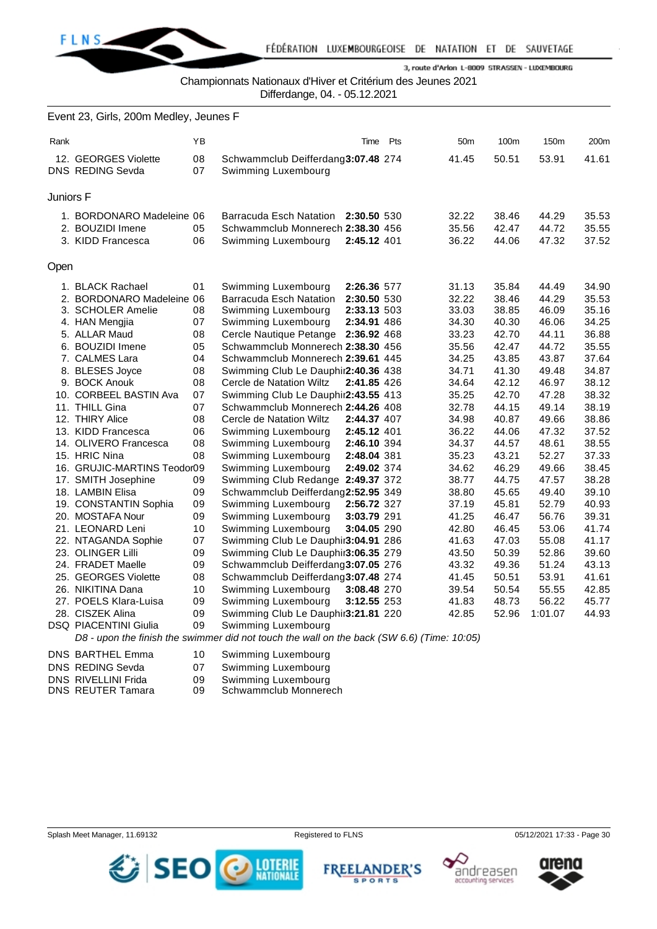

Championnats Nationaux d'Hiver et Critérium des Jeunes 2021

Differdange, 04. - 05.12.2021

|           | Event 23, Girls, 200m Medley, Jeunes F          |          |                                                                                            |             |     |                 |                |                |                |
|-----------|-------------------------------------------------|----------|--------------------------------------------------------------------------------------------|-------------|-----|-----------------|----------------|----------------|----------------|
| Rank      |                                                 | ΥB       |                                                                                            | Time        | Pts | 50 <sub>m</sub> | 100m           | 150m           | 200m           |
|           | 12. GEORGES Violette<br><b>DNS REDING Sevda</b> | 08<br>07 | Schwammclub Deifferdang3:07.48 274<br>Swimming Luxembourg                                  |             |     | 41.45           | 50.51          | 53.91          | 41.61          |
| Juniors F |                                                 |          |                                                                                            |             |     |                 |                |                |                |
|           | 1. BORDONARO Madeleine 06                       |          | Barracuda Esch Natation                                                                    | 2:30.50 530 |     | 32.22           | 38.46          | 44.29          | 35.53          |
|           | 2. BOUZIDI Imene<br>3. KIDD Francesca           | 05<br>06 | Schwammclub Monnerech 2:38.30 456<br>Swimming Luxembourg                                   | 2:45.12 401 |     | 35.56<br>36.22  | 42.47<br>44.06 | 44.72<br>47.32 | 35.55<br>37.52 |
| Open      |                                                 |          |                                                                                            |             |     |                 |                |                |                |
|           | 1. BLACK Rachael                                | 01       | Swimming Luxembourg                                                                        | 2:26.36 577 |     | 31.13           | 35.84          | 44.49          | 34.90          |
|           | 2. BORDONARO Madeleine 06                       |          | Barracuda Esch Natation                                                                    | 2:30.50 530 |     | 32.22           | 38.46          | 44.29          | 35.53          |
|           | 3. SCHOLER Amelie                               | 08       | Swimming Luxembourg                                                                        | 2:33.13 503 |     | 33.03           | 38.85          | 46.09          | 35.16          |
|           | 4. HAN Mengjia                                  | 07       | Swimming Luxembourg                                                                        | 2:34.91 486 |     | 34.30           | 40.30          | 46.06          | 34.25          |
|           | 5. ALLAR Maud                                   | 08       | Cercle Nautique Petange 2:36.92 468                                                        |             |     | 33.23           | 42.70          | 44.11          | 36.88          |
|           | 6. BOUZIDI Imene                                | 05       | Schwammclub Monnerech 2:38.30 456                                                          |             |     | 35.56           | 42.47          | 44.72          | 35.55          |
|           | 7. CALMES Lara                                  | 04       | Schwammclub Monnerech 2:39.61 445                                                          |             |     | 34.25           | 43.85          | 43.87          | 37.64          |
|           | 8. BLESES Joyce                                 | 08       | Swimming Club Le Dauphir2:40.36 438                                                        |             |     | 34.71           | 41.30          | 49.48          | 34.87          |
|           | 9. BOCK Anouk                                   | 08       | Cercle de Natation Wiltz                                                                   | 2:41.85 426 |     | 34.64           | 42.12          | 46.97          | 38.12          |
|           | 10. CORBEEL BASTIN Ava                          | 07       | Swimming Club Le Dauphir2:43.55 413                                                        |             |     | 35.25           | 42.70          | 47.28          | 38.32          |
|           | 11. THILL Gina                                  | 07       | Schwammclub Monnerech 2:44.26 408                                                          |             |     | 32.78           | 44.15          | 49.14          | 38.19          |
|           | 12. THIRY Alice                                 | 08       | Cercle de Natation Wiltz                                                                   | 2:44.37 407 |     | 34.98           | 40.87          | 49.66          | 38.86          |
|           | 13. KIDD Francesca                              | 06       | Swimming Luxembourg                                                                        | 2:45.12 401 |     | 36.22           | 44.06          | 47.32          | 37.52          |
|           | 14. OLIVERO Francesca                           | 08       | Swimming Luxembourg                                                                        | 2:46.10 394 |     | 34.37           | 44.57          | 48.61          | 38.55          |
|           | 15. HRIC Nina                                   | 08       | Swimming Luxembourg                                                                        | 2:48.04 381 |     | 35.23           | 43.21          | 52.27          | 37.33          |
|           | 16. GRUJIC-MARTINS Teodor09                     |          | Swimming Luxembourg                                                                        | 2:49.02 374 |     | 34.62           | 46.29          | 49.66          | 38.45          |
|           | 17. SMITH Josephine                             | 09       | Swimming Club Redange 2:49.37 372                                                          |             |     | 38.77           | 44.75          | 47.57          | 38.28          |
|           | 18. LAMBIN Elisa                                | 09       | Schwammclub Deifferdang2:52.95 349                                                         |             |     | 38.80           | 45.65          | 49.40          | 39.10          |
|           | 19. CONSTANTIN Sophia                           | 09       | Swimming Luxembourg                                                                        | 2:56.72 327 |     | 37.19           | 45.81          | 52.79          | 40.93          |
|           | 20. MOSTAFA Nour                                | 09       | Swimming Luxembourg                                                                        | 3:03.79 291 |     | 41.25           | 46.47          | 56.76          | 39.31          |
|           | 21. LEONARD Leni                                | 10       | Swimming Luxembourg                                                                        | 3:04.05 290 |     | 42.80           | 46.45          | 53.06          | 41.74          |
|           | 22. NTAGANDA Sophie                             | 07       | Swimming Club Le Dauphir3:04.91 286                                                        |             |     | 41.63           | 47.03          | 55.08          | 41.17          |
|           | 23. OLINGER Lilli                               | 09       | Swimming Club Le Dauphir3:06.35 279                                                        |             |     | 43.50           | 50.39          | 52.86          | 39.60          |
|           | 24. FRADET Maelle                               | 09       | Schwammclub Deifferdang3:07.05 276                                                         |             |     | 43.32           | 49.36          | 51.24          | 43.13          |
|           | 25. GEORGES Violette                            | 08       | Schwammclub Deifferdang3:07.48 274                                                         |             |     | 41.45           | 50.51          | 53.91          | 41.61          |
|           | 26. NIKITINA Dana                               | 10       | Swimming Luxembourg                                                                        | 3:08.48 270 |     | 39.54           | 50.54          | 55.55          | 42.85          |
|           | 27. POELS Klara-Luisa                           | 09       | Swimming Luxembourg                                                                        | 3:12.55 253 |     | 41.83           | 48.73          | 56.22          | 45.77          |
|           | 28. CISZEK Alina                                | 09       | Swimming Club Le Dauphir3:21.81 220                                                        |             |     | 42.85           | 52.96          | 1:01.07        | 44.93          |
|           | <b>DSQ PIACENTINI Giulia</b>                    | 09       | Swimming Luxembourg                                                                        |             |     |                 |                |                |                |
|           |                                                 |          | D8 - upon the finish the swimmer did not touch the wall on the back (SW 6.6) (Time: 10:05) |             |     |                 |                |                |                |
|           | DNS BARTHEL Emma                                | 10       | Swimming Luxembourg                                                                        |             |     |                 |                |                |                |

- 
- DNS REDING Sevda 07 Swimming Luxembourg<br>
DNS RIVELLINI Frida 09 Swimming Luxembourg
- DNS RIVELLINI Frida 09 Swimming Luxembourg<br>DNS REUTER Tamara 09 Schwammclub Monnere Schwammclub Monnerech







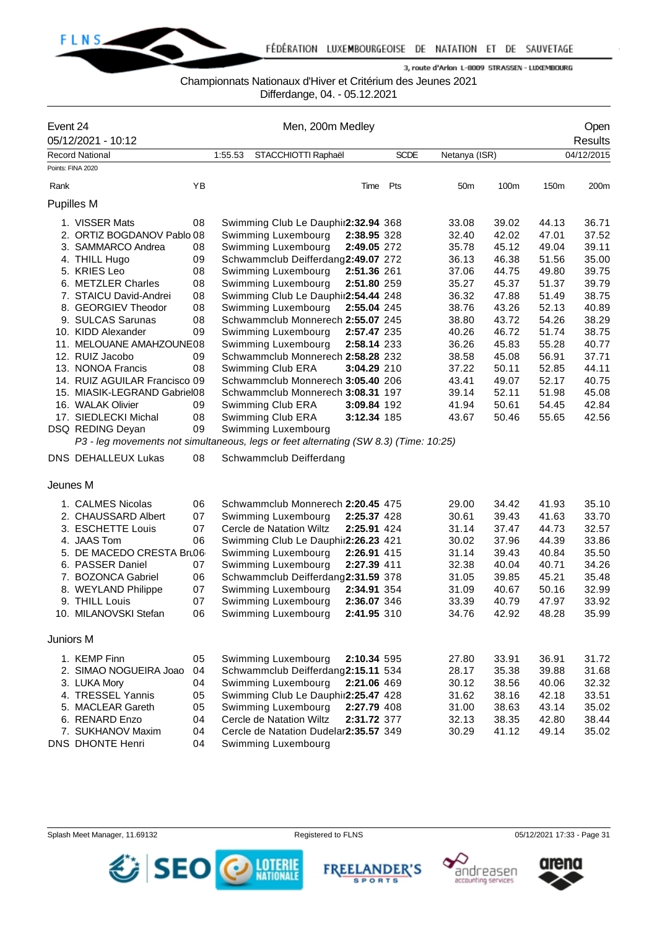

## Championnats Nationaux d'Hiver et Critérium des Jeunes 2021

Differdange, 04. - 05.12.2021

| Event 24  |                                                                                      |    |         |                                       | Open        |             |                 |       |       |                |
|-----------|--------------------------------------------------------------------------------------|----|---------|---------------------------------------|-------------|-------------|-----------------|-------|-------|----------------|
|           | 05/12/2021 - 10:12                                                                   |    |         | Men, 200m Medley                      |             |             |                 |       |       | <b>Results</b> |
|           | <b>Record National</b>                                                               |    | 1:55.53 | STACCHIOTTI Raphaël                   |             | <b>SCDE</b> | Netanya (ISR)   |       |       | 04/12/2015     |
|           | Points: FINA 2020                                                                    |    |         |                                       |             |             |                 |       |       |                |
| Rank      |                                                                                      | YB |         |                                       | Time        | Pts         | 50 <sub>m</sub> | 100m  | 150m  | 200m           |
|           | Pupilles M                                                                           |    |         |                                       |             |             |                 |       |       |                |
|           | 1. VISSER Mats                                                                       | 08 |         | Swimming Club Le Dauphir2:32.94 368   |             |             | 33.08           | 39.02 | 44.13 | 36.71          |
|           | 2. ORTIZ BOGDANOV Pablo 08                                                           |    |         | Swimming Luxembourg                   | 2:38.95 328 |             | 32.40           | 42.02 | 47.01 | 37.52          |
|           | 3. SAMMARCO Andrea                                                                   | 08 |         | Swimming Luxembourg                   | 2:49.05 272 |             | 35.78           | 45.12 | 49.04 | 39.11          |
|           | 4. THILL Hugo                                                                        | 09 |         | Schwammclub Deifferdang2:49.07 272    |             |             | 36.13           | 46.38 | 51.56 | 35.00          |
|           | 5. KRIES Leo                                                                         | 08 |         | Swimming Luxembourg                   | 2:51.36 261 |             | 37.06           | 44.75 | 49.80 | 39.75          |
|           | 6. METZLER Charles                                                                   | 08 |         | Swimming Luxembourg                   | 2:51.80 259 |             | 35.27           | 45.37 | 51.37 | 39.79          |
|           | 7. STAICU David-Andrei                                                               | 08 |         | Swimming Club Le Dauphir2:54.44 248   |             |             | 36.32           | 47.88 | 51.49 | 38.75          |
|           | 8. GEORGIEV Theodor                                                                  | 08 |         | Swimming Luxembourg                   | 2:55.04 245 |             | 38.76           | 43.26 | 52.13 | 40.89          |
|           | 9. SULCAS Sarunas                                                                    | 08 |         | Schwammclub Monnerech 2:55.07 245     |             |             | 38.80           | 43.72 | 54.26 | 38.29          |
|           | 10. KIDD Alexander                                                                   | 09 |         | Swimming Luxembourg                   | 2:57.47 235 |             | 40.26           | 46.72 | 51.74 | 38.75          |
|           | 11. MELOUANE AMAHZOUNE08                                                             |    |         | Swimming Luxembourg                   | 2:58.14 233 |             | 36.26           | 45.83 | 55.28 | 40.77          |
|           | 12. RUIZ Jacobo                                                                      | 09 |         | Schwammclub Monnerech 2:58.28 232     |             |             | 38.58           | 45.08 | 56.91 | 37.71          |
|           | 13. NONOA Francis                                                                    | 08 |         | Swimming Club ERA                     | 3:04.29 210 |             | 37.22           | 50.11 | 52.85 | 44.11          |
|           | 14. RUIZ AGUILAR Francisco 09                                                        |    |         | Schwammclub Monnerech 3:05.40 206     |             |             | 43.41           | 49.07 | 52.17 | 40.75          |
|           | 15. MIASIK-LEGRAND Gabriel08                                                         |    |         | Schwammclub Monnerech 3:08.31 197     |             |             | 39.14           | 52.11 | 51.98 | 45.08          |
|           | 16. WALAK Olivier                                                                    | 09 |         | Swimming Club ERA                     | 3:09.84 192 |             | 41.94           | 50.61 | 54.45 | 42.84          |
|           | 17. SIEDLECKI Michal                                                                 | 08 |         | Swimming Club ERA                     | 3:12.34 185 |             | 43.67           | 50.46 | 55.65 | 42.56          |
|           | DSQ REDING Deyan                                                                     | 09 |         | Swimming Luxembourg                   |             |             |                 |       |       |                |
|           | P3 - leg movements not simultaneous, legs or feet alternating (SW 8.3) (Time: 10:25) |    |         |                                       |             |             |                 |       |       |                |
|           | <b>DNS DEHALLEUX Lukas</b>                                                           | 08 |         | Schwammclub Deifferdang               |             |             |                 |       |       |                |
| Jeunes M  |                                                                                      |    |         |                                       |             |             |                 |       |       |                |
|           | 1. CALMES Nicolas                                                                    | 06 |         | Schwammclub Monnerech 2:20.45 475     |             |             | 29.00           | 34.42 | 41.93 | 35.10          |
|           | 2. CHAUSSARD Albert                                                                  | 07 |         | Swimming Luxembourg                   | 2:25.37 428 |             | 30.61           | 39.43 | 41.63 | 33.70          |
|           | 3. ESCHETTE Louis                                                                    | 07 |         | Cercle de Natation Wiltz              | 2:25.91 424 |             | 31.14           | 37.47 | 44.73 | 32.57          |
|           | 4. JAAS Tom                                                                          | 06 |         | Swimming Club Le Dauphir2:26.23 421   |             |             | 30.02           | 37.96 | 44.39 | 33.86          |
|           | 5. DE MACEDO CRESTA Bru06                                                            |    |         | Swimming Luxembourg                   | 2:26.91 415 |             | 31.14           | 39.43 | 40.84 | 35.50          |
|           | 6. PASSER Daniel                                                                     | 07 |         | Swimming Luxembourg                   | 2:27.39 411 |             | 32.38           | 40.04 | 40.71 | 34.26          |
|           | 7. BOZONCA Gabriel                                                                   | 06 |         | Schwammclub Deifferdang2:31.59 378    |             |             | 31.05           | 39.85 | 45.21 | 35.48          |
|           | 8. WEYLAND Philippe                                                                  | 07 |         | Swimming Luxembourg                   | 2:34.91 354 |             | 31.09           | 40.67 | 50.16 | 32.99          |
|           | 9. THILL Louis                                                                       | 07 |         | Swimming Luxembourg                   | 2:36.07 346 |             | 33.39           | 40.79 | 47.97 | 33.92          |
|           | 10. MILANOVSKI Stefan                                                                | 06 |         | Swimming Luxembourg                   | 2:41.95 310 |             | 34.76           | 42.92 | 48.28 | 35.99          |
| Juniors M |                                                                                      |    |         |                                       |             |             |                 |       |       |                |
|           | 1. KEMP Finn                                                                         | 05 |         | Swimming Luxembourg                   | 2:10.34 595 |             | 27.80           | 33.91 | 36.91 | 31.72          |
|           | 2. SIMAO NOGUEIRA Joao                                                               | 04 |         | Schwammclub Deifferdang2:15.11 534    |             |             | 28.17           | 35.38 | 39.88 | 31.68          |
|           | 3. LUKA Mory                                                                         | 04 |         | Swimming Luxembourg                   | 2:21.06 469 |             | 30.12           | 38.56 | 40.06 | 32.32          |
|           | 4. TRESSEL Yannis                                                                    | 05 |         | Swimming Club Le Dauphir2:25.47 428   |             |             | 31.62           | 38.16 | 42.18 | 33.51          |
|           | 5. MACLEAR Gareth                                                                    | 05 |         | Swimming Luxembourg                   | 2:27.79 408 |             | 31.00           | 38.63 | 43.14 | 35.02          |
|           | 6. RENARD Enzo                                                                       | 04 |         | Cercle de Natation Wiltz              | 2:31.72 377 |             | 32.13           | 38.35 | 42.80 | 38.44          |
|           | 7. SUKHANOV Maxim                                                                    | 04 |         | Cercle de Natation Dudelar2:35.57 349 |             |             | 30.29           | 41.12 | 49.14 | 35.02          |
|           | DNS DHONTE Henri                                                                     | 04 |         | Swimming Luxembourg                   |             |             |                 |       |       |                |







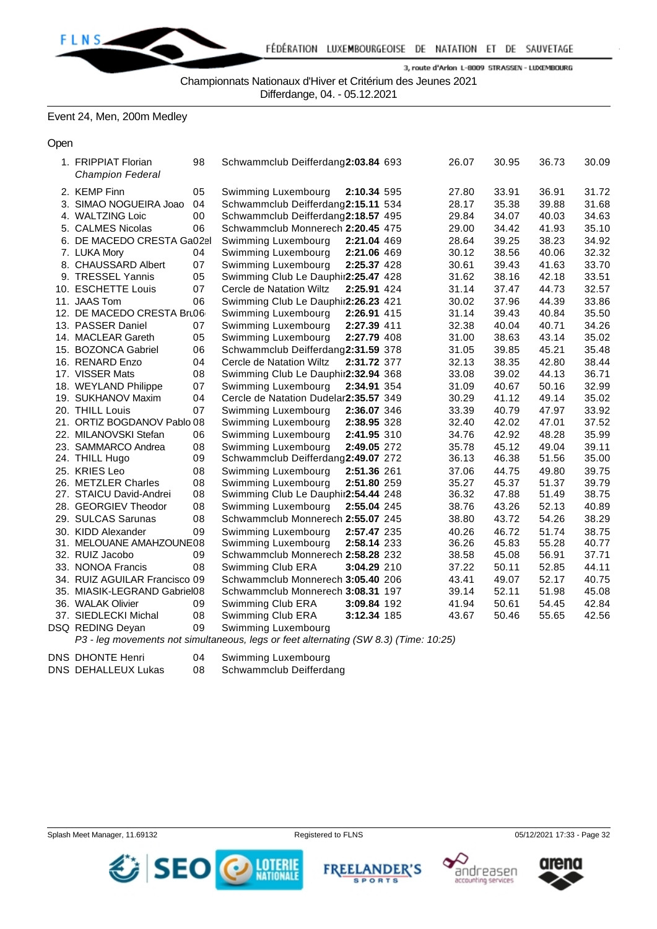

Championnats Nationaux d'Hiver et Critérium des Jeunes 2021

Differdange, 04. - 05.12.2021

Event 24, Men, 200m Medley

**Open** 

1. FRIPPIAT Florian 98 Schwammclub Deifferdang**2:03.84** 693 26.07 30.95 36.73 30.09 *Champion Federal* 2. KEMP Finn 05 Swimming Luxembourg **2:10.34** 595 27.80 33.91 36.91 31.72 3. SIMAO NOGUEIRA Joao 04 Schwammclub Deifferdang**2:15.11** 534 28.17 35.38 39.88 31.68 4. WALTZING Loic 00 Schwammclub Deifferdang**2:18.57** 495 29.84 34.07 40.03 34.63 5. CALMES Nicolas 06 Schwammclub Monnerech **2:20.45** 475 29.00 34.42 41.93 35.10 6. DE MACEDO CRESTA Gabriel 02 Swimming Luxembourg **2:21.04** 469 28.64 39.25 38.23 34.92 7. LUKA Mory **04 Swimming Luxembourg 2:21.06 469** 30.12 38.56 40.06 32.32<br>8. CHAUSSARD Albert 07 Swimming Luxembourg 2:25.37 428 30.61 39.43 41.63 33.70 07 Swimming Luxembourg 2:25.37 428 30.61 39.43 41.63 33.70 9. TRESSEL Yannis **05 Swimming Club Le Dauphir 2:25.47** 428 31.62 38.16 42.18 33.51 10. ESCHETTE Louis 07 Cercle de Natation Wiltz **2:25.91** 424 31.14 37.47 44.73 32.57 11. JAAS Tom 06 Swimming Club Le Dauphir 2: 26.23 421 30.02 37.96 44.39 33.86 12. DE MACEDO CRESTA Bru06 Swimming Luxembourg **2:26.91** 415 31.14 39.43 40.84 35.50 13. PASSER Daniel 07 Swimming Luxembourg **2:27.39** 411 32.38 40.04 40.71 34.26 14. MACLEAR Gareth 05 Swimming Luxembourg **2:27.79** 408 31.00 38.63 43.14 35.02 15. BOZONCA Gabriel 06 Schwammclub Deifferdang**2:31.59** 378 31.05 39.85 45.21 35.48 16. RENARD Enzo 04 Cercle de Natation Wiltz **2:31.72** 377 32.13 38.35 42.80 38.44 17. VISSER Mats 08 Swimming Club Le Dauphin Ett **2:32.94** 368 33.08 39.02 44.13 36.71 18. WEYLAND Philippe 07 Swimming Luxembourg **2:34.91** 354 31.09 40.67 50.16 32.99 19. SUKHANOV Maxim 04 Cercle de Natation Dudelange **2:35.57** 349 30.29 41.12 49.14 35.02 20. THILL Louis 07 Swimming Luxembourg **2:36.07** 346 33.39 40.79 47.97 33.92 21. ORTIZ BOGDANOV Pablo 08 Swimming Luxembourg **2:38.95** 328 32.40 42.02 47.01 37.52 22. MILANOVSKI Stefan 06 Swimming Luxembourg **2:41.95** 310 34.76 42.92 48.28 35.99 23. SAMMARCO Andrea 08 Swimming Luxembourg **2:49.05** 272 35.78 45.12 49.04 39.11 24. THILL Hugo 09 Schwammclub Deifferdang**2:49.07** 272 36.13 46.38 51.56 35.00 25. KRIES Leo 08 Swimming Luxembourg **2:51.36** 261 37.06 44.75 49.80 39.75 26. METZLER Charles 08 Swimming Luxembourg **2:51.80** 259 35.27 45.37 51.37 39.79 27. STAICU David-Andrei 08 Swimming Club Le Dauphir 2:54.44 248 36.32 47.88 51.49 38.75 28. GEORGIEV Theodor 08 Swimming Luxembourg **2:55.04** 245 38.76 43.26 52.13 40.89 29. SULCAS Sarunas 08 Schwammclub Monnerech **2:55.07** 245 38.80 43.72 54.26 38.29 30. KIDD Alexander 09 Swimming Luxembourg **2:57.47** 235 40.26 46.72 51.74 38.75 31. MELOUANE AMAHZOUNE 08 Swimming Luxembourg 2:58.14 233 36.26 45.83 55.28 40.77 32. RUIZ Jacobo 09 Schwammclub Monnerech **2:58.28** 232 38.58 45.08 56.91 37.71 33. NONOA Francis 08 Swimming Club ERA **3:04.29** 210 37.22 50.11 52.85 44.11 34. RUIZ AGUILAR Francisco 09 Schwammclub Monnerech **3:05.40** 206 43.41 49.07 52.17 40.75 35. MIASIK-LEGRAND Gabriel08 Schwammclub Monnerech **3:08.31** 197 39.14 52.11 51.98 45.08 36. WALAK Olivier 09 Swimming Club ERA **3:09.84** 192 41.94 50.61 54.45 42.84 37. SIEDLECKI Michal 08 Swimming Club ERA **3:12.34** 185 43.67 50.46 55.65 42.56 DSQ REDING Deyan 09 Swimming Luxembourg

*P3 - leg movements not simultaneous, legs or feet alternating (SW 8.3) (Time: 10:25)*

DNS DHONTE Henri 04 Swimming Luxembourg

DNS DEHALLEUX Lukas 08 Schwammclub Deifferdang









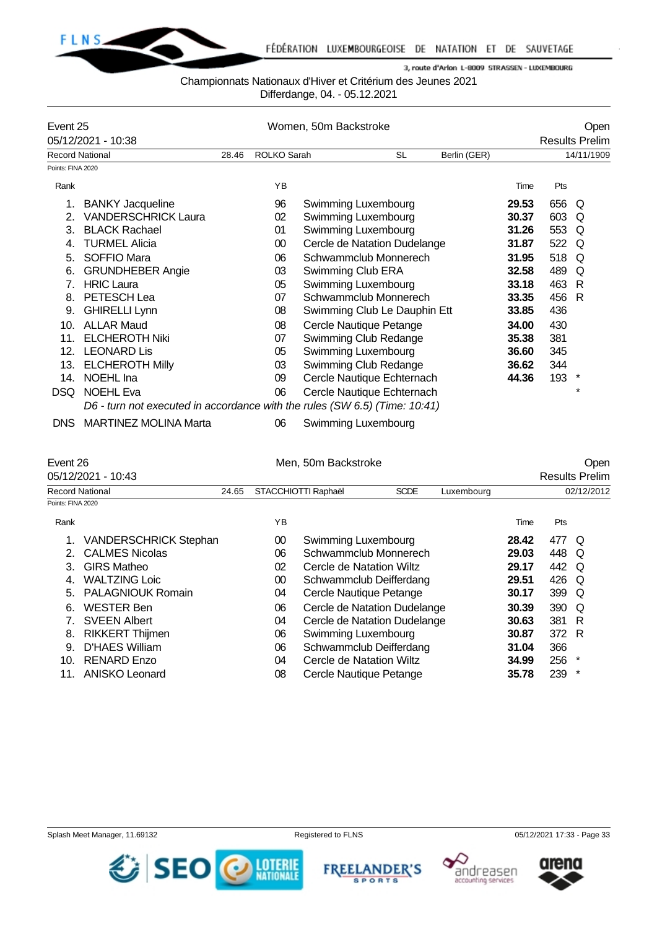

#### Championnats Nationaux d'Hiver et Critérium des Jeunes 2021

Differdange, 04. - 05.12.2021

| Event 25          |                              |       | Women, 50m Backstroke | Open                                                                       |              |                       |     |            |  |
|-------------------|------------------------------|-------|-----------------------|----------------------------------------------------------------------------|--------------|-----------------------|-----|------------|--|
|                   | 05/12/2021 - 10:38           |       |                       |                                                                            |              | <b>Results Prelim</b> |     |            |  |
|                   | <b>Record National</b>       | 28.46 | ROLKO Sarah           | <b>SL</b>                                                                  | Berlin (GER) |                       |     | 14/11/1909 |  |
| Points: FINA 2020 |                              |       |                       |                                                                            |              |                       |     |            |  |
| Rank              |                              |       | <b>YB</b>             |                                                                            |              | Time                  | Pts |            |  |
| 1.                | <b>BANKY Jacqueline</b>      |       | 96                    | Swimming Luxembourg                                                        |              | 29.53                 | 656 | Q          |  |
| 2.                | <b>VANDERSCHRICK Laura</b>   |       | 02                    | Swimming Luxembourg                                                        |              | 30.37                 | 603 | Q          |  |
| 3.                | <b>BLACK Rachael</b>         |       | 01                    | Swimming Luxembourg                                                        |              | 31.26                 | 553 | Q          |  |
| 4.                | <b>TURMEL Alicia</b>         |       | $00\,$                | Cercle de Natation Dudelange                                               |              | 31.87                 | 522 | O          |  |
| 5.                | SOFFIO Mara                  |       | 06                    | Schwammclub Monnerech                                                      |              | 31.95                 | 518 | Q          |  |
| 6.                | <b>GRUNDHEBER Angie</b>      |       | 03                    | Swimming Club ERA                                                          |              | 32.58                 | 489 | Q          |  |
| 7.                | <b>HRIC Laura</b>            |       | 05                    | Swimming Luxembourg                                                        |              | 33.18                 | 463 | R          |  |
| 8.                | PETESCH Lea                  |       | 07                    | Schwammclub Monnerech                                                      |              | 33.35                 | 456 | R          |  |
| 9.                | <b>GHIRELLI Lynn</b>         |       | 08                    | Swimming Club Le Dauphin Ett                                               |              | 33.85                 | 436 |            |  |
| 10.               | <b>ALLAR Maud</b>            |       | 08                    | Cercle Nautique Petange                                                    |              | 34.00                 | 430 |            |  |
| 11.               | <b>ELCHEROTH Niki</b>        |       | 07                    | Swimming Club Redange                                                      |              | 35.38                 | 381 |            |  |
| 12.               | <b>LEONARD Lis</b>           |       | 05                    | Swimming Luxembourg                                                        |              | 36.60                 | 345 |            |  |
| 13.               | <b>ELCHEROTH Milly</b>       |       | 03                    | Swimming Club Redange                                                      |              | 36.62                 | 344 |            |  |
| 14.               | NOEHL Ina                    |       | 09                    | Cercle Nautique Echternach                                                 |              | 44.36                 | 193 | $\ast$     |  |
| DSQ               | <b>NOEHL Eva</b>             |       | 06                    | Cercle Nautique Echternach                                                 |              |                       |     | $\star$    |  |
|                   |                              |       |                       | D6 - turn not executed in accordance with the rules (SW 6.5) (Time: 10:41) |              |                       |     |            |  |
| DNS.              | <b>MARTINEZ MOLINA Marta</b> |       | 06                    | Swimming Luxembourg                                                        |              |                       |     |            |  |

| Event 26<br>05/12/2021 - 10:43 |                              |  |    | Men, 50m Backstroke                              |  |  |       | <b>Results Prelim</b> | Open       |  |
|--------------------------------|------------------------------|--|----|--------------------------------------------------|--|--|-------|-----------------------|------------|--|
|                                | Record National<br>24.65     |  |    | STACCHIOTTI Raphaël<br><b>SCDE</b><br>Luxembourg |  |  |       |                       | 02/12/2012 |  |
| Points: FINA 2020              |                              |  |    |                                                  |  |  |       |                       |            |  |
| Rank                           |                              |  | YB |                                                  |  |  | Time  | Pts                   |            |  |
|                                | <b>VANDERSCHRICK Stephan</b> |  | 00 | Swimming Luxembourg                              |  |  | 28.42 | 477 Q                 |            |  |
| $2 -$                          | <b>CALMES Nicolas</b>        |  | 06 | Schwammclub Monnerech                            |  |  | 29.03 | 448                   | O          |  |
| 3.                             | <b>GIRS Matheo</b>           |  | 02 | Cercle de Natation Wiltz                         |  |  | 29.17 | 442 Q                 |            |  |
| 4.                             | <b>WALTZING Loic</b>         |  | 00 | Schwammclub Deifferdang                          |  |  | 29.51 | 426 Q                 |            |  |
| 5.                             | <b>PALAGNIOUK Romain</b>     |  | 04 | Cercle Nautique Petange                          |  |  | 30.17 | 399 Q                 |            |  |
| 6.                             | <b>WESTER Ben</b>            |  | 06 | Cercle de Natation Dudelange                     |  |  | 30.39 | 390 Q                 |            |  |
|                                | <b>SVEEN Albert</b>          |  | 04 | Cercle de Natation Dudelange                     |  |  | 30.63 | 381 R                 |            |  |
| 8.                             | <b>RIKKERT Thijmen</b>       |  | 06 | Swimming Luxembourg                              |  |  | 30.87 | 372 R                 |            |  |
| 9.                             | D'HAES William               |  | 06 | Schwammclub Deifferdang                          |  |  | 31.04 | 366                   |            |  |
| 10.                            | <b>RENARD Enzo</b>           |  | 04 | Cercle de Natation Wiltz                         |  |  | 34.99 | 256                   | $\star$    |  |

11. ANISKO Leonard 08 Cercle Nautique Petange **35.78** 239 \*









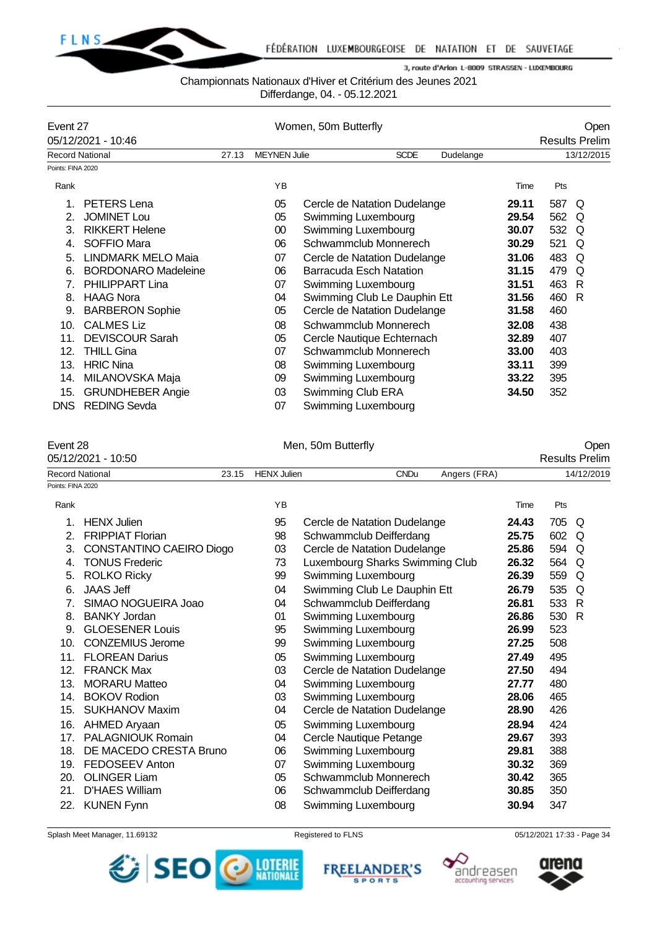

## Championnats Nationaux d'Hiver et Critérium des Jeunes 2021

Differdange, 04. - 05.12.2021

| Event 27          |                            |       |                     | Women, 50m Butterfly         |           |                       |     | Open       |
|-------------------|----------------------------|-------|---------------------|------------------------------|-----------|-----------------------|-----|------------|
|                   | 05/12/2021 - 10:46         |       |                     |                              |           | <b>Results Prelim</b> |     |            |
|                   | <b>Record National</b>     | 27.13 | <b>MEYNEN Julie</b> | <b>SCDE</b>                  | Dudelange |                       |     | 13/12/2015 |
| Points: FINA 2020 |                            |       |                     |                              |           |                       |     |            |
| Rank              |                            |       | YB                  |                              |           | Time                  | Pts |            |
| 1.                | <b>PETERS Lena</b>         |       | 05                  | Cercle de Natation Dudelange |           | 29.11                 | 587 | O          |
| 2.                | <b>JOMINET Lou</b>         |       | 05                  | Swimming Luxembourg          |           | 29.54                 | 562 | Q          |
| 3.                | <b>RIKKERT Helene</b>      |       | 00                  | Swimming Luxembourg          |           | 30.07                 | 532 | Q          |
| 4.                | SOFFIO Mara                |       | 06                  | Schwammclub Monnerech        |           | 30.29                 | 521 | Q          |
| 5.                | <b>LINDMARK MELO Maia</b>  |       | 07                  | Cercle de Natation Dudelange |           | 31.06                 | 483 | Q          |
| 6.                | <b>BORDONARO Madeleine</b> |       | 06                  | Barracuda Esch Natation      |           | 31.15                 | 479 | Q          |
| 7.                | <b>PHILIPPART Lina</b>     |       | 07                  | Swimming Luxembourg          |           | 31.51                 | 463 | R          |
| 8.                | <b>HAAG Nora</b>           |       | 04                  | Swimming Club Le Dauphin Ett |           | 31.56                 | 460 | R          |
| 9.                | <b>BARBERON Sophie</b>     |       | 05                  | Cercle de Natation Dudelange |           | 31.58                 | 460 |            |
| 10.               | <b>CALMES Liz</b>          |       | 08                  | Schwammclub Monnerech        |           | 32.08                 | 438 |            |
| 11.               | <b>DEVISCOUR Sarah</b>     |       | 05                  | Cercle Nautique Echternach   |           | 32.89                 | 407 |            |
| 12.               | <b>THILL Gina</b>          |       | 07                  | Schwammclub Monnerech        |           | 33.00                 | 403 |            |
| 13.               | <b>HRIC Nina</b>           |       | 08                  | Swimming Luxembourg          |           | 33.11                 | 399 |            |
| 14.               | MILANOVSKA Maja            |       | 09                  | Swimming Luxembourg          |           | 33.22                 | 395 |            |
| 15.               | <b>GRUNDHEBER Angie</b>    |       | 03                  | Swimming Club ERA            |           | 34.50                 | 352 |            |
| DNS.              | <b>REDING Sevda</b>        |       | 07                  | Swimming Luxembourg          |           |                       |     |            |

| Event 28          |                          |       | Men, 50m Butterfly | Open                            |              |       |       |                       |
|-------------------|--------------------------|-------|--------------------|---------------------------------|--------------|-------|-------|-----------------------|
|                   | 05/12/2021 - 10:50       |       |                    |                                 |              |       |       | <b>Results Prelim</b> |
|                   | <b>Record National</b>   | 23.15 | <b>HENX Julien</b> | <b>CNDu</b>                     | Angers (FRA) |       |       | 14/12/2019            |
| Points: FINA 2020 |                          |       |                    |                                 |              |       |       |                       |
| Rank              |                          |       | YB                 |                                 |              | Time  | Pts   |                       |
| 1.                | <b>HENX Julien</b>       |       | 95                 | Cercle de Natation Dudelange    |              | 24.43 | 705   | Q                     |
| 2.                | <b>FRIPPIAT Florian</b>  |       | 98                 | Schwammclub Deifferdang         |              | 25.75 | 602 Q |                       |
| 3.                | CONSTANTINO CAEIRO Diogo |       | 03                 | Cercle de Natation Dudelange    |              | 25.86 | 594   | Q                     |
| 4.                | <b>TONUS Frederic</b>    |       | 73                 | Luxembourg Sharks Swimming Club |              | 26.32 | 564   | Q                     |
| 5.                | <b>ROLKO Ricky</b>       |       | 99                 | Swimming Luxembourg             |              | 26.39 | 559   | Q                     |
| 6.                | <b>JAAS Jeff</b>         |       | 04                 | Swimming Club Le Dauphin Ett    |              | 26.79 | 535   | Q                     |
| 7.                | SIMAO NOGUEIRA Joao      |       | 04                 | Schwammclub Deifferdang         |              | 26.81 | 533   | -R                    |
| 8.                | <b>BANKY Jordan</b>      |       | 01                 | Swimming Luxembourg             |              | 26.86 | 530 R |                       |
| 9.                | <b>GLOESENER Louis</b>   |       | 95                 | Swimming Luxembourg             |              | 26.99 | 523   |                       |
| 10.               | <b>CONZEMIUS Jerome</b>  |       | 99                 | Swimming Luxembourg             |              | 27.25 | 508   |                       |
| 11.               | <b>FLOREAN Darius</b>    |       | 05                 | Swimming Luxembourg             |              | 27.49 | 495   |                       |
| 12.               | <b>FRANCK Max</b>        |       | 03                 | Cercle de Natation Dudelange    |              | 27.50 | 494   |                       |
| 13.               | <b>MORARU Matteo</b>     |       | 04                 | Swimming Luxembourg             |              | 27.77 | 480   |                       |
| 14.               | <b>BOKOV Rodion</b>      |       | 03                 | Swimming Luxembourg             |              | 28.06 | 465   |                       |
| 15.               | <b>SUKHANOV Maxim</b>    |       | 04                 | Cercle de Natation Dudelange    |              | 28.90 | 426   |                       |
| 16.               | AHMED Aryaan             |       | 05                 | Swimming Luxembourg             |              | 28.94 | 424   |                       |
| 17.               | <b>PALAGNIOUK Romain</b> |       | 04                 | Cercle Nautique Petange         |              | 29.67 | 393   |                       |
| 18.               | DE MACEDO CRESTA Bruno   |       | 06                 | Swimming Luxembourg             |              | 29.81 | 388   |                       |
| 19.               | <b>FEDOSEEV Anton</b>    |       | 07                 | Swimming Luxembourg             |              | 30.32 | 369   |                       |
| 20.               | <b>OLINGER Liam</b>      |       | 05                 | Schwammclub Monnerech           |              | 30.42 | 365   |                       |
| 21.               | D'HAES William           |       | 06                 | Schwammclub Deifferdang         |              | 30.85 | 350   |                       |
|                   | 22. KUNEN Fynn           |       | 08                 | Swimming Luxembourg             |              | 30.94 | 347   |                       |
|                   |                          |       |                    |                                 |              |       |       |                       |







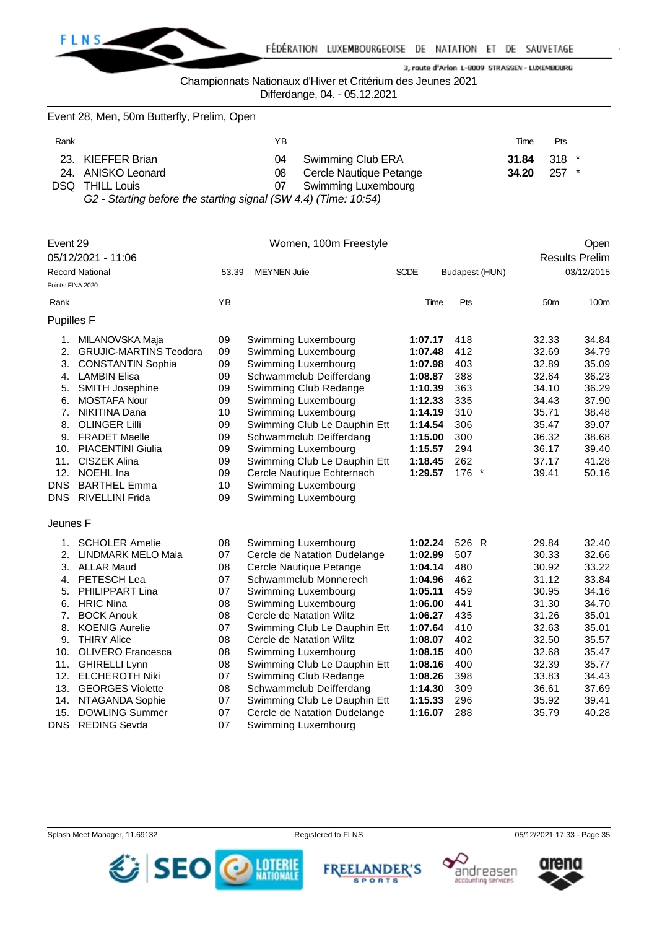

Championnats Nationaux d'Hiver et Critérium des Jeunes 2021

Differdange, 04. - 05.12.2021

Event 28, Men, 50m Butterfly, Prelim, Open

| Rank |                                                                   | ΥB |                            | Time                 | Pts     |  |
|------|-------------------------------------------------------------------|----|----------------------------|----------------------|---------|--|
|      | 23. KIEFFER Brian                                                 |    | 04 Swimming Club ERA       | <b>31.84</b> 318 $*$ |         |  |
|      | 24. ANISKO Leonard                                                |    | 08 Cercle Nautique Petange | 34.20                | $257$ * |  |
| DSQ. | <b>THILL Louis</b>                                                |    | Swimming Luxembourg        |                      |         |  |
|      | G2 - Starting before the starting signal (SIA) A A) (Time: 10:54) |    |                            |                      |         |  |

*G2 - Starting before the starting signal (SW 4.4) (Time: 10:54)*

| Event 29          |                                                       |       | Women, 100m Freestyle        |             |                |                 | Open                  |
|-------------------|-------------------------------------------------------|-------|------------------------------|-------------|----------------|-----------------|-----------------------|
|                   | 05/12/2021 - 11:06                                    |       |                              |             |                |                 | <b>Results Prelim</b> |
|                   | <b>Record National</b>                                | 53.39 | <b>MEYNEN Julie</b>          | <b>SCDE</b> | Budapest (HUN) |                 | 03/12/2015            |
|                   | Points: FINA 2020                                     |       |                              |             |                |                 |                       |
| Rank              |                                                       | YB    |                              | Time        | Pts            | 50 <sub>m</sub> | 100m                  |
| <b>Pupilles F</b> |                                                       |       |                              |             |                |                 |                       |
| 1.                | MILANOVSKA Maja                                       | 09    | Swimming Luxembourg          | 1:07.17     | 418            | 32.33           | 34.84                 |
| 2.                | <b>GRUJIC-MARTINS Teodora</b>                         | 09    | Swimming Luxembourg          | 1:07.48     | 412            | 32.69           | 34.79                 |
| 3.                | <b>CONSTANTIN Sophia</b>                              | 09    | Swimming Luxembourg          | 1:07.98     | 403            | 32.89           | 35.09                 |
| 4.                | <b>LAMBIN Elisa</b>                                   | 09    | Schwammclub Deifferdang      | 1:08.87     | 388            | 32.64           | 36.23                 |
| 5.                | <b>SMITH Josephine</b>                                | 09    | Swimming Club Redange        | 1:10.39     | 363            | 34.10           | 36.29                 |
| 6.                | <b>MOSTAFA Nour</b>                                   | 09    | Swimming Luxembourg          | 1:12.33     | 335            | 34.43           | 37.90                 |
| 7.                | NIKITINA Dana                                         | 10    | Swimming Luxembourg          | 1:14.19     | 310            | 35.71           | 38.48                 |
| 8.                | <b>OLINGER Lilli</b>                                  | 09    | Swimming Club Le Dauphin Ett | 1:14.54     | 306            | 35.47           | 39.07                 |
| 9.                | <b>FRADET Maelle</b><br>09<br>Schwammclub Deifferdang |       | 1:15.00                      | 300         | 36.32          | 38.68           |                       |
| 10.               | <b>PIACENTINI Giulia</b><br>09<br>Swimming Luxembourg |       |                              | 1:15.57     | 294            | 36.17           | 39.40                 |
| 11.               | CISZEK Alina                                          | 09    | Swimming Club Le Dauphin Ett | 1:18.45     | 262            | 37.17           | 41.28                 |
| 12.               | NOEHL Ina                                             | 09    | Cercle Nautique Echternach   | 1:29.57     | 176 *          | 39.41           | 50.16                 |
| <b>DNS</b>        | <b>BARTHEL Emma</b>                                   | 10    | Swimming Luxembourg          |             |                |                 |                       |
| <b>DNS</b>        | <b>RIVELLINI Frida</b>                                | 09    | Swimming Luxembourg          |             |                |                 |                       |
| Jeunes F          |                                                       |       |                              |             |                |                 |                       |
| 1.                | <b>SCHOLER Amelie</b>                                 | 08    | Swimming Luxembourg          | 1:02.24     | 526 R          | 29.84           | 32.40                 |
| 2.                | <b>LINDMARK MELO Maia</b>                             | 07    | Cercle de Natation Dudelange | 1:02.99     | 507            | 30.33           | 32.66                 |
| 3.                | <b>ALLAR Maud</b>                                     | 08    | Cercle Nautique Petange      | 1:04.14     | 480            | 30.92           | 33.22                 |
| 4.                | PETESCH Lea                                           | 07    | Schwammclub Monnerech        | 1:04.96     | 462            | 31.12           | 33.84                 |
| 5.                | PHILIPPART Lina                                       | 07    | Swimming Luxembourg          | 1:05.11     | 459            | 30.95           | 34.16                 |
| 6.                | <b>HRIC Nina</b>                                      | 08    | Swimming Luxembourg          | 1:06.00     | 441            | 31.30           | 34.70                 |
| 7.                | <b>BOCK Anouk</b>                                     | 08    | Cercle de Natation Wiltz     | 1:06.27     | 435            | 31.26           | 35.01                 |
| 8.                | <b>KOENIG Aurelie</b>                                 | 07    | Swimming Club Le Dauphin Ett | 1:07.64     | 410            | 32.63           | 35.01                 |
| 9.                | <b>THIRY Alice</b>                                    | 08    | Cercle de Natation Wiltz     | 1:08.07     | 402            | 32.50           | 35.57                 |
|                   | 10. OLIVERO Francesca                                 | 08    | Swimming Luxembourg          | 1:08.15     | 400            | 32.68           | 35.47                 |
| 11.               | <b>GHIRELLI Lynn</b>                                  | 08    | Swimming Club Le Dauphin Ett | 1:08.16     | 400            | 32.39           | 35.77                 |
| 12.               | <b>ELCHEROTH Niki</b>                                 | 07    | Swimming Club Redange        | 1:08.26     | 398            | 33.83           | 34.43                 |
| 13.               | <b>GEORGES Violette</b>                               | 08    | Schwammclub Deifferdang      | 1:14.30     | 309            | 36.61           | 37.69                 |
| 14.               | NTAGANDA Sophie                                       | 07    | Swimming Club Le Dauphin Ett | 1:15.33     | 296            | 35.92           | 39.41                 |
| 15.               | <b>DOWLING Summer</b>                                 | 07    | Cercle de Natation Dudelange | 1:16.07     | 288            | 35.79           | 40.28                 |
| <b>DNS</b>        | <b>REDING Sevda</b>                                   | 07    | Swimming Luxembourg          |             |                |                 |                       |







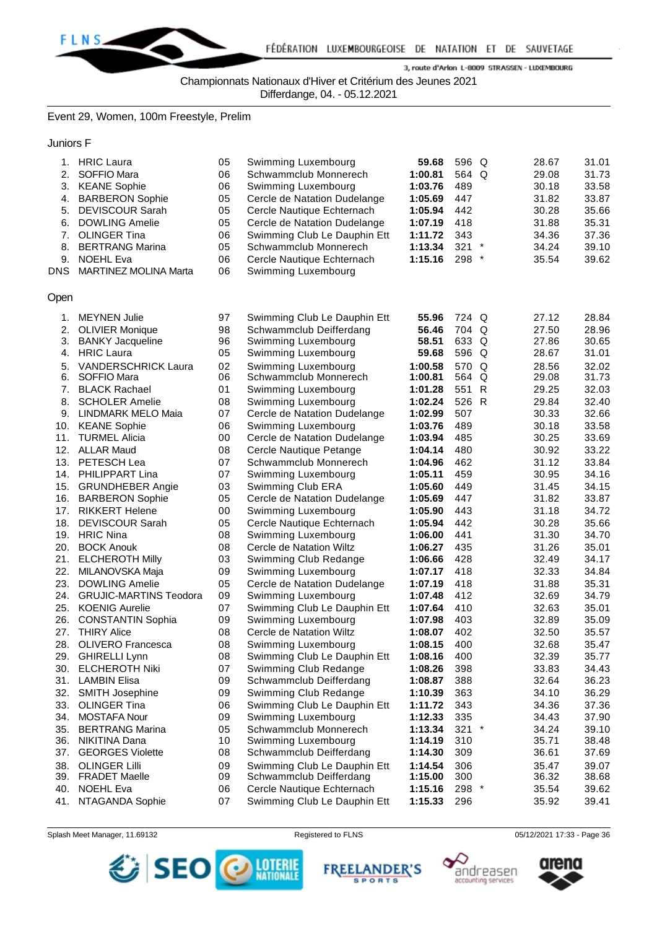

Championnats Nationaux d'Hiver et Critérium des Jeunes 2021

Differdange, 04. - 05.12.2021

Event 29, Women, 100m Freestyle, Prelim

Juniors F

| 1.<br>2.<br>3.<br>4.<br>5.<br>6.<br>7.<br>8.<br>9.<br><b>DNS</b> | <b>HRIC Laura</b><br>SOFFIO Mara<br><b>KEANE Sophie</b><br><b>BARBERON Sophie</b><br><b>DEVISCOUR Sarah</b><br><b>DOWLING Amelie</b><br><b>OLINGER Tina</b><br><b>BERTRANG Marina</b><br><b>NOEHL Eva</b><br><b>MARTINEZ MOLINA Marta</b> | 05<br>06<br>06<br>05<br>05<br>05<br>06<br>05<br>06<br>06 | Swimming Luxembourg<br>Schwammclub Monnerech<br>Swimming Luxembourg<br>Cercle de Natation Dudelange<br>Cercle Nautique Echternach<br>Cercle de Natation Dudelange<br>Swimming Club Le Dauphin Ett<br>Schwammclub Monnerech<br>Cercle Nautique Echternach<br>Swimming Luxembourg | 59.68<br>1:00.81<br>1:03.76<br>1:05.69<br>1:05.94<br>1:07.19<br>1:11.72<br>1:13.34<br>1:15.16 | 596 Q<br>564 Q<br>489<br>447<br>442<br>418<br>343<br>321<br>$^{\star}$<br>298<br>$\ast$ | 28.67<br>29.08<br>30.18<br>31.82<br>30.28<br>31.88<br>34.36<br>34.24<br>35.54 | 31.01<br>31.73<br>33.58<br>33.87<br>35.66<br>35.31<br>37.36<br>39.10<br>39.62 |
|------------------------------------------------------------------|-------------------------------------------------------------------------------------------------------------------------------------------------------------------------------------------------------------------------------------------|----------------------------------------------------------|---------------------------------------------------------------------------------------------------------------------------------------------------------------------------------------------------------------------------------------------------------------------------------|-----------------------------------------------------------------------------------------------|-----------------------------------------------------------------------------------------|-------------------------------------------------------------------------------|-------------------------------------------------------------------------------|
| Open                                                             |                                                                                                                                                                                                                                           |                                                          |                                                                                                                                                                                                                                                                                 |                                                                                               |                                                                                         |                                                                               |                                                                               |
| 1.                                                               | <b>MEYNEN Julie</b>                                                                                                                                                                                                                       | 97                                                       | Swimming Club Le Dauphin Ett                                                                                                                                                                                                                                                    | 55.96                                                                                         | 724 Q                                                                                   | 27.12                                                                         | 28.84                                                                         |
| 2.                                                               | <b>OLIVIER Monique</b>                                                                                                                                                                                                                    | 98                                                       | Schwammclub Deifferdang                                                                                                                                                                                                                                                         | 56.46                                                                                         | 704 Q                                                                                   | 27.50                                                                         | 28.96                                                                         |
| 3.                                                               | <b>BANKY Jacqueline</b>                                                                                                                                                                                                                   | 96                                                       | Swimming Luxembourg                                                                                                                                                                                                                                                             | 58.51                                                                                         | 633 Q                                                                                   | 27.86                                                                         | 30.65                                                                         |
| 4.                                                               | <b>HRIC Laura</b>                                                                                                                                                                                                                         | 05                                                       | Swimming Luxembourg                                                                                                                                                                                                                                                             | 59.68                                                                                         | 596 Q                                                                                   | 28.67                                                                         | 31.01                                                                         |
| 5.                                                               | <b>VANDERSCHRICK Laura</b>                                                                                                                                                                                                                | 02                                                       | Swimming Luxembourg                                                                                                                                                                                                                                                             | 1:00.58                                                                                       | 570 Q                                                                                   | 28.56                                                                         | 32.02                                                                         |
| 6.                                                               | SOFFIO Mara                                                                                                                                                                                                                               | 06                                                       | Schwammclub Monnerech                                                                                                                                                                                                                                                           | 1:00.81                                                                                       | 564 Q                                                                                   | 29.08                                                                         | 31.73                                                                         |
| 7.                                                               | <b>BLACK Rachael</b>                                                                                                                                                                                                                      | 01                                                       | Swimming Luxembourg                                                                                                                                                                                                                                                             | 1:01.28                                                                                       | 551 R                                                                                   | 29.25                                                                         | 32.03                                                                         |
| 8.                                                               | <b>SCHOLER Amelie</b>                                                                                                                                                                                                                     | 08                                                       | Swimming Luxembourg                                                                                                                                                                                                                                                             | 1:02.24                                                                                       | 526 R                                                                                   | 29.84                                                                         | 32.40                                                                         |
| 9.                                                               | <b>LINDMARK MELO Maia</b>                                                                                                                                                                                                                 | 07                                                       | Cercle de Natation Dudelange                                                                                                                                                                                                                                                    | 1:02.99                                                                                       | 507                                                                                     | 30.33                                                                         | 32.66                                                                         |
| 10.                                                              | <b>KEANE Sophie</b>                                                                                                                                                                                                                       | 06                                                       | Swimming Luxembourg                                                                                                                                                                                                                                                             | 1:03.76                                                                                       | 489                                                                                     | 30.18                                                                         | 33.58                                                                         |
| 11.                                                              | <b>TURMEL Alicia</b>                                                                                                                                                                                                                      | 00                                                       | Cercle de Natation Dudelange                                                                                                                                                                                                                                                    | 1:03.94                                                                                       | 485                                                                                     | 30.25                                                                         | 33.69                                                                         |
| 13.<br>16.                                                       | 12. ALLAR Maud<br>PETESCH Lea<br>14. PHILIPPART Lina<br>15. GRUNDHEBER Angie<br><b>BARBERON Sophie</b>                                                                                                                                    | 08<br>07<br>07<br>03<br>05                               | Cercle Nautique Petange<br>Schwammclub Monnerech<br>Swimming Luxembourg<br>Swimming Club ERA<br>Cercle de Natation Dudelange                                                                                                                                                    | 1:04.14<br>1:04.96<br>1:05.11<br>1:05.60<br>1:05.69                                           | 480<br>462<br>459<br>449<br>447                                                         | 30.92<br>31.12<br>30.95<br>31.45<br>31.82                                     | 33.22<br>33.84<br>34.16<br>34.15<br>33.87                                     |
| 17.                                                              | <b>RIKKERT Helene</b>                                                                                                                                                                                                                     | 00                                                       | Swimming Luxembourg                                                                                                                                                                                                                                                             | 1:05.90                                                                                       | 443                                                                                     | 31.18                                                                         | 34.72                                                                         |
| 18.                                                              | <b>DEVISCOUR Sarah</b>                                                                                                                                                                                                                    | 05                                                       | Cercle Nautique Echternach                                                                                                                                                                                                                                                      | 1:05.94                                                                                       | 442                                                                                     | 30.28                                                                         | 35.66                                                                         |
| 19.                                                              | <b>HRIC Nina</b>                                                                                                                                                                                                                          | 08                                                       | Swimming Luxembourg                                                                                                                                                                                                                                                             | 1:06.00                                                                                       | 441                                                                                     | 31.30                                                                         | 34.70                                                                         |
| 20.                                                              | <b>BOCK Anouk</b>                                                                                                                                                                                                                         | 08                                                       | Cercle de Natation Wiltz                                                                                                                                                                                                                                                        | 1:06.27                                                                                       | 435                                                                                     | 31.26                                                                         | 35.01                                                                         |
| 21.                                                              | <b>ELCHEROTH Milly</b>                                                                                                                                                                                                                    | 03                                                       | Swimming Club Redange                                                                                                                                                                                                                                                           | 1:06.66                                                                                       | 428                                                                                     | 32.49                                                                         | 34.17                                                                         |
| 22.                                                              | MILANOVSKA Maja                                                                                                                                                                                                                           | 09                                                       | Swimming Luxembourg                                                                                                                                                                                                                                                             | 1:07.17                                                                                       | 418                                                                                     | 32.33                                                                         | 34.84                                                                         |
| 23.                                                              | <b>DOWLING Amelie</b>                                                                                                                                                                                                                     | 05                                                       | Cercle de Natation Dudelange                                                                                                                                                                                                                                                    | 1:07.19                                                                                       | 418                                                                                     | 31.88                                                                         | 35.31                                                                         |
| 24.                                                              | <b>GRUJIC-MARTINS Teodora</b>                                                                                                                                                                                                             | 09                                                       | Swimming Luxembourg                                                                                                                                                                                                                                                             | 1:07.48                                                                                       | 412                                                                                     | 32.69                                                                         | 34.79                                                                         |
| 25.                                                              | <b>KOENIG Aurelie</b>                                                                                                                                                                                                                     | 07                                                       | Swimming Club Le Dauphin Ett                                                                                                                                                                                                                                                    | 1:07.64                                                                                       | 410                                                                                     | 32.63                                                                         | 35.01                                                                         |
| 26.<br>27.<br>28.                                                | <b>CONSTANTIN Sophia</b><br><b>THIRY Alice</b><br><b>OLIVERO</b> Francesca<br>29. GHIRELLI Lynn                                                                                                                                           | 09<br>08<br>08<br>08                                     | Swimming Luxembourg<br>Cercle de Natation Wiltz<br>Swimming Luxembourg<br>Swimming Club Le Dauphin Ett                                                                                                                                                                          | 1:07.98<br>1:08.07<br>1:08.15<br>1:08.16                                                      | 403<br>402<br>400<br>400                                                                | 32.89<br>32.50<br>32.68<br>32.39                                              | 35.09<br>35.57<br>35.47<br>35.77                                              |
| 30.                                                              | <b>ELCHEROTH Niki</b>                                                                                                                                                                                                                     | 07                                                       | Swimming Club Redange                                                                                                                                                                                                                                                           | 1:08.26                                                                                       | 398                                                                                     | 33.83                                                                         | 34.43                                                                         |
| 31.                                                              | <b>LAMBIN Elisa</b>                                                                                                                                                                                                                       | 09                                                       | Schwammclub Deifferdang                                                                                                                                                                                                                                                         | 1:08.87                                                                                       | 388                                                                                     | 32.64                                                                         | 36.23                                                                         |
| 32.                                                              | <b>SMITH Josephine</b>                                                                                                                                                                                                                    | 09                                                       | Swimming Club Redange                                                                                                                                                                                                                                                           | 1:10.39                                                                                       | 363                                                                                     | 34.10                                                                         | 36.29                                                                         |
| 33.                                                              | <b>OLINGER Tina</b>                                                                                                                                                                                                                       | 06                                                       | Swimming Club Le Dauphin Ett                                                                                                                                                                                                                                                    | 1:11.72                                                                                       | 343                                                                                     | 34.36                                                                         | 37.36                                                                         |
| 34.                                                              | <b>MOSTAFA Nour</b>                                                                                                                                                                                                                       | 09                                                       | Swimming Luxembourg                                                                                                                                                                                                                                                             | 1:12.33                                                                                       | 335                                                                                     | 34.43                                                                         | 37.90                                                                         |
| 35.                                                              | <b>BERTRANG Marina</b>                                                                                                                                                                                                                    | 05                                                       | Schwammclub Monnerech                                                                                                                                                                                                                                                           | 1:13.34                                                                                       | $321$ *                                                                                 | 34.24                                                                         | 39.10                                                                         |
| 36.                                                              | NIKITINA Dana                                                                                                                                                                                                                             | 10                                                       | Swimming Luxembourg                                                                                                                                                                                                                                                             | 1:14.19                                                                                       | 310                                                                                     | 35.71                                                                         | 38.48                                                                         |
| 37.                                                              | <b>GEORGES Violette</b>                                                                                                                                                                                                                   | 08                                                       | Schwammclub Deifferdang                                                                                                                                                                                                                                                         | 1:14.30                                                                                       | 309                                                                                     | 36.61                                                                         | 37.69                                                                         |
| 38.                                                              | <b>OLINGER Lilli</b>                                                                                                                                                                                                                      | 09                                                       | Swimming Club Le Dauphin Ett                                                                                                                                                                                                                                                    | 1:14.54                                                                                       | 306                                                                                     | 35.47                                                                         | 39.07                                                                         |
| 40.<br>41.                                                       | 39. FRADET Maelle<br><b>NOEHL Eva</b><br>NTAGANDA Sophie                                                                                                                                                                                  | 09<br>06<br>07                                           | Schwammclub Deifferdang<br>Cercle Nautique Echternach<br>Swimming Club Le Dauphin Ett                                                                                                                                                                                           | 1:15.00<br>1:15.16<br>1:15.33                                                                 | 300<br>298 *<br>296                                                                     | 36.32<br>35.54<br>35.92                                                       | 38.68<br>39.62<br>39.41                                                       |

Splash Meet Manager, 11.69132 **Registered to FLNS** Registered to FLNS 05/12/2021 17:33 - Page 36



**FREELANDER'S SPORTS** 



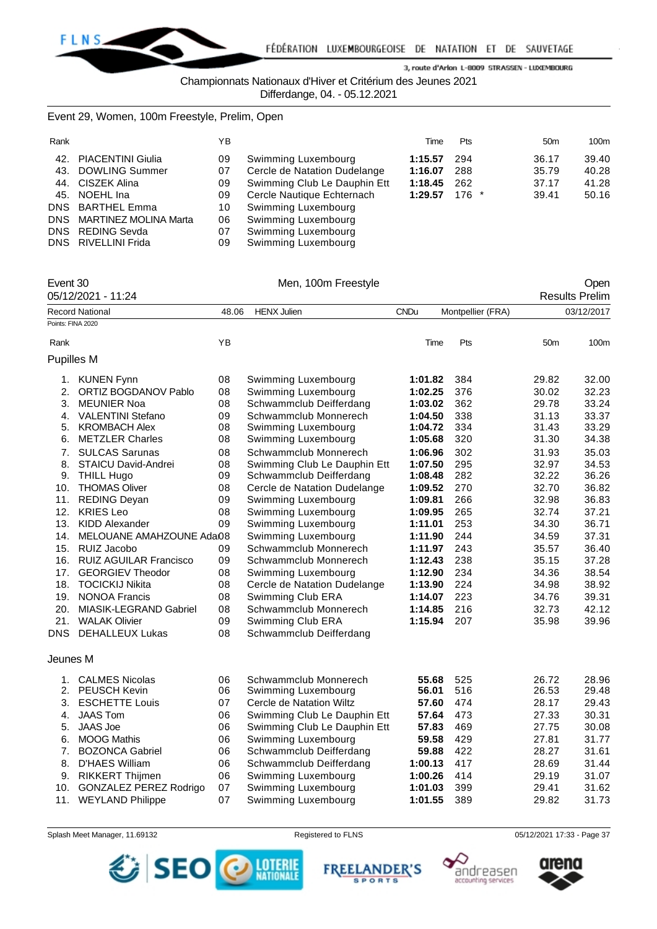

Championnats Nationaux d'Hiver et Critérium des Jeunes 2021

Differdange, 04. - 05.12.2021

# Event 29, Women, 100m Freestyle, Prelim, Open

| Rank |                           | ΥB |                              | Time    | <b>Pts</b> | 50 <sub>m</sub> | 100m  |
|------|---------------------------|----|------------------------------|---------|------------|-----------------|-------|
|      | 42. PIACENTINI Giulia     | 09 | Swimming Luxembourg          | 1:15.57 | 294        | 36.17           | 39.40 |
|      | 43. DOWLING Summer        | 07 | Cercle de Natation Dudelange | 1:16.07 | 288        | 35.79           | 40.28 |
|      | 44. CISZEK Alina          | 09 | Swimming Club Le Dauphin Ett | 1:18.45 | 262        | 37.17           | 41.28 |
|      | 45. NOEHL Ina             | 09 | Cercle Nautique Echternach   | 1:29.57 | $176$ *    | 39.41           | 50.16 |
|      | DNS BARTHEL Emma          | 10 | Swimming Luxembourg          |         |            |                 |       |
|      | DNS MARTINEZ MOLINA Marta | 06 | Swimming Luxembourg          |         |            |                 |       |
|      | DNS REDING Sevda          | 07 | Swimming Luxembourg          |         |            |                 |       |
|      | DNS RIVELLINI Frida       | 09 | Swimming Luxembourg          |         |            |                 |       |

| Event 30          |                               |       | Men, 100m Freestyle          |             |                   |                 | Open                  |
|-------------------|-------------------------------|-------|------------------------------|-------------|-------------------|-----------------|-----------------------|
|                   | 05/12/2021 - 11:24            |       |                              |             |                   |                 | <b>Results Prelim</b> |
|                   | Record National               | 48.06 | <b>HENX Julien</b>           | <b>CNDu</b> | Montpellier (FRA) |                 | 03/12/2017            |
| Points: FINA 2020 |                               |       |                              |             |                   |                 |                       |
| Rank              |                               | YB    |                              | Time        | Pts               | 50 <sub>m</sub> | 100m                  |
| <b>Pupilles M</b> |                               |       |                              |             |                   |                 |                       |
|                   | 1. KUNEN Fynn                 | 08    | Swimming Luxembourg          | 1:01.82     | 384               | 29.82           | 32.00                 |
| 2.                | ORTIZ BOGDANOV Pablo          | 08    | Swimming Luxembourg          | 1:02.25     | 376               | 30.02           | 32.23                 |
| 3.                | <b>MEUNIER Noa</b>            | 08    | Schwammclub Deifferdang      | 1:03.02     | 362               | 29.78           | 33.24                 |
|                   | 4. VALENTINI Stefano          | 09    | Schwammclub Monnerech        | 1:04.50     | 338               | 31.13           | 33.37                 |
| 5.                | <b>KROMBACH Alex</b>          | 08    | Swimming Luxembourg          | 1:04.72     | 334               | 31.43           | 33.29                 |
| 6.                | <b>METZLER Charles</b>        | 08    | Swimming Luxembourg          | 1:05.68     | 320               | 31.30           | 34.38                 |
| 7.                | <b>SULCAS Sarunas</b>         | 08    | Schwammclub Monnerech        | 1:06.96     | 302               | 31.93           | 35.03                 |
| 8.                | STAICU David-Andrei           | 08    | Swimming Club Le Dauphin Ett | 1:07.50     | 295               | 32.97           | 34.53                 |
| 9.                | <b>THILL Hugo</b>             | 09    | Schwammclub Deifferdang      | 1:08.48     | 282               | 32.22           | 36.26                 |
| 10.               | <b>THOMAS Oliver</b>          | 08    | Cercle de Natation Dudelange | 1:09.52     | 270               | 32.70           | 36.82                 |
| 11.               | <b>REDING Deyan</b>           | 09    | Swimming Luxembourg          | 1:09.81     | 266               | 32.98           | 36.83                 |
| 12.               | <b>KRIES Leo</b>              | 08    | Swimming Luxembourg          | 1:09.95     | 265               | 32.74           | 37.21                 |
|                   | 13. KIDD Alexander            | 09    | Swimming Luxembourg          | 1:11.01     | 253               | 34.30           | 36.71                 |
| 14.               | MELOUANE AMAHZOUNE Adai08     |       | Swimming Luxembourg          | 1:11.90     | 244               | 34.59           | 37.31                 |
| 15.               | RUIZ Jacobo                   | 09    | Schwammclub Monnerech        | 1:11.97     | 243               | 35.57           | 36.40                 |
|                   | 16. RUIZ AGUILAR Francisco    | 09    | Schwammclub Monnerech        | 1:12.43     | 238               | 35.15           | 37.28                 |
| 17.               | <b>GEORGIEV Theodor</b>       | 08    | Swimming Luxembourg          | 1:12.90     | 234               | 34.36           | 38.54                 |
| 18.               | <b>TOCICKIJ Nikita</b>        | 08    | Cercle de Natation Dudelange | 1:13.90     | 224               | 34.98           | 38.92                 |
| 19.               | <b>NONOA Francis</b>          | 08    | Swimming Club ERA            | 1:14.07     | 223               | 34.76           | 39.31                 |
| 20.               | MIASIK-LEGRAND Gabriel        | 08    | Schwammclub Monnerech        | 1:14.85     | 216               | 32.73           | 42.12                 |
| 21.               | <b>WALAK Olivier</b>          | 09    | Swimming Club ERA            | 1:15.94     | 207               | 35.98           | 39.96                 |
|                   | DNS DEHALLEUX Lukas           | 08    | Schwammclub Deifferdang      |             |                   |                 |                       |
| Jeunes M          |                               |       |                              |             |                   |                 |                       |
|                   | 1. CALMES Nicolas             | 06    | Schwammclub Monnerech        | 55.68       | 525               | 26.72           | 28.96                 |
|                   | 2. PEUSCH Kevin               | 06    | Swimming Luxembourg          | 56.01       | 516               | 26.53           | 29.48                 |
| 3.                | <b>ESCHETTE Louis</b>         | 07    | Cercle de Natation Wiltz     | 57.60       | 474               | 28.17           | 29.43                 |
| 4.                | <b>JAAS Tom</b>               | 06    | Swimming Club Le Dauphin Ett | 57.64       | 473               | 27.33           | 30.31                 |
| 5.                | <b>JAAS Joe</b>               | 06    | Swimming Club Le Dauphin Ett | 57.83       | 469               | 27.75           | 30.08                 |
| 6.                | <b>MOOG Mathis</b>            | 06    | Swimming Luxembourg          | 59.58       | 429               | 27.81           | 31.77                 |
| 7.                | <b>BOZONCA Gabriel</b>        | 06    | Schwammclub Deifferdang      | 59.88       | 422               | 28.27           | 31.61                 |
| 8.                | D'HAES William                | 06    | Schwammclub Deifferdang      | 1:00.13     | 417               | 28.69           | 31.44                 |
| 9.                | RIKKERT Thijmen               | 06    | Swimming Luxembourg          | 1:00.26     | 414               | 29.19           | 31.07                 |
| 10.               | <b>GONZALEZ PEREZ Rodrigo</b> | 07    | Swimming Luxembourg          | 1:01.03     | 399               | 29.41           | 31.62                 |
| 11.               | <b>WEYLAND Philippe</b>       | 07    | Swimming Luxembourg          | 1:01.55     | 389               | 29.82           | 31.73                 |

Splash Meet Manager, 11.69132 **Registered to FLNS** Registered to FLNS 05/12/2021 17:33 - Page 37



**FREEL ANDER'S** 

**SPORTS** 



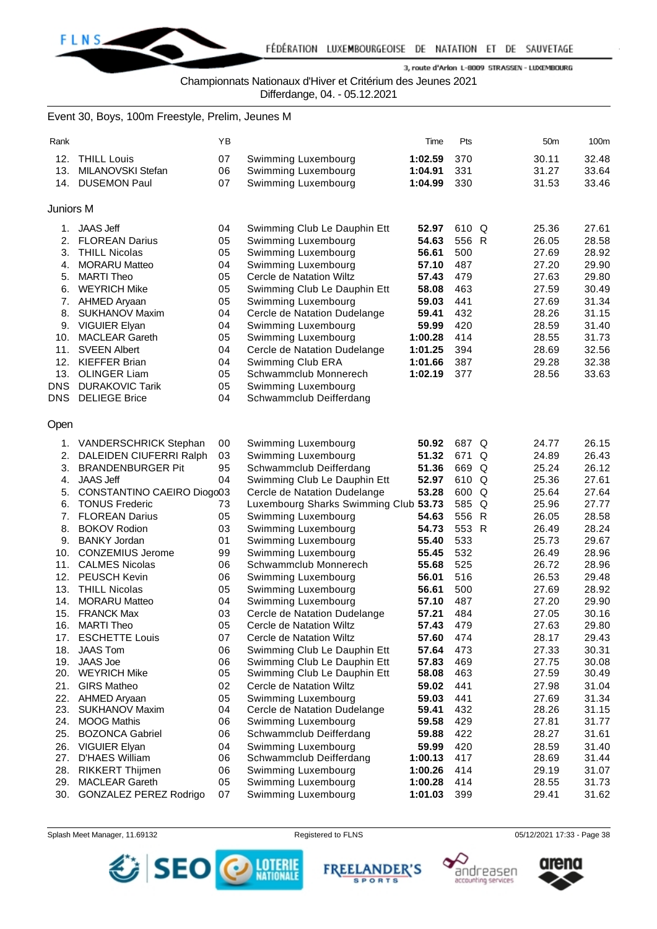

Championnats Nationaux d'Hiver et Critérium des Jeunes 2021

Differdange, 04. - 05.12.2021

# Event 30, Boys, 100m Freestyle, Prelim, Jeunes M

| Rank       |                                                     | ΥB |                                            | Time    | Pts   |   | 50 <sub>m</sub> | 100m  |
|------------|-----------------------------------------------------|----|--------------------------------------------|---------|-------|---|-----------------|-------|
| 12.        | <b>THILL Louis</b>                                  | 07 | Swimming Luxembourg                        | 1:02.59 | 370   |   | 30.11           | 32.48 |
| 13.        | MILANOVSKI Stefan                                   | 06 | Swimming Luxembourg                        | 1:04.91 | 331   |   | 31.27           | 33.64 |
| 14.        | <b>DUSEMON Paul</b>                                 | 07 | Swimming Luxembourg                        | 1:04.99 | 330   |   | 31.53           | 33.46 |
|            |                                                     |    |                                            |         |       |   |                 |       |
| Juniors M  |                                                     |    |                                            |         |       |   |                 |       |
| 1.         | <b>JAAS Jeff</b>                                    | 04 | Swimming Club Le Dauphin Ett               | 52.97   | 610 Q |   | 25.36           | 27.61 |
| 2.         | <b>FLOREAN Darius</b>                               | 05 | Swimming Luxembourg                        | 54.63   | 556 R |   | 26.05           | 28.58 |
| 3.         | <b>THILL Nicolas</b>                                | 05 | Swimming Luxembourg                        | 56.61   | 500   |   | 27.69           | 28.92 |
| 4.         | <b>MORARU Matteo</b>                                | 04 | Swimming Luxembourg                        | 57.10   | 487   |   | 27.20           | 29.90 |
| 5.         | <b>MARTI Theo</b>                                   | 05 | Cercle de Natation Wiltz                   | 57.43   | 479   |   | 27.63           | 29.80 |
| 6.         | <b>WEYRICH Mike</b>                                 | 05 | Swimming Club Le Dauphin Ett               | 58.08   | 463   |   | 27.59           | 30.49 |
| 7.         | AHMED Aryaan                                        | 05 | Swimming Luxembourg                        | 59.03   | 441   |   | 27.69           | 31.34 |
| 8.         | <b>SUKHANOV Maxim</b>                               | 04 | Cercle de Natation Dudelange               | 59.41   | 432   |   | 28.26           | 31.15 |
| 9.         | VIGUIER Elyan                                       | 04 | Swimming Luxembourg                        | 59.99   | 420   |   | 28.59           | 31.40 |
| 10.        | <b>MACLEAR Gareth</b>                               | 05 | Swimming Luxembourg                        | 1:00.28 | 414   |   | 28.55           | 31.73 |
| 11.        | <b>SVEEN Albert</b>                                 | 04 | Cercle de Natation Dudelange               | 1:01.25 | 394   |   | 28.69           | 32.56 |
| 12.        | <b>KIEFFER Brian</b>                                | 04 | Swimming Club ERA                          | 1:01.66 | 387   |   | 29.28           | 32.38 |
| 13.        | <b>OLINGER Liam</b>                                 | 05 | Schwammclub Monnerech                      | 1:02.19 | 377   |   | 28.56           | 33.63 |
| <b>DNS</b> | <b>DURAKOVIC Tarik</b>                              | 05 | Swimming Luxembourg                        |         |       |   |                 |       |
| DNS        | <b>DELIEGE Brice</b>                                | 04 | Schwammclub Deifferdang                    |         |       |   |                 |       |
| Open       |                                                     |    |                                            |         |       |   |                 |       |
|            | <b>VANDERSCHRICK Stephan</b>                        | 00 |                                            | 50.92   | 687 Q |   | 24.77           | 26.15 |
| 1.<br>2.   |                                                     | 03 | Swimming Luxembourg<br>Swimming Luxembourg | 51.32   | 671   | Q | 24.89           | 26.43 |
| 3.         | DALEIDEN CIUFERRI Ralph<br><b>BRANDENBURGER Pit</b> | 95 | Schwammclub Deifferdang                    | 51.36   | 669 Q |   | 25.24           | 26.12 |
| 4.         | <b>JAAS Jeff</b>                                    | 04 | Swimming Club Le Dauphin Ett               | 52.97   | 610 Q |   | 25.36           | 27.61 |
| 5.         | CONSTANTINO CAEIRO Diogo03                          |    | Cercle de Natation Dudelange               | 53.28   | 600 Q |   | 25.64           | 27.64 |
| 6.         | <b>TONUS Frederic</b>                               | 73 | Luxembourg Sharks Swimming Club 53.73      |         | 585 Q |   | 25.96           | 27.77 |
| 7.         | <b>FLOREAN Darius</b>                               | 05 | Swimming Luxembourg                        | 54.63   | 556 R |   | 26.05           | 28.58 |
| 8.         | <b>BOKOV Rodion</b>                                 | 03 | Swimming Luxembourg                        | 54.73   | 553 R |   | 26.49           | 28.24 |
| 9.         | <b>BANKY Jordan</b>                                 | 01 | Swimming Luxembourg                        | 55.40   | 533   |   | 25.73           | 29.67 |
| 10.        | <b>CONZEMIUS Jerome</b>                             | 99 | Swimming Luxembourg                        | 55.45   | 532   |   | 26.49           | 28.96 |
| 11.        | <b>CALMES Nicolas</b>                               | 06 | Schwammclub Monnerech                      | 55.68   | 525   |   | 26.72           | 28.96 |
| 12.        | <b>PEUSCH Kevin</b>                                 | 06 | Swimming Luxembourg                        | 56.01   | 516   |   | 26.53           | 29.48 |
| 13.        | <b>THILL Nicolas</b>                                | 05 | Swimming Luxembourg                        | 56.61   | 500   |   | 27.69           | 28.92 |
| 14.        | <b>MORARU Matteo</b>                                | 04 | Swimming Luxembourg                        | 57.10   | 487   |   | 27.20           | 29.90 |
| 15.        | <b>FRANCK Max</b>                                   | 03 | Cercle de Natation Dudelange               | 57.21   | 484   |   | 27.05           | 30.16 |
|            | 16. MARTI Theo                                      | 05 | Cercle de Natation Wiltz                   | 57.43   | 479   |   | 27.63           | 29.80 |
| 17.        | <b>ESCHETTE Louis</b>                               | 07 | Cercle de Natation Wiltz                   | 57.60   | 474   |   | 28.17           | 29.43 |
| 18.        | <b>JAAS Tom</b>                                     | 06 | Swimming Club Le Dauphin Ett               | 57.64   | 473   |   | 27.33           | 30.31 |
| 19.        | <b>JAAS Joe</b>                                     | 06 | Swimming Club Le Dauphin Ett               | 57.83   | 469   |   | 27.75           | 30.08 |
| 20.        | <b>WEYRICH Mike</b>                                 | 05 | Swimming Club Le Dauphin Ett               | 58.08   | 463   |   | 27.59           | 30.49 |
| 21.        | <b>GIRS Matheo</b>                                  | 02 | Cercle de Natation Wiltz                   | 59.02   | 441   |   | 27.98           | 31.04 |
| 22.        | AHMED Aryaan                                        | 05 | Swimming Luxembourg                        | 59.03   | 441   |   | 27.69           | 31.34 |
| 23.        | <b>SUKHANOV Maxim</b>                               | 04 | Cercle de Natation Dudelange               | 59.41   | 432   |   | 28.26           | 31.15 |
| 24.        | <b>MOOG Mathis</b>                                  | 06 | Swimming Luxembourg                        | 59.58   | 429   |   | 27.81           | 31.77 |
| 25.        | <b>BOZONCA Gabriel</b>                              | 06 | Schwammclub Deifferdang                    | 59.88   | 422   |   | 28.27           | 31.61 |
| 26.        | <b>VIGUIER Elyan</b>                                | 04 | Swimming Luxembourg                        | 59.99   | 420   |   | 28.59           | 31.40 |
| 27.        | D'HAES William                                      | 06 | Schwammclub Deifferdang                    | 1:00.13 | 417   |   | 28.69           | 31.44 |
| 28.        | <b>RIKKERT Thijmen</b>                              | 06 | Swimming Luxembourg                        | 1:00.26 | 414   |   | 29.19           | 31.07 |
| 29.        | <b>MACLEAR Gareth</b>                               | 05 | Swimming Luxembourg                        | 1:00.28 | 414   |   | 28.55           | 31.73 |
| 30.        | GONZALEZ PEREZ Rodrigo                              | 07 | Swimming Luxembourg                        | 1:01.03 | 399   |   | 29.41           | 31.62 |

Splash Meet Manager, 11.69132 **Registered to FLNS Registered to FLNS** 05/12/2021 17:33 - Page 38



**FREEL ANDER'S SPORTS** 



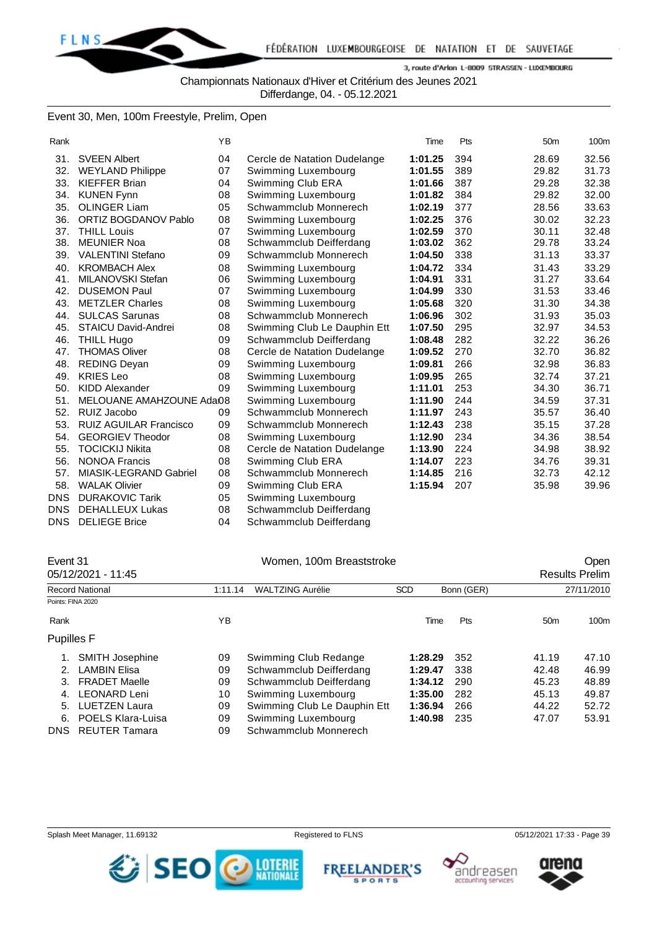

Championnats Nationaux d'Hiver et Critérium des Jeunes 2021

Differdange, 04. - 05.12.2021

### Event 30, Men, 100m Freestyle, Prelim, Open

| Rank       |                               | <b>YB</b> |                              | Time    | Pts | 50 <sub>m</sub> | 100m  |
|------------|-------------------------------|-----------|------------------------------|---------|-----|-----------------|-------|
| 31.        | <b>SVEEN Albert</b>           | 04        | Cercle de Natation Dudelange | 1:01.25 | 394 | 28.69           | 32.56 |
| 32.        | <b>WEYLAND Philippe</b>       | 07        | Swimming Luxembourg          | 1:01.55 | 389 | 29.82           | 31.73 |
| 33.        | <b>KIEFFER Brian</b>          | 04        | Swimming Club ERA            | 1:01.66 | 387 | 29.28           | 32.38 |
| 34.        | <b>KUNEN Fynn</b>             | 08        | Swimming Luxembourg          | 1:01.82 | 384 | 29.82           | 32.00 |
| 35.        | <b>OLINGER Liam</b>           | 05        | Schwammclub Monnerech        | 1:02.19 | 377 | 28.56           | 33.63 |
| 36.        | <b>ORTIZ BOGDANOV Pablo</b>   | 08        | Swimming Luxembourg          | 1:02.25 | 376 | 30.02           | 32.23 |
| 37.        | <b>THILL Louis</b>            | 07        | Swimming Luxembourg          | 1:02.59 | 370 | 30.11           | 32.48 |
| 38.        | <b>MEUNIER Noa</b>            | 08        | Schwammclub Deifferdang      | 1:03.02 | 362 | 29.78           | 33.24 |
| 39.        | <b>VALENTINI Stefano</b>      | 09        | Schwammclub Monnerech        | 1:04.50 | 338 | 31.13           | 33.37 |
| 40.        | <b>KROMBACH Alex</b>          | 08        | Swimming Luxembourg          | 1:04.72 | 334 | 31.43           | 33.29 |
| 41.        | MILANOVSKI Stefan             | 06        | Swimming Luxembourg          | 1:04.91 | 331 | 31.27           | 33.64 |
| 42.        | <b>DUSEMON Paul</b>           | 07        | Swimming Luxembourg          | 1:04.99 | 330 | 31.53           | 33.46 |
| 43.        | <b>METZLER Charles</b>        | 08        | Swimming Luxembourg          | 1:05.68 | 320 | 31.30           | 34.38 |
| 44.        | <b>SULCAS Sarunas</b>         | 08        | Schwammclub Monnerech        | 1:06.96 | 302 | 31.93           | 35.03 |
| 45.        | <b>STAICU David-Andrei</b>    | 08        | Swimming Club Le Dauphin Ett | 1:07.50 | 295 | 32.97           | 34.53 |
| 46.        | <b>THILL Hugo</b>             | 09        | Schwammclub Deifferdang      | 1:08.48 | 282 | 32.22           | 36.26 |
| 47.        | <b>THOMAS Oliver</b>          | 08        | Cercle de Natation Dudelange | 1:09.52 | 270 | 32.70           | 36.82 |
| 48.        | <b>REDING Deyan</b>           | 09        | Swimming Luxembourg          | 1:09.81 | 266 | 32.98           | 36.83 |
| 49.        | <b>KRIES Leo</b>              | 08        | Swimming Luxembourg          | 1:09.95 | 265 | 32.74           | 37.21 |
| 50.        | KIDD Alexander                | 09        | Swimming Luxembourg          | 1:11.01 | 253 | 34.30           | 36.71 |
| 51.        | MELOUANE AMAHZOUNE Adai08     |           | Swimming Luxembourg          | 1:11.90 | 244 | 34.59           | 37.31 |
| 52.        | RUIZ Jacobo                   | 09        | Schwammclub Monnerech        | 1:11.97 | 243 | 35.57           | 36.40 |
| 53.        | <b>RUIZ AGUILAR Francisco</b> | 09        | Schwammclub Monnerech        | 1:12.43 | 238 | 35.15           | 37.28 |
| 54.        | <b>GEORGIEV Theodor</b>       | 08        | Swimming Luxembourg          | 1:12.90 | 234 | 34.36           | 38.54 |
| 55.        | <b>TOCICKIJ Nikita</b>        | 08        | Cercle de Natation Dudelange | 1:13.90 | 224 | 34.98           | 38.92 |
| 56.        | <b>NONOA Francis</b>          | 08        | Swimming Club ERA            | 1:14.07 | 223 | 34.76           | 39.31 |
| 57.        | MIASIK-LEGRAND Gabriel        | 08        | Schwammclub Monnerech        | 1:14.85 | 216 | 32.73           | 42.12 |
| 58.        | <b>WALAK Olivier</b>          | 09        | Swimming Club ERA            | 1:15.94 | 207 | 35.98           | 39.96 |
| DNS        | <b>DURAKOVIC Tarik</b>        | 05        | Swimming Luxembourg          |         |     |                 |       |
| <b>DNS</b> | <b>DEHALLEUX Lukas</b>        | 08        | Schwammclub Deifferdang      |         |     |                 |       |
| DNS        | <b>DELIEGE Brice</b>          | 04        | Schwammclub Deifferdang      |         |     |                 |       |

|                   | Event 31                 |         | Women, 100m Breaststroke     |            | <b>Open</b> |                 |                       |  |
|-------------------|--------------------------|---------|------------------------------|------------|-------------|-----------------|-----------------------|--|
|                   | 05/12/2021 - 11:45       |         |                              |            |             |                 | <b>Results Prelim</b> |  |
|                   | <b>Record National</b>   | 1:11.14 | <b>WALTZING Aurélie</b>      | <b>SCD</b> | Bonn (GER)  |                 | 27/11/2010            |  |
|                   | Points: FINA 2020        |         |                              |            |             |                 |                       |  |
| Rank              |                          | YΒ      |                              | Time       | Pts         | 50 <sub>m</sub> | 100m                  |  |
| <b>Pupilles F</b> |                          |         |                              |            |             |                 |                       |  |
|                   | <b>SMITH Josephine</b>   | 09      | Swimming Club Redange        | 1:28.29    | 352         | 41.19           | 47.10                 |  |
| 2.                | <b>LAMBIN Elisa</b>      | 09      | Schwammclub Deifferdang      | 1:29.47    | 338         | 42.48           | 46.99                 |  |
| 3.                | <b>FRADET Maelle</b>     | 09      | Schwammclub Deifferdang      | 1:34.12    | 290         | 45.23           | 48.89                 |  |
| 4.                | LEONARD Leni             | 10      | Swimming Luxembourg          | 1:35.00    | 282         | 45.13           | 49.87                 |  |
| 5.                | <b>LUETZEN Laura</b>     | 09      | Swimming Club Le Dauphin Ett | 1:36.94    | 266         | 44.22           | 52.72                 |  |
| 6.                | <b>POELS Klara-Luisa</b> | 09      | Swimming Luxembourg          | 1:40.98    | 235         | 47.07           | 53.91                 |  |
| DNS.              | <b>REUTER Tamara</b>     | 09      | Schwammclub Monnerech        |            |             |                 |                       |  |





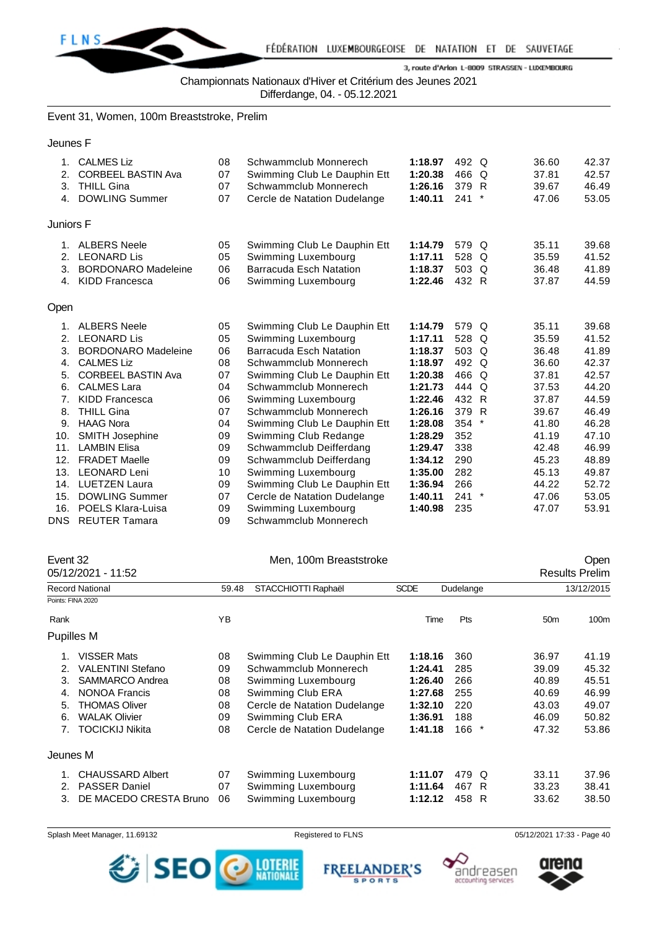

Championnats Nationaux d'Hiver et Critérium des Jeunes 2021

Differdange, 04. - 05.12.2021

Event 31, Women, 100m Breaststroke, Prelim

Jeunes F

| 1.<br>2.<br>3.<br>4. | <b>CALMES Liz</b><br><b>CORBEEL BASTIN Ava</b><br><b>THILL Gina</b><br><b>DOWLING Summer</b>     | 08<br>07<br>07<br>07 | Schwammclub Monnerech<br>Swimming Club Le Dauphin Ett<br>Schwammclub Monnerech<br>Cercle de Natation Dudelange | 1:18.97<br>1:20.38<br>1:26.16<br>1:40.11 | 492 Q<br>466 Q<br>379<br>241   | - R<br>$\ast$ | 36.60<br>42.37<br>37.81<br>42.57<br>46.49<br>39.67<br>53.05<br>47.06 |  |
|----------------------|--------------------------------------------------------------------------------------------------|----------------------|----------------------------------------------------------------------------------------------------------------|------------------------------------------|--------------------------------|---------------|----------------------------------------------------------------------|--|
| Juniors F            |                                                                                                  |                      |                                                                                                                |                                          |                                |               |                                                                      |  |
| 1.<br>2.<br>3.<br>4. | <b>ALBERS Neele</b><br><b>LEONARD Lis</b><br><b>BORDONARO Madeleine</b><br><b>KIDD Francesca</b> | 05<br>05<br>06<br>06 | Swimming Club Le Dauphin Ett<br>Swimming Luxembourg<br><b>Barracuda Esch Natation</b><br>Swimming Luxembourg   | 1:14.79<br>1:17.11<br>1:18.37<br>1:22.46 | 579 Q<br>528<br>503 Q<br>432 R | Q             | 39.68<br>35.11<br>35.59<br>41.52<br>41.89<br>36.48<br>44.59<br>37.87 |  |
| Open                 |                                                                                                  |                      |                                                                                                                |                                          |                                |               |                                                                      |  |
| 1.                   | <b>ALBERS Neele</b>                                                                              | 05                   | Swimming Club Le Dauphin Ett                                                                                   | 1:14.79                                  | 579 Q                          |               | 39.68<br>35.11                                                       |  |
| 2.                   | <b>LEONARD Lis</b>                                                                               | 05                   | Swimming Luxembourg                                                                                            | 1:17.11                                  | 528 Q                          |               | 41.52<br>35.59                                                       |  |
| 3.                   | <b>BORDONARO Madeleine</b>                                                                       | 06                   | Barracuda Esch Natation                                                                                        | 1:18.37                                  | 503 Q                          |               | 36.48<br>41.89                                                       |  |
| 4.                   | <b>CALMES Liz</b>                                                                                | 08                   | Schwammclub Monnerech                                                                                          | 1:18.97                                  | 492 Q                          |               | 36.60<br>42.37                                                       |  |
| 5.                   | <b>CORBEEL BASTIN Ava</b>                                                                        | 07                   | Swimming Club Le Dauphin Ett                                                                                   | 1:20.38                                  | 466 Q                          |               | 42.57<br>37.81                                                       |  |
| 6.                   | <b>CALMES Lara</b>                                                                               | 04                   | Schwammclub Monnerech                                                                                          | 1:21.73                                  | 444 Q                          |               | 44.20<br>37.53                                                       |  |
| 7.                   | <b>KIDD Francesca</b>                                                                            | 06                   | Swimming Luxembourg                                                                                            | 1:22.46                                  | 432 R                          |               | 37.87<br>44.59                                                       |  |
| 8.                   | <b>THILL Gina</b>                                                                                | 07                   | Schwammclub Monnerech                                                                                          | 1:26.16                                  | 379 R                          |               | 46.49<br>39.67                                                       |  |
| 9.                   | <b>HAAG Nora</b>                                                                                 | 04                   | Swimming Club Le Dauphin Ett                                                                                   | 1:28.08                                  | 354                            | $^\star$      | 41.80<br>46.28                                                       |  |
| 10.                  | <b>SMITH Josephine</b>                                                                           | 09                   | Swimming Club Redange                                                                                          | 1:28.29                                  | 352                            |               | 47.10<br>41.19                                                       |  |
| 11.                  | <b>LAMBIN Elisa</b>                                                                              | 09                   | Schwammclub Deifferdang                                                                                        | 1:29.47                                  | 338                            |               | 42.48<br>46.99                                                       |  |
| 12.                  | <b>FRADET Maelle</b>                                                                             | 09                   | Schwammclub Deifferdang                                                                                        | 1:34.12                                  | 290                            |               | 48.89<br>45.23                                                       |  |
| 13.                  | <b>LEONARD Leni</b>                                                                              | 10                   | Swimming Luxembourg                                                                                            | 1:35.00                                  | 282                            |               | 49.87<br>45.13                                                       |  |
| 14.                  | <b>LUETZEN Laura</b>                                                                             | 09                   | Swimming Club Le Dauphin Ett                                                                                   | 1:36.94                                  | 266                            |               | 44.22<br>52.72                                                       |  |
| 15.                  | <b>DOWLING Summer</b>                                                                            | 07                   | Cercle de Natation Dudelange                                                                                   | 1:40.11                                  | 241                            | $\ast$        | 53.05<br>47.06                                                       |  |
| 16.                  | POELS Klara-Luisa                                                                                | 09                   | Swimming Luxembourg                                                                                            | 1:40.98                                  | 235                            |               | 53.91<br>47.07                                                       |  |
| DNS.                 | <b>REUTER Tamara</b>                                                                             | 09                   | Schwammclub Monnerech                                                                                          |                                          |                                |               |                                                                      |  |

| Event 32 |                          |       | Men, 100m Breaststroke       |             |                |                 | Open                  |
|----------|--------------------------|-------|------------------------------|-------------|----------------|-----------------|-----------------------|
|          | 05/12/2021 - 11:52       |       |                              |             |                |                 | <b>Results Prelim</b> |
|          | <b>Record National</b>   | 59.48 | STACCHIOTTI Raphaël          | <b>SCDE</b> | Dudelange      |                 | 13/12/2015            |
|          | Points: FINA 2020        |       |                              |             |                |                 |                       |
| Rank     |                          | YB    |                              | Time        | Pts            | 50 <sub>m</sub> | 100m                  |
|          | Pupilles M               |       |                              |             |                |                 |                       |
| 1.       | <b>VISSER Mats</b>       | 08    | Swimming Club Le Dauphin Ett | 1:18.16     | 360            | 36.97           | 41.19                 |
| 2.       | <b>VALENTINI Stefano</b> | 09    | Schwammclub Monnerech        | 1:24.41     | 285            | 39.09           | 45.32                 |
| 3.       | SAMMARCO Andrea          | 08    | Swimming Luxembourg          | 1:26.40     | 266            | 40.89           | 45.51                 |
| 4.       | <b>NONOA Francis</b>     | 08    | Swimming Club ERA            | 1:27.68     | 255            | 40.69           | 46.99                 |
| 5.       | <b>THOMAS Oliver</b>     | 08    | Cercle de Natation Dudelange | 1:32.10     | 220            | 43.03           | 49.07                 |
| 6.       | <b>WALAK Olivier</b>     | 09    | Swimming Club ERA            | 1:36.91     | 188            | 46.09           | 50.82                 |
| 7.       | <b>TOCICKIJ Nikita</b>   | 08    | Cercle de Natation Dudelange | 1:41.18     | 166<br>$\star$ | 47.32           | 53.86                 |
| Jeunes M |                          |       |                              |             |                |                 |                       |
|          | <b>CHAUSSARD Albert</b>  | 07    | Swimming Luxembourg          | 1:11.07     | 479 Q          | 33.11           | 37.96                 |
| 2.       | <b>PASSER Daniel</b>     | 07    | Swimming Luxembourg          | 1:11.64     | 467<br>R       | 33.23           | 38.41                 |
| 3.       | DE MACEDO CRESTA Bruno   | 06    | Swimming Luxembourg          | 1:12.12     | 458<br>R       | 33.62           | 38.50                 |







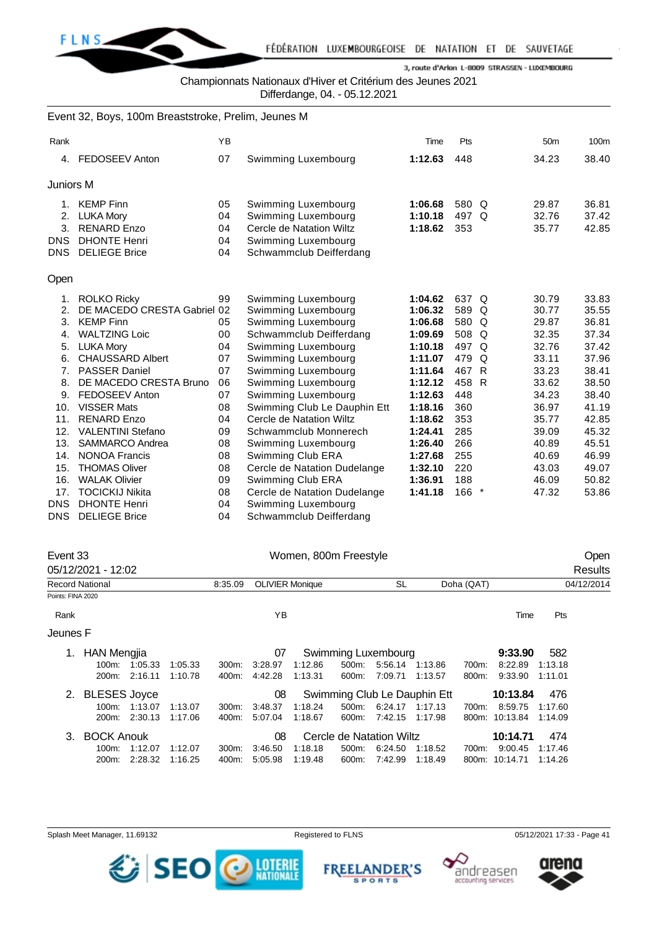

Championnats Nationaux d'Hiver et Critérium des Jeunes 2021

Differdange, 04. - 05.12.2021

|                | Event 32, Boys, 100m Breaststroke, Prelim, Jeunes M |    |                              |         |         |                 |       |
|----------------|-----------------------------------------------------|----|------------------------------|---------|---------|-----------------|-------|
| Rank           |                                                     | YB |                              | Time    | Pts     | 50 <sub>m</sub> | 100m  |
| 4.             | <b>FEDOSEEV Anton</b>                               | 07 | Swimming Luxembourg          | 1:12.63 | 448     | 34.23           | 38.40 |
| Juniors M      |                                                     |    |                              |         |         |                 |       |
| 1 <sub>1</sub> | <b>KEMP Finn</b>                                    | 05 | Swimming Luxembourg          | 1:06.68 | 580 Q   | 29.87           | 36.81 |
|                | 2. LUKA Mory                                        | 04 | Swimming Luxembourg          | 1:10.18 | 497 Q   | 32.76           | 37.42 |
| 3.             | <b>RENARD Enzo</b>                                  | 04 | Cercle de Natation Wiltz     | 1:18.62 | 353     | 35.77           | 42.85 |
| <b>DNS</b>     | <b>DHONTE Henri</b>                                 | 04 | Swimming Luxembourg          |         |         |                 |       |
| <b>DNS</b>     | <b>DELIEGE Brice</b>                                | 04 | Schwammclub Deifferdang      |         |         |                 |       |
| Open           |                                                     |    |                              |         |         |                 |       |
| 1.             | <b>ROLKO Ricky</b>                                  | 99 | Swimming Luxembourg          | 1:04.62 | 637 Q   | 30.79           | 33.83 |
| 2.             | DE MACEDO CRESTA Gabriel 02                         |    | Swimming Luxembourg          | 1:06.32 | 589 Q   | 30.77           | 35.55 |
| 3.             | <b>KEMP Finn</b>                                    | 05 | Swimming Luxembourg          | 1:06.68 | 580 Q   | 29.87           | 36.81 |
| 4.             | <b>WALTZING Loic</b>                                | 00 | Schwammclub Deifferdang      | 1:09.69 | 508 Q   | 32.35           | 37.34 |
| 5.             | <b>LUKA Mory</b>                                    | 04 | Swimming Luxembourg          | 1:10.18 | 497 Q   | 32.76           | 37.42 |
| 6.             | <b>CHAUSSARD Albert</b>                             | 07 | Swimming Luxembourg          | 1:11.07 | 479 Q   | 33.11           | 37.96 |
|                | 7. PASSER Daniel                                    | 07 | Swimming Luxembourg          | 1:11.64 | 467 R   | 33.23           | 38.41 |
| 8.             | DE MACEDO CRESTA Bruno                              | 06 | Swimming Luxembourg          | 1:12.12 | 458 R   | 33.62           | 38.50 |
| 9.             | <b>FEDOSEEV Anton</b>                               | 07 | Swimming Luxembourg          | 1:12.63 | 448     | 34.23           | 38.40 |
| 10.            | <b>VISSER Mats</b>                                  | 08 | Swimming Club Le Dauphin Ett | 1:18.16 | 360     | 36.97           | 41.19 |
| 11.            | <b>RENARD Enzo</b>                                  | 04 | Cercle de Natation Wiltz     | 1:18.62 | 353     | 35.77           | 42.85 |
| 12.            | <b>VALENTINI Stefano</b>                            | 09 | Schwammclub Monnerech        | 1:24.41 | 285     | 39.09           | 45.32 |
| 13.            | SAMMARCO Andrea                                     | 08 | Swimming Luxembourg          | 1:26.40 | 266     | 40.89           | 45.51 |
| 14.            | <b>NONOA Francis</b>                                | 08 | Swimming Club ERA            | 1:27.68 | 255     | 40.69           | 46.99 |
| 15.            | <b>THOMAS Oliver</b>                                | 08 | Cercle de Natation Dudelange | 1:32.10 | 220     | 43.03           | 49.07 |
| 16.            | <b>WALAK Olivier</b>                                | 09 | Swimming Club ERA            | 1:36.91 | 188     | 46.09           | 50.82 |
| 17.            | <b>TOCICKIJ Nikita</b>                              | 08 | Cercle de Natation Dudelange | 1:41.18 | $166$ * | 47.32           | 53.86 |
| <b>DNS</b>     | <b>DHONTE Henri</b>                                 | 04 | Swimming Luxembourg          |         |         |                 |       |
| <b>DNS</b>     | <b>DELIEGE Brice</b>                                | 04 | Schwammclub Deifferdang      |         |         |                 |       |

|                        | Event 33            |         |         |          |         | Women, 800m Freestyle  |       |                          |                              |            |          |         | Open       |
|------------------------|---------------------|---------|---------|----------|---------|------------------------|-------|--------------------------|------------------------------|------------|----------|---------|------------|
|                        | 05/12/2021 - 12:02  |         |         |          |         |                        |       |                          |                              |            |          |         | Results    |
| <b>Record National</b> |                     |         |         | 8:35.09  |         | <b>OLIVIER Monique</b> |       | SL                       |                              | Doha (QAT) |          |         | 04/12/2014 |
| Points: FINA 2020      |                     |         |         |          |         |                        |       |                          |                              |            |          |         |            |
| Rank                   |                     |         |         |          | YB      |                        |       |                          |                              |            | Time     | Pts     |            |
| Jeunes F               |                     |         |         |          |         |                        |       |                          |                              |            |          |         |            |
| 1.                     | <b>HAN Mengjia</b>  |         |         |          | 07      |                        |       | Swimming Luxembourg      |                              |            | 9:33.90  | 582     |            |
|                        | $100m$ :            | 1:05.33 | 1:05.33 | $300m$ : | 3:28.97 | 1:12.86                | 500m: | 5:56.14                  | 1.13.86                      | 700m:      | 8:22.89  | 1:13.18 |            |
|                        | 200m:               | 2:16.11 | 1:10.78 | 400m:    | 4:42.28 | 1:13.31                | 600m: | 7:09.71                  | 1.13.57                      | 800m:      | 9:33.90  | 1:11.01 |            |
| 2.                     | <b>BLESES Joyce</b> |         |         |          | 08      |                        |       |                          | Swimming Club Le Dauphin Ett |            | 10:13.84 | 476     |            |
|                        | $100m$ :            | 1:13.07 | 1.13.07 | $300m$ : | 3.48.37 | 1:18.24                | 500m: | 6:24.17                  | 1:17.13                      | 700m:      | 8:59.75  | 1:17.60 |            |
|                        | 200 <sub>m</sub> :  | 2:30.13 | 1:17.06 | 400m:    | 5:07.04 | 1:18.67                | 600m: | 7:42.15                  | 1:17.98                      | 800m:      | 10:13.84 | 1:14.09 |            |
| 3.                     | <b>BOCK Anouk</b>   |         |         |          | 08      |                        |       | Cercle de Natation Wiltz |                              |            | 10:14.71 | 474     |            |
|                        | 100m:               | 1:12.07 | 1:12.07 | 300m:    | 3.46.50 | 1:18.18                | 500m: | 6:24.50                  | 1:18.52                      | 700m:      | 9:00.45  | 1:17.46 |            |
|                        | 200 <sub>m</sub> :  | 2:28.32 | 1:16.25 | 400m:    | 5:05.98 | 1:19.48                | 600m: | 7:42.99                  | 1:18.49                      | 800m:      | 10:14.71 | 1:14.26 |            |

Splash Meet Manager, 11.69132 **Registered to FLNS** Registered to FLNS 05/12/2021 17:33 - Page 41



**FREELANDER'S SPORTS** 



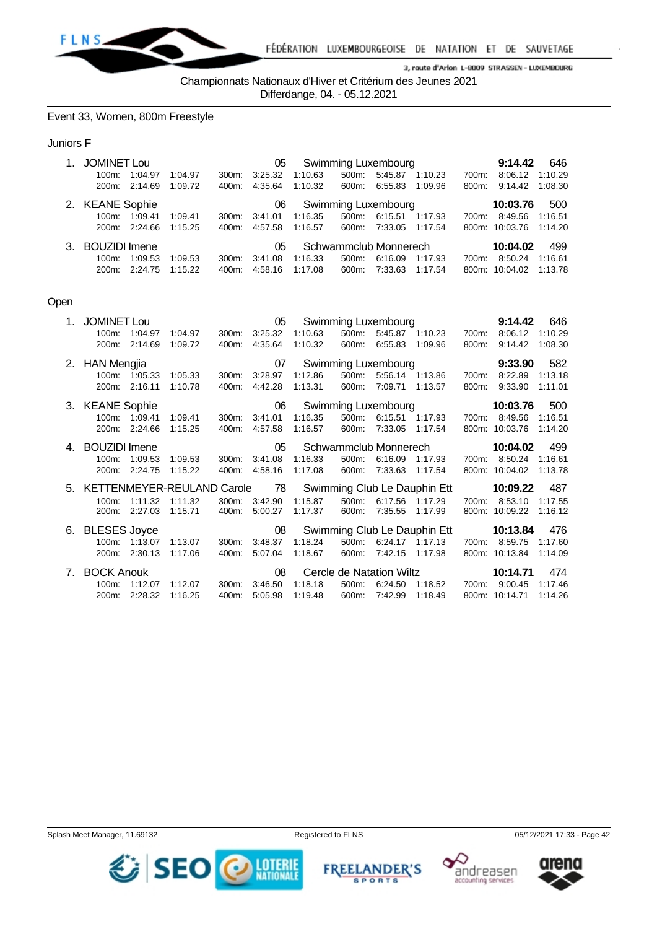

Championnats Nationaux d'Hiver et Critérium des Jeunes 2021

Differdange, 04. - 05.12.2021

Event 33, Women, 800m Freestyle

#### Juniors F

| $1_{-}$ | <b>JOMINET Lou</b>     |               | Swimming Luxembourg<br>05 |          |         |                       |                     |         |          |       |                | 9:14.42<br>646 |
|---------|------------------------|---------------|---------------------------|----------|---------|-----------------------|---------------------|---------|----------|-------|----------------|----------------|
|         | 100m:                  | 1:04.97       | 1:04.97                   | $300m$ : | 3:25.32 | 1:10.63               | 500m:               | 5:45.87 | 1:10.23  | 700m: | 8:06.12        | 1:10.29        |
|         |                        | 200m: 2:14.69 | 1:09.72                   | 400m:    | 4:35.64 | 1:10.32               | 600m:               | 6:55.83 | 1:09.96  | 800m: | 9:14.42        | 1:08.30        |
|         | 2. KEANE Sophie<br>06  |               |                           |          |         |                       | Swimming Luxembourg |         | 10:03.76 | 500   |                |                |
|         | 100m:                  | 1:09.41       | 1:09.41                   | 300m:    | 3:41.01 | 1:16.35               | 500m:               | 6:15.51 | 1:17.93  | 700m: | 8:49.56        | 1:16.51        |
|         |                        | 200m: 2:24.66 | 1:15.25                   | 400m:    | 4:57.58 | 1:16.57               | 600m: 7:33.05       |         | 1:17.54  |       | 800m: 10:03.76 | 1:14.20        |
|         | 3. BOUZIDI Imene<br>05 |               |                           |          |         | Schwammclub Monnerech |                     |         |          |       | 10:04.02       | 499            |
|         | 100m:                  | 1:09.53       | 1:09.53                   | 300m:    | 3:41.08 | 1.16.33               | 500m:               | 6:16.09 | 1:17.93  | 700m: | 8:50.24        | 1:16.61        |
|         |                        | 200m: 2:24.75 | 1:15.22                   | 400m:    | 4:58.16 | 1:17.08               | 600m:               | 7:33.63 | 1:17.54  |       | 800m: 10:04.02 | 1:13.78        |

## Open

| $1_{\cdot}$ | <b>JOMINET Lou</b> |               |                                                               |                       | 05            | Swimming Luxembourg             |       | 9:14.42                  | 646                 |       |                |         |
|-------------|--------------------|---------------|---------------------------------------------------------------|-----------------------|---------------|---------------------------------|-------|--------------------------|---------------------|-------|----------------|---------|
|             | $100m$ :           | 1:04.97       | 1:04.97                                                       | 300m:                 | 3:25.32       | 1:10.63                         | 500m: |                          | 5:45.87 1:10.23     | 700m: | 8:06.12        | 1:10.29 |
|             | 200m:              | 2:14.69       | 1:09.72                                                       | 400m:                 | 4:35.64       | 1:10.32                         | 600m: | 6:55.83                  | 1:09.96             | 800m: | 9:14.42        | 1:08.30 |
|             | 2. HAN Mengjia     |               |                                                               |                       | 07            |                                 |       |                          | Swimming Luxembourg |       | 9:33.90        | 582     |
|             | 100m:              | 1:05.33       | 1:05.33                                                       | 300m:                 | 3:28.97       | 1:12.86                         | 500m: | 5.56.14 1:13.86          |                     | 700m: | 8:22.89        | 1:13.18 |
|             | 200m:              | 2:16.11       | 1:10.78                                                       | 400m:                 | 4:42.28       | 1:13.31                         | 600m: | 7:09.71                  | 1:13.57             | 800m: | 9:33.90        | 1:11.01 |
|             | 3. KEANE Sophie    |               |                                                               |                       | 06            |                                 |       |                          | Swimming Luxembourg |       | 10:03.76       | 500     |
|             |                    | 100m: 1:09.41 | 1:09.41                                                       | 300m:                 | 3:41.01       | 1:16.35                         | 500m: | 6:15.51 1:17.93          |                     | 700m: | 8:49.56        | 1:16.51 |
|             | 200m:              | 2:24.66       | 1:15.25                                                       | 400m:                 | 4:57.58       | 1:16.57                         | 600m: | 7:33.05                  | 1:17.54             | 800m: | 10:03.76       | 1:14.20 |
|             | 4. BOUZIDI Imene   | 05            |                                                               | Schwammclub Monnerech |               | 10:04.02                        | 499   |                          |                     |       |                |         |
|             | $100m$ :           | 1:09.53       | 1:09.53                                                       | 300m:                 | 3:41.08       | 1:16.33                         | 500m: | 6:16.09                  | 1:17.93             | 700m: | 8:50.24        | 1:16.61 |
|             | 200m:              | 2:24.75       | 1:15.22                                                       | 400m.                 | 4:58.16       | 1:17.08                         | 600m: | 7:33.63                  | 1:17.54             |       | 800m: 10:04.02 | 1:13.78 |
|             |                    |               | 5. KETTENMEYER-REULAND Carole 78 Swimming Club Le Dauphin Ett |                       |               |                                 |       |                          |                     |       | 10:09.22       | 487     |
|             | $100m$ :           | 1:11.32       | 1:11.32                                                       |                       | 300m: 3:42.90 | 1:15.87                         | 500m: | 6:17.56                  | 1:17.29             | 700m: | 8:53.10        | 1:17.55 |
|             | 200 <sub>m</sub> : | 2:27.03       | 1:15.71                                                       | 400m:                 | 5:00.27       | 1:17.37                         | 600m: | 7:35.55                  | 1:17.99             | 800m: | 10:09.22       | 1:16.12 |
|             | 6. BLESES Joyce    |               |                                                               |                       |               | 08 Swimming Club Le Dauphin Ett |       |                          |                     |       | 10:13.84       | 476     |
|             | $100m$ :           | 1:13.07       | 1:13.07                                                       | $300m$ :              | 3:48.37       | 1:18.24                         | 500m: | 6:24.17 1:17.13          |                     | 700m: | 8:59.75        | 1:17.60 |
|             | 200m:              | 2:30.13       | 1:17.06                                                       | 400m:                 | 5:07.04       | 1:18.67                         | 600m: | 7:42.15                  | 1:17.98             |       | 800m: 10:13.84 | 1:14.09 |
| 7.          | <b>BOCK Anouk</b>  |               |                                                               |                       | 08            |                                 |       | Cercle de Natation Wiltz |                     |       | 10:14.71       | 474     |
|             | $100m$ :           | 1:12.07       | 1:12.07                                                       | 300m:                 | 3:46.50       | 1:18.18                         | 500m: | 6:24.50                  | 1:18.52             | 700m: | 9:00.45        | 1:17.46 |
|             | 200m:              | 2:28.32       | 1:16.25                                                       | 400m:                 | 5:05.98       | 1:19.48                         | 600m: | 7:42.99                  | 1:18.49             |       | 800m: 10:14.71 | 1:14.26 |





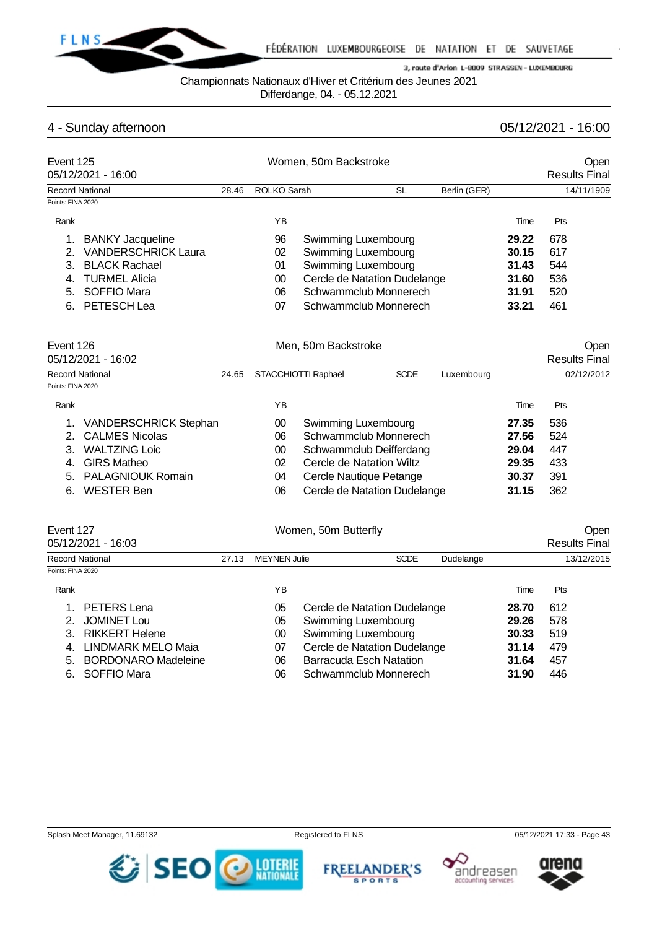

Championnats Nationaux d'Hiver et Critérium des Jeunes 2021

Differdange, 04. - 05.12.2021

# 4 - Sunday afternoon 05/12/2021 - 16:00

| Event 125         | 05/12/2021 - 16:00           |       | Women, 50m Backstroke |                                                           | Open<br><b>Results Final</b> |              |       |                      |            |
|-------------------|------------------------------|-------|-----------------------|-----------------------------------------------------------|------------------------------|--------------|-------|----------------------|------------|
|                   | <b>Record National</b>       | 28.46 | <b>ROLKO Sarah</b>    |                                                           | <b>SL</b>                    | Berlin (GER) |       |                      | 14/11/1909 |
| Points: FINA 2020 |                              |       |                       |                                                           |                              |              |       |                      |            |
| Rank              |                              |       | YB                    |                                                           |                              |              | Time  | Pts                  |            |
| 1.                | <b>BANKY Jacqueline</b>      |       | 96                    | Swimming Luxembourg                                       |                              |              | 29.22 | 678                  |            |
| 2.                | <b>VANDERSCHRICK Laura</b>   |       | 02                    | Swimming Luxembourg                                       |                              |              | 30.15 | 617                  |            |
| 3.                | <b>BLACK Rachael</b>         |       | 01                    | Swimming Luxembourg                                       |                              |              | 31.43 | 544                  |            |
| 4.                | <b>TURMEL Alicia</b>         |       | 00                    |                                                           | Cercle de Natation Dudelange |              | 31.60 | 536                  |            |
| 5.                | <b>SOFFIO Mara</b>           |       | 06                    | Schwammclub Monnerech                                     |                              |              | 31.91 | 520                  |            |
| 6.                | PETESCH Lea                  |       | 07                    |                                                           | Schwammclub Monnerech        |              | 33.21 | 461                  |            |
| Event 126         |                              |       |                       | Men. 50m Backstroke                                       |                              |              |       |                      | Open       |
|                   | 05/12/2021 - 16:02           |       |                       |                                                           |                              |              |       | <b>Results Final</b> |            |
|                   | <b>Record National</b>       | 24.65 | STACCHIOTTI Raphaël   |                                                           | <b>SCDE</b>                  | Luxembourg   |       |                      | 02/12/2012 |
| Points: FINA 2020 |                              |       |                       |                                                           |                              |              |       |                      |            |
| Rank              |                              |       | YB                    |                                                           |                              |              | Time  | Pts                  |            |
| 1.                | <b>VANDERSCHRICK Stephan</b> |       | $00\,$                | Swimming Luxembourg                                       |                              |              | 27.35 | 536                  |            |
| 2.                | <b>CALMES Nicolas</b>        |       | 06                    |                                                           | Schwammclub Monnerech        |              | 27.56 | 524                  |            |
| 3.                | <b>WALTZING Loic</b>         |       | 00                    |                                                           | Schwammclub Deifferdang      |              | 29.04 | 447                  |            |
| 4.                | <b>GIRS Matheo</b>           |       | 02                    |                                                           | Cercle de Natation Wiltz     |              | 29.35 | 433                  |            |
| 5.                | <b>PALAGNIOUK Romain</b>     |       | 04                    |                                                           | Cercle Nautique Petange      |              | 30.37 | 391                  |            |
| 6.                | <b>WESTER Ben</b>            |       | 06                    |                                                           | Cercle de Natation Dudelange |              | 31.15 | 362                  |            |
| Event 127         | 05/12/2021 - 16:03           |       |                       | Women, 50m Butterfly                                      |                              |              |       | <b>Results Final</b> | Open       |
|                   |                              |       |                       |                                                           |                              |              |       |                      |            |
| Points: FINA 2020 | <b>Record National</b>       | 27.13 | <b>MEYNEN Julie</b>   |                                                           | <b>SCDE</b>                  | Dudelange    |       |                      | 13/12/2015 |
| Rank              |                              |       | YB                    |                                                           |                              |              | Time  | Pts                  |            |
|                   |                              |       |                       |                                                           |                              |              |       |                      |            |
|                   | <b>PETERS Lena</b><br>1.     |       | 05<br>05              | Cercle de Natation Dudelange                              |                              |              | 28.70 | 612<br>578           |            |
|                   | <b>JOMINET Lou</b><br>2.     |       |                       | Swimming Luxembourg<br>29.26<br>00<br>Swimming Luxembourg |                              |              |       |                      |            |
|                   | 3.<br><b>RIKKERT Helene</b>  |       |                       |                                                           |                              |              | 30.33 | 519                  |            |

- 
- 
- 

| 4. LINDMARK MELO Maia  |     | Cercle de Natation Dudelange   | 31.14 | 479 |
|------------------------|-----|--------------------------------|-------|-----|
| 5. BORDONARO Madeleine | 06  | <b>Barracuda Esch Natation</b> | 31.64 | 457 |
| 6. SOFFIO Mara         | 06. | Schwammclub Monnerech          | 31.90 | 446 |
|                        |     |                                |       |     |
|                        |     |                                |       |     |

Splash Meet Manager, 11.69132 **Registered to FLNS Registered to FLNS** 05/12/2021 17:33 - Page 43







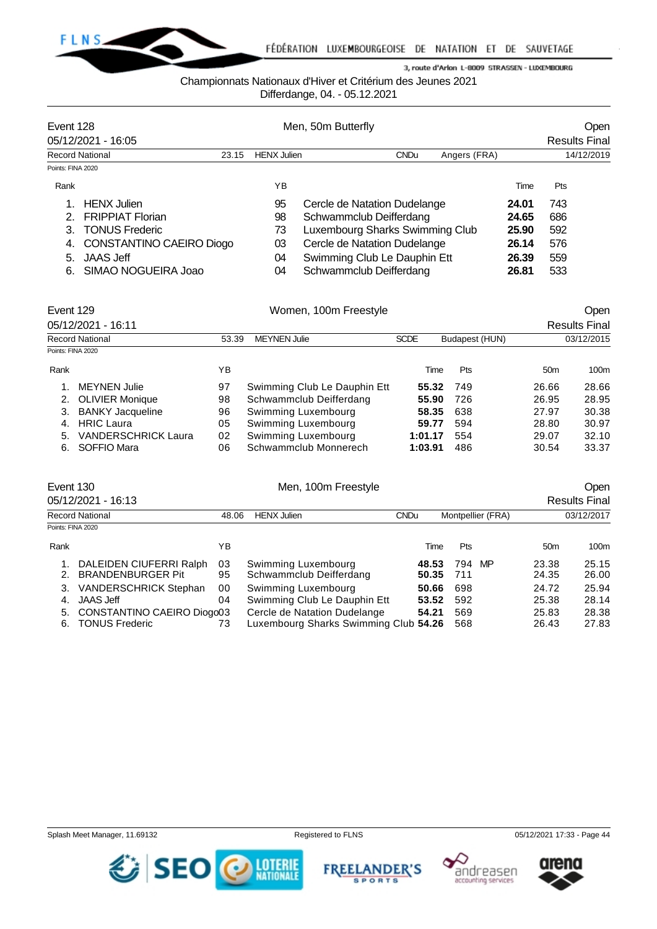

## Championnats Nationaux d'Hiver et Critérium des Jeunes 2021

Differdange, 04. - 05.12.2021

|                   | Event 128                |       |                    | Men, 50m Butterfly              |             | <b>Open</b>  |       |                      |
|-------------------|--------------------------|-------|--------------------|---------------------------------|-------------|--------------|-------|----------------------|
|                   | 05/12/2021 - 16:05       |       |                    |                                 |             |              |       | <b>Results Final</b> |
|                   | <b>Record National</b>   | 23.15 | <b>HENX Julien</b> |                                 | <b>CNDu</b> | Angers (FRA) |       | 14/12/2019           |
| Points: FINA 2020 |                          |       |                    |                                 |             |              |       |                      |
| Rank              |                          |       | ΥB                 |                                 |             |              | Time  | <b>Pts</b>           |
|                   | <b>HENX</b> Julien       |       | 95                 | Cercle de Natation Dudelange    |             |              | 24.01 | 743                  |
|                   | <b>FRIPPIAT Florian</b>  |       | 98                 | Schwammclub Deifferdang         |             |              | 24.65 | 686                  |
| 3.                | <b>TONUS Frederic</b>    |       | 73                 | Luxembourg Sharks Swimming Club |             |              | 25.90 | 592                  |
| 4.                | CONSTANTINO CAEIRO Diogo |       | 03                 | Cercle de Natation Dudelange    |             |              | 26.14 | 576                  |
| 5.                | <b>JAAS Jeff</b>         |       | 04                 | Swimming Club Le Dauphin Ett    |             |              | 26.39 | 559                  |
| 6.                | SIMAO NOGUEIRA Joao      |       | 04                 | Schwammclub Deifferdang         |             |              | 26.81 | 533                  |

|                            |                                                                                | Women, 100m Freestyle        | Open        |            |                                           |                      |
|----------------------------|--------------------------------------------------------------------------------|------------------------------|-------------|------------|-------------------------------------------|----------------------|
|                            |                                                                                |                              |             |            |                                           | <b>Results Final</b> |
|                            |                                                                                | <b>MEYNEN Julie</b>          | <b>SCDE</b> |            |                                           | 03/12/2015           |
|                            |                                                                                |                              |             |            |                                           |                      |
|                            | ΥB                                                                             |                              | Time        | <b>Pts</b> | 50 <sub>m</sub>                           | 100m                 |
| <b>MEYNEN Julie</b>        | 97                                                                             | Swimming Club Le Dauphin Ett |             | 749        | 26.66                                     | 28.66                |
| <b>OLIVIER Monique</b>     | 98                                                                             | Schwammclub Deifferdang      |             | 726        | 26.95                                     | 28.95                |
| <b>BANKY Jacqueline</b>    | 96                                                                             | Swimming Luxembourg          |             | 638        | 27.97                                     | 30.38                |
| <b>HRIC Laura</b>          | 05                                                                             | Swimming Luxembourg          | 59.77       | 594        | 28.80                                     | 30.97                |
| <b>VANDERSCHRICK Laura</b> | 02                                                                             | Swimming Luxembourg          | 1:01.17     | 554        | 29.07                                     | 32.10                |
| SOFFIO Mara                | 06                                                                             | Schwammclub Monnerech        | 1:03.91     | 486        | 30.54                                     | 33.37                |
|                            | Event 129<br>05/12/2021 - 16:11<br><b>Record National</b><br>Points: FINA 2020 |                              | 53.39       |            | Budapest (HUN)<br>55.32<br>55.90<br>58.35 |                      |

| Event 130<br>05/12/2021 - 16:13                                                                                                                                                              |                            | Men, 100m Freestyle                                                                                                                                                            | Open<br><b>Results Final</b>              |                                           |                                                    |                                                    |
|----------------------------------------------------------------------------------------------------------------------------------------------------------------------------------------------|----------------------------|--------------------------------------------------------------------------------------------------------------------------------------------------------------------------------|-------------------------------------------|-------------------------------------------|----------------------------------------------------|----------------------------------------------------|
| <b>Record National</b>                                                                                                                                                                       | 48.06                      | <b>HENX Julien</b>                                                                                                                                                             | <b>CNDu</b>                               | Montpellier (FRA)                         |                                                    | 03/12/2017                                         |
| Points: FINA 2020                                                                                                                                                                            |                            |                                                                                                                                                                                |                                           |                                           |                                                    |                                                    |
| Rank                                                                                                                                                                                         | ΥB                         |                                                                                                                                                                                | Time                                      | <b>Pts</b>                                | 50 <sub>m</sub>                                    | 100m                                               |
| DALEIDEN CIUFERRI Ralph<br><b>BRANDENBURGER Pit</b><br>2.<br><b>VANDERSCHRICK Stephan</b><br>3.<br><b>JAAS Jeff</b><br>4.<br>CONSTANTINO CAEIRO Diogo03<br>5.<br><b>TONUS Frederic</b><br>6. | 03<br>95<br>00<br>04<br>73 | Swimming Luxembourg<br>Schwammclub Deifferdang<br>Swimming Luxembourg<br>Swimming Club Le Dauphin Ett<br>Cercle de Natation Dudelange<br>Luxembourg Sharks Swimming Club 54.26 | 48.53<br>50.35<br>50.66<br>53.52<br>54.21 | 794 MP<br>711<br>698<br>592<br>569<br>568 | 23.38<br>24.35<br>24.72<br>25.38<br>25.83<br>26.43 | 25.15<br>26.00<br>25.94<br>28.14<br>28.38<br>27.83 |







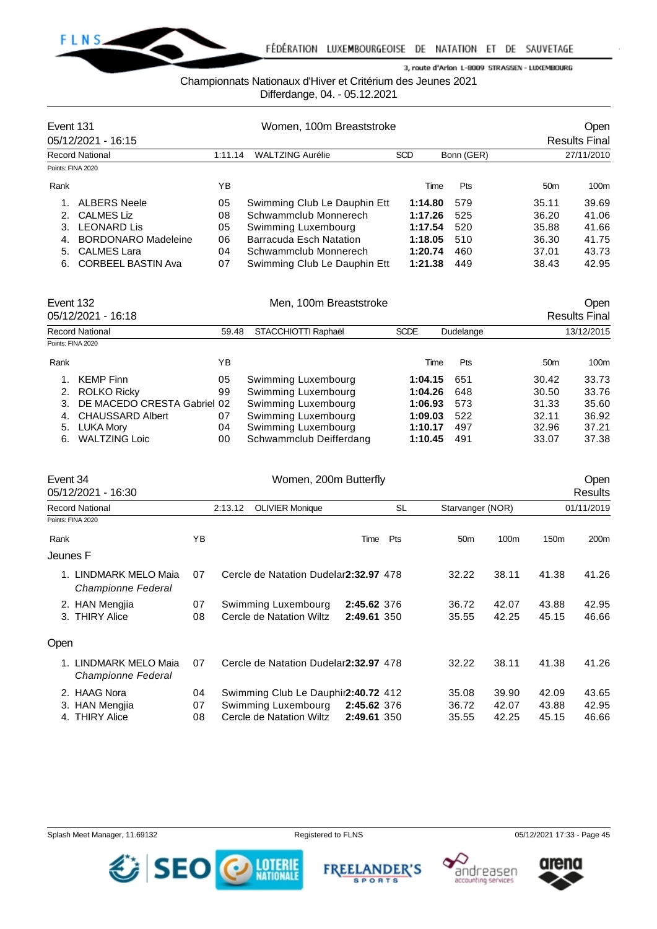

Championnats Nationaux d'Hiver et Critérium des Jeunes 2021

Differdange, 04. - 05.12.2021

| Event 131         |                                              |         | Women, 100m Breaststroke     | Open<br><b>Results Final</b> |            |                 |            |
|-------------------|----------------------------------------------|---------|------------------------------|------------------------------|------------|-----------------|------------|
|                   | 05/12/2021 - 16:15<br><b>Record National</b> | 1:11.14 | <b>WALTZING Aurélie</b>      | <b>SCD</b>                   | Bonn (GER) |                 | 27/11/2010 |
| Points: FINA 2020 |                                              |         |                              |                              |            |                 |            |
| Rank              |                                              | ΥB      |                              | Time                         | <b>Pts</b> | 50 <sub>m</sub> | 100m       |
|                   | <b>ALBERS Neele</b>                          | 05      | Swimming Club Le Dauphin Ett | 1:14.80                      | 579        | 35.11           | 39.69      |
|                   | <b>CALMES Liz</b>                            | 08      | Schwammclub Monnerech        | 1:17.26                      | 525        | 36.20           | 41.06      |
| З.                | <b>LEONARD Lis</b>                           | 05      | Swimming Luxembourg          | 1:17.54                      | 520        | 35.88           | 41.66      |
| $\mathbf{4}$      | <b>BORDONARO Madeleine</b>                   | 06      | Barracuda Esch Natation      | 1:18.05                      | 510        | 36.30           | 41.75      |
| 5.                | <b>CALMES Lara</b>                           | 04      | Schwammclub Monnerech        | 1:20.74                      | 460        | 37.01           | 43.73      |
| 6.                | <b>CORBEEL BASTIN Ava</b>                    | 07      | Swimming Club Le Dauphin Ett | 1:21.38                      | 449        | 38.43           | 42.95      |

| Event 132         | 05/12/2021 - 16:18          |       | Men, 100m Breaststroke  |             | <b>Open</b><br><b>Results Final</b> |                 |       |  |
|-------------------|-----------------------------|-------|-------------------------|-------------|-------------------------------------|-----------------|-------|--|
|                   | <b>Record National</b>      | 59.48 | STACCHIOTTI Raphaël     | <b>SCDE</b> | Dudelange                           | 13/12/2015      |       |  |
| Points: FINA 2020 |                             |       |                         |             |                                     |                 |       |  |
| Rank              |                             | ΥB    |                         | Time        | <b>Pts</b>                          | 50 <sub>m</sub> | 100m  |  |
|                   | <b>KEMP Finn</b>            | 05    | Swimming Luxembourg     | 1:04.15     | 651                                 | 30.42           | 33.73 |  |
| 2.                | <b>ROLKO Ricky</b>          | 99    | Swimming Luxembourg     | 1:04.26     | 648                                 | 30.50           | 33.76 |  |
| 3.                | DE MACEDO CRESTA Gabriel 02 |       | Swimming Luxembourg     | 1:06.93     | 573                                 | 31.33           | 35.60 |  |
| 4.                | <b>CHAUSSARD Albert</b>     | 07    | Swimming Luxembourg     | 1:09.03     | 522                                 | 32.11           | 36.92 |  |
| 5.                | LUKA Mory                   | 04    | Swimming Luxembourg     | 1:10.17     | 497                                 | 32.96           | 37.21 |  |
| 6.                | <b>WALTZING Loic</b>        | 00    | Schwammclub Deifferdang | 1:10.45     | 491                                 | 33.07           | 37.38 |  |

| Event 34 | 05/12/2021 - 16:30                                   |                | <b>Open</b><br><b>Results</b>                                                           |                            |           |                         |                         |                         |                         |
|----------|------------------------------------------------------|----------------|-----------------------------------------------------------------------------------------|----------------------------|-----------|-------------------------|-------------------------|-------------------------|-------------------------|
|          | <b>Record National</b>                               |                | 2:13.12<br><b>OLIVIER Monique</b>                                                       |                            | <b>SL</b> | Starvanger (NOR)        |                         |                         | 01/11/2019              |
|          | Points: FINA 2020                                    |                |                                                                                         |                            |           |                         |                         |                         |                         |
| Rank     |                                                      | YB             |                                                                                         | Time                       | Pts       | 50 <sub>m</sub>         | 100m                    | 150 <sub>m</sub>        | 200 <sub>m</sub>        |
| Jeunes F |                                                      |                |                                                                                         |                            |           |                         |                         |                         |                         |
|          | 1. LINDMARK MELO Maia<br>Championne Federal          | 07             | Cercle de Natation Dudelar 2:32.97 478                                                  |                            |           | 32.22                   | 38.11                   | 41.38                   | 41.26                   |
|          | 2. HAN Mengjia<br>3. THIRY Alice                     | 07<br>08       | Swimming Luxembourg<br>Cercle de Natation Wiltz                                         | 2:45.62 376<br>2:49.61 350 |           | 36.72<br>35.55          | 42.07<br>42.25          | 43.88<br>45.15          | 42.95<br>46.66          |
| Open     |                                                      |                |                                                                                         |                            |           |                         |                         |                         |                         |
|          | 1. LINDMARK MELO Maia<br>Championne Federal          | 07             | Cercle de Natation Dudelar 2:32.97 478                                                  |                            |           | 32.22                   | 38.11                   | 41.38                   | 41.26                   |
| 4.       | 2. HAAG Nora<br>3. HAN Mengjia<br><b>THIRY Alice</b> | 04<br>07<br>08 | Swimming Club Le Dauphir 2:40.72 412<br>Swimming Luxembourg<br>Cercle de Natation Wiltz | 2:45.62 376<br>2:49.61 350 |           | 35.08<br>36.72<br>35.55 | 39.90<br>42.07<br>42.25 | 42.09<br>43.88<br>45.15 | 43.65<br>42.95<br>46.66 |





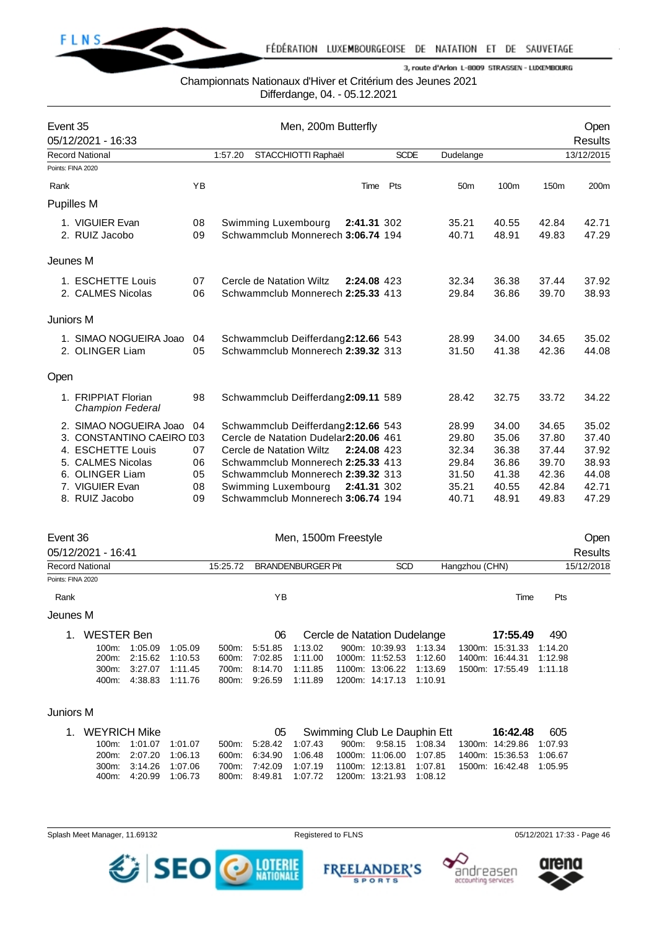

## Championnats Nationaux d'Hiver et Critérium des Jeunes 2021

Differdange, 04. - 05.12.2021

| Event 35 | 05/12/2021 - 16:33                             |          |         | Men, 200m Butterfly                                      |             |             |                 | <b>Open</b><br><b>Results</b> |                  |                |
|----------|------------------------------------------------|----------|---------|----------------------------------------------------------|-------------|-------------|-----------------|-------------------------------|------------------|----------------|
|          | <b>Record National</b>                         |          | 1:57.20 | STACCHIOTTI Raphaël                                      |             | <b>SCDE</b> | Dudelange       |                               |                  | 13/12/2015     |
|          | Points: FINA 2020                              |          |         |                                                          |             |             |                 |                               |                  |                |
| Rank     |                                                | YB       |         |                                                          | Time        | Pts         | 50 <sub>m</sub> | 100m                          | 150 <sub>m</sub> | 200m           |
|          | <b>Pupilles M</b>                              |          |         |                                                          |             |             |                 |                               |                  |                |
|          | 1. VIGUIER Evan                                | 08       |         | Swimming Luxembourg                                      | 2:41.31 302 |             | 35.21           | 40.55                         | 42.84            | 42.71          |
|          | 2. RUIZ Jacobo                                 | 09       |         | Schwammclub Monnerech 3:06.74 194                        |             |             | 40.71           | 48.91                         | 49.83            | 47.29          |
|          | Jeunes M                                       |          |         |                                                          |             |             |                 |                               |                  |                |
|          | 1. ESCHETTE Louis                              | 07       |         | Cercle de Natation Wiltz                                 | 2:24.08 423 |             | 32.34           | 36.38                         | 37.44            | 37.92          |
|          | 2. CALMES Nicolas                              | 06       |         | Schwammclub Monnerech 2:25.33 413                        |             |             | 29.84           | 36.86                         | 39.70            | 38.93          |
|          | Juniors M                                      |          |         |                                                          |             |             |                 |                               |                  |                |
|          | 1. SIMAO NOGUEIRA Joao                         | 04       |         | Schwammclub Deifferdang2:12.66 543                       |             |             | 28.99           | 34.00                         | 34.65            | 35.02          |
|          | 2. OLINGER Liam                                | 05       |         | Schwammclub Monnerech 2:39.32 313                        |             |             | 31.50           | 41.38                         | 42.36            | 44.08          |
| Open     |                                                |          |         |                                                          |             |             |                 |                               |                  |                |
|          | 1. FRIPPIAT Florian<br><b>Champion Federal</b> | 98       |         | Schwammclub Deifferdang2:09.11 589                       |             |             | 28.42           | 32.75                         | 33.72            | 34.22          |
|          | 2. SIMAO NOGUEIRA Joao                         | 04       |         | Schwammclub Deifferdang2:12.66 543                       |             |             | 28.99           | 34.00                         | 34.65            | 35.02          |
|          | 3. CONSTANTINO CAEIRO L03                      |          |         | Cercle de Natation Dudelar2:20.06 461                    |             |             | 29.80           | 35.06                         | 37.80            | 37.40          |
|          | 4. ESCHETTE Louis                              | 07       |         | Cercle de Natation Wiltz                                 | 2:24.08 423 |             | 32.34           | 36.38                         | 37.44            | 37.92          |
|          | 5. CALMES Nicolas                              | 06       |         | Schwammclub Monnerech 2:25.33 413                        |             |             | 29.84           | 36.86                         | 39.70            | 38.93          |
|          | 6. OLINGER Liam                                | 05       |         | Schwammclub Monnerech 2:39.32 313                        |             |             | 31.50           | 41.38                         | 42.36            | 44.08          |
|          | 7. VIGUIER Evan<br>8. RUIZ Jacobo              | 08<br>09 |         | Swimming Luxembourg<br>Schwammclub Monnerech 3:06.74 194 | 2:41.31 302 |             | 35.21<br>40.71  | 40.55<br>48.91                | 42.84<br>49.83   | 42.71<br>47.29 |
|          |                                                |          |         |                                                          |             |             |                 |                               |                  |                |

| Event 36          |                                |                    |                    | Men, 1500m Freestyle |                    |                          |  |                                   |                    |                |                                    |                    | Open       |
|-------------------|--------------------------------|--------------------|--------------------|----------------------|--------------------|--------------------------|--|-----------------------------------|--------------------|----------------|------------------------------------|--------------------|------------|
|                   | 05/12/2021 - 16:41             |                    |                    |                      |                    |                          |  |                                   |                    |                |                                    |                    | Results    |
| Record National   |                                |                    |                    | 15:25.72             |                    | <b>BRANDENBURGER Pit</b> |  | <b>SCD</b>                        |                    | Hangzhou (CHN) |                                    |                    | 15/12/2018 |
| Points: FINA 2020 |                                |                    |                    |                      |                    |                          |  |                                   |                    |                |                                    |                    |            |
| Rank              |                                |                    |                    |                      | ΥB                 |                          |  |                                   |                    |                | Time                               | <b>Pts</b>         |            |
| Jeunes M          |                                |                    |                    |                      |                    |                          |  |                                   |                    |                |                                    |                    |            |
| 1.                | <b>WESTER Ben</b>              |                    |                    |                      | 06                 |                          |  | Cercle de Natation Dudelange      |                    |                | 17:55.49                           | 490                |            |
|                   | $100m$ :<br>200 <sub>m</sub> : | 1:05.09<br>2:15.62 | 1:05.09<br>1:10.53 | $500m$ :<br>600m:    | 5:51.85<br>7:02.85 | 1:13.02<br>1:11.00       |  | 900m: 10:39.93<br>1000m: 11:52.53 | 1:13.34<br>1:12.60 |                | 1300m: 15:31.33<br>1400m: 16:44.31 | 1:14.20<br>1:12.98 |            |
|                   | $300m$ :                       | 3:27.07            | 1:11.45            | 700m:                | 8:14.70            | 1:11.85                  |  | 1100m: 13:06.22                   | 1.13.69            |                | 1500m: 17:55.49                    | 1:11.18            |            |
|                   | 400m:                          | 4:38.83            | 1:11.76            | 800m:                | 9:26.59            | 1:11.89                  |  | 1200m: 14:17.13                   | 1:10.91            |                |                                    |                    |            |
|                   |                                |                    |                    |                      |                    |                          |  |                                   |                    |                |                                    |                    |            |

## Juniors M

| 1. WEYRICH Mike |                       |  |  | 05 Swimming Club Le Dauphin Ett |  |  |                                                  |  | <b>16:42.48</b> 605 |                                                                       |  |
|-----------------|-----------------------|--|--|---------------------------------|--|--|--------------------------------------------------|--|---------------------|-----------------------------------------------------------------------|--|
|                 | 100m: 1:01.07 1:01.07 |  |  |                                 |  |  |                                                  |  |                     | 500m: 5:28.42 1:07.43 900m: 9:58.15 1:08.34 1300m: 14:29.86 1:07.93   |  |
|                 | 200m: 2:07.20 1:06.13 |  |  |                                 |  |  |                                                  |  |                     | 600m: 6:34.90 1:06.48 1000m: 11:06.00 1:07.85 1400m: 15:36.53 1:06.67 |  |
|                 | 300m: 3:14.26 1:07.06 |  |  |                                 |  |  |                                                  |  |                     | 700m: 7:42.09 1:07.19 1100m: 12:13.81 1:07.81 1500m: 16:42.48 1:05.95 |  |
|                 | 400m: 4:20.99 1:06.73 |  |  |                                 |  |  | 800m: 8:49.81  1:07.72  1200m: 13:21.93  1:08.12 |  |                     |                                                                       |  |

Splash Meet Manager, 11.69132 **Registered to FLNS** Registered to FLNS 05/12/2021 17:33 - Page 46

SEO O MERIE



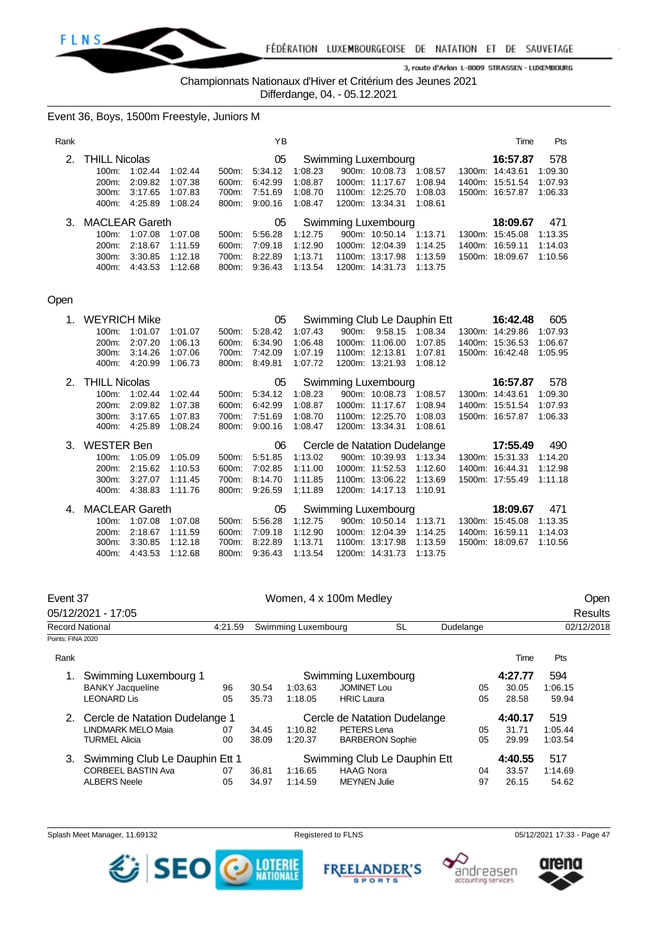

Championnats Nationaux d'Hiver et Critérium des Jeunes 2021

Differdange, 04. - 05.12.2021

Event 36, Boys, 1500m Freestyle, Juniors M

| Rank           |                             |         |         |       | ΥB      |                     |  |                     |         |  | Time            | Pts     |
|----------------|-----------------------------|---------|---------|-------|---------|---------------------|--|---------------------|---------|--|-----------------|---------|
| 2 <sub>1</sub> | <b>THILL Nicolas</b>        |         |         |       | 05      |                     |  | Swimming Luxembourg |         |  | 16:57.87        | 578     |
|                | $100m$ :                    | 1:02.44 | 1:02.44 | 500m  | 5:34.12 | 1:08.23             |  | 900m: 10:08.73      | 1:08.57 |  | 1300m: 14:43.61 | 1:09.30 |
|                | 200 <sub>m</sub> :          | 2:09.82 | 1:07.38 | 600m: | 6:42.99 | 1:08.87             |  | 1000m: 11:17.67     | 1:08.94 |  | 1400m: 15.51.54 | 1:07.93 |
|                | $300m$ :                    | 3:17.65 | 1:07.83 | 700m: | 7:51.69 | 1:08.70             |  | 1100m: 12:25.70     | 1:08.03 |  | 1500m: 16:57.87 | 1:06.33 |
|                | 400m:                       | 4:25.89 | 1:08.24 | 800m: | 9:00.16 | 1:08.47             |  | 1200m: 13:34.31     | 1:08.61 |  |                 |         |
| 3.             | <b>MACLEAR Gareth</b><br>05 |         |         |       |         | Swimming Luxembourg |  |                     |         |  | 18:09.67        | 471     |
|                | $100m$ :                    | 1:07.08 | 1:07.08 | 500m: | 5:56.28 | 1:12.75             |  | 900m: 10:50.14      | 1:13.71 |  | 1300m: 15:45.08 | 1:13.35 |
|                | 200m:                       | 2:18.67 | 1:11.59 | 600m: | 7:09.18 | 1:12.90             |  | 1000m: 12:04.39     | 1:14.25 |  | 1400m: 16:59.11 | 1:14.03 |
|                | 300m:                       | 3:30.85 | 1:12.18 | 700m: | 8:22.89 | 1:13.71             |  | 1100m: 13:17.98     | 1:13.59 |  | 1500m: 18:09.67 | 1:10.56 |
|                | 400m:                       | 4:43.53 | 1:12.68 | 800m: | 9:36.43 | 1:13.54             |  | 1200m: 14:31.73     | 1:13.75 |  |                 |         |

#### Open

| 1. | <b>WEYRICH Mike</b>   |         |         |       | 05      |         |                              | Swimming Club Le Dauphin Ett | 16:42.48        | 605     |
|----|-----------------------|---------|---------|-------|---------|---------|------------------------------|------------------------------|-----------------|---------|
|    | 100m:                 | 1:01.07 | 1:01.07 | 500m: | 5.28.42 | 1:07.43 | 900m: 9:58.15                | 1:08.34                      | 1300m: 14:29.86 | 1:07.93 |
|    | 200m:                 | 2:07.20 | 1:06.13 | 600m: | 6:34.90 | 1:06.48 | 1000m: 11:06.00              | 1:07.85                      | 1400m: 15:36.53 | 1:06.67 |
|    | 300m:                 | 3:14.26 | 1:07.06 | 700m: | 7:42.09 | 1:07.19 | 1100m: 12:13.81              | 1:07.81                      | 1500m: 16:42.48 | 1:05.95 |
|    | 400m:                 | 4:20.99 | 1:06.73 | 800m: | 8:49.81 | 1:07.72 | 1200m: 13:21.93              | 1:08.12                      |                 |         |
| 2. | <b>THILL Nicolas</b>  |         |         |       | 05      |         | Swimming Luxembourg          |                              | 16:57.87        | 578     |
|    | 100m:                 | 1:02.44 | 1:02.44 | 500m: | 5:34.12 | 1:08.23 | 900m: 10:08.73               | 1:08.57                      | 1300m: 14:43.61 | 1:09.30 |
|    | 200m:                 | 2:09.82 | 1:07.38 | 600m: | 6:42.99 | 1:08.87 | 1000m: 11:17.67              | 1:08.94                      | 1400m: 15:51.54 | 1:07.93 |
|    | 300m:                 | 3:17.65 | 1:07.83 | 700m: | 7:51.69 | 1:08.70 | 1100m: 12:25.70              | 1:08.03                      | 1500m: 16:57.87 | 1:06.33 |
|    | 400m:                 | 4:25.89 | 1:08.24 | 800m: | 9:00.16 | 1:08.47 | 1200m: 13:34.31              | 1:08.61                      |                 |         |
|    |                       |         |         |       |         |         |                              |                              |                 |         |
| 3. | <b>WESTER Ben</b>     |         |         |       | 06      |         | Cercle de Natation Dudelange |                              | 17:55.49        | 490     |
|    | 100m:                 | 1:05.09 | 1:05.09 | 500m: | 5:51.85 | 1:13.02 | 900m: 10:39.93               | 1:13.34                      | 1300m: 15:31.33 | 1:14.20 |
|    | 200m:                 | 2:15.62 | 1:10.53 | 600m: | 7:02.85 | 1:11.00 | 1000m: 11:52.53              | 1:12.60                      | 1400m: 16:44.31 | 1:12.98 |
|    | 300m:                 | 3:27.07 | 1:11.45 | 700m: | 8:14.70 | 1:11.85 | 1100m: 13:06.22              | 1:13.69                      | 1500m: 17:55.49 | 1:11.18 |
|    | 400m:                 | 4:38.83 | 1:11.76 | 800m: | 9:26.59 | 1:11.89 | 1200m: 14:17.13              | 1:10.91                      |                 |         |
| 4. | <b>MACLEAR Gareth</b> |         |         |       | 05      |         | Swimming Luxembourg          |                              | 18:09.67        | 471     |
|    | 100m:                 | 1:07.08 | 1:07.08 | 500m: | 5:56.28 | 1:12.75 | 900m: 10:50.14               | 1:13.71                      | 1300m: 15:45.08 | 1:13.35 |
|    | $200m$ :              | 2:18.67 | 1:11.59 | 600m: | 7:09.18 | 1:12.90 | 1000m: 12:04.39              | 1:14.25                      | 1400m: 16:59.11 | 1:14.03 |
|    | 300m:                 | 3:30.85 | 1:12.18 | 700m: | 8:22.89 | 1:13.71 | 1100m: 13:17.98              | 1:13.59                      | 1500m: 18:09.67 | 1:10.56 |

| Event 37               |                                | Women, 4 x 100m Medley |                     |                     |                              |           |           |         |         | Open       |  |  |
|------------------------|--------------------------------|------------------------|---------------------|---------------------|------------------------------|-----------|-----------|---------|---------|------------|--|--|
|                        | 05/12/2021 - 17:05             |                        |                     |                     |                              |           |           |         |         | Results    |  |  |
| <b>Record National</b> |                                | 4:21.59                |                     | Swimming Luxembourg |                              | <b>SL</b> | Dudelange |         |         | 02/12/2018 |  |  |
| Points: FINA 2020      |                                |                        |                     |                     |                              |           |           |         |         |            |  |  |
| Rank                   |                                |                        |                     |                     |                              |           |           | Time    | Pts     |            |  |  |
|                        | Swimming Luxembourg 1          |                        | Swimming Luxembourg |                     |                              |           |           | 4:27.77 | 594     |            |  |  |
|                        | <b>BANKY Jacqueline</b>        | 96                     | 30.54               | 1:03.63             | <b>JOMINET Lou</b>           |           | 05        | 30.05   | 1:06.15 |            |  |  |
|                        | <b>LEONARD Lis</b>             | 05                     | 35.73               | 1:18.05             | <b>HRIC Laura</b>            |           | 05        | 28.58   | 59.94   |            |  |  |
| 2.                     | Cercle de Natation Dudelange 1 |                        |                     |                     | Cercle de Natation Dudelange |           |           | 4:40.17 | 519     |            |  |  |
|                        | <b>LINDMARK MELO Maia</b>      | 07                     | 34.45               | 1:10.82             | PETERS Lena                  |           | 05        | 31.71   | 1:05.44 |            |  |  |
|                        | TURMEL Alicia                  | 00                     | 38.09               | 1:20.37             | <b>BARBERON Sophie</b>       |           | 05        | 29.99   | 1:03.54 |            |  |  |
| 3.                     | Swimming Club Le Dauphin Ett 1 |                        |                     |                     | Swimming Club Le Dauphin Ett |           |           | 4:40.55 | 517     |            |  |  |
|                        | <b>CORBEEL BASTIN Ava</b>      | 07                     | 36.81               | 1:16.65             | <b>HAAG Nora</b>             |           | 04        | 33.57   | 1:14.69 |            |  |  |
|                        | <b>ALBERS Neele</b>            | 05                     | 34.97               | 1:14.59             | <b>MEYNEN Julie</b>          |           | 97        | 26.15   | 54.62   |            |  |  |

Splash Meet Manager, 11.69132 **Registered to FLNS** Registered to FLNS 05/12/2021 17:33 - Page 47



**FREEL ANDER'S SPORTS**